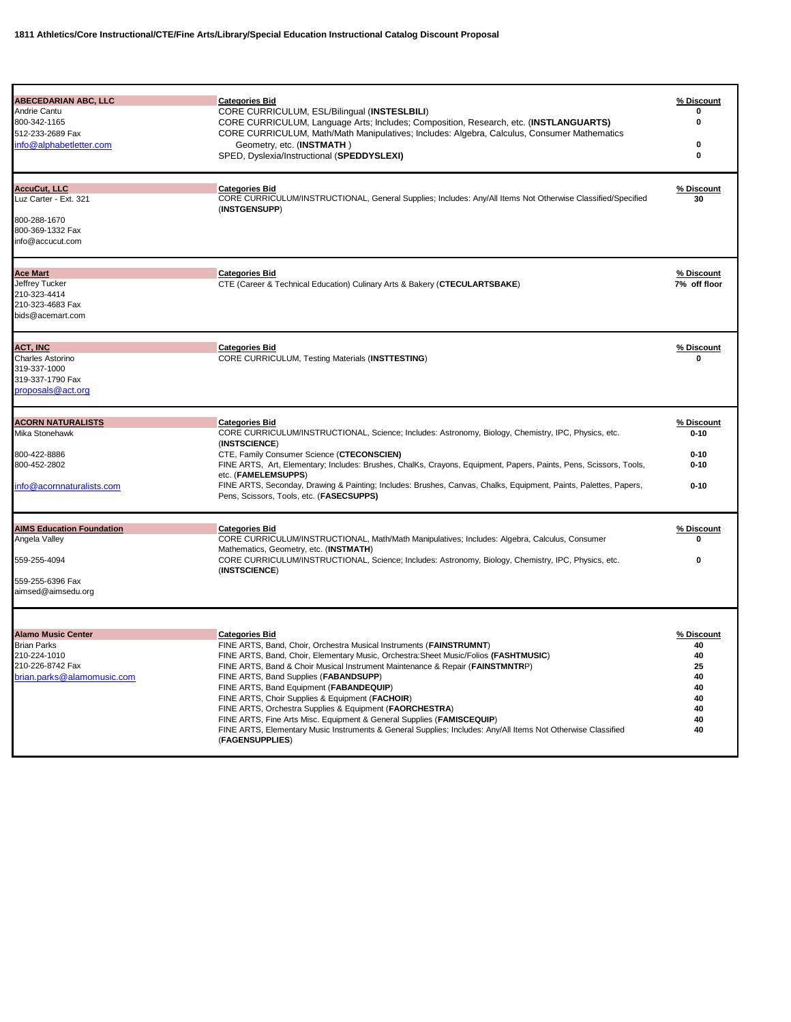| <b>ABECEDARIAN ABC, LLC</b>      | <b>Categories Bid</b>                                                                                                | % Discount   |
|----------------------------------|----------------------------------------------------------------------------------------------------------------------|--------------|
| Andrie Cantu                     | CORE CURRICULUM, ESL/Bilingual (INSTESLBILI)                                                                         | o            |
| 800-342-1165                     | CORE CURRICULUM, Language Arts; Includes; Composition, Research, etc. (INSTLANGUARTS)                                | 0            |
| 512-233-2689 Fax                 | CORE CURRICULUM, Math/Math Manipulatives; Includes: Algebra, Calculus, Consumer Mathematics                          |              |
| info@alphabetletter.com          | Geometry, etc. (INSTMATH)                                                                                            | 0            |
|                                  | SPED, Dyslexia/Instructional (SPEDDYSLEXI)                                                                           | $\bf{0}$     |
|                                  |                                                                                                                      |              |
| AccuCut, LLC                     | <b>Categories Bid</b>                                                                                                | % Discount   |
| Luz Carter - Ext. 321            | CORE CURRICULUM/INSTRUCTIONAL, General Supplies; Includes: Any/All Items Not Otherwise Classified/Specified          | 30           |
|                                  | (INSTGENSUPP)                                                                                                        |              |
| 800-288-1670                     |                                                                                                                      |              |
| 800-369-1332 Fax                 |                                                                                                                      |              |
| info@accucut.com                 |                                                                                                                      |              |
|                                  |                                                                                                                      |              |
| <b>Ace Mart</b>                  | <b>Categories Bid</b>                                                                                                | % Discount   |
| Jeffrey Tucker                   | CTE (Career & Technical Education) Culinary Arts & Bakery (CTECULARTSBAKE)                                           | 7% off floor |
| 210-323-4414<br>210-323-4683 Fax |                                                                                                                      |              |
| bids@acemart.com                 |                                                                                                                      |              |
|                                  |                                                                                                                      |              |
| <b>ACT, INC</b>                  | <b>Categories Bid</b>                                                                                                | % Discount   |
| <b>Charles Astorino</b>          | <b>CORE CURRICULUM, Testing Materials (INSTTESTING)</b>                                                              | 0            |
| 319-337-1000                     |                                                                                                                      |              |
| 319-337-1790 Fax                 |                                                                                                                      |              |
| proposals@act.org                |                                                                                                                      |              |
|                                  |                                                                                                                      |              |
| <b>ACORN NATURALISTS</b>         | <b>Categories Bid</b>                                                                                                | % Discount   |
| Mika Stonehawk                   | CORE CURRICULUM/INSTRUCTIONAL, Science; Includes: Astronomy, Biology, Chemistry, IPC, Physics, etc.<br>(INSTSCIENCE) | $0 - 10$     |
| 800-422-8886                     | CTE, Family Consumer Science (CTECONSCIEN)                                                                           | $0 - 10$     |
| 800-452-2802                     | FINE ARTS, Art, Elementary; Includes: Brushes, ChalKs, Crayons, Equipment, Papers, Paints, Pens, Scissors, Tools,    | $0 - 10$     |
|                                  | etc. (FAMELEMSUPPS)                                                                                                  |              |
| info@acornnaturalists.com        | FINE ARTS, Seconday, Drawing & Painting; Includes: Brushes, Canvas, Chalks, Equipment, Paints, Palettes, Papers,     | $0 - 10$     |
|                                  | Pens, Scissors, Tools, etc. (FASECSUPPS)                                                                             |              |
| <b>AIMS Education Foundation</b> | <b>Categories Bid</b>                                                                                                | % Discount   |
| Angela Valley                    | CORE CURRICULUM/INSTRUCTIONAL, Math/Math Manipulatives; Includes: Algebra, Calculus, Consumer                        | 0            |
|                                  | Mathematics, Geometry, etc. (INSTMATH)                                                                               |              |
| 559-255-4094                     | CORE CURRICULUM/INSTRUCTIONAL, Science; Includes: Astronomy, Biology, Chemistry, IPC, Physics, etc.<br>(INSTSCIENCE) | 0            |
| 559-255-6396 Fax                 |                                                                                                                      |              |
| aimsed@aimsedu.org               |                                                                                                                      |              |
|                                  |                                                                                                                      |              |
| <b>Alamo Music Center</b>        | <b>Categories Bid</b>                                                                                                | % Discount   |
| <b>Brian Parks</b>               | FINE ARTS, Band, Choir, Orchestra Musical Instruments (FAINSTRUMNT)                                                  | 40           |
| 210-224-1010                     | FINE ARTS, Band, Choir, Elementary Music, Orchestra: Sheet Music/Folios (FASHTMUSIC)                                 | 40           |
| 210-226-8742 Fax                 | FINE ARTS, Band & Choir Musical Instrument Maintenance & Repair (FAINSTMNTRP)                                        | 25           |
| brian.parks@alamomusic.com       | FINE ARTS, Band Supplies (FABANDSUPP)                                                                                | 40           |
|                                  | FINE ARTS, Band Equipment (FABANDEQUIP)                                                                              | 40           |
|                                  | FINE ARTS, Choir Supplies & Equipment (FACHOIR)                                                                      | 40           |
|                                  | FINE ARTS, Orchestra Supplies & Equipment (FAORCHESTRA)                                                              | 40           |
|                                  | FINE ARTS, Fine Arts Misc. Equipment & General Supplies (FAMISCEQUIP)                                                | 40           |
|                                  | FINE ARTS, Elementary Music Instruments & General Supplies; Includes: Any/All Items Not Otherwise Classified         | 40           |
|                                  | (FAGENSUPPLIES)                                                                                                      |              |
|                                  |                                                                                                                      |              |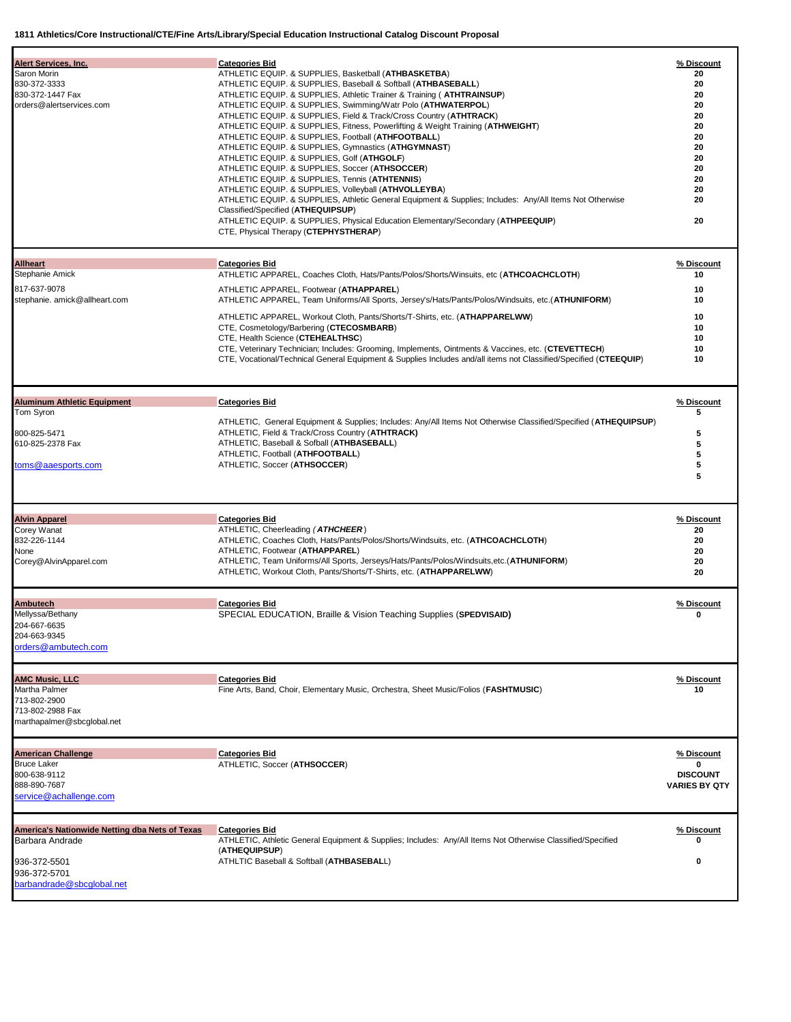| <b>Alert Services, Inc.</b>                                                                                                           | <b>Categories Bid</b>                                                                                                                                                                                                                                                                                                                                                                                                                                                                                                                                                                                                                                                                                                                                                                                                                                                                                                                                                                                                                           | % Discount                                                                       |
|---------------------------------------------------------------------------------------------------------------------------------------|-------------------------------------------------------------------------------------------------------------------------------------------------------------------------------------------------------------------------------------------------------------------------------------------------------------------------------------------------------------------------------------------------------------------------------------------------------------------------------------------------------------------------------------------------------------------------------------------------------------------------------------------------------------------------------------------------------------------------------------------------------------------------------------------------------------------------------------------------------------------------------------------------------------------------------------------------------------------------------------------------------------------------------------------------|----------------------------------------------------------------------------------|
| Saron Morin<br>830-372-3333<br>830-372-1447 Fax<br>orders@alertservices.com                                                           | ATHLETIC EQUIP. & SUPPLIES, Basketball ( <b>ATHBASKETBA</b> )<br>ATHLETIC EQUIP. & SUPPLIES, Baseball & Softball (ATHBASEBALL)<br>ATHLETIC EQUIP. & SUPPLIES, Athletic Trainer & Training ( <b>ATHTRAINSUP</b> )<br>ATHLETIC EQUIP. & SUPPLIES, Swimming/Watr Polo (ATHWATERPOL)<br>ATHLETIC EQUIP. & SUPPLIES, Field & Track/Cross Country (ATHTRACK)<br>ATHLETIC EQUIP. & SUPPLIES, Fitness, Powerlifting & Weight Training (ATHWEIGHT)<br>ATHLETIC EQUIP. & SUPPLIES, Football (ATHFOOTBALL)<br>ATHLETIC EQUIP. & SUPPLIES, Gymnastics (ATHGYMNAST)<br>ATHLETIC EQUIP. & SUPPLIES, Golf (ATHGOLF)<br>ATHLETIC EQUIP. & SUPPLIES, Soccer (ATHSOCCER)<br>ATHLETIC EQUIP. & SUPPLIES, Tennis (ATHTENNIS)<br>ATHLETIC EQUIP. & SUPPLIES, Volleyball (ATHVOLLEYBA)<br>ATHLETIC EQUIP. & SUPPLIES, Athletic General Equipment & Supplies; Includes: Any/All Items Not Otherwise<br>Classified/Specified (ATHEQUIPSUP)<br>ATHLETIC EQUIP. & SUPPLIES, Physical Education Elementary/Secondary (ATHPEEQUIP)<br>CTE, Physical Therapy (CTEPHYSTHERAP) | 20<br>20<br>20<br>20<br>20<br>20<br>20<br>20<br>20<br>20<br>20<br>20<br>20<br>20 |
| <b>Allheart</b><br>Stephanie Amick                                                                                                    | <b>Categories Bid</b><br>ATHLETIC APPAREL, Coaches Cloth, Hats/Pants/Polos/Shorts/Winsuits, etc (ATHCOACHCLOTH)                                                                                                                                                                                                                                                                                                                                                                                                                                                                                                                                                                                                                                                                                                                                                                                                                                                                                                                                 | % Discount<br>10                                                                 |
| 817-637-9078<br>stephanie. amick@allheart.com                                                                                         | ATHLETIC APPAREL, Footwear (ATHAPPAREL)<br>ATHLETIC APPAREL, Team Uniforms/All Sports, Jersey's/Hats/Pants/Polos/Windsuits, etc.(ATHUNIFORM)<br>ATHLETIC APPAREL, Workout Cloth, Pants/Shorts/T-Shirts, etc. (ATHAPPARELWW)<br>CTE, Cosmetology/Barbering (CTECOSMBARB)<br>CTE, Health Science (CTEHEALTHSC)<br>CTE, Veterinary Technician; Includes: Grooming, Implements, Ointments & Vaccines, etc. (CTEVETTECH)<br>CTE, Vocational/Technical General Equipment & Supplies Includes and/all items not Classified/Specified (CTEEQUIP)                                                                                                                                                                                                                                                                                                                                                                                                                                                                                                        | 10<br>10<br>10<br>10<br>10<br>10<br>10                                           |
| <b>Aluminum Athletic Equipment</b><br>Tom Syron<br>800-825-5471<br>610-825-2378 Fax<br>toms@aaesports.com                             | <b>Categories Bid</b><br>ATHLETIC, General Equipment & Supplies; Includes: Any/All Items Not Otherwise Classified/Specified (ATHEQUIPSUP)<br>ATHLETIC, Field & Track/Cross Country (ATHTRACK)<br>ATHLETIC, Baseball & Sofball (ATHBASEBALL)<br>ATHLETIC, Football (ATHFOOTBALL)<br>ATHLETIC, Soccer (ATHSOCCER)                                                                                                                                                                                                                                                                                                                                                                                                                                                                                                                                                                                                                                                                                                                                 | % Discount<br>5<br>5<br>5<br>5<br>5<br>5                                         |
| <b>Alvin Apparel</b><br><b>Corey Wanat</b><br>832-226-1144<br>None<br>Corey@AlvinApparel.com                                          | <b>Categories Bid</b><br>ATHLETIC, Cheerleading (ATHCHEER)<br>ATHLETIC, Coaches Cloth, Hats/Pants/Polos/Shorts/Windsuits, etc. (ATHCOACHCLOTH)<br>ATHLETIC, Footwear (ATHAPPAREL)<br>ATHLETIC, Team Uniforms/All Sports, Jerseys/Hats/Pants/Polos/Windsuits,etc.(ATHUNIFORM)<br>ATHLETIC, Workout Cloth, Pants/Shorts/T-Shirts, etc. (ATHAPPARELWW)                                                                                                                                                                                                                                                                                                                                                                                                                                                                                                                                                                                                                                                                                             | % Discount<br>20<br>20<br>20<br>20<br>20                                         |
| <b>Ambutech</b><br>Mellyssa/Bethany<br>204-667-6635<br>204-663-9345<br>orders@ambutech.com                                            | <b>Categories Bid</b><br>SPECIAL EDUCATION, Braille & Vision Teaching Supplies (SPEDVISAID)                                                                                                                                                                                                                                                                                                                                                                                                                                                                                                                                                                                                                                                                                                                                                                                                                                                                                                                                                     | % Discount<br>0                                                                  |
| <b>AMC Music, LLC</b><br>Martha Palmer<br>713-802-2900<br>713-802-2988 Fax<br>marthapalmer@sbcglobal.net                              | <b>Categories Bid</b><br>Fine Arts, Band, Choir, Elementary Music, Orchestra, Sheet Music/Folios (FASHTMUSIC)                                                                                                                                                                                                                                                                                                                                                                                                                                                                                                                                                                                                                                                                                                                                                                                                                                                                                                                                   | % Discount<br>10                                                                 |
| <b>American Challenge</b><br><b>Bruce Laker</b><br>800-638-9112<br>888-890-7687<br>service@achallenge.com                             | <b>Categories Bid</b><br>ATHLETIC, Soccer (ATHSOCCER)                                                                                                                                                                                                                                                                                                                                                                                                                                                                                                                                                                                                                                                                                                                                                                                                                                                                                                                                                                                           | % Discount<br>0<br><b>DISCOUNT</b><br><b>VARIES BY QTY</b>                       |
| <b>America's Nationwide Netting dba Nets of Texas</b><br>Barbara Andrade<br>936-372-5501<br>936-372-5701<br>barbandrade@sbcqlobal.net | <b>Categories Bid</b><br>ATHLETIC, Athletic General Equipment & Supplies; Includes: Any/All Items Not Otherwise Classified/Specified<br>(ATHEQUIPSUP)<br>ATHLTIC Baseball & Softball (ATHBASEBALL)                                                                                                                                                                                                                                                                                                                                                                                                                                                                                                                                                                                                                                                                                                                                                                                                                                              | % Discount<br>n<br>0                                                             |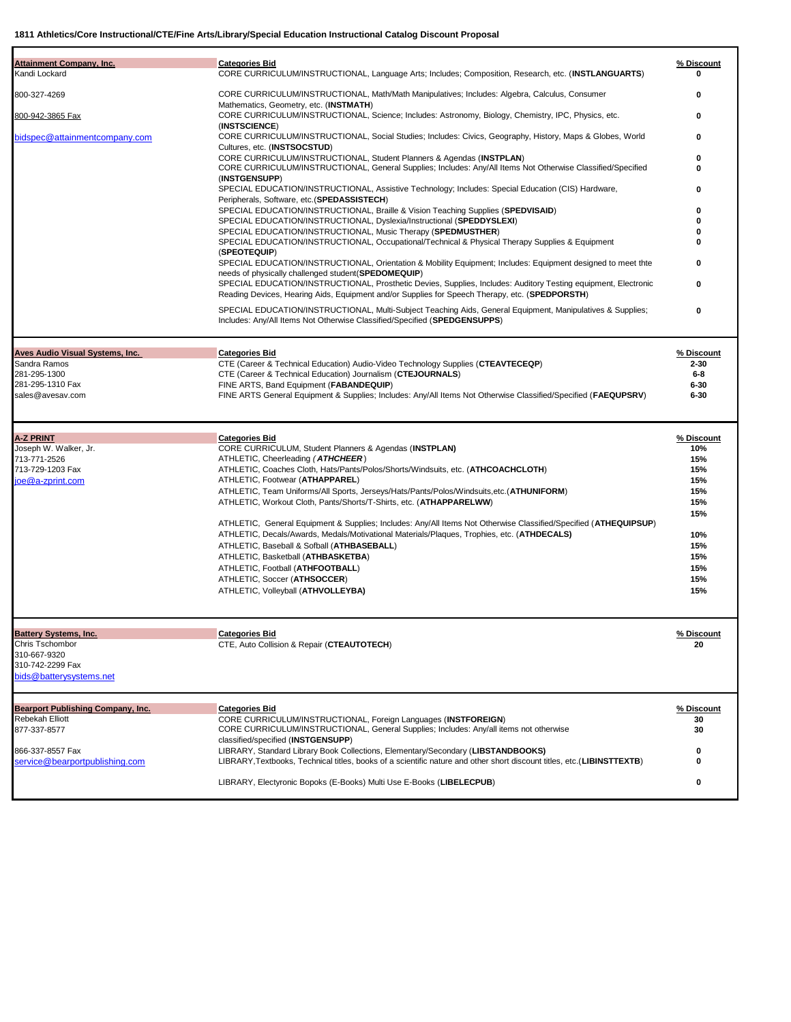| <b>Attainment Company, Inc.</b>                      | <b>Categories Bid</b>                                                                                                                                                                                       | % Discount        |
|------------------------------------------------------|-------------------------------------------------------------------------------------------------------------------------------------------------------------------------------------------------------------|-------------------|
| Kandi Lockard                                        | CORE CURRICULUM/INSTRUCTIONAL, Language Arts; Includes; Composition, Research, etc. (INSTLANGUARTS)                                                                                                         | 0                 |
| 800-327-4269                                         | CORE CURRICULUM/INSTRUCTIONAL, Math/Math Manipulatives; Includes: Algebra, Calculus, Consumer                                                                                                               | 0                 |
|                                                      | Mathematics, Geometry, etc. (INSTMATH)                                                                                                                                                                      |                   |
| 800-942-3865 Fax                                     | CORE CURRICULUM/INSTRUCTIONAL, Science; Includes: Astronomy, Biology, Chemistry, IPC, Physics, etc.                                                                                                         | 0                 |
| bidspec@attainmentcompany.com                        | (INSTSCIENCE)<br>CORE CURRICULUM/INSTRUCTIONAL, Social Studies; Includes: Civics, Geography, History, Maps & Globes, World                                                                                  | 0                 |
|                                                      | Cultures, etc. (INSTSOCSTUD)                                                                                                                                                                                |                   |
|                                                      | CORE CURRICULUM/INSTRUCTIONAL, Student Planners & Agendas (INSTPLAN)                                                                                                                                        | 0                 |
|                                                      | CORE CURRICULUM/INSTRUCTIONAL, General Supplies; Includes: Any/All Items Not Otherwise Classified/Specified<br>(INSTGENSUPP)                                                                                | U                 |
|                                                      | SPECIAL EDUCATION/INSTRUCTIONAL, Assistive Technology; Includes: Special Education (CIS) Hardware,                                                                                                          | o                 |
|                                                      | Peripherals, Software, etc.(SPEDASSISTECH)                                                                                                                                                                  |                   |
|                                                      | SPECIAL EDUCATION/INSTRUCTIONAL, Braille & Vision Teaching Supplies (SPEDVISAID)                                                                                                                            | 0                 |
|                                                      | SPECIAL EDUCATION/INSTRUCTIONAL, Dyslexia/Instructional (SPEDDYSLEXI)<br>SPECIAL EDUCATION/INSTRUCTIONAL, Music Therapy (SPEDMUSTHER)                                                                       | o<br>ŋ            |
|                                                      | SPECIAL EDUCATION/INSTRUCTIONAL, Occupational/Technical & Physical Therapy Supplies & Equipment                                                                                                             | o                 |
|                                                      | (SPEOTEQUIP)                                                                                                                                                                                                |                   |
|                                                      | SPECIAL EDUCATION/INSTRUCTIONAL, Orientation & Mobility Equipment; Includes: Equipment designed to meet thte<br>needs of physically challenged student (SPEDOMEQUIP)                                        | ŋ                 |
|                                                      | SPECIAL EDUCATION/INSTRUCTIONAL, Prosthetic Devies, Supplies, Includes: Auditory Testing equipment, Electronic                                                                                              | 0                 |
|                                                      | Reading Devices, Hearing Aids, Equipment and/or Supplies for Speech Therapy, etc. (SPEDPORSTH)                                                                                                              |                   |
|                                                      | SPECIAL EDUCATION/INSTRUCTIONAL, Multi-Subject Teaching Aids, General Equipment, Manipulatives & Supplies;                                                                                                  | 0                 |
|                                                      | Includes: Any/All Items Not Otherwise Classified/Specified (SPEDGENSUPPS)                                                                                                                                   |                   |
| Aves Audio Visual Systems, Inc.                      | <b>Categories Bid</b>                                                                                                                                                                                       | % Discount        |
| Sandra Ramos                                         | CTE (Career & Technical Education) Audio-Video Technology Supplies (CTEAVTECEQP)                                                                                                                            | $2 - 30$          |
| 281-295-1300                                         | CTE (Career & Technical Education) Journalism (CTEJOURNALS)                                                                                                                                                 | $6-8$             |
| 281-295-1310 Fax                                     | FINE ARTS, Band Equipment (FABANDEQUIP)                                                                                                                                                                     | $6 - 30$          |
| sales@avesav.com                                     | FINE ARTS General Equipment & Supplies; Includes: Any/All Items Not Otherwise Classified/Specified (FAEQUPSRV)                                                                                              | $6 - 30$          |
|                                                      |                                                                                                                                                                                                             |                   |
| <b>A-Z PRINT</b><br>Joseph W. Walker, Jr.            | <b>Categories Bid</b><br>CORE CURRICULUM, Student Planners & Agendas (INSTPLAN)                                                                                                                             | % Discount<br>10% |
| 713-771-2526                                         | ATHLETIC, Cheerleading (ATHCHEER)                                                                                                                                                                           | 15%               |
| 713-729-1203 Fax                                     | ATHLETIC, Coaches Cloth, Hats/Pants/Polos/Shorts/Windsuits, etc. (ATHCOACHCLOTH)                                                                                                                            | 15%               |
| joe@a-zprint.com                                     | ATHLETIC, Footwear (ATHAPPAREL)                                                                                                                                                                             | 15%               |
|                                                      | ATHLETIC, Team Uniforms/All Sports, Jerseys/Hats/Pants/Polos/Windsuits,etc.(ATHUNIFORM)<br>ATHLETIC, Workout Cloth, Pants/Shorts/T-Shirts, etc. (ATHAPPARELWW)                                              | 15%<br>15%        |
|                                                      |                                                                                                                                                                                                             | 15%               |
|                                                      | ATHLETIC, General Equipment & Supplies; Includes: Any/All Items Not Otherwise Classified/Specified (ATHEQUIPSUP)                                                                                            |                   |
|                                                      | ATHLETIC, Decals/Awards, Medals/Motivational Materials/Plaques, Trophies, etc. (ATHDECALS)                                                                                                                  | 10%               |
|                                                      | ATHLETIC, Baseball & Sofball (ATHBASEBALL)                                                                                                                                                                  | 15%               |
|                                                      | ATHLETIC, Basketball (ATHBASKETBA)<br>ATHLETIC, Football (ATHFOOTBALL)                                                                                                                                      | 15%<br>15%        |
|                                                      | ATHLETIC, Soccer (ATHSOCCER)                                                                                                                                                                                | 15%               |
|                                                      | ATHLETIC, Volleyball (ATHVOLLEYBA)                                                                                                                                                                          | 15%               |
|                                                      |                                                                                                                                                                                                             |                   |
| <b>Battery Systems, Inc.</b>                         | <b>Categories Bid</b>                                                                                                                                                                                       | % Discount        |
| Chris Tschombor                                      | CTE, Auto Collision & Repair (CTEAUTOTECH)                                                                                                                                                                  | 20                |
| 310-667-9320<br>310-742-2299 Fax                     |                                                                                                                                                                                                             |                   |
| bids@batterysystems.net                              |                                                                                                                                                                                                             |                   |
|                                                      | <b>Categories Bid</b>                                                                                                                                                                                       | % Discount        |
| Bearport Publishing Company, Inc.<br>Rebekah Elliott | CORE CURRICULUM/INSTRUCTIONAL, Foreign Languages (INSTFOREIGN)                                                                                                                                              | 30                |
| 877-337-8577                                         | CORE CURRICULUM/INSTRUCTIONAL, General Supplies; Includes: Any/all items not otherwise                                                                                                                      | 30                |
|                                                      | classified/specified (INSTGENSUPP)                                                                                                                                                                          |                   |
| 866-337-8557 Fax<br>service@bearportpublishing.com   | LIBRARY, Standard Library Book Collections, Elementary/Secondary (LIBSTANDBOOKS)<br>LIBRARY, Textbooks, Technical titles, books of a scientific nature and other short discount titles, etc. (LIBINSTTEXTB) | 0<br>0            |
|                                                      |                                                                                                                                                                                                             |                   |
|                                                      | LIBRARY, Electyronic Bopoks (E-Books) Multi Use E-Books (LIBELECPUB)                                                                                                                                        | 0                 |
|                                                      |                                                                                                                                                                                                             |                   |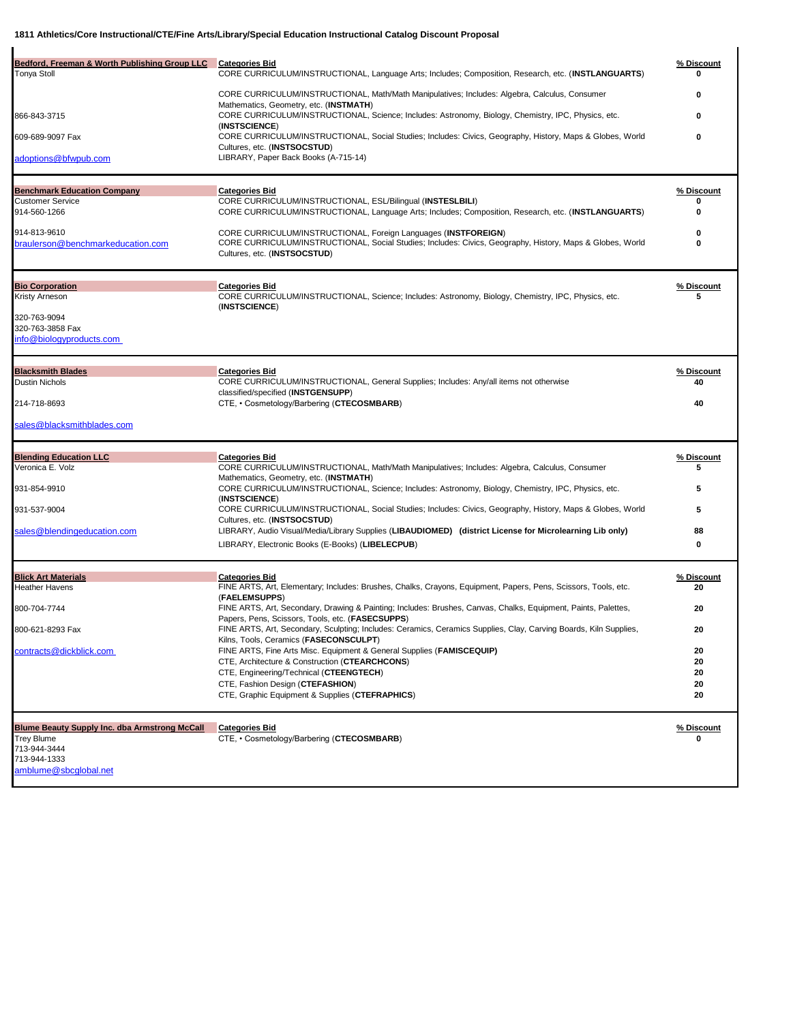| Bedford, Freeman & Worth Publishing Group LLC<br>Tonya Stoll                                              | <b>Categories Bid</b><br>CORE CURRICULUM/INSTRUCTIONAL, Language Arts; Includes; Composition, Research, etc. (INSTLANGUARTS)<br>CORE CURRICULUM/INSTRUCTIONAL, Math/Math Manipulatives; Includes: Algebra, Calculus, Consumer | % Discount<br>0  |
|-----------------------------------------------------------------------------------------------------------|-------------------------------------------------------------------------------------------------------------------------------------------------------------------------------------------------------------------------------|------------------|
|                                                                                                           | Mathematics, Geometry, etc. (INSTMATH)                                                                                                                                                                                        |                  |
| 866-843-3715                                                                                              | CORE CURRICULUM/INSTRUCTIONAL, Science; Includes: Astronomy, Biology, Chemistry, IPC, Physics, etc.<br>(INSTSCIENCE)                                                                                                          | 0                |
| 609-689-9097 Fax                                                                                          | CORE CURRICULUM/INSTRUCTIONAL, Social Studies; Includes: Civics, Geography, History, Maps & Globes, World<br>Cultures, etc. (INSTSOCSTUD)                                                                                     | 0                |
| adoptions@bfwpub.com                                                                                      | LIBRARY, Paper Back Books (A-715-14)                                                                                                                                                                                          |                  |
| <b>Benchmark Education Company</b>                                                                        | <b>Categories Bid</b>                                                                                                                                                                                                         | % Discount       |
| <b>Customer Service</b><br>914-560-1266                                                                   | CORE CURRICULUM/INSTRUCTIONAL, ESL/Bilingual (INSTESLBILI)<br>CORE CURRICULUM/INSTRUCTIONAL, Language Arts; Includes; Composition, Research, etc. (INSTLANGUARTS)                                                             | 0<br>0           |
| 914-813-9610<br>braulerson@benchmarkeducation.com                                                         | CORE CURRICULUM/INSTRUCTIONAL, Foreign Languages (INSTFOREIGN)<br>CORE CURRICULUM/INSTRUCTIONAL, Social Studies; Includes: Civics, Geography, History, Maps & Globes, World<br>Cultures, etc. (INSTSOCSTUD)                   | 0<br>0           |
| <b>Bio Corporation</b>                                                                                    | <b>Categories Bid</b>                                                                                                                                                                                                         | % Discount       |
| Kristy Arneson                                                                                            | CORE CURRICULUM/INSTRUCTIONAL, Science; Includes: Astronomy, Biology, Chemistry, IPC, Physics, etc.<br>(INSTSCIENCE)                                                                                                          | 5                |
| 320-763-9094<br>320-763-3858 Fax                                                                          |                                                                                                                                                                                                                               |                  |
| info@biologyproducts.com                                                                                  |                                                                                                                                                                                                                               |                  |
| <b>Blacksmith Blades</b><br><b>Dustin Nichols</b>                                                         | <b>Categories Bid</b><br>CORE CURRICULUM/INSTRUCTIONAL, General Supplies; Includes: Any/all items not otherwise                                                                                                               | % Discount<br>40 |
|                                                                                                           | classified/specified (INSTGENSUPP)                                                                                                                                                                                            |                  |
| 214-718-8693                                                                                              | CTE, · Cosmetology/Barbering (CTECOSMBARB)                                                                                                                                                                                    | 40               |
| sales@blacksmithblades.com                                                                                |                                                                                                                                                                                                                               |                  |
| <b>Blending Education LLC</b>                                                                             | <b>Categories Bid</b>                                                                                                                                                                                                         | % Discount       |
| Veronica E. Volz                                                                                          | CORE CURRICULUM/INSTRUCTIONAL, Math/Math Manipulatives; Includes: Algebra, Calculus, Consumer<br>Mathematics, Geometry, etc. (INSTMATH)                                                                                       | 5                |
| 931-854-9910                                                                                              | CORE CURRICULUM/INSTRUCTIONAL, Science; Includes: Astronomy, Biology, Chemistry, IPC, Physics, etc.<br>(INSTSCIENCE)                                                                                                          | 5                |
| 931-537-9004                                                                                              | CORE CURRICULUM/INSTRUCTIONAL, Social Studies; Includes: Civics, Geography, History, Maps & Globes, World<br>Cultures, etc. (INSTSOCSTUD)                                                                                     | 5                |
| sales@blendingeducation.com                                                                               | LIBRARY, Audio Visual/Media/Library Supplies (LIBAUDIOMED) (district License for Microlearning Lib only)                                                                                                                      | 88               |
|                                                                                                           | LIBRARY, Electronic Books (E-Books) (LIBELECPUB)                                                                                                                                                                              | 0                |
| <b>Blick Art Materials</b>                                                                                | <b>Categories Bid</b>                                                                                                                                                                                                         | % Discount       |
| <b>Heather Havens</b>                                                                                     | FINE ARTS, Art, Elementary; Includes: Brushes, Chalks, Crayons, Equipment, Papers, Pens, Scissors, Tools, etc.<br>(FAELEMSUPPS)                                                                                               | 20               |
| 800-704-7744                                                                                              | FINE ARTS, Art, Secondary, Drawing & Painting; Includes: Brushes, Canvas, Chalks, Equipment, Paints, Palettes,                                                                                                                | 20               |
| 800-621-8293 Fax                                                                                          | Papers, Pens, Scissors, Tools, etc. (FASECSUPPS)<br>FINE ARTS, Art, Secondary, Sculpting; Includes: Ceramics, Ceramics Supplies, Clay, Carving Boards, Kiln Supplies,<br>Kilns, Tools, Ceramics (FASECONSCULPT)               | 20               |
| contracts@dickblick.com                                                                                   | FINE ARTS, Fine Arts Misc. Equipment & General Supplies (FAMISCEQUIP)                                                                                                                                                         | 20               |
|                                                                                                           | CTE, Architecture & Construction (CTEARCHCONS)<br>CTE, Engineering/Technical (CTEENGTECH)                                                                                                                                     | 20<br>20         |
|                                                                                                           | CTE, Fashion Design (CTEFASHION)<br>CTE, Graphic Equipment & Supplies (CTEFRAPHICS)                                                                                                                                           | 20<br>20         |
| <b>Blume Beauty Supply Inc. dba Armstrong McCall</b><br><b>Trey Blume</b><br>713-944-3444<br>713-944-1333 | <b>Categories Bid</b><br>CTE, • Cosmetology/Barbering (CTECOSMBARB)                                                                                                                                                           | % Discount<br>0  |
| amblume@sbcglobal.net                                                                                     |                                                                                                                                                                                                                               |                  |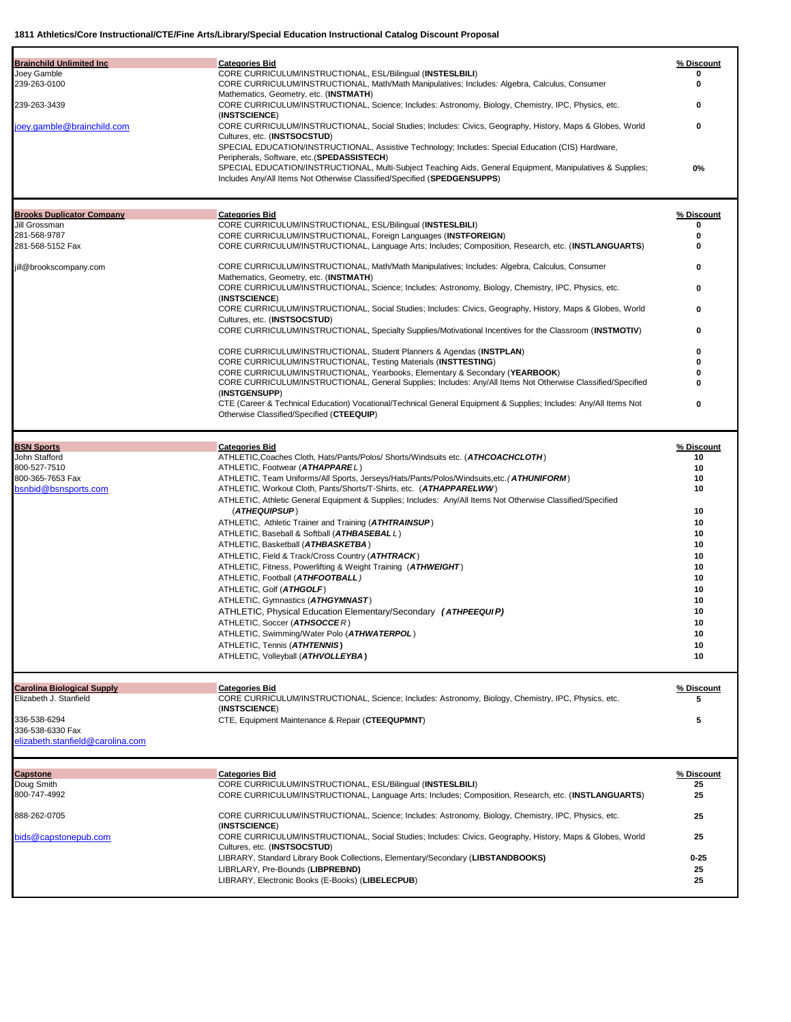| <b>Brainchild Unlimited Inc</b>                             | <b>Categories Bid</b>                                                                                                                                                              | % Discount       |
|-------------------------------------------------------------|------------------------------------------------------------------------------------------------------------------------------------------------------------------------------------|------------------|
| Joey Gamble                                                 | CORE CURRICULUM/INSTRUCTIONAL, ESL/Bilingual (INSTESLBILI)                                                                                                                         | 0                |
| 239-263-0100                                                | CORE CURRICULUM/INSTRUCTIONAL, Math/Math Manipulatives; Includes: Algebra, Calculus, Consumer<br>Mathematics, Geometry, etc. (INSTMATH)                                            | 0                |
| 239-263-3439                                                | CORE CURRICULUM/INSTRUCTIONAL, Science; Includes: Astronomy, Biology, Chemistry, IPC, Physics, etc.                                                                                | 0                |
| oey.gamble@brainchild.com                                   | (INSTSCIENCE)<br>CORE CURRICULUM/INSTRUCTIONAL, Social Studies; Includes: Civics, Geography, History, Maps & Globes, World                                                         | 0                |
|                                                             | Cultures, etc. (INSTSOCSTUD)                                                                                                                                                       |                  |
|                                                             | SPECIAL EDUCATION/INSTRUCTIONAL, Assistive Technology; Includes: Special Education (CIS) Hardware,<br>Peripherals, Software, etc.(SPEDASSISTECH)                                   |                  |
|                                                             | SPECIAL EDUCATION/INSTRUCTIONAL, Multi-Subject Teaching Aids, General Equipment, Manipulatives & Supplies;                                                                         | 0%               |
|                                                             | Includes Any/All Items Not Otherwise Classified/Specified (SPEDGENSUPPS)                                                                                                           |                  |
|                                                             |                                                                                                                                                                                    |                  |
| <b>Brooks Duplicator Company</b><br>Jill Grossman           | <b>Categories Bid</b><br>CORE CURRICULUM/INSTRUCTIONAL, ESL/Bilingual (INSTESLBILI)                                                                                                | % Discount<br>0  |
| 281-568-9787                                                | CORE CURRICULUM/INSTRUCTIONAL, Foreign Languages (INSTFOREIGN)                                                                                                                     | 0                |
| 281-568-5152 Fax                                            | CORE CURRICULUM/INSTRUCTIONAL, Language Arts; Includes; Composition, Research, etc. (INSTLANGUARTS)                                                                                | 0                |
| jill@brookscompany.com                                      | CORE CURRICULUM/INSTRUCTIONAL, Math/Math Manipulatives; Includes: Algebra, Calculus, Consumer                                                                                      | 0                |
|                                                             | Mathematics, Geometry, etc. (INSTMATH)<br>CORE CURRICULUM/INSTRUCTIONAL, Science; Includes: Astronomy, Biology, Chemistry, IPC, Physics, etc.                                      | 0                |
|                                                             | (INSTSCIENCE)                                                                                                                                                                      |                  |
|                                                             | CORE CURRICULUM/INSTRUCTIONAL, Social Studies; Includes: Civics, Geography, History, Maps & Globes, World                                                                          | 0                |
|                                                             | Cultures, etc. (INSTSOCSTUD)<br>CORE CURRICULUM/INSTRUCTIONAL, Specialty Supplies/Motivational Incentives for the Classroom (INSTMOTIV)                                            | 0                |
|                                                             | CORE CURRICULUM/INSTRUCTIONAL, Student Planners & Agendas (INSTPLAN)                                                                                                               | 0                |
|                                                             | <b>CORE CURRICULUM/INSTRUCTIONAL, Testing Materials (INSTTESTING)</b>                                                                                                              | 0                |
|                                                             | CORE CURRICULUM/INSTRUCTIONAL, Yearbooks, Elementary & Secondary (YEARBOOK)                                                                                                        | O                |
|                                                             | CORE CURRICULUM/INSTRUCTIONAL, General Supplies; Includes: Any/All Items Not Otherwise Classified/Specified<br>(INSTGENSUPP)                                                       | 0                |
|                                                             | CTE (Career & Technical Education) Vocational/Technical General Equipment & Supplies; Includes: Any/All Items Not                                                                  | 0                |
|                                                             | Otherwise Classified/Specified (CTEEQUIP)                                                                                                                                          |                  |
|                                                             |                                                                                                                                                                                    |                  |
| <b>BSN Sports</b><br>John Stafford                          | <b>Categories Bid</b><br>ATHLETIC, Coaches Cloth, Hats/Pants/Polos/ Shorts/Windsuits etc. (ATHCOACHCLOTH)                                                                          | % Discount<br>10 |
| 800-527-7510                                                | ATHLETIC, Footwear (ATHAPPAREL)                                                                                                                                                    | 10               |
| 800-365-7653 Fax                                            | ATHLETIC, Team Uniforms/All Sports, Jerseys/Hats/Pants/Polos/Windsuits,etc. (ATHUNIFORM)                                                                                           | 10               |
| bsnbid@bsnsports.com                                        | ATHLETIC, Workout Cloth, Pants/Shorts/T-Shirts, etc. (ATHAPPARELWW)<br>ATHLETIC, Athletic General Equipment & Supplies; Includes: Any/All Items Not Otherwise Classified/Specified | 10               |
|                                                             | (ATHEQUIPSUP)                                                                                                                                                                      | 10               |
|                                                             | ATHLETIC, Athletic Trainer and Training (ATHTRAINSUP)                                                                                                                              | 10               |
|                                                             | ATHLETIC, Baseball & Softball (ATHBASEBALL)                                                                                                                                        | 10               |
|                                                             | ATHLETIC, Basketball (ATHBASKETBA)<br>ATHLETIC, Field & Track/Cross Country (ATHTRACK)                                                                                             | 10               |
|                                                             | ATHLETIC, Fitness, Powerlifting & Weight Training (ATHWEIGHT)                                                                                                                      | 10<br>10         |
|                                                             | ATHLETIC, Football (ATHFOOTBALL)                                                                                                                                                   | 10               |
|                                                             | ATHLETIC, Golf (ATHGOLF)                                                                                                                                                           | 10               |
|                                                             | ATHLETIC, Gymnastics (ATHGYMNAST)                                                                                                                                                  | 10               |
|                                                             | ATHLETIC, Physical Education Elementary/Secondary (ATHPEEQUIP)                                                                                                                     | 10               |
|                                                             | ATHLETIC, Soccer (ATHSOCCER)<br>ATHLETIC, Swimming/Water Polo (ATHWATERPOL)                                                                                                        | 10<br>10         |
|                                                             | ATHLETIC, Tennis (ATHTENNIS)                                                                                                                                                       | 10               |
|                                                             | ATHLETIC, Volleyball (ATHVOLLEYBA)                                                                                                                                                 | 10               |
|                                                             |                                                                                                                                                                                    |                  |
| <b>Carolina Biological Supply</b><br>Elizabeth J. Stanfield | <b>Categories Bid</b><br>CORE CURRICULUM/INSTRUCTIONAL, Science; Includes: Astronomy, Biology, Chemistry, IPC, Physics, etc.                                                       | % Discount<br>5  |
|                                                             | (INSTSCIENCE)                                                                                                                                                                      |                  |
| 336-538-6294                                                | CTE, Equipment Maintenance & Repair (CTEEQUPMNT)                                                                                                                                   | 5                |
| 336-538-6330 Fax<br>elizabeth.stanfield@carolina.com        |                                                                                                                                                                                    |                  |
|                                                             |                                                                                                                                                                                    |                  |
| <b>Capstone</b>                                             | <b>Categories Bid</b>                                                                                                                                                              | % Discount       |
| Doug Smith                                                  | CORE CURRICULUM/INSTRUCTIONAL, ESL/Bilingual (INSTESLBILI)                                                                                                                         | 25               |
| 800-747-4992                                                | CORE CURRICULUM/INSTRUCTIONAL, Language Arts; Includes; Composition, Research, etc. (INSTLANGUARTS)                                                                                | 25               |
| 888-262-0705                                                | CORE CURRICULUM/INSTRUCTIONAL, Science; Includes: Astronomy, Biology, Chemistry, IPC, Physics, etc.                                                                                | 25               |
| bids@capstonepub.com                                        | (INSTSCIENCE)<br>CORE CURRICULUM/INSTRUCTIONAL, Social Studies; Includes: Civics, Geography, History, Maps & Globes, World                                                         | 25               |
|                                                             | Cultures, etc. (INSTSOCSTUD)                                                                                                                                                       |                  |
|                                                             | LIBRARY, Standard Library Book Collections, Elementary/Secondary (LIBSTANDBOOKS)                                                                                                   | $0 - 25$         |
|                                                             | LIBRLARY, Pre-Bounds (LIBPREBND)<br>LIBRARY, Electronic Books (E-Books) (LIBELECPUB)                                                                                               | 25<br>25         |
|                                                             |                                                                                                                                                                                    |                  |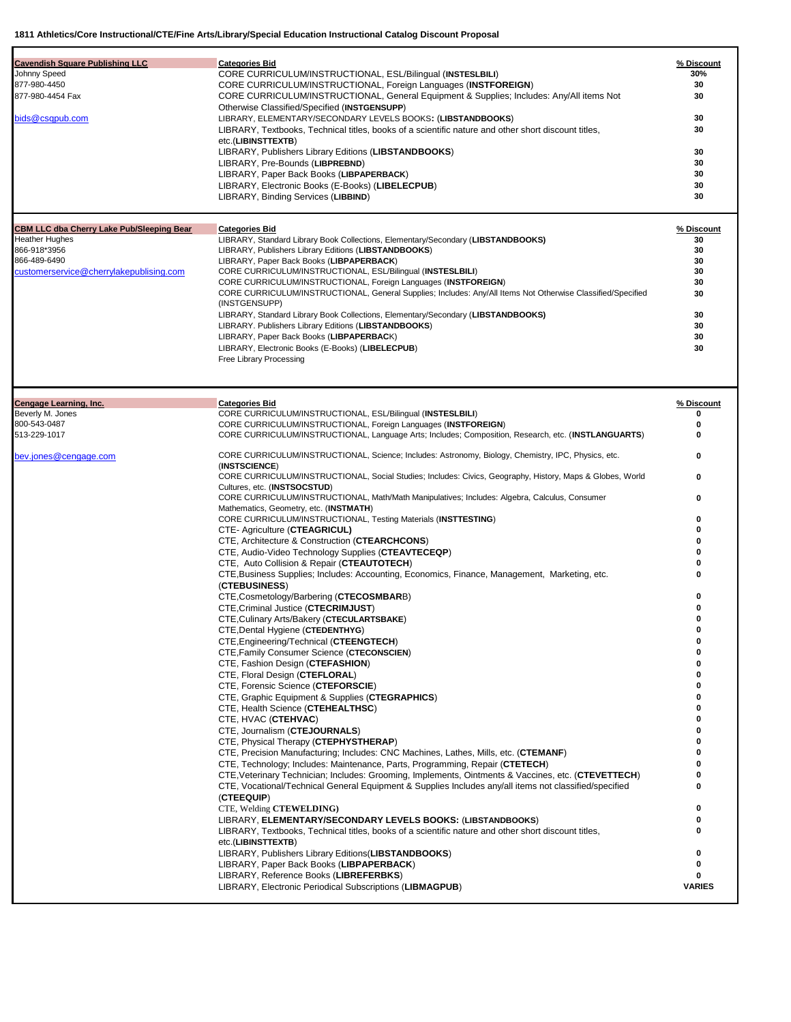| <b>Cavendish Square Publishing LLC</b><br>Johnny Speed<br>877-980-4450<br>877-980-4454 Fax<br>bids@csqpub.com                                        | <b>Categories Bid</b><br>CORE CURRICULUM/INSTRUCTIONAL, ESL/Bilingual (INSTESLBILI)<br>CORE CURRICULUM/INSTRUCTIONAL, Foreign Languages (INSTFOREIGN)<br>CORE CURRICULUM/INSTRUCTIONAL, General Equipment & Supplies; Includes: Any/All items Not<br>Otherwise Classified/Specified (INSTGENSUPP)<br>LIBRARY, ELEMENTARY/SECONDARY LEVELS BOOKS: (LIBSTANDBOOKS)<br>LIBRARY, Textbooks, Technical titles, books of a scientific nature and other short discount titles,<br>etc.(LIBINSTTEXTB)<br>LIBRARY, Publishers Library Editions (LIBSTANDBOOKS)<br>LIBRARY, Pre-Bounds (LIBPREBND)<br>LIBRARY, Paper Back Books (LIBPAPERBACK)<br>LIBRARY, Electronic Books (E-Books) (LIBELECPUB)<br>LIBRARY, Binding Services (LIBBIND)                      | % Discount<br>30%<br>30<br>30<br>30<br>30<br>30<br>30<br>30<br>30<br>30 |
|------------------------------------------------------------------------------------------------------------------------------------------------------|------------------------------------------------------------------------------------------------------------------------------------------------------------------------------------------------------------------------------------------------------------------------------------------------------------------------------------------------------------------------------------------------------------------------------------------------------------------------------------------------------------------------------------------------------------------------------------------------------------------------------------------------------------------------------------------------------------------------------------------------------|-------------------------------------------------------------------------|
| <b>CBM LLC dba Cherry Lake Pub/Sleeping Bear</b><br><b>Heather Hughes</b><br>866-918*3956<br>866-489-6490<br>customerservice@cherrylakepublising.com | <b>Categories Bid</b><br>LIBRARY, Standard Library Book Collections, Elementary/Secondary (LIBSTANDBOOKS)<br>LIBRARY, Publishers Library Editions (LIBSTANDBOOKS)<br>LIBRARY, Paper Back Books (LIBPAPERBACK)<br>CORE CURRICULUM/INSTRUCTIONAL, ESL/Bilingual (INSTESLBILI)<br>CORE CURRICULUM/INSTRUCTIONAL, Foreign Languages (INSTFOREIGN)<br>CORE CURRICULUM/INSTRUCTIONAL, General Supplies; Includes: Any/All Items Not Otherwise Classified/Specified<br>(INSTGENSUPP)<br>LIBRARY, Standard Library Book Collections, Elementary/Secondary (LIBSTANDBOOKS)<br>LIBRARY. Publishers Library Editions (LIBSTANDBOOKS)<br>LIBRARY, Paper Back Books (LIBPAPERBACK)<br>LIBRARY, Electronic Books (E-Books) (LIBELECPUB)<br>Free Library Processing | % Discount<br>30<br>30<br>30<br>30<br>30<br>30<br>30<br>30<br>30<br>30  |
| <b>Cengage Learning, Inc.</b>                                                                                                                        | <b>Categories Bid</b>                                                                                                                                                                                                                                                                                                                                                                                                                                                                                                                                                                                                                                                                                                                                | % Discount                                                              |
| Beverly M. Jones<br>800-543-0487                                                                                                                     | CORE CURRICULUM/INSTRUCTIONAL, ESL/Bilingual (INSTESLBILI)<br>CORE CURRICULUM/INSTRUCTIONAL, Foreign Languages (INSTFOREIGN)                                                                                                                                                                                                                                                                                                                                                                                                                                                                                                                                                                                                                         | 0<br>0                                                                  |
| 513-229-1017                                                                                                                                         | CORE CURRICULUM/INSTRUCTIONAL, Language Arts; Includes; Composition, Research, etc. (INSTLANGUARTS)                                                                                                                                                                                                                                                                                                                                                                                                                                                                                                                                                                                                                                                  | 0                                                                       |
| bev.jones@cengage.com                                                                                                                                | CORE CURRICULUM/INSTRUCTIONAL, Science; Includes: Astronomy, Biology, Chemistry, IPC, Physics, etc.<br>(INSTSCIENCE)<br>CORE CURRICULUM/INSTRUCTIONAL, Social Studies; Includes: Civics, Geography, History, Maps & Globes, World<br>Cultures, etc. (INSTSOCSTUD)<br>CORE CURRICULUM/INSTRUCTIONAL, Math/Math Manipulatives; Includes: Algebra, Calculus, Consumer                                                                                                                                                                                                                                                                                                                                                                                   | 0<br>0<br>0                                                             |
|                                                                                                                                                      | Mathematics, Geometry, etc. (INSTMATH)<br>CORE CURRICULUM/INSTRUCTIONAL, Testing Materials (INSTTESTING)                                                                                                                                                                                                                                                                                                                                                                                                                                                                                                                                                                                                                                             | 0                                                                       |
|                                                                                                                                                      | CTE- Agriculture (CTEAGRICUL)                                                                                                                                                                                                                                                                                                                                                                                                                                                                                                                                                                                                                                                                                                                        | 0                                                                       |
|                                                                                                                                                      | CTE, Architecture & Construction (CTEARCHCONS)<br>CTE, Audio-Video Technology Supplies (CTEAVTECEQP)                                                                                                                                                                                                                                                                                                                                                                                                                                                                                                                                                                                                                                                 | ŋ                                                                       |
|                                                                                                                                                      | CTE, Auto Collision & Repair (CTEAUTOTECH)                                                                                                                                                                                                                                                                                                                                                                                                                                                                                                                                                                                                                                                                                                           |                                                                         |
|                                                                                                                                                      | CTE, Business Supplies; Includes: Accounting, Economics, Finance, Management, Marketing, etc.                                                                                                                                                                                                                                                                                                                                                                                                                                                                                                                                                                                                                                                        | 0                                                                       |
|                                                                                                                                                      | (CTEBUSINESS)<br>CTE, Cosmetology/Barbering (CTECOSMBARB)                                                                                                                                                                                                                                                                                                                                                                                                                                                                                                                                                                                                                                                                                            |                                                                         |
|                                                                                                                                                      | CTE, Criminal Justice (CTECRIMJUST)                                                                                                                                                                                                                                                                                                                                                                                                                                                                                                                                                                                                                                                                                                                  |                                                                         |
|                                                                                                                                                      | CTE, Culinary Arts/Bakery (CTECULARTSBAKE)<br>CTE, Dental Hygiene (CTEDENTHYG)                                                                                                                                                                                                                                                                                                                                                                                                                                                                                                                                                                                                                                                                       | 0<br>0                                                                  |
|                                                                                                                                                      | CTE, Engineering/Technical (CTEENGTECH)                                                                                                                                                                                                                                                                                                                                                                                                                                                                                                                                                                                                                                                                                                              | 0                                                                       |
|                                                                                                                                                      | <b>CTE, Family Consumer Science (CTECONSCIEN)</b>                                                                                                                                                                                                                                                                                                                                                                                                                                                                                                                                                                                                                                                                                                    | o                                                                       |
|                                                                                                                                                      | CTE, Fashion Design (CTEFASHION)<br>CTE, Floral Design (CTEFLORAL)                                                                                                                                                                                                                                                                                                                                                                                                                                                                                                                                                                                                                                                                                   |                                                                         |
|                                                                                                                                                      | CTE, Forensic Science (CTEFORSCIE)                                                                                                                                                                                                                                                                                                                                                                                                                                                                                                                                                                                                                                                                                                                   |                                                                         |
|                                                                                                                                                      | CTE, Graphic Equipment & Supplies (CTEGRAPHICS)                                                                                                                                                                                                                                                                                                                                                                                                                                                                                                                                                                                                                                                                                                      |                                                                         |
|                                                                                                                                                      | CTE, Health Science (CTEHEALTHSC)<br>CTE, HVAC (CTEHVAC)                                                                                                                                                                                                                                                                                                                                                                                                                                                                                                                                                                                                                                                                                             |                                                                         |
|                                                                                                                                                      | CTE, Journalism (CTEJOURNALS)                                                                                                                                                                                                                                                                                                                                                                                                                                                                                                                                                                                                                                                                                                                        |                                                                         |
|                                                                                                                                                      | CTE, Physical Therapy (CTEPHYSTHERAP)<br>CTE, Precision Manufacturing; Includes: CNC Machines, Lathes, Mills, etc. (CTEMANF)                                                                                                                                                                                                                                                                                                                                                                                                                                                                                                                                                                                                                         |                                                                         |
|                                                                                                                                                      | CTE, Technology; Includes: Maintenance, Parts, Programming, Repair (CTETECH)                                                                                                                                                                                                                                                                                                                                                                                                                                                                                                                                                                                                                                                                         | o                                                                       |
|                                                                                                                                                      | CTE, Veterinary Technician; Includes: Grooming, Implements, Ointments & Vaccines, etc. (CTEVETTECH)<br>CTE, Vocational/Technical General Equipment & Supplies Includes any/all items not classified/specified<br>(CTEEQUIP)                                                                                                                                                                                                                                                                                                                                                                                                                                                                                                                          | 0<br>o                                                                  |
|                                                                                                                                                      | CTE, Welding CTEWELDING)                                                                                                                                                                                                                                                                                                                                                                                                                                                                                                                                                                                                                                                                                                                             | 0                                                                       |
|                                                                                                                                                      | LIBRARY, ELEMENTARY/SECONDARY LEVELS BOOKS: (LIBSTANDBOOKS)<br>LIBRARY, Textbooks, Technical titles, books of a scientific nature and other short discount titles,<br>etc.(LIBINSTTEXTB)                                                                                                                                                                                                                                                                                                                                                                                                                                                                                                                                                             | 0                                                                       |
|                                                                                                                                                      | LIBRARY, Publishers Library Editions (LIBSTANDBOOKS)                                                                                                                                                                                                                                                                                                                                                                                                                                                                                                                                                                                                                                                                                                 | 0                                                                       |
|                                                                                                                                                      | LIBRARY, Paper Back Books (LIBPAPERBACK)<br>LIBRARY, Reference Books (LIBREFERBKS)                                                                                                                                                                                                                                                                                                                                                                                                                                                                                                                                                                                                                                                                   | 0                                                                       |
|                                                                                                                                                      | LIBRARY, Electronic Periodical Subscriptions (LIBMAGPUB)                                                                                                                                                                                                                                                                                                                                                                                                                                                                                                                                                                                                                                                                                             | <b>VARIES</b>                                                           |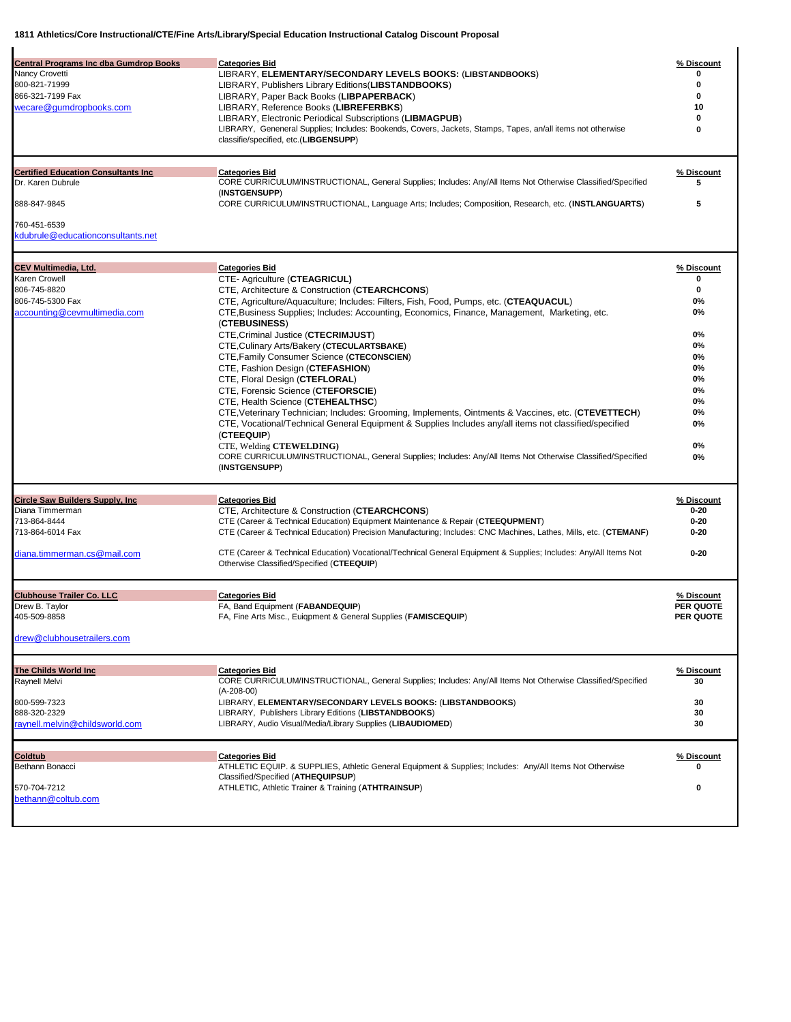| <b>Central Programs Inc dba Gumdrop Books</b><br>Nancy Crovetti<br>800-821-71999<br>866-321-7199 Fax<br>wecare@gumdropbooks.com | <b>Categories Bid</b><br>LIBRARY, ELEMENTARY/SECONDARY LEVELS BOOKS: (LIBSTANDBOOKS)<br>LIBRARY, Publishers Library Editions (LIBSTANDBOOKS)<br>LIBRARY, Paper Back Books (LIBPAPERBACK)<br>LIBRARY, Reference Books (LIBREFERBKS)<br>LIBRARY, Electronic Periodical Subscriptions (LIBMAGPUB)<br>LIBRARY, Geneneral Supplies; Includes: Bookends, Covers, Jackets, Stamps, Tapes, an/all items not otherwise<br>classifie/specified, etc.(LIBGENSUPP)                                                                                                                                                                                                                                                                                                                                                                                                                                                                                                                                             | % Discount<br>0<br>0<br>10<br>0<br>0                                                               |
|---------------------------------------------------------------------------------------------------------------------------------|----------------------------------------------------------------------------------------------------------------------------------------------------------------------------------------------------------------------------------------------------------------------------------------------------------------------------------------------------------------------------------------------------------------------------------------------------------------------------------------------------------------------------------------------------------------------------------------------------------------------------------------------------------------------------------------------------------------------------------------------------------------------------------------------------------------------------------------------------------------------------------------------------------------------------------------------------------------------------------------------------|----------------------------------------------------------------------------------------------------|
| <b>Certified Education Consultants Inc</b><br>Dr. Karen Dubrule<br>888-847-9845                                                 | <b>Categories Bid</b><br>CORE CURRICULUM/INSTRUCTIONAL, General Supplies; Includes: Any/All Items Not Otherwise Classified/Specified<br>(INSTGENSUPP)<br>CORE CURRICULUM/INSTRUCTIONAL, Language Arts; Includes; Composition, Research, etc. (INSTLANGUARTS)                                                                                                                                                                                                                                                                                                                                                                                                                                                                                                                                                                                                                                                                                                                                       | % Discount<br>5<br>5                                                                               |
| 760-451-6539<br>kdubrule@educationconsultants.net                                                                               |                                                                                                                                                                                                                                                                                                                                                                                                                                                                                                                                                                                                                                                                                                                                                                                                                                                                                                                                                                                                    |                                                                                                    |
| <b>CEV Multimedia, Ltd.</b><br>Karen Crowell<br>806-745-8820<br>806-745-5300 Fax<br>accounting@cevmultimedia.com                | <b>Categories Bid</b><br>CTE- Agriculture (CTEAGRICUL)<br>CTE, Architecture & Construction (CTEARCHCONS)<br>CTE, Agriculture/Aquaculture; Includes: Filters, Fish, Food, Pumps, etc. (CTEAQUACUL)<br>CTE, Business Supplies; Includes: Accounting, Economics, Finance, Management, Marketing, etc.<br>(CTEBUSINESS)<br>CTE, Criminal Justice (CTECRIMJUST)<br>CTE, Culinary Arts/Bakery (CTECULARTSBAKE)<br>CTE, Family Consumer Science (CTECONSCIEN)<br>CTE, Fashion Design (CTEFASHION)<br>CTE, Floral Design (CTEFLORAL)<br>CTE, Forensic Science (CTEFORSCIE)<br>CTE, Health Science (CTEHEALTHSC)<br>CTE, Veterinary Technician; Includes: Grooming, Implements, Ointments & Vaccines, etc. (CTEVETTECH)<br>CTE, Vocational/Technical General Equipment & Supplies Includes any/all items not classified/specified<br>(CTEEQUIP)<br>CTE, Welding CTEWELDING)<br>CORE CURRICULUM/INSTRUCTIONAL, General Supplies; Includes: Any/All Items Not Otherwise Classified/Specified<br>(INSTGENSUPP) | % Discount<br>0<br>0<br>0%<br>0%<br>0%<br>0%<br>0%<br>0%<br>0%<br>0%<br>0%<br>0%<br>0%<br>0%<br>0% |
| <b>Circle Saw Builders Supply, Inc.</b><br>Diana Timmerman<br>713-864-8444<br>713-864-6014 Fax<br>diana.timmerman.cs@mail.com   | <b>Categories Bid</b><br>CTE, Architecture & Construction (CTEARCHCONS)<br>CTE (Career & Technical Education) Equipment Maintenance & Repair (CTEEQUPMENT)<br>CTE (Career & Technical Education) Precision Manufacturing; Includes: CNC Machines, Lathes, Mills, etc. (CTEMANF)<br>CTE (Career & Technical Education) Vocational/Technical General Equipment & Supplies; Includes: Any/All Items Not<br>Otherwise Classified/Specified (CTEEQUIP)                                                                                                                                                                                                                                                                                                                                                                                                                                                                                                                                                  | % Discount<br>$0 - 20$<br>$0 - 20$<br>$0 - 20$<br>$0 - 20$                                         |
| <b>Clubhouse Trailer Co. LLC</b><br>Drew B. Taylor<br>405-509-8858<br>drew@clubhousetrailers.com                                | <b>Categories Bid</b><br>FA, Band Equipment (FABANDEQUIP)<br>FA, Fine Arts Misc., Euigpment & General Supplies (FAMISCEQUIP)                                                                                                                                                                                                                                                                                                                                                                                                                                                                                                                                                                                                                                                                                                                                                                                                                                                                       | % Discount<br>PER QUOTE<br>PER QUOTE                                                               |
| <b>The Childs World Inc.</b><br>Raynell Melvi<br>800-599-7323<br>888-320-2329<br>raynell.melvin@childsworld.com                 | <b>Categories Bid</b><br>CORE CURRICULUM/INSTRUCTIONAL, General Supplies; Includes: Any/All Items Not Otherwise Classified/Specified<br>$(A-208-00)$<br>LIBRARY, ELEMENTARY/SECONDARY LEVELS BOOKS: (LIBSTANDBOOKS)<br>LIBRARY, Publishers Library Editions (LIBSTANDBOOKS)<br>LIBRARY, Audio Visual/Media/Library Supplies (LIBAUDIOMED)                                                                                                                                                                                                                                                                                                                                                                                                                                                                                                                                                                                                                                                          | % Discount<br>30<br>30<br>30<br>30                                                                 |
| <b>Coldtub</b><br>Bethann Bonacci<br>570-704-7212<br>bethann@coltub.com                                                         | <b>Categories Bid</b><br>ATHLETIC EQUIP. & SUPPLIES, Athletic General Equipment & Supplies; Includes: Any/All Items Not Otherwise<br>Classified/Specified (ATHEQUIPSUP)<br>ATHLETIC, Athletic Trainer & Training (ATHTRAINSUP)                                                                                                                                                                                                                                                                                                                                                                                                                                                                                                                                                                                                                                                                                                                                                                     | % Discount<br>0<br>0                                                                               |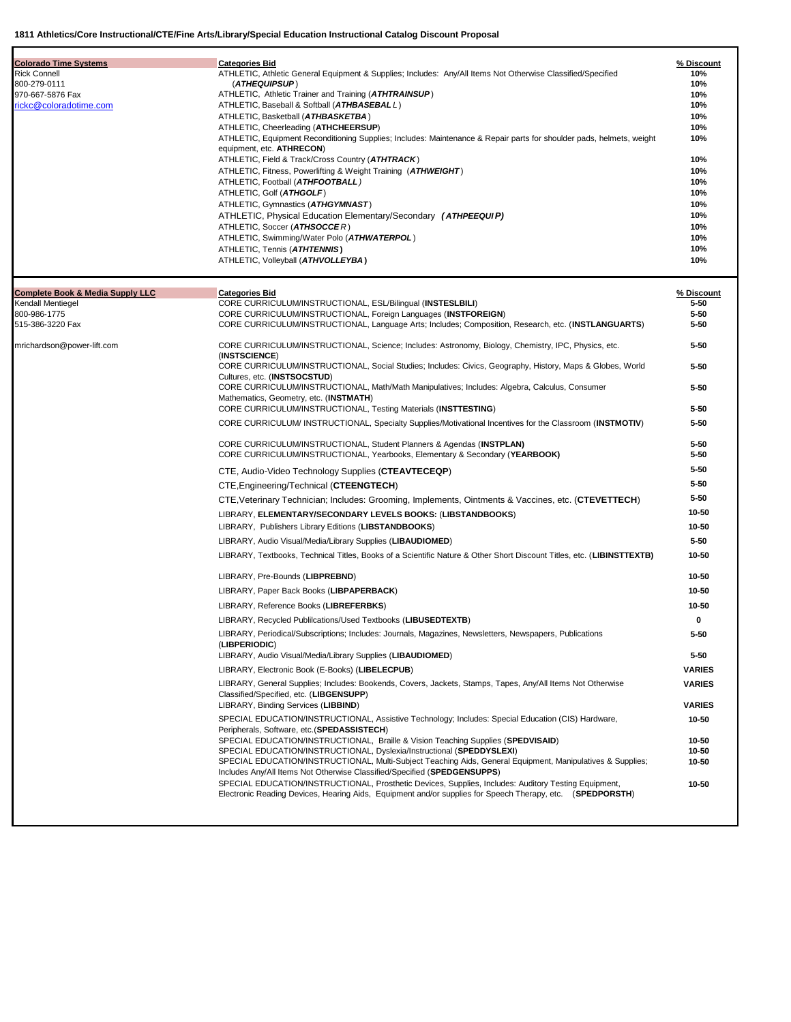| <b>Colorado Time Systems</b>                | <b>Categories Bid</b>                                                                                                                                                                  | % Discount         |
|---------------------------------------------|----------------------------------------------------------------------------------------------------------------------------------------------------------------------------------------|--------------------|
| <b>Rick Connell</b>                         | ATHLETIC, Athletic General Equipment & Supplies; Includes: Any/All Items Not Otherwise Classified/Specified                                                                            | 10%                |
| 800-279-0111<br>970-667-5876 Fax            | (ATHEQUIPSUP)<br>ATHLETIC, Athletic Trainer and Training ( <b>ATHTRAINSUP</b> )                                                                                                        | 10%<br>10%         |
| rickc@coloradotime.com                      | ATHLETIC, Baseball & Softball (ATHBASEBALL)                                                                                                                                            | 10%                |
|                                             | ATHLETIC, Basketball (ATHBASKETBA)                                                                                                                                                     | 10%                |
|                                             | ATHLETIC, Cheerleading (ATHCHEERSUP)                                                                                                                                                   | 10%                |
|                                             | ATHLETIC, Equipment Reconditioning Supplies; Includes: Maintenance & Repair parts for shoulder pads, helmets, weight<br>equipment, etc. ATHRECON)                                      | 10%                |
|                                             | ATHLETIC, Field & Track/Cross Country (ATHTRACK)                                                                                                                                       | 10%                |
|                                             | ATHLETIC, Fitness, Powerlifting & Weight Training (ATHWEIGHT)                                                                                                                          | 10%                |
|                                             | ATHLETIC, Football (ATHFOOTBALL)                                                                                                                                                       | 10%                |
|                                             | ATHLETIC, Golf (ATHGOLF)<br>ATHLETIC, Gymnastics (ATHGYMNAST)                                                                                                                          | 10%<br>10%         |
|                                             | ATHLETIC, Physical Education Elementary/Secondary (ATHPEEQUIP)                                                                                                                         | 10%                |
|                                             | ATHLETIC, Soccer (ATHSOCCER)                                                                                                                                                           | 10%                |
|                                             | ATHLETIC, Swimming/Water Polo (ATHWATERPOL)                                                                                                                                            | 10%                |
|                                             | ATHLETIC, Tennis (ATHTENNIS)                                                                                                                                                           | 10%                |
|                                             | ATHLETIC, Volleyball (ATHVOLLEYBA)                                                                                                                                                     | 10%                |
| <b>Complete Book &amp; Media Supply LLC</b> | <b>Categories Bid</b>                                                                                                                                                                  | % Discount         |
| Kendall Mentiegel                           | CORE CURRICULUM/INSTRUCTIONAL, ESL/Bilingual (INSTESLBILI)                                                                                                                             | 5-50               |
| 800-986-1775                                | CORE CURRICULUM/INSTRUCTIONAL, Foreign Languages (INSTFOREIGN)                                                                                                                         | 5-50               |
| 515-386-3220 Fax                            | CORE CURRICULUM/INSTRUCTIONAL, Language Arts; Includes; Composition, Research, etc. (INSTLANGUARTS)                                                                                    | $5 - 50$           |
| mrichardson@power-lift.com                  | CORE CURRICULUM/INSTRUCTIONAL, Science; Includes: Astronomy, Biology, Chemistry, IPC, Physics, etc.<br>(INSTSCIENCE)                                                                   | $5 - 50$           |
|                                             | CORE CURRICULUM/INSTRUCTIONAL, Social Studies; Includes: Civics, Geography, History, Maps & Globes, World<br>Cultures, etc. (INSTSOCSTUD)                                              | $5 - 50$           |
|                                             | CORE CURRICULUM/INSTRUCTIONAL, Math/Math Manipulatives; Includes: Algebra, Calculus, Consumer<br>Mathematics, Geometry, etc. (INSTMATH)                                                | $5 - 50$           |
|                                             | CORE CURRICULUM/INSTRUCTIONAL, Testing Materials (INSTTESTING)                                                                                                                         | $5 - 50$           |
|                                             | CORE CURRICULUM/ INSTRUCTIONAL, Specialty Supplies/Motivational Incentives for the Classroom (INSTMOTIV)                                                                               | $5 - 50$           |
|                                             | CORE CURRICULUM/INSTRUCTIONAL, Student Planners & Agendas (INSTPLAN)                                                                                                                   | $5 - 50$           |
|                                             | CORE CURRICULUM/INSTRUCTIONAL, Yearbooks, Elementary & Secondary (YEARBOOK)                                                                                                            | 5-50               |
|                                             | CTE, Audio-Video Technology Supplies (CTEAVTECEQP)                                                                                                                                     | $5 - 50$           |
|                                             | CTE, Engineering/Technical (CTEENGTECH)                                                                                                                                                | $5 - 50$           |
|                                             | CTE, Veterinary Technician; Includes: Grooming, Implements, Ointments & Vaccines, etc. (CTEVETTECH)                                                                                    | $5 - 50$           |
|                                             | LIBRARY, ELEMENTARY/SECONDARY LEVELS BOOKS: (LIBSTANDBOOKS)                                                                                                                            | 10-50              |
|                                             | LIBRARY, Publishers Library Editions (LIBSTANDBOOKS)                                                                                                                                   | 10-50              |
|                                             | LIBRARY, Audio Visual/Media/Library Supplies (LIBAUDIOMED)                                                                                                                             | $5 - 50$           |
|                                             | LIBRARY, Textbooks, Technical Titles, Books of a Scientific Nature & Other Short Discount Titles, etc. (LIBINSTTEXTB)                                                                  | 10-50              |
|                                             | LIBRARY, Pre-Bounds (LIBPREBND)                                                                                                                                                        | 10-50              |
|                                             | LIBRARY, Paper Back Books (LIBPAPERBACK)                                                                                                                                               | 10-50              |
|                                             | LIBRARY, Reference Books (LIBREFERBKS)                                                                                                                                                 | 10-50              |
|                                             | LIBRARY, Recycled Publilcations/Used Textbooks (LIBUSEDTEXTB)                                                                                                                          | 0                  |
|                                             | LIBRARY, Periodical/Subscriptions; Includes: Journals, Magazines, Newsletters, Newspapers, Publications<br>(LIBPERIODIC)                                                               | 5-50               |
|                                             | LIBRARY, Audio Visual/Media/Library Supplies (LIBAUDIOMED)                                                                                                                             | $5 - 50$           |
|                                             | LIBRARY, Electronic Book (E-Books) (LIBELECPUB)                                                                                                                                        | <b>VARIES</b>      |
|                                             | LIBRARY, General Supplies; Includes: Bookends, Covers, Jackets, Stamps, Tapes, Any/All Items Not Otherwise                                                                             | <b>VARIES</b>      |
|                                             | Classified/Specified, etc. (LIBGENSUPP)<br>LIBRARY, Binding Services (LIBBIND)                                                                                                         | <b>VARIES</b>      |
|                                             | SPECIAL EDUCATION/INSTRUCTIONAL, Assistive Technology; Includes: Special Education (CIS) Hardware,                                                                                     |                    |
|                                             | Peripherals, Software, etc.(SPEDASSISTECH)                                                                                                                                             | $10 - 50$          |
|                                             | SPECIAL EDUCATION/INSTRUCTIONAL, Braille & Vision Teaching Supplies (SPEDVISAID)<br>SPECIAL EDUCATION/INSTRUCTIONAL, Dyslexia/Instructional (SPEDDYSLEXI)                              | $10 - 50$<br>10-50 |
|                                             | SPECIAL EDUCATION/INSTRUCTIONAL, Multi-Subject Teaching Aids, General Equipment, Manipulatives & Supplies;<br>Includes Any/All Items Not Otherwise Classified/Specified (SPEDGENSUPPS) | 10-50              |
|                                             | SPECIAL EDUCATION/INSTRUCTIONAL, Prosthetic Devices, Supplies, Includes: Auditory Testing Equipment,                                                                                   | 10-50              |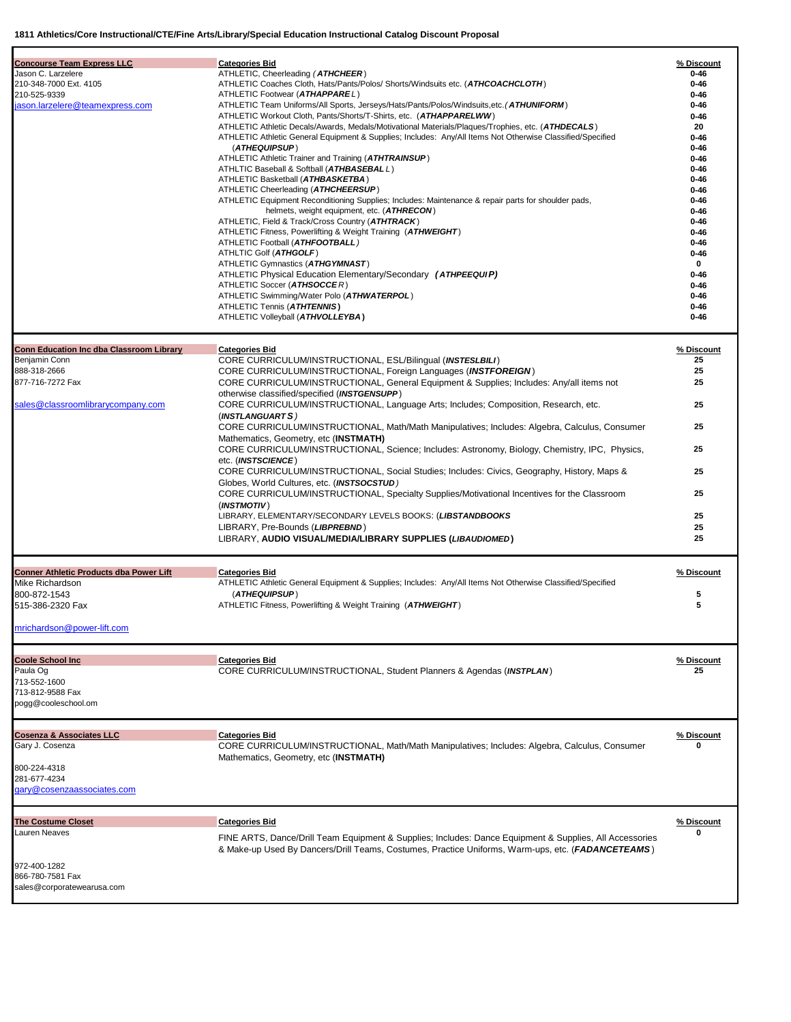|                                                 | 1811 Athletics/Core Instructional/CTE/Fine Arts/Library/Special Education Instructional Catalog Discount Proposal                                                                                               |                      |
|-------------------------------------------------|-----------------------------------------------------------------------------------------------------------------------------------------------------------------------------------------------------------------|----------------------|
| <b>Concourse Team Express LLC</b>               | <b>Categories Bid</b>                                                                                                                                                                                           | % Discount           |
| Jason C. Larzelere                              | ATHLETIC, Cheerleading (ATHCHEER)                                                                                                                                                                               | $0 - 46$             |
| 210-348-7000 Ext. 4105                          | ATHLETIC Coaches Cloth, Hats/Pants/Polos/ Shorts/Windsuits etc. (ATHCOACHCLOTH)                                                                                                                                 | $0 - 46$             |
| 210-525-9339                                    | ATHLETIC Footwear (ATHAPPAREL)                                                                                                                                                                                  | $0 - 46$             |
| jason.larzelere@teamexpress.com                 | ATHLETIC Team Uniforms/All Sports, Jerseys/Hats/Pants/Polos/Windsuits, etc. (ATHUNIFORM)                                                                                                                        | $0 - 46$             |
|                                                 | ATHLETIC Workout Cloth, Pants/Shorts/T-Shirts, etc. (ATHAPPARELWW)                                                                                                                                              | $0 - 46$             |
|                                                 | ATHLETIC Athletic Decals/Awards, Medals/Motivational Materials/Plaques/Trophies, etc. (ATHDECALS)<br>ATHLETIC Athletic General Equipment & Supplies; Includes: Any/All Items Not Otherwise Classified/Specified | 20<br>$0 - 46$       |
|                                                 | (ATHEQUIPSUP)                                                                                                                                                                                                   | $0 - 46$             |
|                                                 | ATHLETIC Athletic Trainer and Training ( <b>ATHTRAINSUP</b> )                                                                                                                                                   | $0 - 46$             |
|                                                 | ATHLTIC Baseball & Softball (ATHBASEBALL)                                                                                                                                                                       | $0 - 46$             |
|                                                 | ATHLETIC Basketball (ATHBASKETBA)                                                                                                                                                                               | $0 - 46$             |
|                                                 | ATHLETIC Cheerleading (ATHCHEERSUP)                                                                                                                                                                             | $0 - 46$             |
|                                                 | ATHLETIC Equipment Reconditioning Supplies; Includes: Maintenance & repair parts for shoulder pads,                                                                                                             | $0 - 46$             |
|                                                 | helmets, weight equipment, etc. (ATHRECON)                                                                                                                                                                      | $0 - 46$             |
|                                                 | ATHLETIC, Field & Track/Cross Country (ATHTRACK)<br>ATHLETIC Fitness, Powerlifting & Weight Training (ATHWEIGHT)                                                                                                | $0 - 46$<br>$0 - 46$ |
|                                                 | ATHLETIC Football (ATHFOOTBALL)                                                                                                                                                                                 | $0 - 46$             |
|                                                 | ATHLTIC Golf (ATHGOLF)                                                                                                                                                                                          | $0 - 46$             |
|                                                 | ATHLETIC Gymnastics (ATHGYMNAST)                                                                                                                                                                                | 0                    |
|                                                 | ATHLETIC Physical Education Elementary/Secondary (ATHPEEQUIP)                                                                                                                                                   | $0 - 46$             |
|                                                 | ATHLETIC Soccer (ATHSOCCER)                                                                                                                                                                                     | $0 - 46$             |
|                                                 | ATHLETIC Swimming/Water Polo (ATHWATERPOL)                                                                                                                                                                      | $0 - 46$             |
|                                                 | ATHLETIC Tennis (ATHTENNIS)                                                                                                                                                                                     | $0 - 46$             |
|                                                 | ATHLETIC Volleyball (ATHVOLLEYBA)                                                                                                                                                                               | $0 - 46$             |
| <b>Conn Education Inc dba Classroom Library</b> | <b>Categories Bid</b>                                                                                                                                                                                           | % Discount           |
| Benjamin Conn                                   | CORE CURRICULUM/INSTRUCTIONAL, ESL/Bilingual (INSTESLBILI)                                                                                                                                                      | 25                   |
| 888-318-2666                                    | CORE CURRICULUM/INSTRUCTIONAL, Foreign Languages (INSTFOREIGN)                                                                                                                                                  | 25                   |
| 877-716-7272 Fax                                | CORE CURRICULUM/INSTRUCTIONAL, General Equipment & Supplies; Includes: Any/all items not                                                                                                                        | 25                   |
|                                                 | otherwise classified/specified (INSTGENSUPP)                                                                                                                                                                    |                      |
| sales@classroomlibrarycompany.com               | CORE CURRICULUM/INSTRUCTIONAL, Language Arts; Includes; Composition, Research, etc.                                                                                                                             | 25                   |
|                                                 | (INSTLANGUARTS)                                                                                                                                                                                                 |                      |
|                                                 | CORE CURRICULUM/INSTRUCTIONAL, Math/Math Manipulatives; Includes: Algebra, Calculus, Consumer                                                                                                                   | 25                   |
|                                                 | Mathematics, Geometry, etc (INSTMATH)<br>CORE CURRICULUM/INSTRUCTIONAL, Science; Includes: Astronomy, Biology, Chemistry, IPC, Physics,                                                                         | 25                   |
|                                                 | etc. (INSTSCIENCE)                                                                                                                                                                                              |                      |
|                                                 | CORE CURRICULUM/INSTRUCTIONAL, Social Studies; Includes: Civics, Geography, History, Maps &                                                                                                                     | 25                   |
|                                                 | Globes, World Cultures, etc. (INSTSOCSTUD)                                                                                                                                                                      |                      |
|                                                 | CORE CURRICULUM/INSTRUCTIONAL, Specialty Supplies/Motivational Incentives for the Classroom                                                                                                                     | 25                   |
|                                                 | (INSTMOTIV)                                                                                                                                                                                                     |                      |
|                                                 | LIBRARY, ELEMENTARY/SECONDARY LEVELS BOOKS: (LIBSTANDBOOKS                                                                                                                                                      | 25                   |
|                                                 | LIBRARY, Pre-Bounds (LIBPREBND)                                                                                                                                                                                 | 25                   |
|                                                 | LIBRARY, AUDIO VISUAL/MEDIA/LIBRARY SUPPLIES (LIBAUDIOMED)                                                                                                                                                      | 25                   |
| Conner Athletic Products dba Power Lift         | <b>Categories Bid</b>                                                                                                                                                                                           | % Discount           |
| Mike Richardson                                 | ATHLETIC Athletic General Equipment & Supplies; Includes: Any/All Items Not Otherwise Classified/Specified                                                                                                      |                      |
| 800-872-1543                                    | (ATHEQUIPSUP)                                                                                                                                                                                                   | 5                    |
| 515-386-2320 Fax                                | ATHLETIC Fitness, Powerlifting & Weight Training (ATHWEIGHT)                                                                                                                                                    |                      |
|                                                 |                                                                                                                                                                                                                 |                      |
| mrichardson@power-lift.com                      |                                                                                                                                                                                                                 |                      |
|                                                 | <b>Categories Bid</b>                                                                                                                                                                                           |                      |
| <b>Coole School Inc</b><br>Paula Og             | CORE CURRICULUM/INSTRUCTIONAL, Student Planners & Agendas (INSTPLAN)                                                                                                                                            | % Discount<br>25     |
| 713-552-1600                                    |                                                                                                                                                                                                                 |                      |
| 713-812-9588 Fax                                |                                                                                                                                                                                                                 |                      |
| pogg@cooleschool.om                             |                                                                                                                                                                                                                 |                      |
|                                                 |                                                                                                                                                                                                                 |                      |
| <b>Cosenza &amp; Associates LLC</b>             | <b>Categories Bid</b>                                                                                                                                                                                           | % Discount           |
| Gary J. Cosenza                                 | CORE CURRICULUM/INSTRUCTIONAL, Math/Math Manipulatives; Includes: Algebra, Calculus, Consumer                                                                                                                   | 0                    |
|                                                 | Mathematics, Geometry, etc (INSTMATH)                                                                                                                                                                           |                      |
| 800-224-4318                                    |                                                                                                                                                                                                                 |                      |
| 281-677-4234<br>gary@cosenzaassociates.com      |                                                                                                                                                                                                                 |                      |
|                                                 |                                                                                                                                                                                                                 |                      |
| <b>The Costume Closet</b>                       | <b>Categories Bid</b>                                                                                                                                                                                           | % Discount           |
| Lauren Neaves                                   | FINE ARTS, Dance/Drill Team Equipment & Supplies; Includes: Dance Equipment & Supplies, All Accessories                                                                                                         | 0                    |

& Make-up Used By Dancers/Drill Teams, Costumes, Practice Uniforms, Warm-ups, etc. (*FADANCETEAMS* )

972-400-1282 866-780-7581 Fax [sales@corporatewearusa.com](mailto:sales@corporatewearusa.com)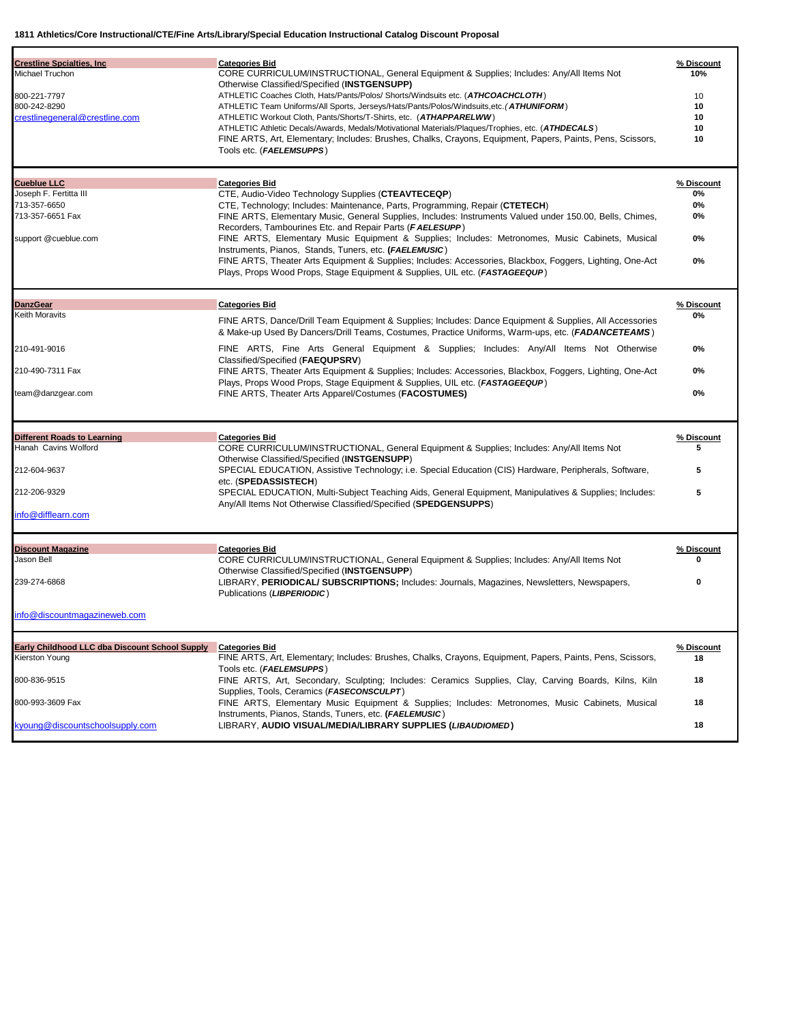| <b>Crestline Spcialties, Inc.</b><br>Michael Truchon<br>800-221-7797<br>800-242-8290<br>crestlinegeneral@crestline.com<br><b>Cueblue LLC</b><br>Joseph F. Fertitta III<br>713-357-6650<br>713-357-6651 Fax<br>support @cueblue.com | <b>Categories Bid</b><br>CORE CURRICULUM/INSTRUCTIONAL, General Equipment & Supplies; Includes: Any/All Items Not<br>Otherwise Classified/Specified (INSTGENSUPP)<br>ATHLETIC Coaches Cloth, Hats/Pants/Polos/ Shorts/Windsuits etc. (ATHCOACHCLOTH)<br>ATHLETIC Team Uniforms/All Sports, Jerseys/Hats/Pants/Polos/Windsuits,etc. (ATHUNIFORM)<br>ATHLETIC Workout Cloth, Pants/Shorts/T-Shirts, etc. (ATHAPPARELWW)<br>ATHLETIC Athletic Decals/Awards, Medals/Motivational Materials/Plaques/Trophies, etc. (ATHDECALS)<br>FINE ARTS, Art, Elementary; Includes: Brushes, Chalks, Crayons, Equipment, Papers, Paints, Pens, Scissors,<br>Tools etc. (FAELEMSUPPS)<br><b>Categories Bid</b><br>CTE, Audio-Video Technology Supplies (CTEAVTECEQP)<br>CTE, Technology; Includes: Maintenance, Parts, Programming, Repair (CTETECH)<br>FINE ARTS, Elementary Music, General Supplies, Includes: Instruments Valued under 150.00, Bells, Chimes,<br>Recorders, Tambourines Etc. and Repair Parts (FAELESUPP)<br>FINE ARTS, Elementary Music Equipment & Supplies; Includes: Metronomes, Music Cabinets, Musical | % Discount<br>10%<br>10<br>10<br>10<br>10<br>10<br>% Discount<br>0%<br>0%<br>0%<br>0% |
|------------------------------------------------------------------------------------------------------------------------------------------------------------------------------------------------------------------------------------|----------------------------------------------------------------------------------------------------------------------------------------------------------------------------------------------------------------------------------------------------------------------------------------------------------------------------------------------------------------------------------------------------------------------------------------------------------------------------------------------------------------------------------------------------------------------------------------------------------------------------------------------------------------------------------------------------------------------------------------------------------------------------------------------------------------------------------------------------------------------------------------------------------------------------------------------------------------------------------------------------------------------------------------------------------------------------------------------------------------|---------------------------------------------------------------------------------------|
|                                                                                                                                                                                                                                    | Instruments, Pianos, Stands, Tuners, etc. (FAELEMUSIC)<br>FINE ARTS, Theater Arts Equipment & Supplies; Includes: Accessories, Blackbox, Foggers, Lighting, One-Act<br>Plays, Props Wood Props, Stage Equipment & Supplies, UIL etc. (FASTAGEEQUP)                                                                                                                                                                                                                                                                                                                                                                                                                                                                                                                                                                                                                                                                                                                                                                                                                                                             | 0%                                                                                    |
|                                                                                                                                                                                                                                    |                                                                                                                                                                                                                                                                                                                                                                                                                                                                                                                                                                                                                                                                                                                                                                                                                                                                                                                                                                                                                                                                                                                |                                                                                       |
| <b>DanzGear</b><br>Keith Moravits                                                                                                                                                                                                  | <b>Categories Bid</b><br>FINE ARTS, Dance/Drill Team Equipment & Supplies; Includes: Dance Equipment & Supplies, All Accessories<br>& Make-up Used By Dancers/Drill Teams, Costumes, Practice Uniforms, Warm-ups, etc. (FADANCETEAMS)                                                                                                                                                                                                                                                                                                                                                                                                                                                                                                                                                                                                                                                                                                                                                                                                                                                                          | % Discount<br>0%                                                                      |
| 210-491-9016                                                                                                                                                                                                                       | FINE ARTS, Fine Arts General Equipment & Supplies; Includes: Any/All Items Not Otherwise<br>Classified/Specified (FAEQUPSRV)                                                                                                                                                                                                                                                                                                                                                                                                                                                                                                                                                                                                                                                                                                                                                                                                                                                                                                                                                                                   | 0%                                                                                    |
| 210-490-7311 Fax                                                                                                                                                                                                                   | FINE ARTS, Theater Arts Equipment & Supplies; Includes: Accessories, Blackbox, Foggers, Lighting, One-Act<br>Plays, Props Wood Props, Stage Equipment & Supplies, UIL etc. (FASTAGEEQUP)                                                                                                                                                                                                                                                                                                                                                                                                                                                                                                                                                                                                                                                                                                                                                                                                                                                                                                                       | 0%                                                                                    |
| team@danzgear.com                                                                                                                                                                                                                  | FINE ARTS, Theater Arts Apparel/Costumes (FACOSTUMES)                                                                                                                                                                                                                                                                                                                                                                                                                                                                                                                                                                                                                                                                                                                                                                                                                                                                                                                                                                                                                                                          | 0%                                                                                    |
| <b>Different Roads to Learning</b>                                                                                                                                                                                                 | <b>Categories Bid</b>                                                                                                                                                                                                                                                                                                                                                                                                                                                                                                                                                                                                                                                                                                                                                                                                                                                                                                                                                                                                                                                                                          | % Discount                                                                            |
| Hanah Cavins Wolford                                                                                                                                                                                                               | CORE CURRICULUM/INSTRUCTIONAL, General Equipment & Supplies; Includes: Any/All Items Not                                                                                                                                                                                                                                                                                                                                                                                                                                                                                                                                                                                                                                                                                                                                                                                                                                                                                                                                                                                                                       | 5                                                                                     |
| 212-604-9637                                                                                                                                                                                                                       | Otherwise Classified/Specified (INSTGENSUPP)<br>SPECIAL EDUCATION, Assistive Technology; i.e. Special Education (CIS) Hardware, Peripherals, Software,                                                                                                                                                                                                                                                                                                                                                                                                                                                                                                                                                                                                                                                                                                                                                                                                                                                                                                                                                         | 5                                                                                     |
| 212-206-9329                                                                                                                                                                                                                       | etc. (SPEDASSISTECH)<br>SPECIAL EDUCATION, Multi-Subject Teaching Aids, General Equipment, Manipulatives & Supplies; Includes:<br>Any/All Items Not Otherwise Classified/Specified (SPEDGENSUPPS)                                                                                                                                                                                                                                                                                                                                                                                                                                                                                                                                                                                                                                                                                                                                                                                                                                                                                                              | 5                                                                                     |
| info@difflearn.com                                                                                                                                                                                                                 |                                                                                                                                                                                                                                                                                                                                                                                                                                                                                                                                                                                                                                                                                                                                                                                                                                                                                                                                                                                                                                                                                                                |                                                                                       |
| <b>Discount Magazine</b>                                                                                                                                                                                                           | <b>Categories Bid</b>                                                                                                                                                                                                                                                                                                                                                                                                                                                                                                                                                                                                                                                                                                                                                                                                                                                                                                                                                                                                                                                                                          | % Discount                                                                            |
| Jason Bell                                                                                                                                                                                                                         | CORE CURRICULUM/INSTRUCTIONAL, General Equipment & Supplies; Includes: Any/All Items Not                                                                                                                                                                                                                                                                                                                                                                                                                                                                                                                                                                                                                                                                                                                                                                                                                                                                                                                                                                                                                       | o                                                                                     |
| 239-274-6868                                                                                                                                                                                                                       | Otherwise Classified/Specified (INSTGENSUPP)<br>LIBRARY, PERIODICAL/ SUBSCRIPTIONS; Includes: Journals, Magazines, Newsletters, Newspapers,<br>Publications (LIBPERIODIC)                                                                                                                                                                                                                                                                                                                                                                                                                                                                                                                                                                                                                                                                                                                                                                                                                                                                                                                                      | 0                                                                                     |
| info@discountmagazineweb.com                                                                                                                                                                                                       |                                                                                                                                                                                                                                                                                                                                                                                                                                                                                                                                                                                                                                                                                                                                                                                                                                                                                                                                                                                                                                                                                                                |                                                                                       |
| Early Childhood LLC dba Discount School Supply                                                                                                                                                                                     | <b>Categories Bid</b>                                                                                                                                                                                                                                                                                                                                                                                                                                                                                                                                                                                                                                                                                                                                                                                                                                                                                                                                                                                                                                                                                          | % Discount                                                                            |
| Kierston Young                                                                                                                                                                                                                     | FINE ARTS, Art, Elementary; Includes: Brushes, Chalks, Crayons, Equipment, Papers, Paints, Pens, Scissors,<br>Tools etc. (FAELEMSUPPS)                                                                                                                                                                                                                                                                                                                                                                                                                                                                                                                                                                                                                                                                                                                                                                                                                                                                                                                                                                         | 18                                                                                    |
| 800-836-9515                                                                                                                                                                                                                       | FINE ARTS, Art, Secondary, Sculpting; Includes: Ceramics Supplies, Clay, Carving Boards, Kilns, Kiln<br>Supplies, Tools, Ceramics (FASECONSCULPT)                                                                                                                                                                                                                                                                                                                                                                                                                                                                                                                                                                                                                                                                                                                                                                                                                                                                                                                                                              | 18                                                                                    |
| 800-993-3609 Fax                                                                                                                                                                                                                   | FINE ARTS, Elementary Music Equipment & Supplies; Includes: Metronomes, Music Cabinets, Musical<br>Instruments, Pianos, Stands, Tuners, etc. (FAELEMUSIC)                                                                                                                                                                                                                                                                                                                                                                                                                                                                                                                                                                                                                                                                                                                                                                                                                                                                                                                                                      | 18                                                                                    |
| kyoung@discountschoolsupply.com                                                                                                                                                                                                    | LIBRARY, AUDIO VISUAL/MEDIA/LIBRARY SUPPLIES (LIBAUDIOMED)                                                                                                                                                                                                                                                                                                                                                                                                                                                                                                                                                                                                                                                                                                                                                                                                                                                                                                                                                                                                                                                     | 18                                                                                    |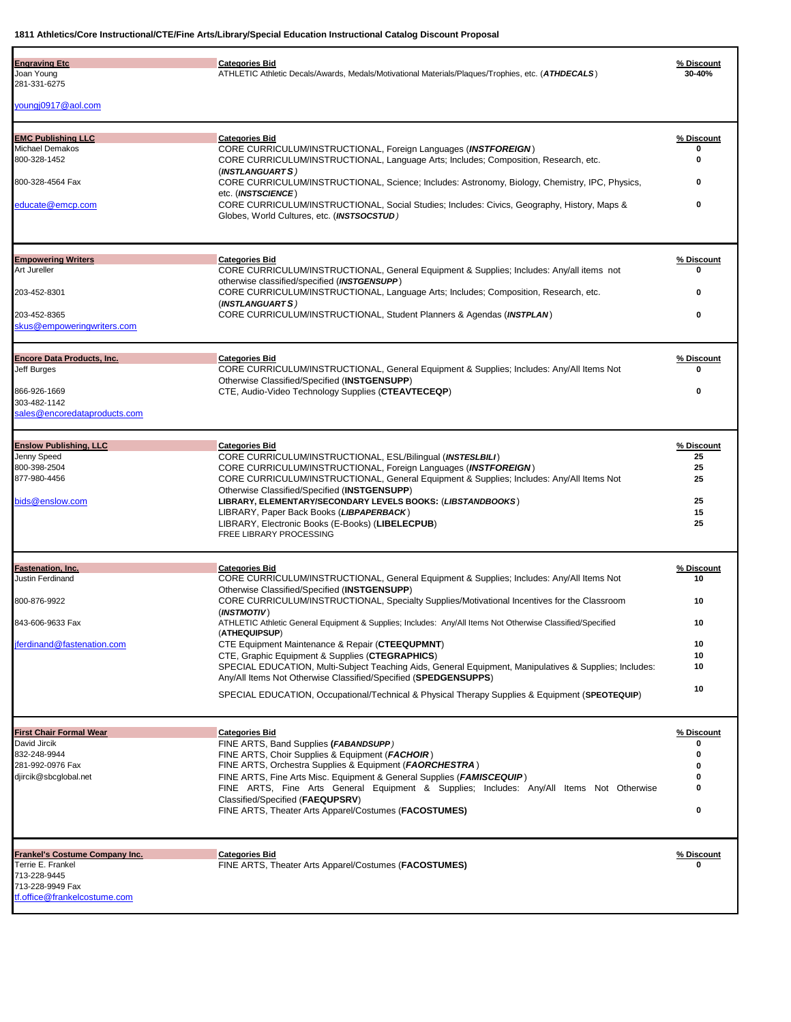| <b>Engraving Etc.</b><br>Joan Young<br>281-331-6275              | <b>Categories Bid</b><br>ATHLETIC Athletic Decals/Awards, Medals/Motivational Materials/Plaques/Trophies, etc. (ATHDECALS)                                        | % Discount<br>30-40% |
|------------------------------------------------------------------|-------------------------------------------------------------------------------------------------------------------------------------------------------------------|----------------------|
| youngj0917@aol.com                                               |                                                                                                                                                                   |                      |
| <b>EMC Publishing LLC</b>                                        | <b>Categories Bid</b>                                                                                                                                             | % Discount           |
| Michael Demakos<br>800-328-1452                                  | CORE CURRICULUM/INSTRUCTIONAL, Foreign Languages (INSTFOREIGN)<br>CORE CURRICULUM/INSTRUCTIONAL, Language Arts; Includes; Composition, Research, etc.             | 0                    |
| 800-328-4564 Fax                                                 | (INSTLANGUARTS)<br>CORE CURRICULUM/INSTRUCTIONAL, Science; Includes: Astronomy, Biology, Chemistry, IPC, Physics,                                                 | 0                    |
|                                                                  | etc. (INSTSCIENCE)                                                                                                                                                |                      |
| educate@emcp.com                                                 | CORE CURRICULUM/INSTRUCTIONAL, Social Studies; Includes: Civics, Geography, History, Maps &<br>Globes, World Cultures, etc. (INSTSOCSTUD)                         | 0                    |
| <b>Empowering Writers</b>                                        | <b>Categories Bid</b>                                                                                                                                             | % Discount           |
| Art Jureller                                                     | CORE CURRICULUM/INSTRUCTIONAL, General Equipment & Supplies; Includes: Any/all items not<br>otherwise classified/specified (INSTGENSUPP)                          | o                    |
| 203-452-8301                                                     | CORE CURRICULUM/INSTRUCTIONAL, Language Arts; Includes; Composition, Research, etc.<br>(INSTLANGUARTS)                                                            | 0                    |
| 203-452-8365                                                     | CORE CURRICULUM/INSTRUCTIONAL, Student Planners & Agendas (INSTPLAN)                                                                                              | 0                    |
| skus@empoweringwriters.com                                       |                                                                                                                                                                   |                      |
| <b>Encore Data Products, Inc.</b><br>Jeff Burges                 | <b>Categories Bid</b><br>CORE CURRICULUM/INSTRUCTIONAL, General Equipment & Supplies; Includes: Any/All Items Not<br>Otherwise Classified/Specified (INSTGENSUPP) | % Discount<br>0      |
| 866-926-1669                                                     | CTE, Audio-Video Technology Supplies (CTEAVTECEQP)                                                                                                                | 0                    |
| 303-482-1142<br>sales@encoredataproducts.com                     |                                                                                                                                                                   |                      |
| <b>Enslow Publishing, LLC</b>                                    | <b>Categories Bid</b>                                                                                                                                             | % Discount           |
| Jenny Speed<br>800-398-2504                                      | CORE CURRICULUM/INSTRUCTIONAL, ESL/Bilingual (INSTESLBILI)                                                                                                        | 25                   |
| 877-980-4456                                                     | CORE CURRICULUM/INSTRUCTIONAL, Foreign Languages (INSTFOREIGN)<br>CORE CURRICULUM/INSTRUCTIONAL, General Equipment & Supplies; Includes: Any/All Items Not        | 25<br>25             |
| bids@enslow.com                                                  | Otherwise Classified/Specified (INSTGENSUPP)<br>LIBRARY, ELEMENTARY/SECONDARY LEVELS BOOKS: (LIBSTANDBOOKS)<br>LIBRARY, Paper Back Books (LIBPAPERBACK)           | 25<br>15             |
|                                                                  | LIBRARY, Electronic Books (E-Books) (LIBELECPUB)<br>FREE LIBRARY PROCESSING                                                                                       | 25                   |
| Fastenation, Inc.                                                | <b>Categories Bid</b>                                                                                                                                             | % Discount           |
| Justin Ferdinand                                                 | CORE CURRICULUM/INSTRUCTIONAL, General Equipment & Supplies; Includes: Any/All Items Not<br>Otherwise Classified/Specified (INSTGENSUPP)                          | 10                   |
| 800-876-9922                                                     | CORE CURRICULUM/INSTRUCTIONAL, Specialty Supplies/Motivational Incentives for the Classroom<br>(INSTMOTIV)                                                        | 10                   |
| 843-606-9633 Fax                                                 | ATHLETIC Athletic General Equipment & Supplies; Includes: Any/All Items Not Otherwise Classified/Specified                                                        | 10                   |
| iferdinand@fastenation.com                                       | (ATHEQUIPSUP)<br>CTE Equipment Maintenance & Repair (CTEEQUPMNT)                                                                                                  | 10                   |
|                                                                  | CTE, Graphic Equipment & Supplies (CTEGRAPHICS)<br>SPECIAL EDUCATION, Multi-Subject Teaching Aids, General Equipment, Manipulatives & Supplies; Includes:         | 10<br>10             |
|                                                                  | Any/All Items Not Otherwise Classified/Specified (SPEDGENSUPPS)                                                                                                   |                      |
|                                                                  | SPECIAL EDUCATION, Occupational/Technical & Physical Therapy Supplies & Equipment (SPEOTEQUIP)                                                                    | 10                   |
| <b>First Chair Formal Wear</b>                                   | <b>Categories Bid</b>                                                                                                                                             | % Discount           |
| David Jircik<br>832-248-9944                                     | FINE ARTS, Band Supplies (FABANDSUPP)<br>FINE ARTS, Choir Supplies & Equipment (FACHOIR)                                                                          | o<br>0               |
| 281-992-0976 Fax                                                 | FINE ARTS, Orchestra Supplies & Equipment (FAORCHESTRA)                                                                                                           | 0                    |
| djircik@sbcglobal.net                                            | FINE ARTS, Fine Arts Misc. Equipment & General Supplies (FAMISCEQUIP)<br>FINE ARTS, Fine Arts General Equipment & Supplies; Includes: Any/All Items Not Otherwise | o                    |
|                                                                  | Classified/Specified (FAEQUPSRV)<br>FINE ARTS, Theater Arts Apparel/Costumes (FACOSTUMES)                                                                         | 0                    |
| <b>Frankel's Costume Company Inc.</b>                            | <b>Categories Bid</b>                                                                                                                                             | % Discount           |
| Terrie E. Frankel                                                | FINE ARTS, Theater Arts Apparel/Costumes (FACOSTUMES)                                                                                                             | Λ                    |
| 713-228-9445<br>713-228-9949 Fax<br>tf.office@frankelcostume.com |                                                                                                                                                                   |                      |
|                                                                  |                                                                                                                                                                   |                      |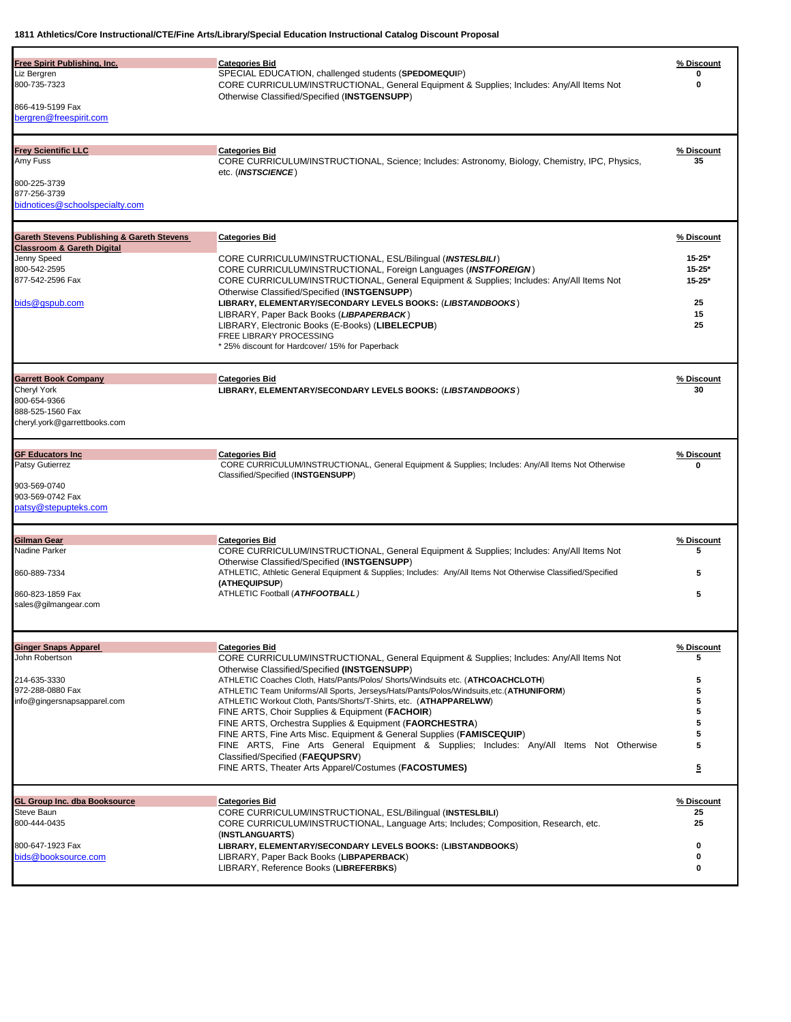|                                             | <b>Categories Bid</b>                                                                                                        | % Discount              |
|---------------------------------------------|------------------------------------------------------------------------------------------------------------------------------|-------------------------|
| Free Spirit Publishing, Inc.<br>Liz Bergren | SPECIAL EDUCATION, challenged students (SPEDOMEQUIP)                                                                         |                         |
| 800-735-7323                                | CORE CURRICULUM/INSTRUCTIONAL, General Equipment & Supplies; Includes: Any/All Items Not                                     | 0                       |
|                                             | Otherwise Classified/Specified (INSTGENSUPP)                                                                                 |                         |
| 866-419-5199 Fax                            |                                                                                                                              |                         |
| bergren@freespirit.com                      |                                                                                                                              |                         |
|                                             |                                                                                                                              |                         |
| <b>Frey Scientific LLC</b>                  | <b>Categories Bid</b>                                                                                                        | % Discount              |
| Amy Fuss                                    | CORE CURRICULUM/INSTRUCTIONAL, Science; Includes: Astronomy, Biology, Chemistry, IPC, Physics,                               | 35                      |
| 800-225-3739                                | etc. (INSTSCIENCE)                                                                                                           |                         |
| 877-256-3739                                |                                                                                                                              |                         |
| bidnotices@schoolspecialty.com              |                                                                                                                              |                         |
|                                             |                                                                                                                              |                         |
| Gareth Stevens Publishing & Gareth Stevens  | <b>Categories Bid</b>                                                                                                        | % Discount              |
| <b>Classroom &amp; Gareth Digital</b>       |                                                                                                                              |                         |
| Jenny Speed                                 | CORE CURRICULUM/INSTRUCTIONAL, ESL/Bilingual (INSTESLBILI)                                                                   | $15 - 25*$              |
| 800-542-2595                                | CORE CURRICULUM/INSTRUCTIONAL, Foreign Languages (INSTFOREIGN)                                                               | $15 - 25*$              |
| 877-542-2596 Fax                            | CORE CURRICULUM/INSTRUCTIONAL, General Equipment & Supplies; Includes: Any/All Items Not                                     | $15 - 25*$              |
|                                             | Otherwise Classified/Specified (INSTGENSUPP)                                                                                 |                         |
| bids@aspub.com                              | LIBRARY, ELEMENTARY/SECONDARY LEVELS BOOKS: (LIBSTANDBOOKS)                                                                  | 25                      |
|                                             | LIBRARY, Paper Back Books (LIBPAPERBACK)                                                                                     | 15<br>25                |
|                                             | LIBRARY, Electronic Books (E-Books) (LIBELECPUB)<br>FREE LIBRARY PROCESSING                                                  |                         |
|                                             | * 25% discount for Hardcover/ 15% for Paperback                                                                              |                         |
|                                             |                                                                                                                              |                         |
| <b>Garrett Book Company</b>                 | <b>Categories Bid</b>                                                                                                        | % Discount              |
| Cheryl York                                 | LIBRARY, ELEMENTARY/SECONDARY LEVELS BOOKS: (LIBSTANDBOOKS)                                                                  | 30                      |
| 800-654-9366                                |                                                                                                                              |                         |
| 888-525-1560 Fax                            |                                                                                                                              |                         |
| cheryl.york@garrettbooks.com                |                                                                                                                              |                         |
| <b>GF Educators Inc</b>                     | <b>Categories Bid</b>                                                                                                        | % Discount              |
| <b>Patsy Gutierrez</b>                      | CORE CURRICULUM/INSTRUCTIONAL, General Equipment & Supplies; Includes: Any/All Items Not Otherwise                           | ŋ                       |
|                                             | Classified/Specified (INSTGENSUPP)                                                                                           |                         |
| 903-569-0740                                |                                                                                                                              |                         |
| 903-569-0742 Fax                            |                                                                                                                              |                         |
| patsy@stepupteks.com                        |                                                                                                                              |                         |
|                                             |                                                                                                                              |                         |
| Gilman Gear                                 | <b>Categories Bid</b>                                                                                                        | % Discount              |
| Nadine Parker                               | CORE CURRICULUM/INSTRUCTIONAL, General Equipment & Supplies; Includes: Any/All Items Not                                     | 5                       |
|                                             | Otherwise Classified/Specified (INSTGENSUPP)                                                                                 |                         |
| 860-889-7334                                | ATHLETIC, Athletic General Equipment & Supplies; Includes: Any/All Items Not Otherwise Classified/Specified<br>(ATHEQUIPSUP) | 5                       |
| 860-823-1859 Fax                            | ATHLETIC Football (ATHFOOTBALL)                                                                                              | 5                       |
| sales@gilmangear.com                        |                                                                                                                              |                         |
|                                             |                                                                                                                              |                         |
|                                             |                                                                                                                              |                         |
| <b>Ginger Snaps Apparel</b>                 |                                                                                                                              |                         |
|                                             | <b>Categories Bid</b>                                                                                                        | % Discount              |
| John Robertson                              | CORE CURRICULUM/INSTRUCTIONAL, General Equipment & Supplies; Includes: Any/All Items Not                                     | 5                       |
|                                             | Otherwise Classified/Specified (INSTGENSUPP)                                                                                 |                         |
| 214-635-3330                                | ATHLETIC Coaches Cloth, Hats/Pants/Polos/ Shorts/Windsuits etc. (ATHCOACHCLOTH)                                              | 5                       |
| 972-288-0880 Fax                            | ATHLETIC Team Uniforms/All Sports, Jerseys/Hats/Pants/Polos/Windsuits,etc.(ATHUNIFORM)                                       | 5                       |
| info@gingersnapsapparel.com                 | ATHLETIC Workout Cloth, Pants/Shorts/T-Shirts, etc. (ATHAPPARELWW)                                                           | 5                       |
|                                             | FINE ARTS, Choir Supplies & Equipment (FACHOIR)                                                                              | 5                       |
|                                             | FINE ARTS, Orchestra Supplies & Equipment (FAORCHESTRA)                                                                      | 5                       |
|                                             | FINE ARTS, Fine Arts Misc. Equipment & General Supplies (FAMISCEQUIP)                                                        | 5                       |
|                                             | FINE ARTS, Fine Arts General Equipment & Supplies; Includes: Any/All Items Not Otherwise                                     | 5                       |
|                                             | Classified/Specified (FAEQUPSRV)<br>FINE ARTS, Theater Arts Apparel/Costumes (FACOSTUMES)                                    | $\overline{\mathbf{5}}$ |
|                                             |                                                                                                                              |                         |
| GL Group Inc. dba Booksource                | <b>Categories Bid</b>                                                                                                        | % Discount              |
| Steve Baun                                  | CORE CURRICULUM/INSTRUCTIONAL, ESL/Bilingual (INSTESLBILI)                                                                   | 25                      |
| 800-444-0435                                | CORE CURRICULUM/INSTRUCTIONAL, Language Arts; Includes; Composition, Research, etc.                                          | 25                      |
|                                             | (INSTLANGUARTS)                                                                                                              |                         |
| 800-647-1923 Fax                            | LIBRARY, ELEMENTARY/SECONDARY LEVELS BOOKS: (LIBSTANDBOOKS)                                                                  | 0                       |
| bids@booksource.com                         | LIBRARY, Paper Back Books (LIBPAPERBACK)<br>LIBRARY, Reference Books (LIBREFERBKS)                                           | 0<br>0                  |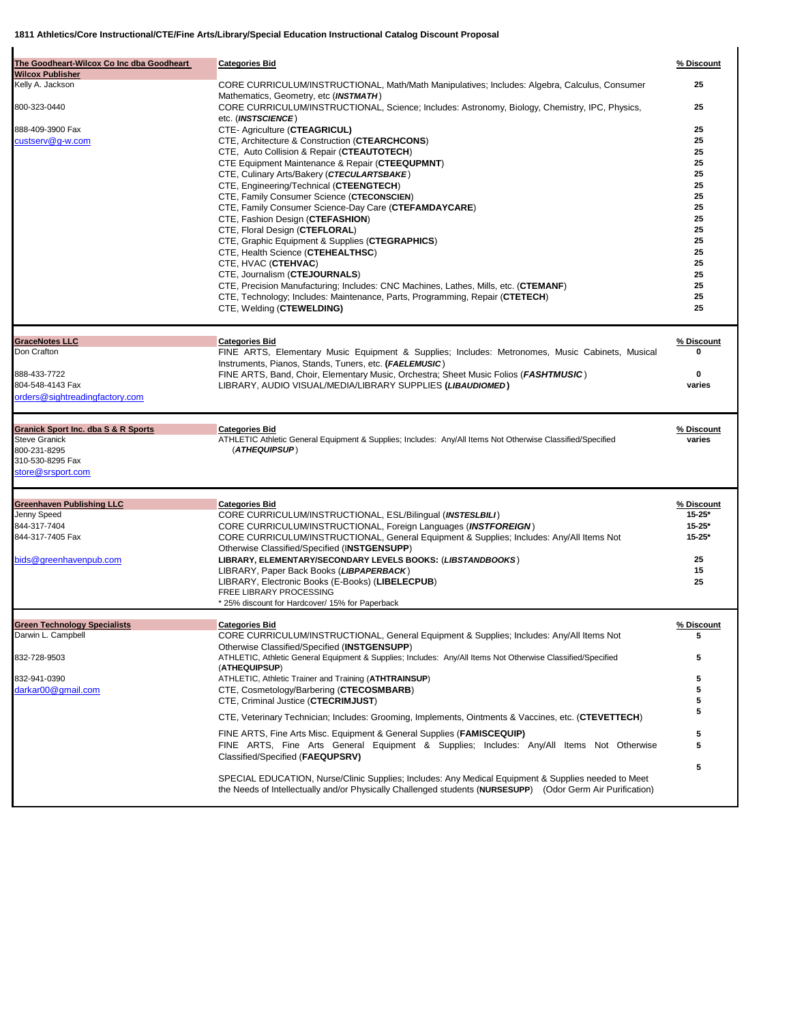| The Goodheart-Wilcox Co Inc dba Goodheart                              | <b>Categories Bid</b>                                                                                                                                                                                             | % Discount           |
|------------------------------------------------------------------------|-------------------------------------------------------------------------------------------------------------------------------------------------------------------------------------------------------------------|----------------------|
| <b>Wilcox Publisher</b><br>Kelly A. Jackson                            | CORE CURRICULUM/INSTRUCTIONAL, Math/Math Manipulatives; Includes: Algebra, Calculus, Consumer                                                                                                                     | 25                   |
| 800-323-0440                                                           | Mathematics, Geometry, etc (INSTMATH)<br>CORE CURRICULUM/INSTRUCTIONAL, Science; Includes: Astronomy, Biology, Chemistry, IPC, Physics,                                                                           | 25                   |
|                                                                        | etc. (INSTSCIENCE)                                                                                                                                                                                                |                      |
| 888-409-3900 Fax<br>custserv@g-w.com                                   | CTE- Agriculture (CTEAGRICUL)                                                                                                                                                                                     | 25<br>25             |
|                                                                        | CTE, Architecture & Construction (CTEARCHCONS)<br>CTE, Auto Collision & Repair (CTEAUTOTECH)                                                                                                                      | 25                   |
|                                                                        | CTE Equipment Maintenance & Repair (CTEEQUPMNT)                                                                                                                                                                   | 25                   |
|                                                                        | CTE, Culinary Arts/Bakery (CTECULARTSBAKE)                                                                                                                                                                        | 25                   |
|                                                                        | CTE, Engineering/Technical (CTEENGTECH)                                                                                                                                                                           | 25                   |
|                                                                        | CTE, Family Consumer Science (CTECONSCIEN)                                                                                                                                                                        | 25                   |
|                                                                        | CTE, Family Consumer Science-Day Care (CTEFAMDAYCARE)                                                                                                                                                             | 25                   |
|                                                                        | CTE, Fashion Design (CTEFASHION)                                                                                                                                                                                  | 25                   |
|                                                                        | CTE, Floral Design (CTEFLORAL)<br>CTE, Graphic Equipment & Supplies (CTEGRAPHICS)                                                                                                                                 | 25<br>25             |
|                                                                        | CTE, Health Science (CTEHEALTHSC)                                                                                                                                                                                 | 25                   |
|                                                                        | CTE, HVAC (CTEHVAC)                                                                                                                                                                                               | 25                   |
|                                                                        | CTE, Journalism (CTEJOURNALS)                                                                                                                                                                                     | 25                   |
|                                                                        | CTE, Precision Manufacturing; Includes: CNC Machines, Lathes, Mills, etc. (CTEMANF)                                                                                                                               | 25                   |
|                                                                        | CTE, Technology; Includes: Maintenance, Parts, Programming, Repair (CTETECH)                                                                                                                                      | 25                   |
|                                                                        | CTE, Welding (CTEWELDING)                                                                                                                                                                                         | 25                   |
| <b>GraceNotes LLC</b>                                                  | <b>Categories Bid</b>                                                                                                                                                                                             | % Discount           |
| Don Crafton                                                            | FINE ARTS, Elementary Music Equipment & Supplies; Includes: Metronomes, Music Cabinets, Musical<br>Instruments, Pianos, Stands, Tuners, etc. (FAELEMUSIC)                                                         |                      |
| 888-433-7722                                                           | FINE ARTS, Band, Choir, Elementary Music, Orchestra; Sheet Music Folios (FASHTMUSIC)                                                                                                                              | 0                    |
| 804-548-4143 Fax                                                       | LIBRARY, AUDIO VISUAL/MEDIA/LIBRARY SUPPLIES (LIBAUDIOMED)                                                                                                                                                        | varies               |
| orders@sightreadingfactory.com                                         |                                                                                                                                                                                                                   |                      |
|                                                                        |                                                                                                                                                                                                                   |                      |
| <b>Granick Sport Inc. dba S &amp; R Sports</b><br><b>Steve Granick</b> | <b>Categories Bid</b><br>ATHLETIC Athletic General Equipment & Supplies; Includes: Any/All Items Not Otherwise Classified/Specified                                                                               | % Discount<br>varies |
| 800-231-8295                                                           | (ATHEQUIPSUP)                                                                                                                                                                                                     |                      |
| 310-530-8295 Fax                                                       |                                                                                                                                                                                                                   |                      |
| store@srsport.com                                                      |                                                                                                                                                                                                                   |                      |
| <b>Greenhaven Publishing LLC</b>                                       | <b>Categories Bid</b>                                                                                                                                                                                             | % Discount           |
| Jenny Speed                                                            | CORE CURRICULUM/INSTRUCTIONAL, ESL/Bilingual (INSTESLBILI)                                                                                                                                                        | $15 - 25*$           |
| 844-317-7404                                                           | CORE CURRICULUM/INSTRUCTIONAL, Foreign Languages (INSTFOREIGN)                                                                                                                                                    | $15 - 25*$           |
| 844-317-7405 Fax                                                       | CORE CURRICULUM/INSTRUCTIONAL, General Equipment & Supplies; Includes: Any/All Items Not                                                                                                                          | $15 - 25*$           |
|                                                                        | Otherwise Classified/Specified (INSTGENSUPP)                                                                                                                                                                      |                      |
| bids@greenhavenpub.com                                                 | LIBRARY, ELEMENTARY/SECONDARY LEVELS BOOKS: (LIBSTANDBOOKS)                                                                                                                                                       | 25<br>15             |
|                                                                        | LIBRARY, Paper Back Books (LIBPAPERBACK)<br>LIBRARY, Electronic Books (E-Books) (LIBELECPUB)                                                                                                                      | 25                   |
|                                                                        | FREE LIBRARY PROCESSING                                                                                                                                                                                           |                      |
|                                                                        | * 25% discount for Hardcover/ 15% for Paperback                                                                                                                                                                   |                      |
| <b>Green Technology Specialists</b>                                    | <b>Categories Bid</b>                                                                                                                                                                                             | % Discount           |
| Darwin L. Campbell                                                     | CORE CURRICULUM/INSTRUCTIONAL, General Equipment & Supplies; Includes: Any/All Items Not                                                                                                                          | 5                    |
| 832-728-9503                                                           | Otherwise Classified/Specified (INSTGENSUPP)<br>ATHLETIC, Athletic General Equipment & Supplies; Includes: Any/All Items Not Otherwise Classified/Specified                                                       | 5                    |
|                                                                        | (ATHEQUIPSUP)                                                                                                                                                                                                     |                      |
| 832-941-0390                                                           | ATHLETIC, Athletic Trainer and Training (ATHTRAINSUP)                                                                                                                                                             | 5                    |
| darkar00@gmail.com                                                     | CTE, Cosmetology/Barbering (CTECOSMBARB)<br>CTE, Criminal Justice (CTECRIMJUST)                                                                                                                                   | 5<br>5               |
|                                                                        | CTE, Veterinary Technician; Includes: Grooming, Implements, Ointments & Vaccines, etc. (CTEVETTECH)                                                                                                               | 5                    |
|                                                                        | FINE ARTS, Fine Arts Misc. Equipment & General Supplies (FAMISCEQUIP)                                                                                                                                             | 5                    |
|                                                                        | FINE ARTS, Fine Arts General Equipment & Supplies; Includes: Any/All Items Not Otherwise                                                                                                                          | 5                    |
|                                                                        | Classified/Specified (FAEQUPSRV)                                                                                                                                                                                  |                      |
|                                                                        |                                                                                                                                                                                                                   | 5                    |
|                                                                        | SPECIAL EDUCATION, Nurse/Clinic Supplies; Includes: Any Medical Equipment & Supplies needed to Meet<br>the Needs of Intellectually and/or Physically Challenged students (NURSESUPP) (Odor Germ Air Purification) |                      |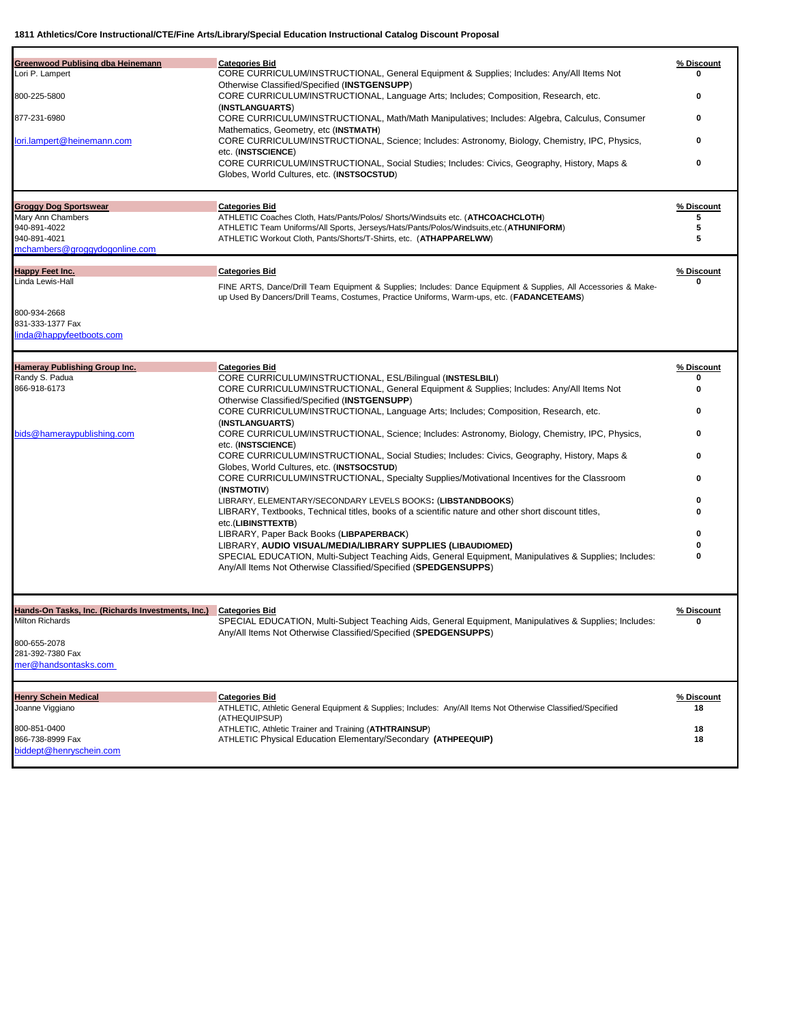| <b>Greenwood Publising dba Heinemann</b>          | <b>Categories Bid</b>                                                                                                                                        | % Discount       |
|---------------------------------------------------|--------------------------------------------------------------------------------------------------------------------------------------------------------------|------------------|
| Lori P. Lampert                                   | CORE CURRICULUM/INSTRUCTIONAL, General Equipment & Supplies; Includes: Any/All Items Not                                                                     | 0                |
|                                                   | Otherwise Classified/Specified (INSTGENSUPP)                                                                                                                 |                  |
| 800-225-5800                                      | CORE CURRICULUM/INSTRUCTIONAL, Language Arts; Includes; Composition, Research, etc.                                                                          | 0                |
|                                                   | (INSTLANGUARTS)                                                                                                                                              |                  |
| 877-231-6980                                      | CORE CURRICULUM/INSTRUCTIONAL, Math/Math Manipulatives; Includes: Algebra, Calculus, Consumer                                                                | 0                |
| ori.lampert@heinemann.com                         | Mathematics, Geometry, etc (INSTMATH)<br>CORE CURRICULUM/INSTRUCTIONAL, Science; Includes: Astronomy, Biology, Chemistry, IPC, Physics,                      | 0                |
|                                                   | etc. (INSTSCIENCE)                                                                                                                                           |                  |
|                                                   | CORE CURRICULUM/INSTRUCTIONAL, Social Studies; Includes: Civics, Geography, History, Maps &                                                                  | 0                |
|                                                   | Globes, World Cultures, etc. (INSTSOCSTUD)                                                                                                                   |                  |
|                                                   |                                                                                                                                                              |                  |
| <b>Groggy Dog Sportswear</b>                      | <b>Categories Bid</b>                                                                                                                                        | % Discount       |
| Mary Ann Chambers                                 | ATHLETIC Coaches Cloth, Hats/Pants/Polos/ Shorts/Windsuits etc. (ATHCOACHCLOTH)                                                                              | 5                |
| 940-891-4022<br>940-891-4021                      | ATHLETIC Team Uniforms/All Sports, Jerseys/Hats/Pants/Polos/Windsuits,etc.(ATHUNIFORM)<br>ATHLETIC Workout Cloth, Pants/Shorts/T-Shirts, etc. (ATHAPPARELWW) | 5<br>5           |
| mchambers@groggydogonline.com                     |                                                                                                                                                              |                  |
|                                                   |                                                                                                                                                              |                  |
| Happy Feet Inc.                                   | <b>Categories Bid</b>                                                                                                                                        | % Discount       |
| Linda Lewis-Hall                                  | FINE ARTS, Dance/Drill Team Equipment & Supplies; Includes: Dance Equipment & Supplies, All Accessories & Make-                                              | ŋ                |
|                                                   | up Used By Dancers/Drill Teams, Costumes, Practice Uniforms, Warm-ups, etc. (FADANCETEAMS)                                                                   |                  |
|                                                   |                                                                                                                                                              |                  |
| 800-934-2668<br>831-333-1377 Fax                  |                                                                                                                                                              |                  |
| linda@happyfeetboots.com                          |                                                                                                                                                              |                  |
|                                                   |                                                                                                                                                              |                  |
|                                                   |                                                                                                                                                              |                  |
| <b>Hameray Publishing Group Inc.</b>              | <b>Categories Bid</b>                                                                                                                                        | % Discount       |
| Randy S. Padua                                    | CORE CURRICULUM/INSTRUCTIONAL, ESL/Bilingual (INSTESLBILI)                                                                                                   |                  |
| 866-918-6173                                      | CORE CURRICULUM/INSTRUCTIONAL, General Equipment & Supplies; Includes: Any/All Items Not                                                                     | 0                |
|                                                   | Otherwise Classified/Specified (INSTGENSUPP)                                                                                                                 | 0                |
|                                                   | CORE CURRICULUM/INSTRUCTIONAL, Language Arts; Includes; Composition, Research, etc.<br>(INSTLANGUARTS)                                                       |                  |
| bids@hameraypublishing.com                        | CORE CURRICULUM/INSTRUCTIONAL, Science; Includes: Astronomy, Biology, Chemistry, IPC, Physics,                                                               | 0                |
|                                                   | etc. (INSTSCIENCE)                                                                                                                                           |                  |
|                                                   | CORE CURRICULUM/INSTRUCTIONAL, Social Studies; Includes: Civics, Geography, History, Maps &                                                                  | 0                |
|                                                   | Globes, World Cultures, etc. (INSTSOCSTUD)                                                                                                                   |                  |
|                                                   | CORE CURRICULUM/INSTRUCTIONAL, Specialty Supplies/Motivational Incentives for the Classroom                                                                  | 0                |
|                                                   | (INSTMOTIV)                                                                                                                                                  |                  |
|                                                   | LIBRARY, ELEMENTARY/SECONDARY LEVELS BOOKS: (LIBSTANDBOOKS)                                                                                                  | ŋ                |
|                                                   | LIBRARY, Textbooks, Technical titles, books of a scientific nature and other short discount titles,                                                          |                  |
|                                                   | etc.(LIBINSTTEXTB)                                                                                                                                           |                  |
|                                                   | LIBRARY, Paper Back Books (LIBPAPERBACK)                                                                                                                     |                  |
|                                                   | LIBRARY, AUDIO VISUAL/MEDIA/LIBRARY SUPPLIES (LIBAUDIOMED)                                                                                                   |                  |
|                                                   | SPECIAL EDUCATION, Multi-Subject Teaching Aids, General Equipment, Manipulatives & Supplies; Includes:                                                       | O                |
|                                                   | Any/All Items Not Otherwise Classified/Specified (SPEDGENSUPPS)                                                                                              |                  |
|                                                   |                                                                                                                                                              |                  |
| Hands-On Tasks, Inc. (Richards Investments, Inc.) | <b>Categories Bid</b>                                                                                                                                        | % Discount       |
| <b>Milton Richards</b>                            | SPECIAL EDUCATION, Multi-Subject Teaching Aids, General Equipment, Manipulatives & Supplies; Includes:                                                       | ŋ                |
|                                                   | Any/All Items Not Otherwise Classified/Specified (SPEDGENSUPPS)                                                                                              |                  |
| 800-655-2078<br>281-392-7380 Fax                  |                                                                                                                                                              |                  |
| mer@handsontasks.com                              |                                                                                                                                                              |                  |
|                                                   |                                                                                                                                                              |                  |
|                                                   |                                                                                                                                                              |                  |
| <b>Henry Schein Medical</b>                       | <b>Categories Bid</b><br>ATHLETIC, Athletic General Equipment & Supplies; Includes: Any/All Items Not Otherwise Classified/Specified                         | % Discount<br>18 |
| Joanne Viggiano                                   | (ATHEQUIPSUP)                                                                                                                                                |                  |
| 800-851-0400                                      | ATHLETIC, Athletic Trainer and Training (ATHTRAINSUP)                                                                                                        | 18               |
| 866-738-8999 Fax                                  | ATHLETIC Physical Education Elementary/Secondary (ATHPEEQUIP)                                                                                                | 18               |
| biddept@henryschein.com                           |                                                                                                                                                              |                  |
|                                                   |                                                                                                                                                              |                  |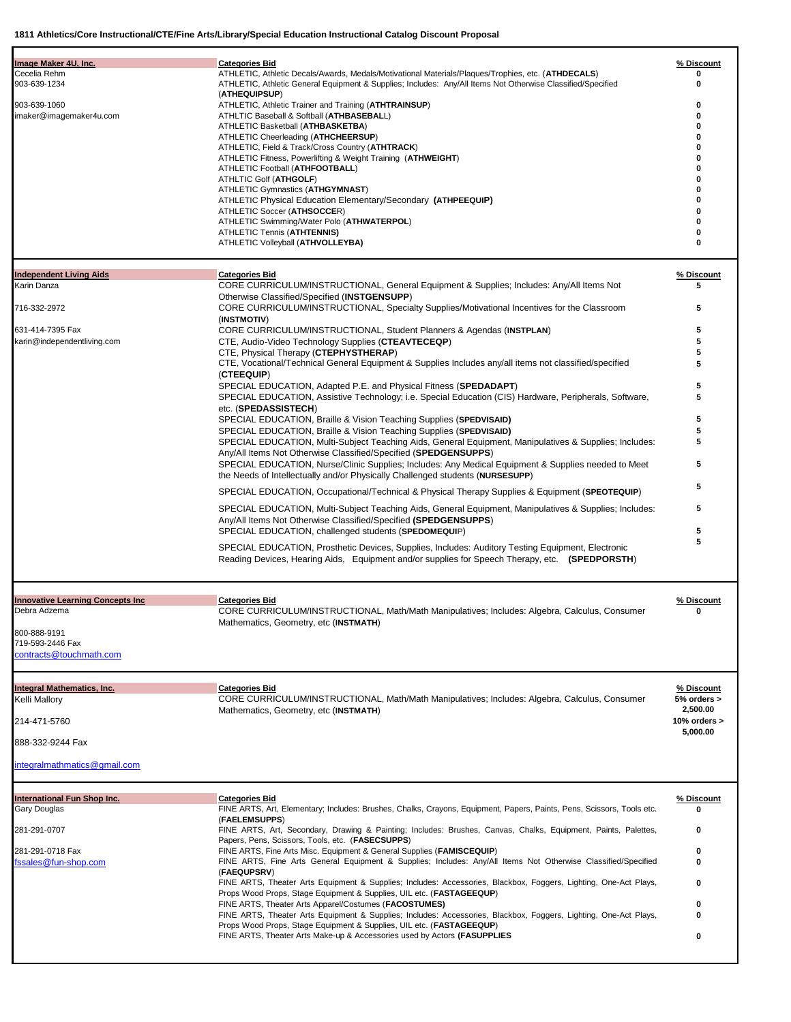| Cecelia Rehm<br>ATHLETIC, Athletic Decals/Awards, Medals/Motivational Materials/Plaques/Trophies, etc. (ATHDECALS)<br>903-639-1234<br>ATHLETIC, Athletic General Equipment & Supplies; Includes: Any/All Items Not Otherwise Classified/Specified<br>0<br>(ATHEQUIPSUP)<br>ATHLETIC, Athletic Trainer and Training (ATHTRAINSUP)<br>0<br>imaker@imagemaker4u.com<br>ATHLTIC Baseball & Softball (ATHBASEBALL)<br>0<br>ATHLETIC Basketball (ATHBASKETBA)<br>0<br>ATHLETIC Cheerleading (ATHCHEERSUP)<br>ATHLETIC, Field & Track/Cross Country (ATHTRACK)<br>ATHLETIC Fitness, Powerlifting & Weight Training (ATHWEIGHT)<br>ATHLETIC Football (ATHFOOTBALL)<br>ATHLTIC Golf (ATHGOLF)<br>o<br>ATHLETIC Gymnastics (ATHGYMNAST)<br>ATHLETIC Physical Education Elementary/Secondary (ATHPEEQUIP)<br>ATHLETIC Soccer (ATHSOCCER)<br>o<br>ATHLETIC Swimming/Water Polo (ATHWATERPOL)<br>0<br>ATHLETIC Tennis (ATHTENNIS)<br>0<br>ATHLETIC Volleyball (ATHVOLLEYBA)<br>0<br><b>Categories Bid</b><br>% Discount<br>CORE CURRICULUM/INSTRUCTIONAL, General Equipment & Supplies; Includes: Any/All Items Not<br>5<br>Otherwise Classified/Specified (INSTGENSUPP)<br>CORE CURRICULUM/INSTRUCTIONAL, Specialty Supplies/Motivational Incentives for the Classroom<br>5<br>(INSTMOTIV)<br>631-414-7395 Fax<br>CORE CURRICULUM/INSTRUCTIONAL, Student Planners & Agendas (INSTPLAN)<br>5<br>karin@independentliving.com<br>5<br>CTE, Audio-Video Technology Supplies (CTEAVTECEQP)<br>CTE, Physical Therapy (CTEPHYSTHERAP)<br>5<br>CTE, Vocational/Technical General Equipment & Supplies Includes any/all items not classified/specified<br>5<br>(CTEEQUIP)<br>SPECIAL EDUCATION, Adapted P.E. and Physical Fitness (SPEDADAPT)<br>5<br>5<br>SPECIAL EDUCATION, Assistive Technology; i.e. Special Education (CIS) Hardware, Peripherals, Software,<br>etc. (SPEDASSISTECH)<br>5<br>SPECIAL EDUCATION, Braille & Vision Teaching Supplies (SPEDVISAID)<br>SPECIAL EDUCATION, Braille & Vision Teaching Supplies (SPEDVISAID)<br>5<br>SPECIAL EDUCATION, Multi-Subject Teaching Aids, General Equipment, Manipulatives & Supplies; Includes:<br>5<br>Any/All Items Not Otherwise Classified/Specified (SPEDGENSUPPS)<br>5<br>SPECIAL EDUCATION, Nurse/Clinic Supplies; Includes: Any Medical Equipment & Supplies needed to Meet<br>the Needs of Intellectually and/or Physically Challenged students (NURSESUPP)<br>5<br>SPECIAL EDUCATION, Occupational/Technical & Physical Therapy Supplies & Equipment (SPEOTEQUIP)<br>5<br>SPECIAL EDUCATION, Multi-Subject Teaching Aids, General Equipment, Manipulatives & Supplies; Includes:<br>Any/All Items Not Otherwise Classified/Specified (SPEDGENSUPPS)<br>5<br>SPECIAL EDUCATION, challenged students (SPEDOMEQUIP)<br>5<br>SPECIAL EDUCATION, Prosthetic Devices, Supplies, Includes: Auditory Testing Equipment, Electronic<br>Reading Devices, Hearing Aids, Equipment and/or supplies for Speech Therapy, etc. (SPEDPORSTH)<br><b>Innovative Learning Concepts Inc.</b><br>% Discount<br><b>Categories Bid</b><br>CORE CURRICULUM/INSTRUCTIONAL, Math/Math Manipulatives; Includes: Algebra, Calculus, Consumer<br>0<br>Mathematics, Geometry, etc (INSTMATH)<br>contracts@touchmath.com<br><b>Categories Bid</b><br>% Discount<br>CORE CURRICULUM/INSTRUCTIONAL, Math/Math Manipulatives; Includes: Algebra, Calculus, Consumer<br>5% orders ><br>2,500.00<br>Mathematics, Geometry, etc (INSTMATH)<br>10% orders $>$<br>5,000.00<br>888-332-9244 Fax<br>integralmathmatics@gmail.com<br><b>International Fun Shop Inc.</b><br>% Discount<br><b>Categories Bid</b><br>Gary Douglas<br>FINE ARTS, Art, Elementary; Includes: Brushes, Chalks, Crayons, Equipment, Papers, Paints, Pens, Scissors, Tools etc.<br>(FAELEMSUPPS)<br>FINE ARTS, Art, Secondary, Drawing & Painting; Includes: Brushes, Canvas, Chalks, Equipment, Paints, Palettes,<br>281-291-0707<br>0<br>Papers, Pens, Scissors, Tools, etc. (FASECSUPPS)<br>FINE ARTS, Fine Arts Misc. Equipment & General Supplies (FAMISCEQUIP)<br>0<br>FINE ARTS, Fine Arts General Equipment & Supplies; Includes: Any/All Items Not Otherwise Classified/Specified<br>0<br>(FAEQUPSRV)<br>FINE ARTS, Theater Arts Equipment & Supplies; Includes: Accessories, Blackbox, Foggers, Lighting, One-Act Plays,<br>0<br>Props Wood Props, Stage Equipment & Supplies, UIL etc. (FASTAGEEQUP)<br>FINE ARTS, Theater Arts Apparel/Costumes (FACOSTUMES)<br>0<br>FINE ARTS, Theater Arts Equipment & Supplies; Includes: Accessories, Blackbox, Foggers, Lighting, One-Act Plays,<br>0<br>Props Wood Props, Stage Equipment & Supplies, UIL etc. (FASTAGEEQUP)<br>FINE ARTS, Theater Arts Make-up & Accessories used by Actors (FASUPPLIES<br>0 |                                |                       |            |
|----------------------------------------------------------------------------------------------------------------------------------------------------------------------------------------------------------------------------------------------------------------------------------------------------------------------------------------------------------------------------------------------------------------------------------------------------------------------------------------------------------------------------------------------------------------------------------------------------------------------------------------------------------------------------------------------------------------------------------------------------------------------------------------------------------------------------------------------------------------------------------------------------------------------------------------------------------------------------------------------------------------------------------------------------------------------------------------------------------------------------------------------------------------------------------------------------------------------------------------------------------------------------------------------------------------------------------------------------------------------------------------------------------------------------------------------------------------------------------------------------------------------------------------------------------------------------------------------------------------------------------------------------------------------------------------------------------------------------------------------------------------------------------------------------------------------------------------------------------------------------------------------------------------------------------------------------------------------------------------------------------------------------------------------------------------------------------------------------------------------------------------------------------------------------------------------------------------------------------------------------------------------------------------------------------------------------------------------------------------------------------------------------------------------------------------------------------------------------------------------------------------------------------------------------------------------------------------------------------------------------------------------------------------------------------------------------------------------------------------------------------------------------------------------------------------------------------------------------------------------------------------------------------------------------------------------------------------------------------------------------------------------------------------------------------------------------------------------------------------------------------------------------------------------------------------------------------------------------------------------------------------------------------------------------------------------------------------------------------------------------------------------------------------------------------------------------------------------------------------------------------------------------------------------------------------------------------------------------------------------------------------------------------------------------------------------------------------------------------------------------------------------------------------------------------------------------------------------------------------------------------------------------------------------------------------------------------------------------------------------------------------------------------------------------------------------------------------------------------------------------------------------------------------------------------------------------------------------------------------------------------------------------------------------------------------------------------------------------------------------------------------------------------------------------------------------------------------------------------------------------------------------------------------------------------------------------------------------------------------------------------------------------------------------------------------------------------------------------------------------|--------------------------------|-----------------------|------------|
|                                                                                                                                                                                                                                                                                                                                                                                                                                                                                                                                                                                                                                                                                                                                                                                                                                                                                                                                                                                                                                                                                                                                                                                                                                                                                                                                                                                                                                                                                                                                                                                                                                                                                                                                                                                                                                                                                                                                                                                                                                                                                                                                                                                                                                                                                                                                                                                                                                                                                                                                                                                                                                                                                                                                                                                                                                                                                                                                                                                                                                                                                                                                                                                                                                                                                                                                                                                                                                                                                                                                                                                                                                                                                                                                                                                                                                                                                                                                                                                                                                                                                                                                                                                                                                                                                                                                                                                                                                                                                                                                                                                                                                                                                                                                              | Image Maker 4U, Inc.           | <b>Categories Bid</b> | % Discount |
|                                                                                                                                                                                                                                                                                                                                                                                                                                                                                                                                                                                                                                                                                                                                                                                                                                                                                                                                                                                                                                                                                                                                                                                                                                                                                                                                                                                                                                                                                                                                                                                                                                                                                                                                                                                                                                                                                                                                                                                                                                                                                                                                                                                                                                                                                                                                                                                                                                                                                                                                                                                                                                                                                                                                                                                                                                                                                                                                                                                                                                                                                                                                                                                                                                                                                                                                                                                                                                                                                                                                                                                                                                                                                                                                                                                                                                                                                                                                                                                                                                                                                                                                                                                                                                                                                                                                                                                                                                                                                                                                                                                                                                                                                                                                              |                                |                       |            |
|                                                                                                                                                                                                                                                                                                                                                                                                                                                                                                                                                                                                                                                                                                                                                                                                                                                                                                                                                                                                                                                                                                                                                                                                                                                                                                                                                                                                                                                                                                                                                                                                                                                                                                                                                                                                                                                                                                                                                                                                                                                                                                                                                                                                                                                                                                                                                                                                                                                                                                                                                                                                                                                                                                                                                                                                                                                                                                                                                                                                                                                                                                                                                                                                                                                                                                                                                                                                                                                                                                                                                                                                                                                                                                                                                                                                                                                                                                                                                                                                                                                                                                                                                                                                                                                                                                                                                                                                                                                                                                                                                                                                                                                                                                                                              |                                |                       |            |
|                                                                                                                                                                                                                                                                                                                                                                                                                                                                                                                                                                                                                                                                                                                                                                                                                                                                                                                                                                                                                                                                                                                                                                                                                                                                                                                                                                                                                                                                                                                                                                                                                                                                                                                                                                                                                                                                                                                                                                                                                                                                                                                                                                                                                                                                                                                                                                                                                                                                                                                                                                                                                                                                                                                                                                                                                                                                                                                                                                                                                                                                                                                                                                                                                                                                                                                                                                                                                                                                                                                                                                                                                                                                                                                                                                                                                                                                                                                                                                                                                                                                                                                                                                                                                                                                                                                                                                                                                                                                                                                                                                                                                                                                                                                                              | 903-639-1060                   |                       |            |
|                                                                                                                                                                                                                                                                                                                                                                                                                                                                                                                                                                                                                                                                                                                                                                                                                                                                                                                                                                                                                                                                                                                                                                                                                                                                                                                                                                                                                                                                                                                                                                                                                                                                                                                                                                                                                                                                                                                                                                                                                                                                                                                                                                                                                                                                                                                                                                                                                                                                                                                                                                                                                                                                                                                                                                                                                                                                                                                                                                                                                                                                                                                                                                                                                                                                                                                                                                                                                                                                                                                                                                                                                                                                                                                                                                                                                                                                                                                                                                                                                                                                                                                                                                                                                                                                                                                                                                                                                                                                                                                                                                                                                                                                                                                                              |                                |                       |            |
|                                                                                                                                                                                                                                                                                                                                                                                                                                                                                                                                                                                                                                                                                                                                                                                                                                                                                                                                                                                                                                                                                                                                                                                                                                                                                                                                                                                                                                                                                                                                                                                                                                                                                                                                                                                                                                                                                                                                                                                                                                                                                                                                                                                                                                                                                                                                                                                                                                                                                                                                                                                                                                                                                                                                                                                                                                                                                                                                                                                                                                                                                                                                                                                                                                                                                                                                                                                                                                                                                                                                                                                                                                                                                                                                                                                                                                                                                                                                                                                                                                                                                                                                                                                                                                                                                                                                                                                                                                                                                                                                                                                                                                                                                                                                              |                                |                       |            |
|                                                                                                                                                                                                                                                                                                                                                                                                                                                                                                                                                                                                                                                                                                                                                                                                                                                                                                                                                                                                                                                                                                                                                                                                                                                                                                                                                                                                                                                                                                                                                                                                                                                                                                                                                                                                                                                                                                                                                                                                                                                                                                                                                                                                                                                                                                                                                                                                                                                                                                                                                                                                                                                                                                                                                                                                                                                                                                                                                                                                                                                                                                                                                                                                                                                                                                                                                                                                                                                                                                                                                                                                                                                                                                                                                                                                                                                                                                                                                                                                                                                                                                                                                                                                                                                                                                                                                                                                                                                                                                                                                                                                                                                                                                                                              |                                |                       |            |
|                                                                                                                                                                                                                                                                                                                                                                                                                                                                                                                                                                                                                                                                                                                                                                                                                                                                                                                                                                                                                                                                                                                                                                                                                                                                                                                                                                                                                                                                                                                                                                                                                                                                                                                                                                                                                                                                                                                                                                                                                                                                                                                                                                                                                                                                                                                                                                                                                                                                                                                                                                                                                                                                                                                                                                                                                                                                                                                                                                                                                                                                                                                                                                                                                                                                                                                                                                                                                                                                                                                                                                                                                                                                                                                                                                                                                                                                                                                                                                                                                                                                                                                                                                                                                                                                                                                                                                                                                                                                                                                                                                                                                                                                                                                                              |                                |                       |            |
|                                                                                                                                                                                                                                                                                                                                                                                                                                                                                                                                                                                                                                                                                                                                                                                                                                                                                                                                                                                                                                                                                                                                                                                                                                                                                                                                                                                                                                                                                                                                                                                                                                                                                                                                                                                                                                                                                                                                                                                                                                                                                                                                                                                                                                                                                                                                                                                                                                                                                                                                                                                                                                                                                                                                                                                                                                                                                                                                                                                                                                                                                                                                                                                                                                                                                                                                                                                                                                                                                                                                                                                                                                                                                                                                                                                                                                                                                                                                                                                                                                                                                                                                                                                                                                                                                                                                                                                                                                                                                                                                                                                                                                                                                                                                              |                                |                       |            |
|                                                                                                                                                                                                                                                                                                                                                                                                                                                                                                                                                                                                                                                                                                                                                                                                                                                                                                                                                                                                                                                                                                                                                                                                                                                                                                                                                                                                                                                                                                                                                                                                                                                                                                                                                                                                                                                                                                                                                                                                                                                                                                                                                                                                                                                                                                                                                                                                                                                                                                                                                                                                                                                                                                                                                                                                                                                                                                                                                                                                                                                                                                                                                                                                                                                                                                                                                                                                                                                                                                                                                                                                                                                                                                                                                                                                                                                                                                                                                                                                                                                                                                                                                                                                                                                                                                                                                                                                                                                                                                                                                                                                                                                                                                                                              |                                |                       |            |
|                                                                                                                                                                                                                                                                                                                                                                                                                                                                                                                                                                                                                                                                                                                                                                                                                                                                                                                                                                                                                                                                                                                                                                                                                                                                                                                                                                                                                                                                                                                                                                                                                                                                                                                                                                                                                                                                                                                                                                                                                                                                                                                                                                                                                                                                                                                                                                                                                                                                                                                                                                                                                                                                                                                                                                                                                                                                                                                                                                                                                                                                                                                                                                                                                                                                                                                                                                                                                                                                                                                                                                                                                                                                                                                                                                                                                                                                                                                                                                                                                                                                                                                                                                                                                                                                                                                                                                                                                                                                                                                                                                                                                                                                                                                                              |                                |                       |            |
|                                                                                                                                                                                                                                                                                                                                                                                                                                                                                                                                                                                                                                                                                                                                                                                                                                                                                                                                                                                                                                                                                                                                                                                                                                                                                                                                                                                                                                                                                                                                                                                                                                                                                                                                                                                                                                                                                                                                                                                                                                                                                                                                                                                                                                                                                                                                                                                                                                                                                                                                                                                                                                                                                                                                                                                                                                                                                                                                                                                                                                                                                                                                                                                                                                                                                                                                                                                                                                                                                                                                                                                                                                                                                                                                                                                                                                                                                                                                                                                                                                                                                                                                                                                                                                                                                                                                                                                                                                                                                                                                                                                                                                                                                                                                              |                                |                       |            |
|                                                                                                                                                                                                                                                                                                                                                                                                                                                                                                                                                                                                                                                                                                                                                                                                                                                                                                                                                                                                                                                                                                                                                                                                                                                                                                                                                                                                                                                                                                                                                                                                                                                                                                                                                                                                                                                                                                                                                                                                                                                                                                                                                                                                                                                                                                                                                                                                                                                                                                                                                                                                                                                                                                                                                                                                                                                                                                                                                                                                                                                                                                                                                                                                                                                                                                                                                                                                                                                                                                                                                                                                                                                                                                                                                                                                                                                                                                                                                                                                                                                                                                                                                                                                                                                                                                                                                                                                                                                                                                                                                                                                                                                                                                                                              |                                |                       |            |
|                                                                                                                                                                                                                                                                                                                                                                                                                                                                                                                                                                                                                                                                                                                                                                                                                                                                                                                                                                                                                                                                                                                                                                                                                                                                                                                                                                                                                                                                                                                                                                                                                                                                                                                                                                                                                                                                                                                                                                                                                                                                                                                                                                                                                                                                                                                                                                                                                                                                                                                                                                                                                                                                                                                                                                                                                                                                                                                                                                                                                                                                                                                                                                                                                                                                                                                                                                                                                                                                                                                                                                                                                                                                                                                                                                                                                                                                                                                                                                                                                                                                                                                                                                                                                                                                                                                                                                                                                                                                                                                                                                                                                                                                                                                                              |                                |                       |            |
|                                                                                                                                                                                                                                                                                                                                                                                                                                                                                                                                                                                                                                                                                                                                                                                                                                                                                                                                                                                                                                                                                                                                                                                                                                                                                                                                                                                                                                                                                                                                                                                                                                                                                                                                                                                                                                                                                                                                                                                                                                                                                                                                                                                                                                                                                                                                                                                                                                                                                                                                                                                                                                                                                                                                                                                                                                                                                                                                                                                                                                                                                                                                                                                                                                                                                                                                                                                                                                                                                                                                                                                                                                                                                                                                                                                                                                                                                                                                                                                                                                                                                                                                                                                                                                                                                                                                                                                                                                                                                                                                                                                                                                                                                                                                              |                                |                       |            |
|                                                                                                                                                                                                                                                                                                                                                                                                                                                                                                                                                                                                                                                                                                                                                                                                                                                                                                                                                                                                                                                                                                                                                                                                                                                                                                                                                                                                                                                                                                                                                                                                                                                                                                                                                                                                                                                                                                                                                                                                                                                                                                                                                                                                                                                                                                                                                                                                                                                                                                                                                                                                                                                                                                                                                                                                                                                                                                                                                                                                                                                                                                                                                                                                                                                                                                                                                                                                                                                                                                                                                                                                                                                                                                                                                                                                                                                                                                                                                                                                                                                                                                                                                                                                                                                                                                                                                                                                                                                                                                                                                                                                                                                                                                                                              |                                |                       |            |
|                                                                                                                                                                                                                                                                                                                                                                                                                                                                                                                                                                                                                                                                                                                                                                                                                                                                                                                                                                                                                                                                                                                                                                                                                                                                                                                                                                                                                                                                                                                                                                                                                                                                                                                                                                                                                                                                                                                                                                                                                                                                                                                                                                                                                                                                                                                                                                                                                                                                                                                                                                                                                                                                                                                                                                                                                                                                                                                                                                                                                                                                                                                                                                                                                                                                                                                                                                                                                                                                                                                                                                                                                                                                                                                                                                                                                                                                                                                                                                                                                                                                                                                                                                                                                                                                                                                                                                                                                                                                                                                                                                                                                                                                                                                                              | <b>Independent Living Aids</b> |                       |            |
|                                                                                                                                                                                                                                                                                                                                                                                                                                                                                                                                                                                                                                                                                                                                                                                                                                                                                                                                                                                                                                                                                                                                                                                                                                                                                                                                                                                                                                                                                                                                                                                                                                                                                                                                                                                                                                                                                                                                                                                                                                                                                                                                                                                                                                                                                                                                                                                                                                                                                                                                                                                                                                                                                                                                                                                                                                                                                                                                                                                                                                                                                                                                                                                                                                                                                                                                                                                                                                                                                                                                                                                                                                                                                                                                                                                                                                                                                                                                                                                                                                                                                                                                                                                                                                                                                                                                                                                                                                                                                                                                                                                                                                                                                                                                              | Karin Danza                    |                       |            |
|                                                                                                                                                                                                                                                                                                                                                                                                                                                                                                                                                                                                                                                                                                                                                                                                                                                                                                                                                                                                                                                                                                                                                                                                                                                                                                                                                                                                                                                                                                                                                                                                                                                                                                                                                                                                                                                                                                                                                                                                                                                                                                                                                                                                                                                                                                                                                                                                                                                                                                                                                                                                                                                                                                                                                                                                                                                                                                                                                                                                                                                                                                                                                                                                                                                                                                                                                                                                                                                                                                                                                                                                                                                                                                                                                                                                                                                                                                                                                                                                                                                                                                                                                                                                                                                                                                                                                                                                                                                                                                                                                                                                                                                                                                                                              |                                |                       |            |
|                                                                                                                                                                                                                                                                                                                                                                                                                                                                                                                                                                                                                                                                                                                                                                                                                                                                                                                                                                                                                                                                                                                                                                                                                                                                                                                                                                                                                                                                                                                                                                                                                                                                                                                                                                                                                                                                                                                                                                                                                                                                                                                                                                                                                                                                                                                                                                                                                                                                                                                                                                                                                                                                                                                                                                                                                                                                                                                                                                                                                                                                                                                                                                                                                                                                                                                                                                                                                                                                                                                                                                                                                                                                                                                                                                                                                                                                                                                                                                                                                                                                                                                                                                                                                                                                                                                                                                                                                                                                                                                                                                                                                                                                                                                                              | 716-332-2972                   |                       |            |
|                                                                                                                                                                                                                                                                                                                                                                                                                                                                                                                                                                                                                                                                                                                                                                                                                                                                                                                                                                                                                                                                                                                                                                                                                                                                                                                                                                                                                                                                                                                                                                                                                                                                                                                                                                                                                                                                                                                                                                                                                                                                                                                                                                                                                                                                                                                                                                                                                                                                                                                                                                                                                                                                                                                                                                                                                                                                                                                                                                                                                                                                                                                                                                                                                                                                                                                                                                                                                                                                                                                                                                                                                                                                                                                                                                                                                                                                                                                                                                                                                                                                                                                                                                                                                                                                                                                                                                                                                                                                                                                                                                                                                                                                                                                                              |                                |                       |            |
|                                                                                                                                                                                                                                                                                                                                                                                                                                                                                                                                                                                                                                                                                                                                                                                                                                                                                                                                                                                                                                                                                                                                                                                                                                                                                                                                                                                                                                                                                                                                                                                                                                                                                                                                                                                                                                                                                                                                                                                                                                                                                                                                                                                                                                                                                                                                                                                                                                                                                                                                                                                                                                                                                                                                                                                                                                                                                                                                                                                                                                                                                                                                                                                                                                                                                                                                                                                                                                                                                                                                                                                                                                                                                                                                                                                                                                                                                                                                                                                                                                                                                                                                                                                                                                                                                                                                                                                                                                                                                                                                                                                                                                                                                                                                              |                                |                       |            |
|                                                                                                                                                                                                                                                                                                                                                                                                                                                                                                                                                                                                                                                                                                                                                                                                                                                                                                                                                                                                                                                                                                                                                                                                                                                                                                                                                                                                                                                                                                                                                                                                                                                                                                                                                                                                                                                                                                                                                                                                                                                                                                                                                                                                                                                                                                                                                                                                                                                                                                                                                                                                                                                                                                                                                                                                                                                                                                                                                                                                                                                                                                                                                                                                                                                                                                                                                                                                                                                                                                                                                                                                                                                                                                                                                                                                                                                                                                                                                                                                                                                                                                                                                                                                                                                                                                                                                                                                                                                                                                                                                                                                                                                                                                                                              |                                |                       |            |
|                                                                                                                                                                                                                                                                                                                                                                                                                                                                                                                                                                                                                                                                                                                                                                                                                                                                                                                                                                                                                                                                                                                                                                                                                                                                                                                                                                                                                                                                                                                                                                                                                                                                                                                                                                                                                                                                                                                                                                                                                                                                                                                                                                                                                                                                                                                                                                                                                                                                                                                                                                                                                                                                                                                                                                                                                                                                                                                                                                                                                                                                                                                                                                                                                                                                                                                                                                                                                                                                                                                                                                                                                                                                                                                                                                                                                                                                                                                                                                                                                                                                                                                                                                                                                                                                                                                                                                                                                                                                                                                                                                                                                                                                                                                                              |                                |                       |            |
|                                                                                                                                                                                                                                                                                                                                                                                                                                                                                                                                                                                                                                                                                                                                                                                                                                                                                                                                                                                                                                                                                                                                                                                                                                                                                                                                                                                                                                                                                                                                                                                                                                                                                                                                                                                                                                                                                                                                                                                                                                                                                                                                                                                                                                                                                                                                                                                                                                                                                                                                                                                                                                                                                                                                                                                                                                                                                                                                                                                                                                                                                                                                                                                                                                                                                                                                                                                                                                                                                                                                                                                                                                                                                                                                                                                                                                                                                                                                                                                                                                                                                                                                                                                                                                                                                                                                                                                                                                                                                                                                                                                                                                                                                                                                              |                                |                       |            |
|                                                                                                                                                                                                                                                                                                                                                                                                                                                                                                                                                                                                                                                                                                                                                                                                                                                                                                                                                                                                                                                                                                                                                                                                                                                                                                                                                                                                                                                                                                                                                                                                                                                                                                                                                                                                                                                                                                                                                                                                                                                                                                                                                                                                                                                                                                                                                                                                                                                                                                                                                                                                                                                                                                                                                                                                                                                                                                                                                                                                                                                                                                                                                                                                                                                                                                                                                                                                                                                                                                                                                                                                                                                                                                                                                                                                                                                                                                                                                                                                                                                                                                                                                                                                                                                                                                                                                                                                                                                                                                                                                                                                                                                                                                                                              |                                |                       |            |
|                                                                                                                                                                                                                                                                                                                                                                                                                                                                                                                                                                                                                                                                                                                                                                                                                                                                                                                                                                                                                                                                                                                                                                                                                                                                                                                                                                                                                                                                                                                                                                                                                                                                                                                                                                                                                                                                                                                                                                                                                                                                                                                                                                                                                                                                                                                                                                                                                                                                                                                                                                                                                                                                                                                                                                                                                                                                                                                                                                                                                                                                                                                                                                                                                                                                                                                                                                                                                                                                                                                                                                                                                                                                                                                                                                                                                                                                                                                                                                                                                                                                                                                                                                                                                                                                                                                                                                                                                                                                                                                                                                                                                                                                                                                                              |                                |                       |            |
|                                                                                                                                                                                                                                                                                                                                                                                                                                                                                                                                                                                                                                                                                                                                                                                                                                                                                                                                                                                                                                                                                                                                                                                                                                                                                                                                                                                                                                                                                                                                                                                                                                                                                                                                                                                                                                                                                                                                                                                                                                                                                                                                                                                                                                                                                                                                                                                                                                                                                                                                                                                                                                                                                                                                                                                                                                                                                                                                                                                                                                                                                                                                                                                                                                                                                                                                                                                                                                                                                                                                                                                                                                                                                                                                                                                                                                                                                                                                                                                                                                                                                                                                                                                                                                                                                                                                                                                                                                                                                                                                                                                                                                                                                                                                              |                                |                       |            |
|                                                                                                                                                                                                                                                                                                                                                                                                                                                                                                                                                                                                                                                                                                                                                                                                                                                                                                                                                                                                                                                                                                                                                                                                                                                                                                                                                                                                                                                                                                                                                                                                                                                                                                                                                                                                                                                                                                                                                                                                                                                                                                                                                                                                                                                                                                                                                                                                                                                                                                                                                                                                                                                                                                                                                                                                                                                                                                                                                                                                                                                                                                                                                                                                                                                                                                                                                                                                                                                                                                                                                                                                                                                                                                                                                                                                                                                                                                                                                                                                                                                                                                                                                                                                                                                                                                                                                                                                                                                                                                                                                                                                                                                                                                                                              |                                |                       |            |
|                                                                                                                                                                                                                                                                                                                                                                                                                                                                                                                                                                                                                                                                                                                                                                                                                                                                                                                                                                                                                                                                                                                                                                                                                                                                                                                                                                                                                                                                                                                                                                                                                                                                                                                                                                                                                                                                                                                                                                                                                                                                                                                                                                                                                                                                                                                                                                                                                                                                                                                                                                                                                                                                                                                                                                                                                                                                                                                                                                                                                                                                                                                                                                                                                                                                                                                                                                                                                                                                                                                                                                                                                                                                                                                                                                                                                                                                                                                                                                                                                                                                                                                                                                                                                                                                                                                                                                                                                                                                                                                                                                                                                                                                                                                                              |                                |                       |            |
|                                                                                                                                                                                                                                                                                                                                                                                                                                                                                                                                                                                                                                                                                                                                                                                                                                                                                                                                                                                                                                                                                                                                                                                                                                                                                                                                                                                                                                                                                                                                                                                                                                                                                                                                                                                                                                                                                                                                                                                                                                                                                                                                                                                                                                                                                                                                                                                                                                                                                                                                                                                                                                                                                                                                                                                                                                                                                                                                                                                                                                                                                                                                                                                                                                                                                                                                                                                                                                                                                                                                                                                                                                                                                                                                                                                                                                                                                                                                                                                                                                                                                                                                                                                                                                                                                                                                                                                                                                                                                                                                                                                                                                                                                                                                              |                                |                       |            |
|                                                                                                                                                                                                                                                                                                                                                                                                                                                                                                                                                                                                                                                                                                                                                                                                                                                                                                                                                                                                                                                                                                                                                                                                                                                                                                                                                                                                                                                                                                                                                                                                                                                                                                                                                                                                                                                                                                                                                                                                                                                                                                                                                                                                                                                                                                                                                                                                                                                                                                                                                                                                                                                                                                                                                                                                                                                                                                                                                                                                                                                                                                                                                                                                                                                                                                                                                                                                                                                                                                                                                                                                                                                                                                                                                                                                                                                                                                                                                                                                                                                                                                                                                                                                                                                                                                                                                                                                                                                                                                                                                                                                                                                                                                                                              |                                |                       |            |
|                                                                                                                                                                                                                                                                                                                                                                                                                                                                                                                                                                                                                                                                                                                                                                                                                                                                                                                                                                                                                                                                                                                                                                                                                                                                                                                                                                                                                                                                                                                                                                                                                                                                                                                                                                                                                                                                                                                                                                                                                                                                                                                                                                                                                                                                                                                                                                                                                                                                                                                                                                                                                                                                                                                                                                                                                                                                                                                                                                                                                                                                                                                                                                                                                                                                                                                                                                                                                                                                                                                                                                                                                                                                                                                                                                                                                                                                                                                                                                                                                                                                                                                                                                                                                                                                                                                                                                                                                                                                                                                                                                                                                                                                                                                                              |                                |                       |            |
|                                                                                                                                                                                                                                                                                                                                                                                                                                                                                                                                                                                                                                                                                                                                                                                                                                                                                                                                                                                                                                                                                                                                                                                                                                                                                                                                                                                                                                                                                                                                                                                                                                                                                                                                                                                                                                                                                                                                                                                                                                                                                                                                                                                                                                                                                                                                                                                                                                                                                                                                                                                                                                                                                                                                                                                                                                                                                                                                                                                                                                                                                                                                                                                                                                                                                                                                                                                                                                                                                                                                                                                                                                                                                                                                                                                                                                                                                                                                                                                                                                                                                                                                                                                                                                                                                                                                                                                                                                                                                                                                                                                                                                                                                                                                              |                                |                       |            |
|                                                                                                                                                                                                                                                                                                                                                                                                                                                                                                                                                                                                                                                                                                                                                                                                                                                                                                                                                                                                                                                                                                                                                                                                                                                                                                                                                                                                                                                                                                                                                                                                                                                                                                                                                                                                                                                                                                                                                                                                                                                                                                                                                                                                                                                                                                                                                                                                                                                                                                                                                                                                                                                                                                                                                                                                                                                                                                                                                                                                                                                                                                                                                                                                                                                                                                                                                                                                                                                                                                                                                                                                                                                                                                                                                                                                                                                                                                                                                                                                                                                                                                                                                                                                                                                                                                                                                                                                                                                                                                                                                                                                                                                                                                                                              |                                |                       |            |
|                                                                                                                                                                                                                                                                                                                                                                                                                                                                                                                                                                                                                                                                                                                                                                                                                                                                                                                                                                                                                                                                                                                                                                                                                                                                                                                                                                                                                                                                                                                                                                                                                                                                                                                                                                                                                                                                                                                                                                                                                                                                                                                                                                                                                                                                                                                                                                                                                                                                                                                                                                                                                                                                                                                                                                                                                                                                                                                                                                                                                                                                                                                                                                                                                                                                                                                                                                                                                                                                                                                                                                                                                                                                                                                                                                                                                                                                                                                                                                                                                                                                                                                                                                                                                                                                                                                                                                                                                                                                                                                                                                                                                                                                                                                                              |                                |                       |            |
|                                                                                                                                                                                                                                                                                                                                                                                                                                                                                                                                                                                                                                                                                                                                                                                                                                                                                                                                                                                                                                                                                                                                                                                                                                                                                                                                                                                                                                                                                                                                                                                                                                                                                                                                                                                                                                                                                                                                                                                                                                                                                                                                                                                                                                                                                                                                                                                                                                                                                                                                                                                                                                                                                                                                                                                                                                                                                                                                                                                                                                                                                                                                                                                                                                                                                                                                                                                                                                                                                                                                                                                                                                                                                                                                                                                                                                                                                                                                                                                                                                                                                                                                                                                                                                                                                                                                                                                                                                                                                                                                                                                                                                                                                                                                              |                                |                       |            |
|                                                                                                                                                                                                                                                                                                                                                                                                                                                                                                                                                                                                                                                                                                                                                                                                                                                                                                                                                                                                                                                                                                                                                                                                                                                                                                                                                                                                                                                                                                                                                                                                                                                                                                                                                                                                                                                                                                                                                                                                                                                                                                                                                                                                                                                                                                                                                                                                                                                                                                                                                                                                                                                                                                                                                                                                                                                                                                                                                                                                                                                                                                                                                                                                                                                                                                                                                                                                                                                                                                                                                                                                                                                                                                                                                                                                                                                                                                                                                                                                                                                                                                                                                                                                                                                                                                                                                                                                                                                                                                                                                                                                                                                                                                                                              |                                |                       |            |
|                                                                                                                                                                                                                                                                                                                                                                                                                                                                                                                                                                                                                                                                                                                                                                                                                                                                                                                                                                                                                                                                                                                                                                                                                                                                                                                                                                                                                                                                                                                                                                                                                                                                                                                                                                                                                                                                                                                                                                                                                                                                                                                                                                                                                                                                                                                                                                                                                                                                                                                                                                                                                                                                                                                                                                                                                                                                                                                                                                                                                                                                                                                                                                                                                                                                                                                                                                                                                                                                                                                                                                                                                                                                                                                                                                                                                                                                                                                                                                                                                                                                                                                                                                                                                                                                                                                                                                                                                                                                                                                                                                                                                                                                                                                                              |                                |                       |            |
|                                                                                                                                                                                                                                                                                                                                                                                                                                                                                                                                                                                                                                                                                                                                                                                                                                                                                                                                                                                                                                                                                                                                                                                                                                                                                                                                                                                                                                                                                                                                                                                                                                                                                                                                                                                                                                                                                                                                                                                                                                                                                                                                                                                                                                                                                                                                                                                                                                                                                                                                                                                                                                                                                                                                                                                                                                                                                                                                                                                                                                                                                                                                                                                                                                                                                                                                                                                                                                                                                                                                                                                                                                                                                                                                                                                                                                                                                                                                                                                                                                                                                                                                                                                                                                                                                                                                                                                                                                                                                                                                                                                                                                                                                                                                              |                                |                       |            |
|                                                                                                                                                                                                                                                                                                                                                                                                                                                                                                                                                                                                                                                                                                                                                                                                                                                                                                                                                                                                                                                                                                                                                                                                                                                                                                                                                                                                                                                                                                                                                                                                                                                                                                                                                                                                                                                                                                                                                                                                                                                                                                                                                                                                                                                                                                                                                                                                                                                                                                                                                                                                                                                                                                                                                                                                                                                                                                                                                                                                                                                                                                                                                                                                                                                                                                                                                                                                                                                                                                                                                                                                                                                                                                                                                                                                                                                                                                                                                                                                                                                                                                                                                                                                                                                                                                                                                                                                                                                                                                                                                                                                                                                                                                                                              |                                |                       |            |
|                                                                                                                                                                                                                                                                                                                                                                                                                                                                                                                                                                                                                                                                                                                                                                                                                                                                                                                                                                                                                                                                                                                                                                                                                                                                                                                                                                                                                                                                                                                                                                                                                                                                                                                                                                                                                                                                                                                                                                                                                                                                                                                                                                                                                                                                                                                                                                                                                                                                                                                                                                                                                                                                                                                                                                                                                                                                                                                                                                                                                                                                                                                                                                                                                                                                                                                                                                                                                                                                                                                                                                                                                                                                                                                                                                                                                                                                                                                                                                                                                                                                                                                                                                                                                                                                                                                                                                                                                                                                                                                                                                                                                                                                                                                                              |                                |                       |            |
|                                                                                                                                                                                                                                                                                                                                                                                                                                                                                                                                                                                                                                                                                                                                                                                                                                                                                                                                                                                                                                                                                                                                                                                                                                                                                                                                                                                                                                                                                                                                                                                                                                                                                                                                                                                                                                                                                                                                                                                                                                                                                                                                                                                                                                                                                                                                                                                                                                                                                                                                                                                                                                                                                                                                                                                                                                                                                                                                                                                                                                                                                                                                                                                                                                                                                                                                                                                                                                                                                                                                                                                                                                                                                                                                                                                                                                                                                                                                                                                                                                                                                                                                                                                                                                                                                                                                                                                                                                                                                                                                                                                                                                                                                                                                              |                                |                       |            |
|                                                                                                                                                                                                                                                                                                                                                                                                                                                                                                                                                                                                                                                                                                                                                                                                                                                                                                                                                                                                                                                                                                                                                                                                                                                                                                                                                                                                                                                                                                                                                                                                                                                                                                                                                                                                                                                                                                                                                                                                                                                                                                                                                                                                                                                                                                                                                                                                                                                                                                                                                                                                                                                                                                                                                                                                                                                                                                                                                                                                                                                                                                                                                                                                                                                                                                                                                                                                                                                                                                                                                                                                                                                                                                                                                                                                                                                                                                                                                                                                                                                                                                                                                                                                                                                                                                                                                                                                                                                                                                                                                                                                                                                                                                                                              | Debra Adzema                   |                       |            |
|                                                                                                                                                                                                                                                                                                                                                                                                                                                                                                                                                                                                                                                                                                                                                                                                                                                                                                                                                                                                                                                                                                                                                                                                                                                                                                                                                                                                                                                                                                                                                                                                                                                                                                                                                                                                                                                                                                                                                                                                                                                                                                                                                                                                                                                                                                                                                                                                                                                                                                                                                                                                                                                                                                                                                                                                                                                                                                                                                                                                                                                                                                                                                                                                                                                                                                                                                                                                                                                                                                                                                                                                                                                                                                                                                                                                                                                                                                                                                                                                                                                                                                                                                                                                                                                                                                                                                                                                                                                                                                                                                                                                                                                                                                                                              |                                |                       |            |
|                                                                                                                                                                                                                                                                                                                                                                                                                                                                                                                                                                                                                                                                                                                                                                                                                                                                                                                                                                                                                                                                                                                                                                                                                                                                                                                                                                                                                                                                                                                                                                                                                                                                                                                                                                                                                                                                                                                                                                                                                                                                                                                                                                                                                                                                                                                                                                                                                                                                                                                                                                                                                                                                                                                                                                                                                                                                                                                                                                                                                                                                                                                                                                                                                                                                                                                                                                                                                                                                                                                                                                                                                                                                                                                                                                                                                                                                                                                                                                                                                                                                                                                                                                                                                                                                                                                                                                                                                                                                                                                                                                                                                                                                                                                                              | 800-888-9191                   |                       |            |
|                                                                                                                                                                                                                                                                                                                                                                                                                                                                                                                                                                                                                                                                                                                                                                                                                                                                                                                                                                                                                                                                                                                                                                                                                                                                                                                                                                                                                                                                                                                                                                                                                                                                                                                                                                                                                                                                                                                                                                                                                                                                                                                                                                                                                                                                                                                                                                                                                                                                                                                                                                                                                                                                                                                                                                                                                                                                                                                                                                                                                                                                                                                                                                                                                                                                                                                                                                                                                                                                                                                                                                                                                                                                                                                                                                                                                                                                                                                                                                                                                                                                                                                                                                                                                                                                                                                                                                                                                                                                                                                                                                                                                                                                                                                                              | 719-593-2446 Fax               |                       |            |
|                                                                                                                                                                                                                                                                                                                                                                                                                                                                                                                                                                                                                                                                                                                                                                                                                                                                                                                                                                                                                                                                                                                                                                                                                                                                                                                                                                                                                                                                                                                                                                                                                                                                                                                                                                                                                                                                                                                                                                                                                                                                                                                                                                                                                                                                                                                                                                                                                                                                                                                                                                                                                                                                                                                                                                                                                                                                                                                                                                                                                                                                                                                                                                                                                                                                                                                                                                                                                                                                                                                                                                                                                                                                                                                                                                                                                                                                                                                                                                                                                                                                                                                                                                                                                                                                                                                                                                                                                                                                                                                                                                                                                                                                                                                                              |                                |                       |            |
|                                                                                                                                                                                                                                                                                                                                                                                                                                                                                                                                                                                                                                                                                                                                                                                                                                                                                                                                                                                                                                                                                                                                                                                                                                                                                                                                                                                                                                                                                                                                                                                                                                                                                                                                                                                                                                                                                                                                                                                                                                                                                                                                                                                                                                                                                                                                                                                                                                                                                                                                                                                                                                                                                                                                                                                                                                                                                                                                                                                                                                                                                                                                                                                                                                                                                                                                                                                                                                                                                                                                                                                                                                                                                                                                                                                                                                                                                                                                                                                                                                                                                                                                                                                                                                                                                                                                                                                                                                                                                                                                                                                                                                                                                                                                              |                                |                       |            |
|                                                                                                                                                                                                                                                                                                                                                                                                                                                                                                                                                                                                                                                                                                                                                                                                                                                                                                                                                                                                                                                                                                                                                                                                                                                                                                                                                                                                                                                                                                                                                                                                                                                                                                                                                                                                                                                                                                                                                                                                                                                                                                                                                                                                                                                                                                                                                                                                                                                                                                                                                                                                                                                                                                                                                                                                                                                                                                                                                                                                                                                                                                                                                                                                                                                                                                                                                                                                                                                                                                                                                                                                                                                                                                                                                                                                                                                                                                                                                                                                                                                                                                                                                                                                                                                                                                                                                                                                                                                                                                                                                                                                                                                                                                                                              | Integral Mathematics, Inc.     |                       |            |
|                                                                                                                                                                                                                                                                                                                                                                                                                                                                                                                                                                                                                                                                                                                                                                                                                                                                                                                                                                                                                                                                                                                                                                                                                                                                                                                                                                                                                                                                                                                                                                                                                                                                                                                                                                                                                                                                                                                                                                                                                                                                                                                                                                                                                                                                                                                                                                                                                                                                                                                                                                                                                                                                                                                                                                                                                                                                                                                                                                                                                                                                                                                                                                                                                                                                                                                                                                                                                                                                                                                                                                                                                                                                                                                                                                                                                                                                                                                                                                                                                                                                                                                                                                                                                                                                                                                                                                                                                                                                                                                                                                                                                                                                                                                                              | Kelli Mallory                  |                       |            |
|                                                                                                                                                                                                                                                                                                                                                                                                                                                                                                                                                                                                                                                                                                                                                                                                                                                                                                                                                                                                                                                                                                                                                                                                                                                                                                                                                                                                                                                                                                                                                                                                                                                                                                                                                                                                                                                                                                                                                                                                                                                                                                                                                                                                                                                                                                                                                                                                                                                                                                                                                                                                                                                                                                                                                                                                                                                                                                                                                                                                                                                                                                                                                                                                                                                                                                                                                                                                                                                                                                                                                                                                                                                                                                                                                                                                                                                                                                                                                                                                                                                                                                                                                                                                                                                                                                                                                                                                                                                                                                                                                                                                                                                                                                                                              |                                |                       |            |
|                                                                                                                                                                                                                                                                                                                                                                                                                                                                                                                                                                                                                                                                                                                                                                                                                                                                                                                                                                                                                                                                                                                                                                                                                                                                                                                                                                                                                                                                                                                                                                                                                                                                                                                                                                                                                                                                                                                                                                                                                                                                                                                                                                                                                                                                                                                                                                                                                                                                                                                                                                                                                                                                                                                                                                                                                                                                                                                                                                                                                                                                                                                                                                                                                                                                                                                                                                                                                                                                                                                                                                                                                                                                                                                                                                                                                                                                                                                                                                                                                                                                                                                                                                                                                                                                                                                                                                                                                                                                                                                                                                                                                                                                                                                                              | 214-471-5760                   |                       |            |
|                                                                                                                                                                                                                                                                                                                                                                                                                                                                                                                                                                                                                                                                                                                                                                                                                                                                                                                                                                                                                                                                                                                                                                                                                                                                                                                                                                                                                                                                                                                                                                                                                                                                                                                                                                                                                                                                                                                                                                                                                                                                                                                                                                                                                                                                                                                                                                                                                                                                                                                                                                                                                                                                                                                                                                                                                                                                                                                                                                                                                                                                                                                                                                                                                                                                                                                                                                                                                                                                                                                                                                                                                                                                                                                                                                                                                                                                                                                                                                                                                                                                                                                                                                                                                                                                                                                                                                                                                                                                                                                                                                                                                                                                                                                                              |                                |                       |            |
|                                                                                                                                                                                                                                                                                                                                                                                                                                                                                                                                                                                                                                                                                                                                                                                                                                                                                                                                                                                                                                                                                                                                                                                                                                                                                                                                                                                                                                                                                                                                                                                                                                                                                                                                                                                                                                                                                                                                                                                                                                                                                                                                                                                                                                                                                                                                                                                                                                                                                                                                                                                                                                                                                                                                                                                                                                                                                                                                                                                                                                                                                                                                                                                                                                                                                                                                                                                                                                                                                                                                                                                                                                                                                                                                                                                                                                                                                                                                                                                                                                                                                                                                                                                                                                                                                                                                                                                                                                                                                                                                                                                                                                                                                                                                              |                                |                       |            |
|                                                                                                                                                                                                                                                                                                                                                                                                                                                                                                                                                                                                                                                                                                                                                                                                                                                                                                                                                                                                                                                                                                                                                                                                                                                                                                                                                                                                                                                                                                                                                                                                                                                                                                                                                                                                                                                                                                                                                                                                                                                                                                                                                                                                                                                                                                                                                                                                                                                                                                                                                                                                                                                                                                                                                                                                                                                                                                                                                                                                                                                                                                                                                                                                                                                                                                                                                                                                                                                                                                                                                                                                                                                                                                                                                                                                                                                                                                                                                                                                                                                                                                                                                                                                                                                                                                                                                                                                                                                                                                                                                                                                                                                                                                                                              |                                |                       |            |
|                                                                                                                                                                                                                                                                                                                                                                                                                                                                                                                                                                                                                                                                                                                                                                                                                                                                                                                                                                                                                                                                                                                                                                                                                                                                                                                                                                                                                                                                                                                                                                                                                                                                                                                                                                                                                                                                                                                                                                                                                                                                                                                                                                                                                                                                                                                                                                                                                                                                                                                                                                                                                                                                                                                                                                                                                                                                                                                                                                                                                                                                                                                                                                                                                                                                                                                                                                                                                                                                                                                                                                                                                                                                                                                                                                                                                                                                                                                                                                                                                                                                                                                                                                                                                                                                                                                                                                                                                                                                                                                                                                                                                                                                                                                                              |                                |                       |            |
|                                                                                                                                                                                                                                                                                                                                                                                                                                                                                                                                                                                                                                                                                                                                                                                                                                                                                                                                                                                                                                                                                                                                                                                                                                                                                                                                                                                                                                                                                                                                                                                                                                                                                                                                                                                                                                                                                                                                                                                                                                                                                                                                                                                                                                                                                                                                                                                                                                                                                                                                                                                                                                                                                                                                                                                                                                                                                                                                                                                                                                                                                                                                                                                                                                                                                                                                                                                                                                                                                                                                                                                                                                                                                                                                                                                                                                                                                                                                                                                                                                                                                                                                                                                                                                                                                                                                                                                                                                                                                                                                                                                                                                                                                                                                              |                                |                       |            |
|                                                                                                                                                                                                                                                                                                                                                                                                                                                                                                                                                                                                                                                                                                                                                                                                                                                                                                                                                                                                                                                                                                                                                                                                                                                                                                                                                                                                                                                                                                                                                                                                                                                                                                                                                                                                                                                                                                                                                                                                                                                                                                                                                                                                                                                                                                                                                                                                                                                                                                                                                                                                                                                                                                                                                                                                                                                                                                                                                                                                                                                                                                                                                                                                                                                                                                                                                                                                                                                                                                                                                                                                                                                                                                                                                                                                                                                                                                                                                                                                                                                                                                                                                                                                                                                                                                                                                                                                                                                                                                                                                                                                                                                                                                                                              |                                |                       |            |
|                                                                                                                                                                                                                                                                                                                                                                                                                                                                                                                                                                                                                                                                                                                                                                                                                                                                                                                                                                                                                                                                                                                                                                                                                                                                                                                                                                                                                                                                                                                                                                                                                                                                                                                                                                                                                                                                                                                                                                                                                                                                                                                                                                                                                                                                                                                                                                                                                                                                                                                                                                                                                                                                                                                                                                                                                                                                                                                                                                                                                                                                                                                                                                                                                                                                                                                                                                                                                                                                                                                                                                                                                                                                                                                                                                                                                                                                                                                                                                                                                                                                                                                                                                                                                                                                                                                                                                                                                                                                                                                                                                                                                                                                                                                                              |                                |                       |            |
|                                                                                                                                                                                                                                                                                                                                                                                                                                                                                                                                                                                                                                                                                                                                                                                                                                                                                                                                                                                                                                                                                                                                                                                                                                                                                                                                                                                                                                                                                                                                                                                                                                                                                                                                                                                                                                                                                                                                                                                                                                                                                                                                                                                                                                                                                                                                                                                                                                                                                                                                                                                                                                                                                                                                                                                                                                                                                                                                                                                                                                                                                                                                                                                                                                                                                                                                                                                                                                                                                                                                                                                                                                                                                                                                                                                                                                                                                                                                                                                                                                                                                                                                                                                                                                                                                                                                                                                                                                                                                                                                                                                                                                                                                                                                              |                                |                       |            |
|                                                                                                                                                                                                                                                                                                                                                                                                                                                                                                                                                                                                                                                                                                                                                                                                                                                                                                                                                                                                                                                                                                                                                                                                                                                                                                                                                                                                                                                                                                                                                                                                                                                                                                                                                                                                                                                                                                                                                                                                                                                                                                                                                                                                                                                                                                                                                                                                                                                                                                                                                                                                                                                                                                                                                                                                                                                                                                                                                                                                                                                                                                                                                                                                                                                                                                                                                                                                                                                                                                                                                                                                                                                                                                                                                                                                                                                                                                                                                                                                                                                                                                                                                                                                                                                                                                                                                                                                                                                                                                                                                                                                                                                                                                                                              |                                |                       |            |
|                                                                                                                                                                                                                                                                                                                                                                                                                                                                                                                                                                                                                                                                                                                                                                                                                                                                                                                                                                                                                                                                                                                                                                                                                                                                                                                                                                                                                                                                                                                                                                                                                                                                                                                                                                                                                                                                                                                                                                                                                                                                                                                                                                                                                                                                                                                                                                                                                                                                                                                                                                                                                                                                                                                                                                                                                                                                                                                                                                                                                                                                                                                                                                                                                                                                                                                                                                                                                                                                                                                                                                                                                                                                                                                                                                                                                                                                                                                                                                                                                                                                                                                                                                                                                                                                                                                                                                                                                                                                                                                                                                                                                                                                                                                                              | 281-291-0718 Fax               |                       |            |
|                                                                                                                                                                                                                                                                                                                                                                                                                                                                                                                                                                                                                                                                                                                                                                                                                                                                                                                                                                                                                                                                                                                                                                                                                                                                                                                                                                                                                                                                                                                                                                                                                                                                                                                                                                                                                                                                                                                                                                                                                                                                                                                                                                                                                                                                                                                                                                                                                                                                                                                                                                                                                                                                                                                                                                                                                                                                                                                                                                                                                                                                                                                                                                                                                                                                                                                                                                                                                                                                                                                                                                                                                                                                                                                                                                                                                                                                                                                                                                                                                                                                                                                                                                                                                                                                                                                                                                                                                                                                                                                                                                                                                                                                                                                                              | fssales@fun-shop.com           |                       |            |
|                                                                                                                                                                                                                                                                                                                                                                                                                                                                                                                                                                                                                                                                                                                                                                                                                                                                                                                                                                                                                                                                                                                                                                                                                                                                                                                                                                                                                                                                                                                                                                                                                                                                                                                                                                                                                                                                                                                                                                                                                                                                                                                                                                                                                                                                                                                                                                                                                                                                                                                                                                                                                                                                                                                                                                                                                                                                                                                                                                                                                                                                                                                                                                                                                                                                                                                                                                                                                                                                                                                                                                                                                                                                                                                                                                                                                                                                                                                                                                                                                                                                                                                                                                                                                                                                                                                                                                                                                                                                                                                                                                                                                                                                                                                                              |                                |                       |            |
|                                                                                                                                                                                                                                                                                                                                                                                                                                                                                                                                                                                                                                                                                                                                                                                                                                                                                                                                                                                                                                                                                                                                                                                                                                                                                                                                                                                                                                                                                                                                                                                                                                                                                                                                                                                                                                                                                                                                                                                                                                                                                                                                                                                                                                                                                                                                                                                                                                                                                                                                                                                                                                                                                                                                                                                                                                                                                                                                                                                                                                                                                                                                                                                                                                                                                                                                                                                                                                                                                                                                                                                                                                                                                                                                                                                                                                                                                                                                                                                                                                                                                                                                                                                                                                                                                                                                                                                                                                                                                                                                                                                                                                                                                                                                              |                                |                       |            |
|                                                                                                                                                                                                                                                                                                                                                                                                                                                                                                                                                                                                                                                                                                                                                                                                                                                                                                                                                                                                                                                                                                                                                                                                                                                                                                                                                                                                                                                                                                                                                                                                                                                                                                                                                                                                                                                                                                                                                                                                                                                                                                                                                                                                                                                                                                                                                                                                                                                                                                                                                                                                                                                                                                                                                                                                                                                                                                                                                                                                                                                                                                                                                                                                                                                                                                                                                                                                                                                                                                                                                                                                                                                                                                                                                                                                                                                                                                                                                                                                                                                                                                                                                                                                                                                                                                                                                                                                                                                                                                                                                                                                                                                                                                                                              |                                |                       |            |
|                                                                                                                                                                                                                                                                                                                                                                                                                                                                                                                                                                                                                                                                                                                                                                                                                                                                                                                                                                                                                                                                                                                                                                                                                                                                                                                                                                                                                                                                                                                                                                                                                                                                                                                                                                                                                                                                                                                                                                                                                                                                                                                                                                                                                                                                                                                                                                                                                                                                                                                                                                                                                                                                                                                                                                                                                                                                                                                                                                                                                                                                                                                                                                                                                                                                                                                                                                                                                                                                                                                                                                                                                                                                                                                                                                                                                                                                                                                                                                                                                                                                                                                                                                                                                                                                                                                                                                                                                                                                                                                                                                                                                                                                                                                                              |                                |                       |            |
|                                                                                                                                                                                                                                                                                                                                                                                                                                                                                                                                                                                                                                                                                                                                                                                                                                                                                                                                                                                                                                                                                                                                                                                                                                                                                                                                                                                                                                                                                                                                                                                                                                                                                                                                                                                                                                                                                                                                                                                                                                                                                                                                                                                                                                                                                                                                                                                                                                                                                                                                                                                                                                                                                                                                                                                                                                                                                                                                                                                                                                                                                                                                                                                                                                                                                                                                                                                                                                                                                                                                                                                                                                                                                                                                                                                                                                                                                                                                                                                                                                                                                                                                                                                                                                                                                                                                                                                                                                                                                                                                                                                                                                                                                                                                              |                                |                       |            |
|                                                                                                                                                                                                                                                                                                                                                                                                                                                                                                                                                                                                                                                                                                                                                                                                                                                                                                                                                                                                                                                                                                                                                                                                                                                                                                                                                                                                                                                                                                                                                                                                                                                                                                                                                                                                                                                                                                                                                                                                                                                                                                                                                                                                                                                                                                                                                                                                                                                                                                                                                                                                                                                                                                                                                                                                                                                                                                                                                                                                                                                                                                                                                                                                                                                                                                                                                                                                                                                                                                                                                                                                                                                                                                                                                                                                                                                                                                                                                                                                                                                                                                                                                                                                                                                                                                                                                                                                                                                                                                                                                                                                                                                                                                                                              |                                |                       |            |
|                                                                                                                                                                                                                                                                                                                                                                                                                                                                                                                                                                                                                                                                                                                                                                                                                                                                                                                                                                                                                                                                                                                                                                                                                                                                                                                                                                                                                                                                                                                                                                                                                                                                                                                                                                                                                                                                                                                                                                                                                                                                                                                                                                                                                                                                                                                                                                                                                                                                                                                                                                                                                                                                                                                                                                                                                                                                                                                                                                                                                                                                                                                                                                                                                                                                                                                                                                                                                                                                                                                                                                                                                                                                                                                                                                                                                                                                                                                                                                                                                                                                                                                                                                                                                                                                                                                                                                                                                                                                                                                                                                                                                                                                                                                                              |                                |                       |            |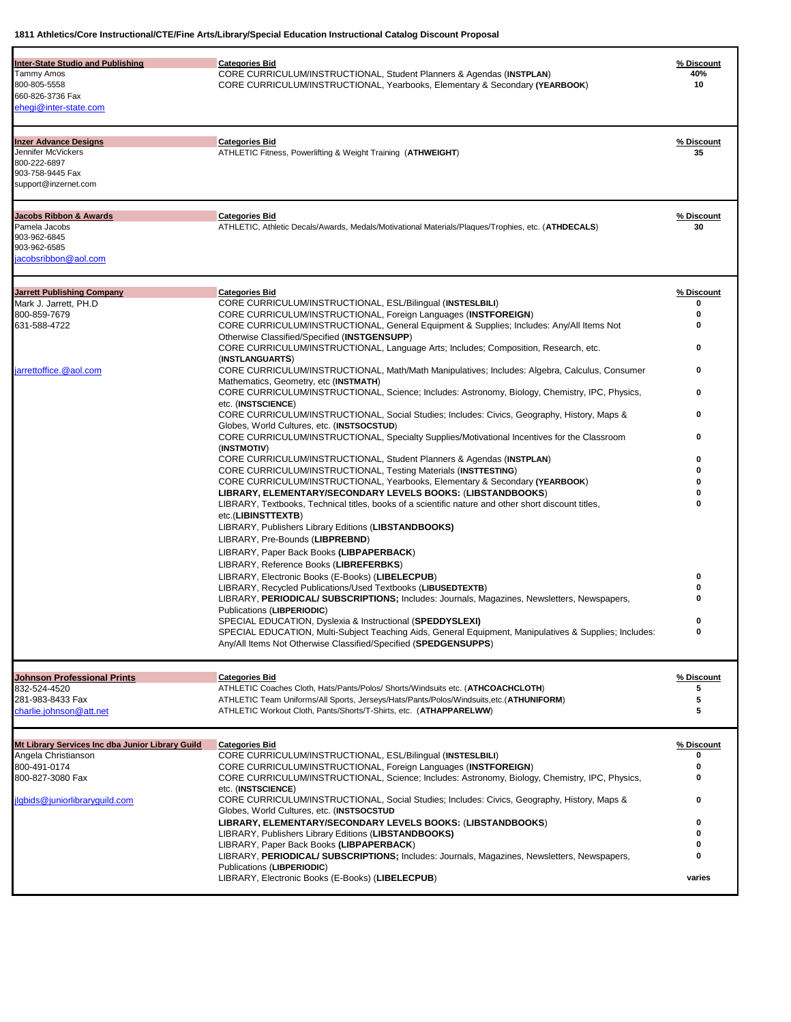| <b>Inter-State Studio and Publishing</b><br><b>Tammy Amos</b><br>800-805-5558<br>660-826-3736 Fax<br>ehegi@inter-state.com                    | <b>Categories Bid</b><br>CORE CURRICULUM/INSTRUCTIONAL, Student Planners & Agendas (INSTPLAN)<br><b>CORE CURRICULUM/INSTRUCTIONAL, Yearbooks, Elementary &amp; Secondary (YEARBOOK)</b>                                                                                                                                                                                                                                                                                                                                                                                                                                                                                                                                                                                                                                                                                                                                                                                                                                                                                                                                                                                                                                                                                                                                                                                                                                                                                                                                                                                                                                                                                                                                                                                                                                                                                                                                                                                                                                                              | % Discount<br>40%<br>10                                                  |
|-----------------------------------------------------------------------------------------------------------------------------------------------|------------------------------------------------------------------------------------------------------------------------------------------------------------------------------------------------------------------------------------------------------------------------------------------------------------------------------------------------------------------------------------------------------------------------------------------------------------------------------------------------------------------------------------------------------------------------------------------------------------------------------------------------------------------------------------------------------------------------------------------------------------------------------------------------------------------------------------------------------------------------------------------------------------------------------------------------------------------------------------------------------------------------------------------------------------------------------------------------------------------------------------------------------------------------------------------------------------------------------------------------------------------------------------------------------------------------------------------------------------------------------------------------------------------------------------------------------------------------------------------------------------------------------------------------------------------------------------------------------------------------------------------------------------------------------------------------------------------------------------------------------------------------------------------------------------------------------------------------------------------------------------------------------------------------------------------------------------------------------------------------------------------------------------------------------|--------------------------------------------------------------------------|
| <b>Inzer Advance Designs</b><br>Jennifer McVickers<br>800-222-6897<br>903-758-9445 Fax<br>support@inzernet.com                                | <b>Categories Bid</b><br>ATHLETIC Fitness, Powerlifting & Weight Training (ATHWEIGHT)                                                                                                                                                                                                                                                                                                                                                                                                                                                                                                                                                                                                                                                                                                                                                                                                                                                                                                                                                                                                                                                                                                                                                                                                                                                                                                                                                                                                                                                                                                                                                                                                                                                                                                                                                                                                                                                                                                                                                                | % Discount<br>35                                                         |
| <b>Jacobs Ribbon &amp; Awards</b><br>Pamela Jacobs<br>903-962-6845<br>903-962-6585<br>jacobsribbon@aol.com                                    | <b>Categories Bid</b><br>ATHLETIC, Athletic Decals/Awards, Medals/Motivational Materials/Plaques/Trophies, etc. (ATHDECALS)                                                                                                                                                                                                                                                                                                                                                                                                                                                                                                                                                                                                                                                                                                                                                                                                                                                                                                                                                                                                                                                                                                                                                                                                                                                                                                                                                                                                                                                                                                                                                                                                                                                                                                                                                                                                                                                                                                                          | % Discount<br>30                                                         |
| <b>Jarrett Publishing Company</b><br>Mark J. Jarrett, PH.D<br>800-859-7679<br>631-588-4722<br>jarrettoffice.@aol.com                          | <b>Categories Bid</b><br>CORE CURRICULUM/INSTRUCTIONAL, ESL/Bilingual (INSTESLBILI)<br>CORE CURRICULUM/INSTRUCTIONAL, Foreign Languages (INSTFOREIGN)<br>CORE CURRICULUM/INSTRUCTIONAL, General Equipment & Supplies; Includes: Any/All Items Not<br>Otherwise Classified/Specified (INSTGENSUPP)<br>CORE CURRICULUM/INSTRUCTIONAL, Language Arts; Includes; Composition, Research, etc.<br>(INSTLANGUARTS)<br>CORE CURRICULUM/INSTRUCTIONAL, Math/Math Manipulatives; Includes: Algebra, Calculus, Consumer<br>Mathematics, Geometry, etc (INSTMATH)<br>CORE CURRICULUM/INSTRUCTIONAL, Science; Includes: Astronomy, Biology, Chemistry, IPC, Physics,<br>etc. (INSTSCIENCE)<br>CORE CURRICULUM/INSTRUCTIONAL, Social Studies; Includes: Civics, Geography, History, Maps &<br>Globes, World Cultures, etc. (INSTSOCSTUD)<br>CORE CURRICULUM/INSTRUCTIONAL, Specialty Supplies/Motivational Incentives for the Classroom<br>(INSTMOTIV)<br>CORE CURRICULUM/INSTRUCTIONAL, Student Planners & Agendas (INSTPLAN)<br>CORE CURRICULUM/INSTRUCTIONAL, Testing Materials (INSTTESTING)<br><b>CORE CURRICULUM/INSTRUCTIONAL, Yearbooks, Elementary &amp; Secondary (YEARBOOK)</b><br>LIBRARY, ELEMENTARY/SECONDARY LEVELS BOOKS: (LIBSTANDBOOKS)<br>LIBRARY, Textbooks, Technical titles, books of a scientific nature and other short discount titles,<br>etc.(LIBINSTTEXTB)<br>LIBRARY, Publishers Library Editions (LIBSTANDBOOKS)<br>LIBRARY, Pre-Bounds (LIBPREBND)<br>LIBRARY, Paper Back Books (LIBPAPERBACK)<br>LIBRARY, Reference Books (LIBREFERBKS)<br>LIBRARY, Electronic Books (E-Books) (LIBELECPUB)<br>LIBRARY, Recycled Publications/Used Textbooks (LIBUSEDTEXTB)<br>LIBRARY, PERIODICAL/ SUBSCRIPTIONS; Includes: Journals, Magazines, Newsletters, Newspapers,<br>Publications (LIBPERIODIC)<br>SPECIAL EDUCATION, Dyslexia & Instructional (SPEDDYSLEXI)<br>SPECIAL EDUCATION, Multi-Subject Teaching Aids, General Equipment, Manipulatives & Supplies; Includes:<br>Any/All Items Not Otherwise Classified/Specified (SPEDGENSUPPS) | % Discount<br>0<br>o<br>0<br>0<br>0<br>0<br>0<br>o<br>0<br>$\Omega$<br>0 |
| <b>Johnson Professional Prints</b><br>832-524-4520<br>281-983-8433 Fax<br>charlie.johnson@att.net                                             | <b>Categories Bid</b><br>ATHLETIC Coaches Cloth, Hats/Pants/Polos/ Shorts/Windsuits etc. (ATHCOACHCLOTH)<br>ATHLETIC Team Uniforms/All Sports, Jerseys/Hats/Pants/Polos/Windsuits,etc.(ATHUNIFORM)<br>ATHLETIC Workout Cloth, Pants/Shorts/T-Shirts, etc. (ATHAPPARELWW)                                                                                                                                                                                                                                                                                                                                                                                                                                                                                                                                                                                                                                                                                                                                                                                                                                                                                                                                                                                                                                                                                                                                                                                                                                                                                                                                                                                                                                                                                                                                                                                                                                                                                                                                                                             | % Discount<br>5<br>5<br>5                                                |
| Mt Library Services Inc dba Junior Library Guild<br>Angela Christianson<br>800-491-0174<br>800-827-3080 Fax<br>jlgbids@juniorlibraryguild.com | <b>Categories Bid</b><br>CORE CURRICULUM/INSTRUCTIONAL, ESL/Bilingual (INSTESLBILI)<br>CORE CURRICULUM/INSTRUCTIONAL, Foreign Languages (INSTFOREIGN)<br>CORE CURRICULUM/INSTRUCTIONAL, Science; Includes: Astronomy, Biology, Chemistry, IPC, Physics,<br>etc. (INSTSCIENCE)<br>CORE CURRICULUM/INSTRUCTIONAL, Social Studies; Includes: Civics, Geography, History, Maps &<br>Globes, World Cultures, etc. (INSTSOCSTUD<br>LIBRARY, ELEMENTARY/SECONDARY LEVELS BOOKS: (LIBSTANDBOOKS)<br>LIBRARY, Publishers Library Editions (LIBSTANDBOOKS)<br>LIBRARY, Paper Back Books (LIBPAPERBACK)<br>LIBRARY, PERIODICAL/ SUBSCRIPTIONS; Includes: Journals, Magazines, Newsletters, Newspapers,<br>Publications (LIBPERIODIC)<br>LIBRARY, Electronic Books (E-Books) (LIBELECPUB)                                                                                                                                                                                                                                                                                                                                                                                                                                                                                                                                                                                                                                                                                                                                                                                                                                                                                                                                                                                                                                                                                                                                                                                                                                                                        | % Discount<br>o<br>0<br>0<br>0<br>0<br>0<br>varies                       |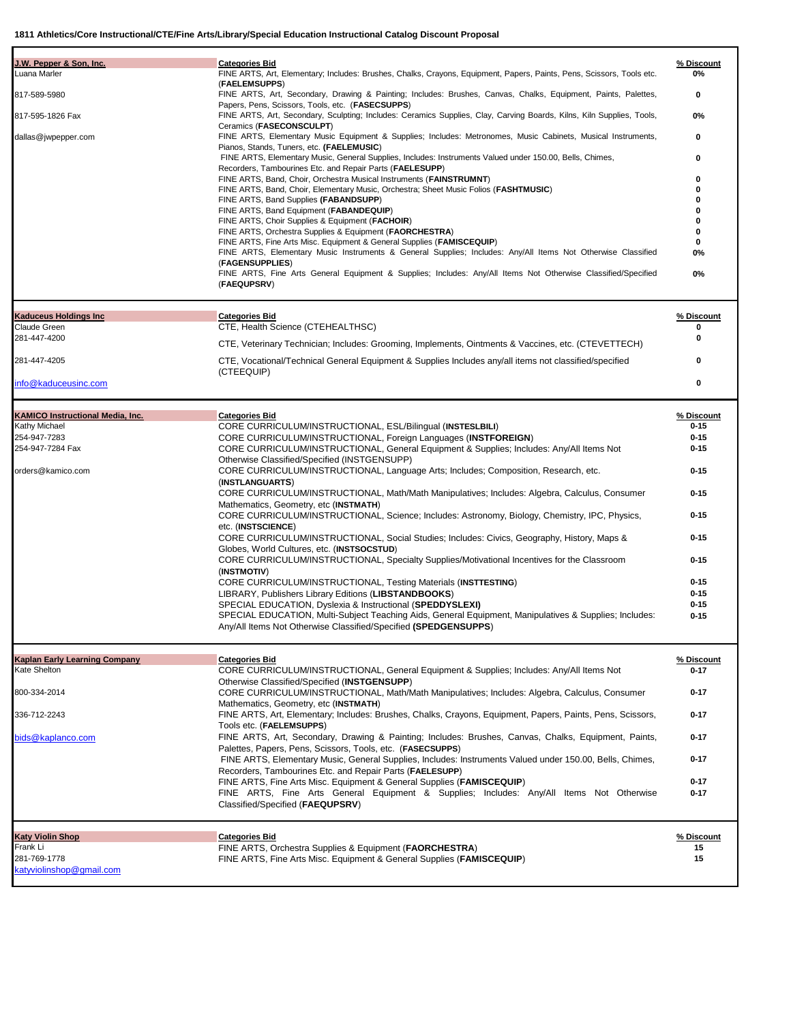| Luana Marler<br>FINE ARTS, Art, Elementary; Includes: Brushes, Chalks, Crayons, Equipment, Papers, Paints, Pens, Scissors, Tools etc.<br>0%<br>(FAELEMSUPPS)<br>FINE ARTS, Art, Secondary, Drawing & Painting; Includes: Brushes, Canvas, Chalks, Equipment, Paints, Palettes,<br>817-589-5980<br>0<br>Papers, Pens, Scissors, Tools, etc. (FASECSUPPS)<br>817-595-1826 Fax<br>FINE ARTS, Art, Secondary, Sculpting; Includes: Ceramics Supplies, Clay, Carving Boards, Kilns, Kiln Supplies, Tools,<br>0%<br>Ceramics (FASECONSCULPT)<br>FINE ARTS, Elementary Music Equipment & Supplies; Includes: Metronomes, Music Cabinets, Musical Instruments,<br>0<br>dallas@jwpepper.com<br>Pianos, Stands, Tuners, etc. (FAELEMUSIC)<br>FINE ARTS, Elementary Music, General Supplies, Includes: Instruments Valued under 150.00, Bells, Chimes,<br>0<br>Recorders, Tambourines Etc. and Repair Parts (FAELESUPP)<br>FINE ARTS, Band, Choir, Orchestra Musical Instruments (FAINSTRUMNT)<br>0<br>FINE ARTS, Band, Choir, Elementary Music, Orchestra; Sheet Music Folios (FASHTMUSIC)<br>0<br>FINE ARTS, Band Supplies (FABANDSUPP)<br>o<br>FINE ARTS, Band Equipment (FABANDEQUIP)<br>O<br>FINE ARTS, Choir Supplies & Equipment (FACHOIR)<br>FINE ARTS, Orchestra Supplies & Equipment (FAORCHESTRA)<br>n<br>FINE ARTS, Fine Arts Misc. Equipment & General Supplies (FAMISCEQUIP)<br>0<br>FINE ARTS, Elementary Music Instruments & General Supplies; Includes: Any/All Items Not Otherwise Classified<br>0%<br>(FAGENSUPPLIES)<br>FINE ARTS, Fine Arts General Equipment & Supplies; Includes: Any/All Items Not Otherwise Classified/Specified<br>0%<br>(FAEQUPSRV)<br><b>Kaduceus Holdings Inc</b><br><b>Categories Bid</b><br>% Discount<br>Claude Green<br>CTE, Health Science (CTEHEALTHSC)<br>0<br>281-447-4200<br>o<br>CTE, Veterinary Technician; Includes: Grooming, Implements, Ointments & Vaccines, etc. (CTEVETTECH)<br>281-447-4205<br>CTE, Vocational/Technical General Equipment & Supplies Includes any/all items not classified/specified<br>o<br>(CTEEQUIP)<br>0<br>info@kaduceusinc.com<br><b>KAMICO Instructional Media, Inc.</b><br><b>Categories Bid</b><br>% Discount<br>Kathy Michael<br>CORE CURRICULUM/INSTRUCTIONAL, ESL/Bilingual (INSTESLBILI)<br>$0 - 15$<br>254-947-7283<br>$0 - 15$<br>CORE CURRICULUM/INSTRUCTIONAL, Foreign Languages (INSTFOREIGN)<br>254-947-7284 Fax<br>$0 - 15$<br>CORE CURRICULUM/INSTRUCTIONAL, General Equipment & Supplies; Includes: Any/All Items Not<br>Otherwise Classified/Specified (INSTGENSUPP)<br>$0 - 15$<br>orders@kamico.com<br>CORE CURRICULUM/INSTRUCTIONAL, Language Arts; Includes; Composition, Research, etc.<br>(INSTLANGUARTS)<br>$0 - 15$<br>CORE CURRICULUM/INSTRUCTIONAL, Math/Math Manipulatives; Includes: Algebra, Calculus, Consumer<br>Mathematics, Geometry, etc (INSTMATH)<br>$0 - 15$<br>CORE CURRICULUM/INSTRUCTIONAL, Science; Includes: Astronomy, Biology, Chemistry, IPC, Physics,<br>etc. (INSTSCIENCE)<br>$0 - 15$<br>CORE CURRICULUM/INSTRUCTIONAL, Social Studies; Includes: Civics, Geography, History, Maps &<br>Globes, World Cultures, etc. (INSTSOCSTUD)<br>CORE CURRICULUM/INSTRUCTIONAL, Specialty Supplies/Motivational Incentives for the Classroom<br>$0 - 15$<br>(INSTMOTIV)<br>$0 - 15$<br>CORE CURRICULUM/INSTRUCTIONAL, Testing Materials (INSTTESTING)<br>LIBRARY, Publishers Library Editions (LIBSTANDBOOKS)<br>$0 - 15$<br>SPECIAL EDUCATION, Dyslexia & Instructional (SPEDDYSLEXI)<br>$0 - 15$<br>SPECIAL EDUCATION, Multi-Subject Teaching Aids, General Equipment, Manipulatives & Supplies; Includes:<br>$0 - 15$<br>Any/All Items Not Otherwise Classified/Specified (SPEDGENSUPPS)<br>% Discount<br>Kaplan Early Learning Company<br><b>Categories Bid</b><br>Kate Shelton<br>CORE CURRICULUM/INSTRUCTIONAL, General Equipment & Supplies; Includes: Any/All Items Not<br>$0 - 17$<br>Otherwise Classified/Specified (INSTGENSUPP)<br>800-334-2014<br>CORE CURRICULUM/INSTRUCTIONAL, Math/Math Manipulatives; Includes: Algebra, Calculus, Consumer<br>$0 - 17$<br>Mathematics, Geometry, etc (INSTMATH)<br>FINE ARTS, Art, Elementary; Includes: Brushes, Chalks, Crayons, Equipment, Papers, Paints, Pens, Scissors,<br>$0 - 17$<br>336-712-2243<br>Tools etc. (FAELEMSUPPS)<br>FINE ARTS, Art, Secondary, Drawing & Painting; Includes: Brushes, Canvas, Chalks, Equipment, Paints,<br>$0 - 17$<br>bids@kaplanco.com<br>Palettes, Papers, Pens, Scissors, Tools, etc. (FASECSUPPS)<br>FINE ARTS, Elementary Music, General Supplies, Includes: Instruments Valued under 150.00, Bells, Chimes,<br>$0 - 17$<br>Recorders, Tambourines Etc. and Repair Parts (FAELESUPP)<br>FINE ARTS, Fine Arts Misc. Equipment & General Supplies (FAMISCEQUIP)<br>$0 - 17$<br>FINE ARTS, Fine Arts General Equipment & Supplies; Includes: Any/All Items Not Otherwise<br>$0 - 17$<br>Classified/Specified (FAEQUPSRV)<br><b>Katy Violin Shop</b><br><b>Categories Bid</b><br>% Discount<br>Frank Li<br>15<br>FINE ARTS, Orchestra Supplies & Equipment (FAORCHESTRA)<br>281-769-1778<br>15<br>FINE ARTS, Fine Arts Misc. Equipment & General Supplies (FAMISCEQUIP)<br>katwiolinshop@gmail.com | J.W. Pepper & Son, Inc. | <b>Categories Bid</b> | % Discount |
|----------------------------------------------------------------------------------------------------------------------------------------------------------------------------------------------------------------------------------------------------------------------------------------------------------------------------------------------------------------------------------------------------------------------------------------------------------------------------------------------------------------------------------------------------------------------------------------------------------------------------------------------------------------------------------------------------------------------------------------------------------------------------------------------------------------------------------------------------------------------------------------------------------------------------------------------------------------------------------------------------------------------------------------------------------------------------------------------------------------------------------------------------------------------------------------------------------------------------------------------------------------------------------------------------------------------------------------------------------------------------------------------------------------------------------------------------------------------------------------------------------------------------------------------------------------------------------------------------------------------------------------------------------------------------------------------------------------------------------------------------------------------------------------------------------------------------------------------------------------------------------------------------------------------------------------------------------------------------------------------------------------------------------------------------------------------------------------------------------------------------------------------------------------------------------------------------------------------------------------------------------------------------------------------------------------------------------------------------------------------------------------------------------------------------------------------------------------------------------------------------------------------------------------------------------------------------------------------------------------------------------------------------------------------------------------------------------------------------------------------------------------------------------------------------------------------------------------------------------------------------------------------------------------------------------------------------------------------------------------------------------------------------------------------------------------------------------------------------------------------------------------------------------------------------------------------------------------------------------------------------------------------------------------------------------------------------------------------------------------------------------------------------------------------------------------------------------------------------------------------------------------------------------------------------------------------------------------------------------------------------------------------------------------------------------------------------------------------------------------------------------------------------------------------------------------------------------------------------------------------------------------------------------------------------------------------------------------------------------------------------------------------------------------------------------------------------------------------------------------------------------------------------------------------------------------------------------------------------------------------------------------------------------------------------------------------------------------------------------------------------------------------------------------------------------------------------------------------------------------------------------------------------------------------------------------------------------------------------------------------------------------------------------------------------------------------------------------------------------------------------------------------------------------------------------------------------------------------------------------------------------------------------------------------------------------------------------------------------------------------------------------------------------------------------------------------------------------------------------------------------------------------------------------------------------------------------------------|-------------------------|-----------------------|------------|
|                                                                                                                                                                                                                                                                                                                                                                                                                                                                                                                                                                                                                                                                                                                                                                                                                                                                                                                                                                                                                                                                                                                                                                                                                                                                                                                                                                                                                                                                                                                                                                                                                                                                                                                                                                                                                                                                                                                                                                                                                                                                                                                                                                                                                                                                                                                                                                                                                                                                                                                                                                                                                                                                                                                                                                                                                                                                                                                                                                                                                                                                                                                                                                                                                                                                                                                                                                                                                                                                                                                                                                                                                                                                                                                                                                                                                                                                                                                                                                                                                                                                                                                                                                                                                                                                                                                                                                                                                                                                                                                                                                                                                                                                                                                                                                                                                                                                                                                                                                                                                                                                                                                                                                                                                |                         |                       |            |
|                                                                                                                                                                                                                                                                                                                                                                                                                                                                                                                                                                                                                                                                                                                                                                                                                                                                                                                                                                                                                                                                                                                                                                                                                                                                                                                                                                                                                                                                                                                                                                                                                                                                                                                                                                                                                                                                                                                                                                                                                                                                                                                                                                                                                                                                                                                                                                                                                                                                                                                                                                                                                                                                                                                                                                                                                                                                                                                                                                                                                                                                                                                                                                                                                                                                                                                                                                                                                                                                                                                                                                                                                                                                                                                                                                                                                                                                                                                                                                                                                                                                                                                                                                                                                                                                                                                                                                                                                                                                                                                                                                                                                                                                                                                                                                                                                                                                                                                                                                                                                                                                                                                                                                                                                |                         |                       |            |
|                                                                                                                                                                                                                                                                                                                                                                                                                                                                                                                                                                                                                                                                                                                                                                                                                                                                                                                                                                                                                                                                                                                                                                                                                                                                                                                                                                                                                                                                                                                                                                                                                                                                                                                                                                                                                                                                                                                                                                                                                                                                                                                                                                                                                                                                                                                                                                                                                                                                                                                                                                                                                                                                                                                                                                                                                                                                                                                                                                                                                                                                                                                                                                                                                                                                                                                                                                                                                                                                                                                                                                                                                                                                                                                                                                                                                                                                                                                                                                                                                                                                                                                                                                                                                                                                                                                                                                                                                                                                                                                                                                                                                                                                                                                                                                                                                                                                                                                                                                                                                                                                                                                                                                                                                |                         |                       |            |
|                                                                                                                                                                                                                                                                                                                                                                                                                                                                                                                                                                                                                                                                                                                                                                                                                                                                                                                                                                                                                                                                                                                                                                                                                                                                                                                                                                                                                                                                                                                                                                                                                                                                                                                                                                                                                                                                                                                                                                                                                                                                                                                                                                                                                                                                                                                                                                                                                                                                                                                                                                                                                                                                                                                                                                                                                                                                                                                                                                                                                                                                                                                                                                                                                                                                                                                                                                                                                                                                                                                                                                                                                                                                                                                                                                                                                                                                                                                                                                                                                                                                                                                                                                                                                                                                                                                                                                                                                                                                                                                                                                                                                                                                                                                                                                                                                                                                                                                                                                                                                                                                                                                                                                                                                |                         |                       |            |
|                                                                                                                                                                                                                                                                                                                                                                                                                                                                                                                                                                                                                                                                                                                                                                                                                                                                                                                                                                                                                                                                                                                                                                                                                                                                                                                                                                                                                                                                                                                                                                                                                                                                                                                                                                                                                                                                                                                                                                                                                                                                                                                                                                                                                                                                                                                                                                                                                                                                                                                                                                                                                                                                                                                                                                                                                                                                                                                                                                                                                                                                                                                                                                                                                                                                                                                                                                                                                                                                                                                                                                                                                                                                                                                                                                                                                                                                                                                                                                                                                                                                                                                                                                                                                                                                                                                                                                                                                                                                                                                                                                                                                                                                                                                                                                                                                                                                                                                                                                                                                                                                                                                                                                                                                |                         |                       |            |
|                                                                                                                                                                                                                                                                                                                                                                                                                                                                                                                                                                                                                                                                                                                                                                                                                                                                                                                                                                                                                                                                                                                                                                                                                                                                                                                                                                                                                                                                                                                                                                                                                                                                                                                                                                                                                                                                                                                                                                                                                                                                                                                                                                                                                                                                                                                                                                                                                                                                                                                                                                                                                                                                                                                                                                                                                                                                                                                                                                                                                                                                                                                                                                                                                                                                                                                                                                                                                                                                                                                                                                                                                                                                                                                                                                                                                                                                                                                                                                                                                                                                                                                                                                                                                                                                                                                                                                                                                                                                                                                                                                                                                                                                                                                                                                                                                                                                                                                                                                                                                                                                                                                                                                                                                |                         |                       |            |
|                                                                                                                                                                                                                                                                                                                                                                                                                                                                                                                                                                                                                                                                                                                                                                                                                                                                                                                                                                                                                                                                                                                                                                                                                                                                                                                                                                                                                                                                                                                                                                                                                                                                                                                                                                                                                                                                                                                                                                                                                                                                                                                                                                                                                                                                                                                                                                                                                                                                                                                                                                                                                                                                                                                                                                                                                                                                                                                                                                                                                                                                                                                                                                                                                                                                                                                                                                                                                                                                                                                                                                                                                                                                                                                                                                                                                                                                                                                                                                                                                                                                                                                                                                                                                                                                                                                                                                                                                                                                                                                                                                                                                                                                                                                                                                                                                                                                                                                                                                                                                                                                                                                                                                                                                |                         |                       |            |
|                                                                                                                                                                                                                                                                                                                                                                                                                                                                                                                                                                                                                                                                                                                                                                                                                                                                                                                                                                                                                                                                                                                                                                                                                                                                                                                                                                                                                                                                                                                                                                                                                                                                                                                                                                                                                                                                                                                                                                                                                                                                                                                                                                                                                                                                                                                                                                                                                                                                                                                                                                                                                                                                                                                                                                                                                                                                                                                                                                                                                                                                                                                                                                                                                                                                                                                                                                                                                                                                                                                                                                                                                                                                                                                                                                                                                                                                                                                                                                                                                                                                                                                                                                                                                                                                                                                                                                                                                                                                                                                                                                                                                                                                                                                                                                                                                                                                                                                                                                                                                                                                                                                                                                                                                |                         |                       |            |
|                                                                                                                                                                                                                                                                                                                                                                                                                                                                                                                                                                                                                                                                                                                                                                                                                                                                                                                                                                                                                                                                                                                                                                                                                                                                                                                                                                                                                                                                                                                                                                                                                                                                                                                                                                                                                                                                                                                                                                                                                                                                                                                                                                                                                                                                                                                                                                                                                                                                                                                                                                                                                                                                                                                                                                                                                                                                                                                                                                                                                                                                                                                                                                                                                                                                                                                                                                                                                                                                                                                                                                                                                                                                                                                                                                                                                                                                                                                                                                                                                                                                                                                                                                                                                                                                                                                                                                                                                                                                                                                                                                                                                                                                                                                                                                                                                                                                                                                                                                                                                                                                                                                                                                                                                |                         |                       |            |
|                                                                                                                                                                                                                                                                                                                                                                                                                                                                                                                                                                                                                                                                                                                                                                                                                                                                                                                                                                                                                                                                                                                                                                                                                                                                                                                                                                                                                                                                                                                                                                                                                                                                                                                                                                                                                                                                                                                                                                                                                                                                                                                                                                                                                                                                                                                                                                                                                                                                                                                                                                                                                                                                                                                                                                                                                                                                                                                                                                                                                                                                                                                                                                                                                                                                                                                                                                                                                                                                                                                                                                                                                                                                                                                                                                                                                                                                                                                                                                                                                                                                                                                                                                                                                                                                                                                                                                                                                                                                                                                                                                                                                                                                                                                                                                                                                                                                                                                                                                                                                                                                                                                                                                                                                |                         |                       |            |
|                                                                                                                                                                                                                                                                                                                                                                                                                                                                                                                                                                                                                                                                                                                                                                                                                                                                                                                                                                                                                                                                                                                                                                                                                                                                                                                                                                                                                                                                                                                                                                                                                                                                                                                                                                                                                                                                                                                                                                                                                                                                                                                                                                                                                                                                                                                                                                                                                                                                                                                                                                                                                                                                                                                                                                                                                                                                                                                                                                                                                                                                                                                                                                                                                                                                                                                                                                                                                                                                                                                                                                                                                                                                                                                                                                                                                                                                                                                                                                                                                                                                                                                                                                                                                                                                                                                                                                                                                                                                                                                                                                                                                                                                                                                                                                                                                                                                                                                                                                                                                                                                                                                                                                                                                |                         |                       |            |
|                                                                                                                                                                                                                                                                                                                                                                                                                                                                                                                                                                                                                                                                                                                                                                                                                                                                                                                                                                                                                                                                                                                                                                                                                                                                                                                                                                                                                                                                                                                                                                                                                                                                                                                                                                                                                                                                                                                                                                                                                                                                                                                                                                                                                                                                                                                                                                                                                                                                                                                                                                                                                                                                                                                                                                                                                                                                                                                                                                                                                                                                                                                                                                                                                                                                                                                                                                                                                                                                                                                                                                                                                                                                                                                                                                                                                                                                                                                                                                                                                                                                                                                                                                                                                                                                                                                                                                                                                                                                                                                                                                                                                                                                                                                                                                                                                                                                                                                                                                                                                                                                                                                                                                                                                |                         |                       |            |
|                                                                                                                                                                                                                                                                                                                                                                                                                                                                                                                                                                                                                                                                                                                                                                                                                                                                                                                                                                                                                                                                                                                                                                                                                                                                                                                                                                                                                                                                                                                                                                                                                                                                                                                                                                                                                                                                                                                                                                                                                                                                                                                                                                                                                                                                                                                                                                                                                                                                                                                                                                                                                                                                                                                                                                                                                                                                                                                                                                                                                                                                                                                                                                                                                                                                                                                                                                                                                                                                                                                                                                                                                                                                                                                                                                                                                                                                                                                                                                                                                                                                                                                                                                                                                                                                                                                                                                                                                                                                                                                                                                                                                                                                                                                                                                                                                                                                                                                                                                                                                                                                                                                                                                                                                |                         |                       |            |
|                                                                                                                                                                                                                                                                                                                                                                                                                                                                                                                                                                                                                                                                                                                                                                                                                                                                                                                                                                                                                                                                                                                                                                                                                                                                                                                                                                                                                                                                                                                                                                                                                                                                                                                                                                                                                                                                                                                                                                                                                                                                                                                                                                                                                                                                                                                                                                                                                                                                                                                                                                                                                                                                                                                                                                                                                                                                                                                                                                                                                                                                                                                                                                                                                                                                                                                                                                                                                                                                                                                                                                                                                                                                                                                                                                                                                                                                                                                                                                                                                                                                                                                                                                                                                                                                                                                                                                                                                                                                                                                                                                                                                                                                                                                                                                                                                                                                                                                                                                                                                                                                                                                                                                                                                |                         |                       |            |
|                                                                                                                                                                                                                                                                                                                                                                                                                                                                                                                                                                                                                                                                                                                                                                                                                                                                                                                                                                                                                                                                                                                                                                                                                                                                                                                                                                                                                                                                                                                                                                                                                                                                                                                                                                                                                                                                                                                                                                                                                                                                                                                                                                                                                                                                                                                                                                                                                                                                                                                                                                                                                                                                                                                                                                                                                                                                                                                                                                                                                                                                                                                                                                                                                                                                                                                                                                                                                                                                                                                                                                                                                                                                                                                                                                                                                                                                                                                                                                                                                                                                                                                                                                                                                                                                                                                                                                                                                                                                                                                                                                                                                                                                                                                                                                                                                                                                                                                                                                                                                                                                                                                                                                                                                |                         |                       |            |
|                                                                                                                                                                                                                                                                                                                                                                                                                                                                                                                                                                                                                                                                                                                                                                                                                                                                                                                                                                                                                                                                                                                                                                                                                                                                                                                                                                                                                                                                                                                                                                                                                                                                                                                                                                                                                                                                                                                                                                                                                                                                                                                                                                                                                                                                                                                                                                                                                                                                                                                                                                                                                                                                                                                                                                                                                                                                                                                                                                                                                                                                                                                                                                                                                                                                                                                                                                                                                                                                                                                                                                                                                                                                                                                                                                                                                                                                                                                                                                                                                                                                                                                                                                                                                                                                                                                                                                                                                                                                                                                                                                                                                                                                                                                                                                                                                                                                                                                                                                                                                                                                                                                                                                                                                |                         |                       |            |
|                                                                                                                                                                                                                                                                                                                                                                                                                                                                                                                                                                                                                                                                                                                                                                                                                                                                                                                                                                                                                                                                                                                                                                                                                                                                                                                                                                                                                                                                                                                                                                                                                                                                                                                                                                                                                                                                                                                                                                                                                                                                                                                                                                                                                                                                                                                                                                                                                                                                                                                                                                                                                                                                                                                                                                                                                                                                                                                                                                                                                                                                                                                                                                                                                                                                                                                                                                                                                                                                                                                                                                                                                                                                                                                                                                                                                                                                                                                                                                                                                                                                                                                                                                                                                                                                                                                                                                                                                                                                                                                                                                                                                                                                                                                                                                                                                                                                                                                                                                                                                                                                                                                                                                                                                |                         |                       |            |
|                                                                                                                                                                                                                                                                                                                                                                                                                                                                                                                                                                                                                                                                                                                                                                                                                                                                                                                                                                                                                                                                                                                                                                                                                                                                                                                                                                                                                                                                                                                                                                                                                                                                                                                                                                                                                                                                                                                                                                                                                                                                                                                                                                                                                                                                                                                                                                                                                                                                                                                                                                                                                                                                                                                                                                                                                                                                                                                                                                                                                                                                                                                                                                                                                                                                                                                                                                                                                                                                                                                                                                                                                                                                                                                                                                                                                                                                                                                                                                                                                                                                                                                                                                                                                                                                                                                                                                                                                                                                                                                                                                                                                                                                                                                                                                                                                                                                                                                                                                                                                                                                                                                                                                                                                |                         |                       |            |
|                                                                                                                                                                                                                                                                                                                                                                                                                                                                                                                                                                                                                                                                                                                                                                                                                                                                                                                                                                                                                                                                                                                                                                                                                                                                                                                                                                                                                                                                                                                                                                                                                                                                                                                                                                                                                                                                                                                                                                                                                                                                                                                                                                                                                                                                                                                                                                                                                                                                                                                                                                                                                                                                                                                                                                                                                                                                                                                                                                                                                                                                                                                                                                                                                                                                                                                                                                                                                                                                                                                                                                                                                                                                                                                                                                                                                                                                                                                                                                                                                                                                                                                                                                                                                                                                                                                                                                                                                                                                                                                                                                                                                                                                                                                                                                                                                                                                                                                                                                                                                                                                                                                                                                                                                |                         |                       |            |
|                                                                                                                                                                                                                                                                                                                                                                                                                                                                                                                                                                                                                                                                                                                                                                                                                                                                                                                                                                                                                                                                                                                                                                                                                                                                                                                                                                                                                                                                                                                                                                                                                                                                                                                                                                                                                                                                                                                                                                                                                                                                                                                                                                                                                                                                                                                                                                                                                                                                                                                                                                                                                                                                                                                                                                                                                                                                                                                                                                                                                                                                                                                                                                                                                                                                                                                                                                                                                                                                                                                                                                                                                                                                                                                                                                                                                                                                                                                                                                                                                                                                                                                                                                                                                                                                                                                                                                                                                                                                                                                                                                                                                                                                                                                                                                                                                                                                                                                                                                                                                                                                                                                                                                                                                |                         |                       |            |
|                                                                                                                                                                                                                                                                                                                                                                                                                                                                                                                                                                                                                                                                                                                                                                                                                                                                                                                                                                                                                                                                                                                                                                                                                                                                                                                                                                                                                                                                                                                                                                                                                                                                                                                                                                                                                                                                                                                                                                                                                                                                                                                                                                                                                                                                                                                                                                                                                                                                                                                                                                                                                                                                                                                                                                                                                                                                                                                                                                                                                                                                                                                                                                                                                                                                                                                                                                                                                                                                                                                                                                                                                                                                                                                                                                                                                                                                                                                                                                                                                                                                                                                                                                                                                                                                                                                                                                                                                                                                                                                                                                                                                                                                                                                                                                                                                                                                                                                                                                                                                                                                                                                                                                                                                |                         |                       |            |
|                                                                                                                                                                                                                                                                                                                                                                                                                                                                                                                                                                                                                                                                                                                                                                                                                                                                                                                                                                                                                                                                                                                                                                                                                                                                                                                                                                                                                                                                                                                                                                                                                                                                                                                                                                                                                                                                                                                                                                                                                                                                                                                                                                                                                                                                                                                                                                                                                                                                                                                                                                                                                                                                                                                                                                                                                                                                                                                                                                                                                                                                                                                                                                                                                                                                                                                                                                                                                                                                                                                                                                                                                                                                                                                                                                                                                                                                                                                                                                                                                                                                                                                                                                                                                                                                                                                                                                                                                                                                                                                                                                                                                                                                                                                                                                                                                                                                                                                                                                                                                                                                                                                                                                                                                |                         |                       |            |
|                                                                                                                                                                                                                                                                                                                                                                                                                                                                                                                                                                                                                                                                                                                                                                                                                                                                                                                                                                                                                                                                                                                                                                                                                                                                                                                                                                                                                                                                                                                                                                                                                                                                                                                                                                                                                                                                                                                                                                                                                                                                                                                                                                                                                                                                                                                                                                                                                                                                                                                                                                                                                                                                                                                                                                                                                                                                                                                                                                                                                                                                                                                                                                                                                                                                                                                                                                                                                                                                                                                                                                                                                                                                                                                                                                                                                                                                                                                                                                                                                                                                                                                                                                                                                                                                                                                                                                                                                                                                                                                                                                                                                                                                                                                                                                                                                                                                                                                                                                                                                                                                                                                                                                                                                |                         |                       |            |
|                                                                                                                                                                                                                                                                                                                                                                                                                                                                                                                                                                                                                                                                                                                                                                                                                                                                                                                                                                                                                                                                                                                                                                                                                                                                                                                                                                                                                                                                                                                                                                                                                                                                                                                                                                                                                                                                                                                                                                                                                                                                                                                                                                                                                                                                                                                                                                                                                                                                                                                                                                                                                                                                                                                                                                                                                                                                                                                                                                                                                                                                                                                                                                                                                                                                                                                                                                                                                                                                                                                                                                                                                                                                                                                                                                                                                                                                                                                                                                                                                                                                                                                                                                                                                                                                                                                                                                                                                                                                                                                                                                                                                                                                                                                                                                                                                                                                                                                                                                                                                                                                                                                                                                                                                |                         |                       |            |
|                                                                                                                                                                                                                                                                                                                                                                                                                                                                                                                                                                                                                                                                                                                                                                                                                                                                                                                                                                                                                                                                                                                                                                                                                                                                                                                                                                                                                                                                                                                                                                                                                                                                                                                                                                                                                                                                                                                                                                                                                                                                                                                                                                                                                                                                                                                                                                                                                                                                                                                                                                                                                                                                                                                                                                                                                                                                                                                                                                                                                                                                                                                                                                                                                                                                                                                                                                                                                                                                                                                                                                                                                                                                                                                                                                                                                                                                                                                                                                                                                                                                                                                                                                                                                                                                                                                                                                                                                                                                                                                                                                                                                                                                                                                                                                                                                                                                                                                                                                                                                                                                                                                                                                                                                |                         |                       |            |
|                                                                                                                                                                                                                                                                                                                                                                                                                                                                                                                                                                                                                                                                                                                                                                                                                                                                                                                                                                                                                                                                                                                                                                                                                                                                                                                                                                                                                                                                                                                                                                                                                                                                                                                                                                                                                                                                                                                                                                                                                                                                                                                                                                                                                                                                                                                                                                                                                                                                                                                                                                                                                                                                                                                                                                                                                                                                                                                                                                                                                                                                                                                                                                                                                                                                                                                                                                                                                                                                                                                                                                                                                                                                                                                                                                                                                                                                                                                                                                                                                                                                                                                                                                                                                                                                                                                                                                                                                                                                                                                                                                                                                                                                                                                                                                                                                                                                                                                                                                                                                                                                                                                                                                                                                |                         |                       |            |
|                                                                                                                                                                                                                                                                                                                                                                                                                                                                                                                                                                                                                                                                                                                                                                                                                                                                                                                                                                                                                                                                                                                                                                                                                                                                                                                                                                                                                                                                                                                                                                                                                                                                                                                                                                                                                                                                                                                                                                                                                                                                                                                                                                                                                                                                                                                                                                                                                                                                                                                                                                                                                                                                                                                                                                                                                                                                                                                                                                                                                                                                                                                                                                                                                                                                                                                                                                                                                                                                                                                                                                                                                                                                                                                                                                                                                                                                                                                                                                                                                                                                                                                                                                                                                                                                                                                                                                                                                                                                                                                                                                                                                                                                                                                                                                                                                                                                                                                                                                                                                                                                                                                                                                                                                |                         |                       |            |
|                                                                                                                                                                                                                                                                                                                                                                                                                                                                                                                                                                                                                                                                                                                                                                                                                                                                                                                                                                                                                                                                                                                                                                                                                                                                                                                                                                                                                                                                                                                                                                                                                                                                                                                                                                                                                                                                                                                                                                                                                                                                                                                                                                                                                                                                                                                                                                                                                                                                                                                                                                                                                                                                                                                                                                                                                                                                                                                                                                                                                                                                                                                                                                                                                                                                                                                                                                                                                                                                                                                                                                                                                                                                                                                                                                                                                                                                                                                                                                                                                                                                                                                                                                                                                                                                                                                                                                                                                                                                                                                                                                                                                                                                                                                                                                                                                                                                                                                                                                                                                                                                                                                                                                                                                |                         |                       |            |
|                                                                                                                                                                                                                                                                                                                                                                                                                                                                                                                                                                                                                                                                                                                                                                                                                                                                                                                                                                                                                                                                                                                                                                                                                                                                                                                                                                                                                                                                                                                                                                                                                                                                                                                                                                                                                                                                                                                                                                                                                                                                                                                                                                                                                                                                                                                                                                                                                                                                                                                                                                                                                                                                                                                                                                                                                                                                                                                                                                                                                                                                                                                                                                                                                                                                                                                                                                                                                                                                                                                                                                                                                                                                                                                                                                                                                                                                                                                                                                                                                                                                                                                                                                                                                                                                                                                                                                                                                                                                                                                                                                                                                                                                                                                                                                                                                                                                                                                                                                                                                                                                                                                                                                                                                |                         |                       |            |
|                                                                                                                                                                                                                                                                                                                                                                                                                                                                                                                                                                                                                                                                                                                                                                                                                                                                                                                                                                                                                                                                                                                                                                                                                                                                                                                                                                                                                                                                                                                                                                                                                                                                                                                                                                                                                                                                                                                                                                                                                                                                                                                                                                                                                                                                                                                                                                                                                                                                                                                                                                                                                                                                                                                                                                                                                                                                                                                                                                                                                                                                                                                                                                                                                                                                                                                                                                                                                                                                                                                                                                                                                                                                                                                                                                                                                                                                                                                                                                                                                                                                                                                                                                                                                                                                                                                                                                                                                                                                                                                                                                                                                                                                                                                                                                                                                                                                                                                                                                                                                                                                                                                                                                                                                |                         |                       |            |
|                                                                                                                                                                                                                                                                                                                                                                                                                                                                                                                                                                                                                                                                                                                                                                                                                                                                                                                                                                                                                                                                                                                                                                                                                                                                                                                                                                                                                                                                                                                                                                                                                                                                                                                                                                                                                                                                                                                                                                                                                                                                                                                                                                                                                                                                                                                                                                                                                                                                                                                                                                                                                                                                                                                                                                                                                                                                                                                                                                                                                                                                                                                                                                                                                                                                                                                                                                                                                                                                                                                                                                                                                                                                                                                                                                                                                                                                                                                                                                                                                                                                                                                                                                                                                                                                                                                                                                                                                                                                                                                                                                                                                                                                                                                                                                                                                                                                                                                                                                                                                                                                                                                                                                                                                |                         |                       |            |
|                                                                                                                                                                                                                                                                                                                                                                                                                                                                                                                                                                                                                                                                                                                                                                                                                                                                                                                                                                                                                                                                                                                                                                                                                                                                                                                                                                                                                                                                                                                                                                                                                                                                                                                                                                                                                                                                                                                                                                                                                                                                                                                                                                                                                                                                                                                                                                                                                                                                                                                                                                                                                                                                                                                                                                                                                                                                                                                                                                                                                                                                                                                                                                                                                                                                                                                                                                                                                                                                                                                                                                                                                                                                                                                                                                                                                                                                                                                                                                                                                                                                                                                                                                                                                                                                                                                                                                                                                                                                                                                                                                                                                                                                                                                                                                                                                                                                                                                                                                                                                                                                                                                                                                                                                |                         |                       |            |
|                                                                                                                                                                                                                                                                                                                                                                                                                                                                                                                                                                                                                                                                                                                                                                                                                                                                                                                                                                                                                                                                                                                                                                                                                                                                                                                                                                                                                                                                                                                                                                                                                                                                                                                                                                                                                                                                                                                                                                                                                                                                                                                                                                                                                                                                                                                                                                                                                                                                                                                                                                                                                                                                                                                                                                                                                                                                                                                                                                                                                                                                                                                                                                                                                                                                                                                                                                                                                                                                                                                                                                                                                                                                                                                                                                                                                                                                                                                                                                                                                                                                                                                                                                                                                                                                                                                                                                                                                                                                                                                                                                                                                                                                                                                                                                                                                                                                                                                                                                                                                                                                                                                                                                                                                |                         |                       |            |
|                                                                                                                                                                                                                                                                                                                                                                                                                                                                                                                                                                                                                                                                                                                                                                                                                                                                                                                                                                                                                                                                                                                                                                                                                                                                                                                                                                                                                                                                                                                                                                                                                                                                                                                                                                                                                                                                                                                                                                                                                                                                                                                                                                                                                                                                                                                                                                                                                                                                                                                                                                                                                                                                                                                                                                                                                                                                                                                                                                                                                                                                                                                                                                                                                                                                                                                                                                                                                                                                                                                                                                                                                                                                                                                                                                                                                                                                                                                                                                                                                                                                                                                                                                                                                                                                                                                                                                                                                                                                                                                                                                                                                                                                                                                                                                                                                                                                                                                                                                                                                                                                                                                                                                                                                |                         |                       |            |
|                                                                                                                                                                                                                                                                                                                                                                                                                                                                                                                                                                                                                                                                                                                                                                                                                                                                                                                                                                                                                                                                                                                                                                                                                                                                                                                                                                                                                                                                                                                                                                                                                                                                                                                                                                                                                                                                                                                                                                                                                                                                                                                                                                                                                                                                                                                                                                                                                                                                                                                                                                                                                                                                                                                                                                                                                                                                                                                                                                                                                                                                                                                                                                                                                                                                                                                                                                                                                                                                                                                                                                                                                                                                                                                                                                                                                                                                                                                                                                                                                                                                                                                                                                                                                                                                                                                                                                                                                                                                                                                                                                                                                                                                                                                                                                                                                                                                                                                                                                                                                                                                                                                                                                                                                |                         |                       |            |
|                                                                                                                                                                                                                                                                                                                                                                                                                                                                                                                                                                                                                                                                                                                                                                                                                                                                                                                                                                                                                                                                                                                                                                                                                                                                                                                                                                                                                                                                                                                                                                                                                                                                                                                                                                                                                                                                                                                                                                                                                                                                                                                                                                                                                                                                                                                                                                                                                                                                                                                                                                                                                                                                                                                                                                                                                                                                                                                                                                                                                                                                                                                                                                                                                                                                                                                                                                                                                                                                                                                                                                                                                                                                                                                                                                                                                                                                                                                                                                                                                                                                                                                                                                                                                                                                                                                                                                                                                                                                                                                                                                                                                                                                                                                                                                                                                                                                                                                                                                                                                                                                                                                                                                                                                |                         |                       |            |
|                                                                                                                                                                                                                                                                                                                                                                                                                                                                                                                                                                                                                                                                                                                                                                                                                                                                                                                                                                                                                                                                                                                                                                                                                                                                                                                                                                                                                                                                                                                                                                                                                                                                                                                                                                                                                                                                                                                                                                                                                                                                                                                                                                                                                                                                                                                                                                                                                                                                                                                                                                                                                                                                                                                                                                                                                                                                                                                                                                                                                                                                                                                                                                                                                                                                                                                                                                                                                                                                                                                                                                                                                                                                                                                                                                                                                                                                                                                                                                                                                                                                                                                                                                                                                                                                                                                                                                                                                                                                                                                                                                                                                                                                                                                                                                                                                                                                                                                                                                                                                                                                                                                                                                                                                |                         |                       |            |
|                                                                                                                                                                                                                                                                                                                                                                                                                                                                                                                                                                                                                                                                                                                                                                                                                                                                                                                                                                                                                                                                                                                                                                                                                                                                                                                                                                                                                                                                                                                                                                                                                                                                                                                                                                                                                                                                                                                                                                                                                                                                                                                                                                                                                                                                                                                                                                                                                                                                                                                                                                                                                                                                                                                                                                                                                                                                                                                                                                                                                                                                                                                                                                                                                                                                                                                                                                                                                                                                                                                                                                                                                                                                                                                                                                                                                                                                                                                                                                                                                                                                                                                                                                                                                                                                                                                                                                                                                                                                                                                                                                                                                                                                                                                                                                                                                                                                                                                                                                                                                                                                                                                                                                                                                |                         |                       |            |
|                                                                                                                                                                                                                                                                                                                                                                                                                                                                                                                                                                                                                                                                                                                                                                                                                                                                                                                                                                                                                                                                                                                                                                                                                                                                                                                                                                                                                                                                                                                                                                                                                                                                                                                                                                                                                                                                                                                                                                                                                                                                                                                                                                                                                                                                                                                                                                                                                                                                                                                                                                                                                                                                                                                                                                                                                                                                                                                                                                                                                                                                                                                                                                                                                                                                                                                                                                                                                                                                                                                                                                                                                                                                                                                                                                                                                                                                                                                                                                                                                                                                                                                                                                                                                                                                                                                                                                                                                                                                                                                                                                                                                                                                                                                                                                                                                                                                                                                                                                                                                                                                                                                                                                                                                |                         |                       |            |
|                                                                                                                                                                                                                                                                                                                                                                                                                                                                                                                                                                                                                                                                                                                                                                                                                                                                                                                                                                                                                                                                                                                                                                                                                                                                                                                                                                                                                                                                                                                                                                                                                                                                                                                                                                                                                                                                                                                                                                                                                                                                                                                                                                                                                                                                                                                                                                                                                                                                                                                                                                                                                                                                                                                                                                                                                                                                                                                                                                                                                                                                                                                                                                                                                                                                                                                                                                                                                                                                                                                                                                                                                                                                                                                                                                                                                                                                                                                                                                                                                                                                                                                                                                                                                                                                                                                                                                                                                                                                                                                                                                                                                                                                                                                                                                                                                                                                                                                                                                                                                                                                                                                                                                                                                |                         |                       |            |
|                                                                                                                                                                                                                                                                                                                                                                                                                                                                                                                                                                                                                                                                                                                                                                                                                                                                                                                                                                                                                                                                                                                                                                                                                                                                                                                                                                                                                                                                                                                                                                                                                                                                                                                                                                                                                                                                                                                                                                                                                                                                                                                                                                                                                                                                                                                                                                                                                                                                                                                                                                                                                                                                                                                                                                                                                                                                                                                                                                                                                                                                                                                                                                                                                                                                                                                                                                                                                                                                                                                                                                                                                                                                                                                                                                                                                                                                                                                                                                                                                                                                                                                                                                                                                                                                                                                                                                                                                                                                                                                                                                                                                                                                                                                                                                                                                                                                                                                                                                                                                                                                                                                                                                                                                |                         |                       |            |
|                                                                                                                                                                                                                                                                                                                                                                                                                                                                                                                                                                                                                                                                                                                                                                                                                                                                                                                                                                                                                                                                                                                                                                                                                                                                                                                                                                                                                                                                                                                                                                                                                                                                                                                                                                                                                                                                                                                                                                                                                                                                                                                                                                                                                                                                                                                                                                                                                                                                                                                                                                                                                                                                                                                                                                                                                                                                                                                                                                                                                                                                                                                                                                                                                                                                                                                                                                                                                                                                                                                                                                                                                                                                                                                                                                                                                                                                                                                                                                                                                                                                                                                                                                                                                                                                                                                                                                                                                                                                                                                                                                                                                                                                                                                                                                                                                                                                                                                                                                                                                                                                                                                                                                                                                |                         |                       |            |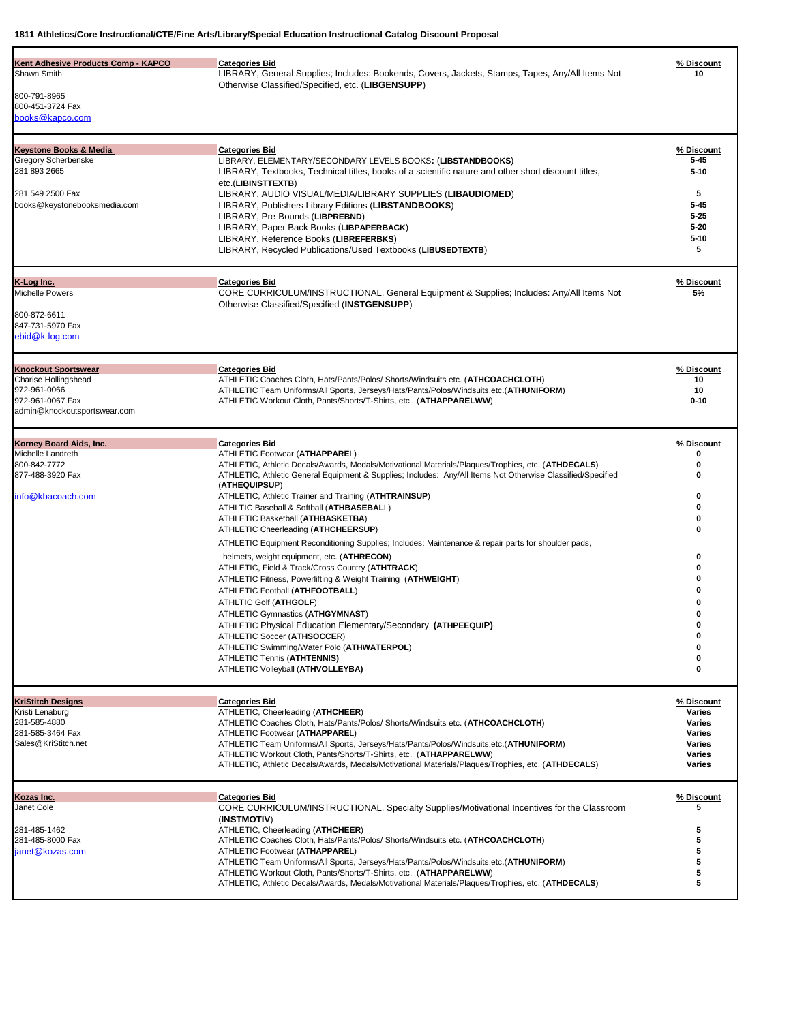| Kent Adhesive Products Comp - KAPCO<br>Shawn Smith<br>800-791-8965<br>800-451-3724 Fax<br>books@kapco.com                    | <b>Categories Bid</b><br>LIBRARY, General Supplies; Includes: Bookends, Covers, Jackets, Stamps, Tapes, Any/All Items Not<br>Otherwise Classified/Specified, etc. (LIBGENSUPP)                                                                                                                                                                                                                                                                                                                                                                                                                                                                                                                                                                                                                                                                                                                                                                                                                                                                                                     | % Discount<br>10                                                                             |
|------------------------------------------------------------------------------------------------------------------------------|------------------------------------------------------------------------------------------------------------------------------------------------------------------------------------------------------------------------------------------------------------------------------------------------------------------------------------------------------------------------------------------------------------------------------------------------------------------------------------------------------------------------------------------------------------------------------------------------------------------------------------------------------------------------------------------------------------------------------------------------------------------------------------------------------------------------------------------------------------------------------------------------------------------------------------------------------------------------------------------------------------------------------------------------------------------------------------|----------------------------------------------------------------------------------------------|
| <b>Keystone Books &amp; Media</b><br>Gregory Scherbenske<br>281 893 2665<br>281 549 2500 Fax<br>books@keystonebooksmedia.com | <b>Categories Bid</b><br>LIBRARY, ELEMENTARY/SECONDARY LEVELS BOOKS: (LIBSTANDBOOKS)<br>LIBRARY, Textbooks, Technical titles, books of a scientific nature and other short discount titles,<br>etc.(LIBINSTTEXTB)<br>LIBRARY, AUDIO VISUAL/MEDIA/LIBRARY SUPPLIES (LIBAUDIOMED)<br>LIBRARY, Publishers Library Editions (LIBSTANDBOOKS)<br>LIBRARY, Pre-Bounds (LIBPREBND)<br>LIBRARY, Paper Back Books (LIBPAPERBACK)<br>LIBRARY, Reference Books (LIBREFERBKS)<br>LIBRARY, Recycled Publications/Used Textbooks (LIBUSEDTEXTB)                                                                                                                                                                                                                                                                                                                                                                                                                                                                                                                                                   | % Discount<br>$5 - 45$<br>$5 - 10$<br>5<br>$5 - 45$<br>$5 - 25$<br>$5 - 20$<br>$5 - 10$<br>5 |
| K-Log Inc.<br><b>Michelle Powers</b><br>800-872-6611<br>847-731-5970 Fax<br>ebid@k-log.com                                   | <b>Categories Bid</b><br>CORE CURRICULUM/INSTRUCTIONAL, General Equipment & Supplies; Includes: Any/All Items Not<br>Otherwise Classified/Specified (INSTGENSUPP)                                                                                                                                                                                                                                                                                                                                                                                                                                                                                                                                                                                                                                                                                                                                                                                                                                                                                                                  | % Discount<br>5%                                                                             |
| <b>Knockout Sportswear</b><br>Charise Hollingshead<br>972-961-0066<br>972-961-0067 Fax<br>admin@knockoutsportswear.com       | <b>Categories Bid</b><br>ATHLETIC Coaches Cloth, Hats/Pants/Polos/ Shorts/Windsuits etc. (ATHCOACHCLOTH)<br>ATHLETIC Team Uniforms/All Sports, Jerseys/Hats/Pants/Polos/Windsuits, etc. (ATHUNIFORM)<br>ATHLETIC Workout Cloth, Pants/Shorts/T-Shirts, etc. (ATHAPPARELWW)                                                                                                                                                                                                                                                                                                                                                                                                                                                                                                                                                                                                                                                                                                                                                                                                         | % Discount<br>10<br>10<br>$0 - 10$                                                           |
| Korney Board Aids, Inc.<br>Michelle Landreth<br>800-842-7772<br>877-488-3920 Fax<br>info@kbacoach.com                        | <b>Categories Bid</b><br>ATHLETIC Footwear (ATHAPPAREL)<br>ATHLETIC, Athletic Decals/Awards, Medals/Motivational Materials/Plaques/Trophies, etc. (ATHDECALS)<br>ATHLETIC, Athletic General Equipment & Supplies; Includes: Any/All Items Not Otherwise Classified/Specified<br>(ATHEQUIPSUP)<br>ATHLETIC, Athletic Trainer and Training (ATHTRAINSUP)<br>ATHLTIC Baseball & Softball (ATHBASEBALL)<br>ATHLETIC Basketball (ATHBASKETBA)<br>ATHLETIC Cheerleading (ATHCHEERSUP)<br>ATHLETIC Equipment Reconditioning Supplies; Includes: Maintenance & repair parts for shoulder pads,<br>helmets, weight equipment, etc. (ATHRECON)<br>ATHLETIC, Field & Track/Cross Country (ATHTRACK)<br>ATHLETIC Fitness, Powerlifting & Weight Training (ATHWEIGHT)<br>ATHLETIC Football (ATHFOOTBALL)<br>ATHLTIC Golf (ATHGOLF)<br>ATHLETIC Gymnastics (ATHGYMNAST)<br>ATHLETIC Physical Education Elementary/Secondary (ATHPEEQUIP)<br>ATHLETIC Soccer (ATHSOCCER)<br>ATHLETIC Swimming/Water Polo (ATHWATERPOL)<br><b>ATHLETIC Tennis (ATHTENNIS)</b><br>ATHLETIC Volleyball (ATHVOLLEYBA) | % Discount<br>ŋ<br>0<br>0<br>0<br>0<br>o<br>0<br>0<br>ŋ<br>0<br>0<br>0<br>0                  |
| KriStitch Designs<br>Kristi Lenaburg<br>281-585-4880<br>281-585-3464 Fax<br>Sales@KriStitch.net                              | <b>Categories Bid</b><br>ATHLETIC, Cheerleading (ATHCHEER)<br>ATHLETIC Coaches Cloth, Hats/Pants/Polos/ Shorts/Windsuits etc. (ATHCOACHCLOTH)<br>ATHLETIC Footwear (ATHAPPAREL)<br>ATHLETIC Team Uniforms/All Sports, Jerseys/Hats/Pants/Polos/Windsuits,etc.(ATHUNIFORM)<br>ATHLETIC Workout Cloth, Pants/Shorts/T-Shirts, etc. (ATHAPPARELWW)<br>ATHLETIC, Athletic Decals/Awards, Medals/Motivational Materials/Plaques/Trophies, etc. (ATHDECALS)                                                                                                                                                                                                                                                                                                                                                                                                                                                                                                                                                                                                                              | % Discount<br>Varies<br>Varies<br>Varies<br>Varies<br>Varies<br>Varies                       |
| Kozas Inc.<br>Janet Cole<br>281-485-1462<br>281-485-8000 Fax<br>janet@kozas.com                                              | <b>Categories Bid</b><br>CORE CURRICULUM/INSTRUCTIONAL, Specialty Supplies/Motivational Incentives for the Classroom<br>(INSTMOTIV)<br>ATHLETIC, Cheerleading (ATHCHEER)<br>ATHLETIC Coaches Cloth, Hats/Pants/Polos/ Shorts/Windsuits etc. (ATHCOACHCLOTH)<br>ATHLETIC Footwear (ATHAPPAREL)<br>ATHLETIC Team Uniforms/All Sports, Jerseys/Hats/Pants/Polos/Windsuits,etc.(ATHUNIFORM)<br>ATHLETIC Workout Cloth, Pants/Shorts/T-Shirts, etc. (ATHAPPARELWW)<br>ATHLETIC, Athletic Decals/Awards, Medals/Motivational Materials/Plaques/Trophies, etc. (ATHDECALS)                                                                                                                                                                                                                                                                                                                                                                                                                                                                                                                | % Discount<br>5<br>5<br>5<br>5<br>5<br>5<br>5                                                |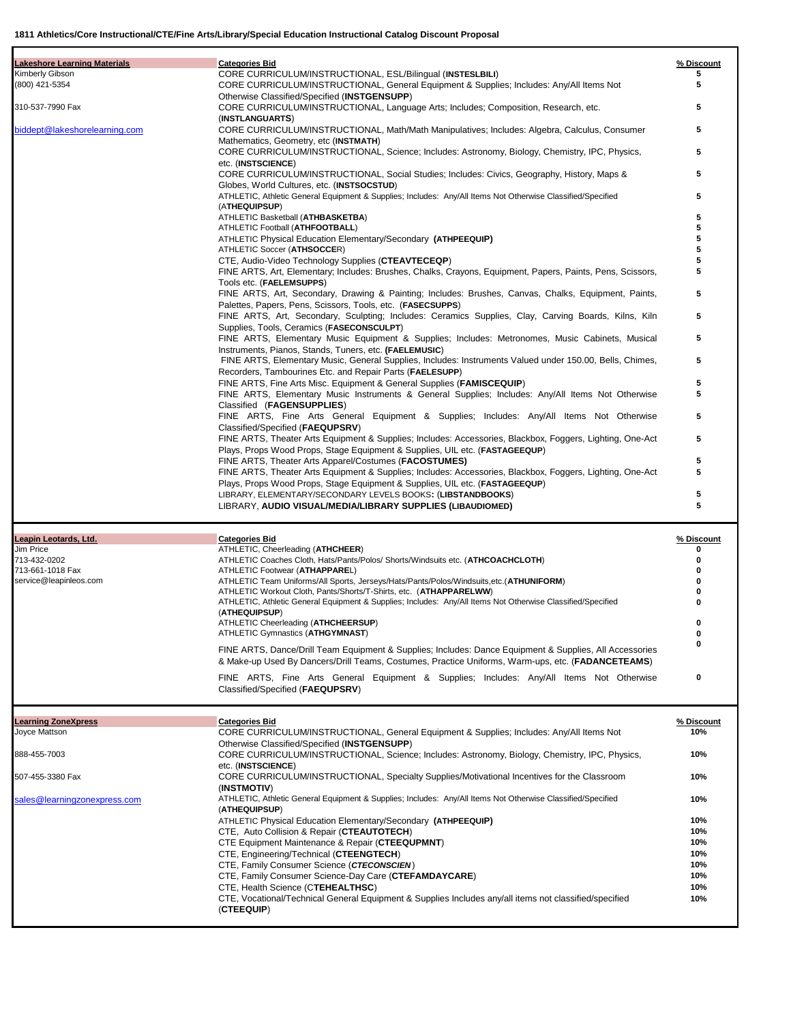| <b>Lakeshore Learning Materials</b> | <b>Categories Bid</b>                                                                                                                                                                    | % Discount |
|-------------------------------------|------------------------------------------------------------------------------------------------------------------------------------------------------------------------------------------|------------|
| Kimberly Gibson                     | CORE CURRICULUM/INSTRUCTIONAL, ESL/Bilingual (INSTESLBILI)                                                                                                                               | 5          |
| (800) 421-5354                      | CORE CURRICULUM/INSTRUCTIONAL, General Equipment & Supplies; Includes: Any/All Items Not                                                                                                 | 5          |
| 310-537-7990 Fax                    | Otherwise Classified/Specified (INSTGENSUPP)<br>CORE CURRICULUM/INSTRUCTIONAL, Language Arts; Includes; Composition, Research, etc.                                                      | 5          |
|                                     | (INSTLANGUARTS)                                                                                                                                                                          |            |
| biddept@lakeshorelearning.com       | CORE CURRICULUM/INSTRUCTIONAL, Math/Math Manipulatives; Includes: Algebra, Calculus, Consumer                                                                                            | 5          |
|                                     | Mathematics, Geometry, etc (INSTMATH)                                                                                                                                                    |            |
|                                     | CORE CURRICULUM/INSTRUCTIONAL, Science; Includes: Astronomy, Biology, Chemistry, IPC, Physics,                                                                                           | 5          |
|                                     | etc. (INSTSCIENCE)                                                                                                                                                                       | 5          |
|                                     | CORE CURRICULUM/INSTRUCTIONAL, Social Studies; Includes: Civics, Geography, History, Maps &<br>Globes, World Cultures, etc. (INSTSOCSTUD)                                                |            |
|                                     | ATHLETIC, Athletic General Equipment & Supplies; Includes: Any/All Items Not Otherwise Classified/Specified                                                                              | 5          |
|                                     | (ATHEQUIPSUP)                                                                                                                                                                            |            |
|                                     | ATHLETIC Basketball (ATHBASKETBA)                                                                                                                                                        | 5          |
|                                     | ATHLETIC Football (ATHFOOTBALL)                                                                                                                                                          | 5<br>5     |
|                                     | ATHLETIC Physical Education Elementary/Secondary (ATHPEEQUIP)<br>ATHLETIC Soccer (ATHSOCCER)                                                                                             | 5          |
|                                     | CTE, Audio-Video Technology Supplies (CTEAVTECEQP)                                                                                                                                       |            |
|                                     | FINE ARTS, Art, Elementary; Includes: Brushes, Chalks, Crayons, Equipment, Papers, Paints, Pens, Scissors,                                                                               | 5          |
|                                     | Tools etc. (FAELEMSUPPS)                                                                                                                                                                 |            |
|                                     | FINE ARTS, Art, Secondary, Drawing & Painting; Includes: Brushes, Canvas, Chalks, Equipment, Paints,                                                                                     | 5          |
|                                     | Palettes, Papers, Pens, Scissors, Tools, etc. (FASECSUPPS)<br>FINE ARTS, Art, Secondary, Sculpting; Includes: Ceramics Supplies, Clay, Carving Boards, Kilns, Kiln                       | 5          |
|                                     | Supplies, Tools, Ceramics (FASECONSCULPT)                                                                                                                                                |            |
|                                     | FINE ARTS, Elementary Music Equipment & Supplies; Includes: Metronomes, Music Cabinets, Musical                                                                                          | 5          |
|                                     | Instruments, Pianos, Stands, Tuners, etc. (FAELEMUSIC)                                                                                                                                   |            |
|                                     | FINE ARTS, Elementary Music, General Supplies, Includes: Instruments Valued under 150.00, Bells, Chimes,                                                                                 | 5          |
|                                     | Recorders, Tambourines Etc. and Repair Parts (FAELESUPP)                                                                                                                                 |            |
|                                     | FINE ARTS, Fine Arts Misc. Equipment & General Supplies ( <b>FAMISCEQUIP</b> )<br>FINE ARTS, Elementary Music Instruments & General Supplies; Includes: Any/All Items Not Otherwise      | 5<br>5     |
|                                     | Classified (FAGENSUPPLIES)                                                                                                                                                               |            |
|                                     | FINE ARTS, Fine Arts General Equipment & Supplies; Includes: Any/All Items Not Otherwise                                                                                                 | 5          |
|                                     | Classified/Specified (FAEQUPSRV)                                                                                                                                                         |            |
|                                     | FINE ARTS, Theater Arts Equipment & Supplies; Includes: Accessories, Blackbox, Foggers, Lighting, One-Act                                                                                | 5          |
|                                     | Plays, Props Wood Props, Stage Equipment & Supplies, UIL etc. (FASTAGEEQUP)                                                                                                              |            |
|                                     | FINE ARTS, Theater Arts Apparel/Costumes ( <b>FACOSTUMES</b> )                                                                                                                           | 5<br>5     |
|                                     | FINE ARTS, Theater Arts Equipment & Supplies; Includes: Accessories, Blackbox, Foggers, Lighting, One-Act<br>Plays, Props Wood Props, Stage Equipment & Supplies, UIL etc. (FASTAGEEQUP) |            |
|                                     | LIBRARY, ELEMENTARY/SECONDARY LEVELS BOOKS: (LIBSTANDBOOKS)                                                                                                                              | 5          |
|                                     | LIBRARY, AUDIO VISUAL/MEDIA/LIBRARY SUPPLIES (LIBAUDIOMED)                                                                                                                               | 5          |
|                                     |                                                                                                                                                                                          |            |
|                                     |                                                                                                                                                                                          |            |
| Leapin Leotards, Ltd.               | <b>Categories Bid</b>                                                                                                                                                                    | % Discount |
| Jim Price                           | ATHLETIC, Cheerleading (ATHCHEER)                                                                                                                                                        | 0          |
| 713-432-0202                        | ATHLETIC Coaches Cloth, Hats/Pants/Polos/ Shorts/Windsuits etc. (ATHCOACHCLOTH)                                                                                                          | 0          |
| 713-661-1018 Fax                    | ATHLETIC Footwear (ATHAPPAREL)                                                                                                                                                           |            |
| service@leapinleos.com              | ATHLETIC Team Uniforms/All Sports, Jerseys/Hats/Pants/Polos/Windsuits,etc.(ATHUNIFORM)<br>ATHLETIC Workout Cloth, Pants/Shorts/T-Shirts, etc. (ATHAPPARELWW)                             |            |
|                                     | ATHLETIC, Athletic General Equipment & Supplies; Includes: Any/All Items Not Otherwise Classified/Specified                                                                              |            |
|                                     | (ATHEQUIPSUP)                                                                                                                                                                            |            |
|                                     | ATHLETIC Cheerleading (ATHCHEERSUP)                                                                                                                                                      | 0          |
|                                     | ATHLETIC Gymnastics (ATHGYMNAST)                                                                                                                                                         | 0<br>0     |
|                                     | FINE ARTS, Dance/Drill Team Equipment & Supplies; Includes: Dance Equipment & Supplies, All Accessories                                                                                  |            |
|                                     | & Make-up Used By Dancers/Drill Teams, Costumes, Practice Uniforms, Warm-ups, etc. (FADANCETEAMS)                                                                                        |            |
|                                     | FINE ARTS, Fine Arts General Equipment & Supplies; Includes: Any/All Items Not Otherwise                                                                                                 | 0          |
|                                     | Classified/Specified (FAEQUPSRV)                                                                                                                                                         |            |
|                                     |                                                                                                                                                                                          |            |
| <b>Learning ZoneXpress</b>          | <b>Categories Bid</b>                                                                                                                                                                    | % Discount |
| Joyce Mattson                       | CORE CURRICULUM/INSTRUCTIONAL, General Equipment & Supplies; Includes: Any/All Items Not                                                                                                 | 10%        |
|                                     | Otherwise Classified/Specified (INSTGENSUPP)                                                                                                                                             |            |
| 888-455-7003                        | CORE CURRICULUM/INSTRUCTIONAL, Science; Includes: Astronomy, Biology, Chemistry, IPC, Physics,                                                                                           | 10%        |
| 507-455-3380 Fax                    | etc. (INSTSCIENCE)<br>CORE CURRICULUM/INSTRUCTIONAL, Specialty Supplies/Motivational Incentives for the Classroom                                                                        | 10%        |
|                                     | (INSTMOTIV)                                                                                                                                                                              |            |
| sales@learningzonexpress.com        | ATHLETIC, Athletic General Equipment & Supplies; Includes: Any/All Items Not Otherwise Classified/Specified                                                                              | 10%        |
|                                     | (ATHEQUIPSUP)                                                                                                                                                                            |            |
|                                     | ATHLETIC Physical Education Elementary/Secondary (ATHPEEQUIP)                                                                                                                            | 10%        |
|                                     | CTE, Auto Collision & Repair (CTEAUTOTECH)                                                                                                                                               | 10%        |
|                                     | CTE Equipment Maintenance & Repair (CTEEQUPMNT)<br>CTE, Engineering/Technical (CTEENGTECH)                                                                                               | 10%<br>10% |
|                                     | CTE, Family Consumer Science (CTECONSCIEN)                                                                                                                                               | 10%        |
|                                     | CTE, Family Consumer Science-Day Care (CTEFAMDAYCARE)                                                                                                                                    | 10%        |
|                                     | CTE, Health Science (CTEHEALTHSC)                                                                                                                                                        | 10%        |
|                                     | CTE, Vocational/Technical General Equipment & Supplies Includes any/all items not classified/specified<br>(CTEEQUIP)                                                                     | 10%        |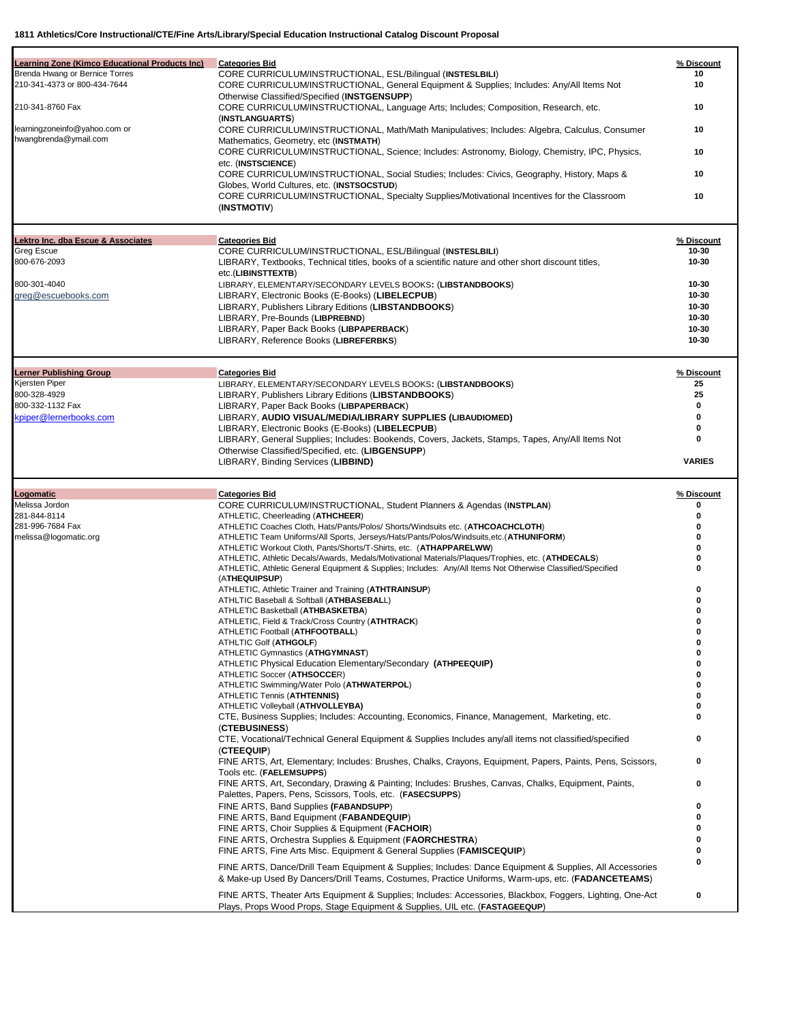| Brenda Hwang or Bernice Torres<br>CORE CURRICULUM/INSTRUCTIONAL, ESL/Bilingual (INSTESLBILI)<br>10<br>CORE CURRICULUM/INSTRUCTIONAL, General Equipment & Supplies; Includes: Any/All Items Not<br>10<br>Otherwise Classified/Specified (INSTGENSUPP)<br>CORE CURRICULUM/INSTRUCTIONAL, Language Arts; Includes; Composition, Research, etc.<br>10<br>(INSTLANGUARTS)<br>CORE CURRICULUM/INSTRUCTIONAL, Math/Math Manipulatives; Includes: Algebra, Calculus, Consumer<br>10<br>hwangbrenda@ymail.com<br>Mathematics, Geometry, etc (INSTMATH)<br>CORE CURRICULUM/INSTRUCTIONAL, Science; Includes: Astronomy, Biology, Chemistry, IPC, Physics,<br>10<br>etc. (INSTSCIENCE)<br>CORE CURRICULUM/INSTRUCTIONAL, Social Studies; Includes: Civics, Geography, History, Maps &<br>10<br>Globes, World Cultures, etc. (INSTSOCSTUD)<br>CORE CURRICULUM/INSTRUCTIONAL, Specialty Supplies/Motivational Incentives for the Classroom<br>10<br>(INSTMOTIV)<br><b>Categories Bid</b><br>% Discount<br>Greg Escue<br>CORE CURRICULUM/INSTRUCTIONAL, ESL/Bilingual (INSTESLBILI)<br>10-30<br>LIBRARY, Textbooks, Technical titles, books of a scientific nature and other short discount titles,<br>10-30<br>etc.(LIBINSTTEXTB)<br>800-301-4040<br>$10 - 30$<br>LIBRARY, ELEMENTARY/SECONDARY LEVELS BOOKS: (LIBSTANDBOOKS)<br>greg@escuebooks.com<br>LIBRARY, Electronic Books (E-Books) (LIBELECPUB)<br>10-30<br>LIBRARY, Publishers Library Editions (LIBSTANDBOOKS)<br>10-30<br>10-30<br>LIBRARY, Pre-Bounds (LIBPREBND)<br>LIBRARY, Paper Back Books (LIBPAPERBACK)<br>$10 - 30$<br>10-30<br>LIBRARY, Reference Books (LIBREFERBKS)<br><b>Categories Bid</b><br>% Discount<br>25<br>LIBRARY, ELEMENTARY/SECONDARY LEVELS BOOKS: (LIBSTANDBOOKS)<br>800-328-4929<br>25<br>LIBRARY, Publishers Library Editions (LIBSTANDBOOKS)<br>800-332-1132 Fax<br>LIBRARY, Paper Back Books (LIBPAPERBACK)<br>0<br>kpiper@lernerbooks.com<br>LIBRARY, AUDIO VISUAL/MEDIA/LIBRARY SUPPLIES (LIBAUDIOMED)<br>0<br>0<br>LIBRARY, Electronic Books (E-Books) (LIBELECPUB)<br>LIBRARY, General Supplies; Includes: Bookends, Covers, Jackets, Stamps, Tapes, Any/All Items Not<br>0<br>Otherwise Classified/Specified, etc. (LIBGENSUPP)<br><b>VARIES</b><br>LIBRARY, Binding Services (LIBBIND)<br>Logomatic<br><b>Categories Bid</b><br>% Discount<br>CORE CURRICULUM/INSTRUCTIONAL, Student Planners & Agendas (INSTPLAN)<br>0<br>ATHLETIC, Cheerleading (ATHCHEER)<br>0<br>ATHLETIC Coaches Cloth, Hats/Pants/Polos/ Shorts/Windsuits etc. (ATHCOACHCLOTH)<br>0<br>melissa@logomatic.org<br>ATHLETIC Team Uniforms/All Sports, Jerseys/Hats/Pants/Polos/Windsuits, etc. (ATHUNIFORM)<br>0<br>ATHLETIC Workout Cloth, Pants/Shorts/T-Shirts, etc. (ATHAPPARELWW)<br>0<br>ATHLETIC, Athletic Decals/Awards, Medals/Motivational Materials/Plaques/Trophies, etc. (ATHDECALS)<br>ATHLETIC, Athletic General Equipment & Supplies; Includes: Any/All Items Not Otherwise Classified/Specified<br>0<br>(ATHEQUIPSUP)<br>ATHLETIC, Athletic Trainer and Training (ATHTRAINSUP)<br>0<br>ATHLTIC Baseball & Softball (ATHBASEBALL)<br>ATHLETIC Basketball (ATHBASKETBA)<br>ATHLETIC, Field & Track/Cross Country (ATHTRACK)<br>O<br>ATHLETIC Football (ATHFOOTBALL)<br>0<br>ATHLTIC Golf (ATHGOLF)<br>0<br>ATHLETIC Gymnastics (ATHGYMNAST)<br>ATHLETIC Physical Education Elementary/Secondary (ATHPEEQUIP)<br>ATHLETIC Soccer (ATHSOCCER)<br>ATHLETIC Swimming/Water Polo (ATHWATERPOL)<br>ATHLETIC Tennis (ATHTENNIS)<br>ATHLETIC Volleyball (ATHVOLLEYBA)<br>CTE, Business Supplies; Includes: Accounting, Economics, Finance, Management, Marketing, etc.<br>0<br>(CTEBUSINESS)<br>CTE, Vocational/Technical General Equipment & Supplies Includes any/all items not classified/specified<br>0<br>(CTEEQUIP)<br>FINE ARTS, Art, Elementary; Includes: Brushes, Chalks, Crayons, Equipment, Papers, Paints, Pens, Scissors,<br>0<br>Tools etc. (FAELEMSUPPS)<br>FINE ARTS, Art, Secondary, Drawing & Painting; Includes: Brushes, Canvas, Chalks, Equipment, Paints,<br>0<br>Palettes, Papers, Pens, Scissors, Tools, etc. (FASECSUPPS)<br>FINE ARTS, Band Supplies (FABANDSUPP)<br>0<br>FINE ARTS, Band Equipment (FABANDEQUIP)<br>0<br>FINE ARTS, Choir Supplies & Equipment (FACHOIR)<br>o<br>FINE ARTS, Orchestra Supplies & Equipment ( <b>FAORCHESTRA</b> )<br>o<br>FINE ARTS, Fine Arts Misc. Equipment & General Supplies ( <b>FAMISCEQUIP</b> )<br>0<br>O<br>FINE ARTS, Dance/Drill Team Equipment & Supplies; Includes: Dance Equipment & Supplies, All Accessories<br>& Make-up Used By Dancers/Drill Teams, Costumes, Practice Uniforms, Warm-ups, etc. (FADANCETEAMS)<br>0<br>FINE ARTS, Theater Arts Equipment & Supplies; Includes: Accessories, Blackbox, Foggers, Lighting, One-Act<br>Plays, Props Wood Props, Stage Equipment & Supplies, UIL etc. (FASTAGEEQUP) |                                                       |                       |            |
|-------------------------------------------------------------------------------------------------------------------------------------------------------------------------------------------------------------------------------------------------------------------------------------------------------------------------------------------------------------------------------------------------------------------------------------------------------------------------------------------------------------------------------------------------------------------------------------------------------------------------------------------------------------------------------------------------------------------------------------------------------------------------------------------------------------------------------------------------------------------------------------------------------------------------------------------------------------------------------------------------------------------------------------------------------------------------------------------------------------------------------------------------------------------------------------------------------------------------------------------------------------------------------------------------------------------------------------------------------------------------------------------------------------------------------------------------------------------------------------------------------------------------------------------------------------------------------------------------------------------------------------------------------------------------------------------------------------------------------------------------------------------------------------------------------------------------------------------------------------------------------------------------------------------------------------------------------------------------------------------------------------------------------------------------------------------------------------------------------------------------------------------------------------------------------------------------------------------------------------------------------------------------------------------------------------------------------------------------------------------------------------------------------------------------------------------------------------------------------------------------------------------------------------------------------------------------------------------------------------------------------------------------------------------------------------------------------------------------------------------------------------------------------------------------------------------------------------------------------------------------------------------------------------------------------------------------------------------------------------------------------------------------------------------------------------------------------------------------------------------------------------------------------------------------------------------------------------------------------------------------------------------------------------------------------------------------------------------------------------------------------------------------------------------------------------------------------------------------------------------------------------------------------------------------------------------------------------------------------------------------------------------------------------------------------------------------------------------------------------------------------------------------------------------------------------------------------------------------------------------------------------------------------------------------------------------------------------------------------------------------------------------------------------------------------------------------------------------------------------------------------------------------------------------------------------------------------------------------------------------------------------------------------------------------------------------------------------------------------------------------------------------------------------------------------------------------------------------------------------------------------------------------------------------------------------------------------------------------------------------------------------------------------------------------------------------------------------------------------------------------------------------------------------------------------------------------------------------------------------|-------------------------------------------------------|-----------------------|------------|
|                                                                                                                                                                                                                                                                                                                                                                                                                                                                                                                                                                                                                                                                                                                                                                                                                                                                                                                                                                                                                                                                                                                                                                                                                                                                                                                                                                                                                                                                                                                                                                                                                                                                                                                                                                                                                                                                                                                                                                                                                                                                                                                                                                                                                                                                                                                                                                                                                                                                                                                                                                                                                                                                                                                                                                                                                                                                                                                                                                                                                                                                                                                                                                                                                                                                                                                                                                                                                                                                                                                                                                                                                                                                                                                                                                                                                                                                                                                                                                                                                                                                                                                                                                                                                                                                                                                                                                                                                                                                                                                                                                                                                                                                                                                                                                                                                                                             | <b>Learning Zone (Kimco Educational Products Inc)</b> | <b>Categories Bid</b> | % Discount |
|                                                                                                                                                                                                                                                                                                                                                                                                                                                                                                                                                                                                                                                                                                                                                                                                                                                                                                                                                                                                                                                                                                                                                                                                                                                                                                                                                                                                                                                                                                                                                                                                                                                                                                                                                                                                                                                                                                                                                                                                                                                                                                                                                                                                                                                                                                                                                                                                                                                                                                                                                                                                                                                                                                                                                                                                                                                                                                                                                                                                                                                                                                                                                                                                                                                                                                                                                                                                                                                                                                                                                                                                                                                                                                                                                                                                                                                                                                                                                                                                                                                                                                                                                                                                                                                                                                                                                                                                                                                                                                                                                                                                                                                                                                                                                                                                                                                             | 210-341-4373 or 800-434-7644                          |                       |            |
|                                                                                                                                                                                                                                                                                                                                                                                                                                                                                                                                                                                                                                                                                                                                                                                                                                                                                                                                                                                                                                                                                                                                                                                                                                                                                                                                                                                                                                                                                                                                                                                                                                                                                                                                                                                                                                                                                                                                                                                                                                                                                                                                                                                                                                                                                                                                                                                                                                                                                                                                                                                                                                                                                                                                                                                                                                                                                                                                                                                                                                                                                                                                                                                                                                                                                                                                                                                                                                                                                                                                                                                                                                                                                                                                                                                                                                                                                                                                                                                                                                                                                                                                                                                                                                                                                                                                                                                                                                                                                                                                                                                                                                                                                                                                                                                                                                                             | 210-341-8760 Fax                                      |                       |            |
|                                                                                                                                                                                                                                                                                                                                                                                                                                                                                                                                                                                                                                                                                                                                                                                                                                                                                                                                                                                                                                                                                                                                                                                                                                                                                                                                                                                                                                                                                                                                                                                                                                                                                                                                                                                                                                                                                                                                                                                                                                                                                                                                                                                                                                                                                                                                                                                                                                                                                                                                                                                                                                                                                                                                                                                                                                                                                                                                                                                                                                                                                                                                                                                                                                                                                                                                                                                                                                                                                                                                                                                                                                                                                                                                                                                                                                                                                                                                                                                                                                                                                                                                                                                                                                                                                                                                                                                                                                                                                                                                                                                                                                                                                                                                                                                                                                                             | learningzoneinfo@yahoo.com or                         |                       |            |
|                                                                                                                                                                                                                                                                                                                                                                                                                                                                                                                                                                                                                                                                                                                                                                                                                                                                                                                                                                                                                                                                                                                                                                                                                                                                                                                                                                                                                                                                                                                                                                                                                                                                                                                                                                                                                                                                                                                                                                                                                                                                                                                                                                                                                                                                                                                                                                                                                                                                                                                                                                                                                                                                                                                                                                                                                                                                                                                                                                                                                                                                                                                                                                                                                                                                                                                                                                                                                                                                                                                                                                                                                                                                                                                                                                                                                                                                                                                                                                                                                                                                                                                                                                                                                                                                                                                                                                                                                                                                                                                                                                                                                                                                                                                                                                                                                                                             |                                                       |                       |            |
|                                                                                                                                                                                                                                                                                                                                                                                                                                                                                                                                                                                                                                                                                                                                                                                                                                                                                                                                                                                                                                                                                                                                                                                                                                                                                                                                                                                                                                                                                                                                                                                                                                                                                                                                                                                                                                                                                                                                                                                                                                                                                                                                                                                                                                                                                                                                                                                                                                                                                                                                                                                                                                                                                                                                                                                                                                                                                                                                                                                                                                                                                                                                                                                                                                                                                                                                                                                                                                                                                                                                                                                                                                                                                                                                                                                                                                                                                                                                                                                                                                                                                                                                                                                                                                                                                                                                                                                                                                                                                                                                                                                                                                                                                                                                                                                                                                                             |                                                       |                       |            |
|                                                                                                                                                                                                                                                                                                                                                                                                                                                                                                                                                                                                                                                                                                                                                                                                                                                                                                                                                                                                                                                                                                                                                                                                                                                                                                                                                                                                                                                                                                                                                                                                                                                                                                                                                                                                                                                                                                                                                                                                                                                                                                                                                                                                                                                                                                                                                                                                                                                                                                                                                                                                                                                                                                                                                                                                                                                                                                                                                                                                                                                                                                                                                                                                                                                                                                                                                                                                                                                                                                                                                                                                                                                                                                                                                                                                                                                                                                                                                                                                                                                                                                                                                                                                                                                                                                                                                                                                                                                                                                                                                                                                                                                                                                                                                                                                                                                             |                                                       |                       |            |
|                                                                                                                                                                                                                                                                                                                                                                                                                                                                                                                                                                                                                                                                                                                                                                                                                                                                                                                                                                                                                                                                                                                                                                                                                                                                                                                                                                                                                                                                                                                                                                                                                                                                                                                                                                                                                                                                                                                                                                                                                                                                                                                                                                                                                                                                                                                                                                                                                                                                                                                                                                                                                                                                                                                                                                                                                                                                                                                                                                                                                                                                                                                                                                                                                                                                                                                                                                                                                                                                                                                                                                                                                                                                                                                                                                                                                                                                                                                                                                                                                                                                                                                                                                                                                                                                                                                                                                                                                                                                                                                                                                                                                                                                                                                                                                                                                                                             |                                                       |                       |            |
|                                                                                                                                                                                                                                                                                                                                                                                                                                                                                                                                                                                                                                                                                                                                                                                                                                                                                                                                                                                                                                                                                                                                                                                                                                                                                                                                                                                                                                                                                                                                                                                                                                                                                                                                                                                                                                                                                                                                                                                                                                                                                                                                                                                                                                                                                                                                                                                                                                                                                                                                                                                                                                                                                                                                                                                                                                                                                                                                                                                                                                                                                                                                                                                                                                                                                                                                                                                                                                                                                                                                                                                                                                                                                                                                                                                                                                                                                                                                                                                                                                                                                                                                                                                                                                                                                                                                                                                                                                                                                                                                                                                                                                                                                                                                                                                                                                                             | Lektro Inc. dba Escue & Associates                    |                       |            |
|                                                                                                                                                                                                                                                                                                                                                                                                                                                                                                                                                                                                                                                                                                                                                                                                                                                                                                                                                                                                                                                                                                                                                                                                                                                                                                                                                                                                                                                                                                                                                                                                                                                                                                                                                                                                                                                                                                                                                                                                                                                                                                                                                                                                                                                                                                                                                                                                                                                                                                                                                                                                                                                                                                                                                                                                                                                                                                                                                                                                                                                                                                                                                                                                                                                                                                                                                                                                                                                                                                                                                                                                                                                                                                                                                                                                                                                                                                                                                                                                                                                                                                                                                                                                                                                                                                                                                                                                                                                                                                                                                                                                                                                                                                                                                                                                                                                             | 800-676-2093                                          |                       |            |
|                                                                                                                                                                                                                                                                                                                                                                                                                                                                                                                                                                                                                                                                                                                                                                                                                                                                                                                                                                                                                                                                                                                                                                                                                                                                                                                                                                                                                                                                                                                                                                                                                                                                                                                                                                                                                                                                                                                                                                                                                                                                                                                                                                                                                                                                                                                                                                                                                                                                                                                                                                                                                                                                                                                                                                                                                                                                                                                                                                                                                                                                                                                                                                                                                                                                                                                                                                                                                                                                                                                                                                                                                                                                                                                                                                                                                                                                                                                                                                                                                                                                                                                                                                                                                                                                                                                                                                                                                                                                                                                                                                                                                                                                                                                                                                                                                                                             |                                                       |                       |            |
|                                                                                                                                                                                                                                                                                                                                                                                                                                                                                                                                                                                                                                                                                                                                                                                                                                                                                                                                                                                                                                                                                                                                                                                                                                                                                                                                                                                                                                                                                                                                                                                                                                                                                                                                                                                                                                                                                                                                                                                                                                                                                                                                                                                                                                                                                                                                                                                                                                                                                                                                                                                                                                                                                                                                                                                                                                                                                                                                                                                                                                                                                                                                                                                                                                                                                                                                                                                                                                                                                                                                                                                                                                                                                                                                                                                                                                                                                                                                                                                                                                                                                                                                                                                                                                                                                                                                                                                                                                                                                                                                                                                                                                                                                                                                                                                                                                                             |                                                       |                       |            |
|                                                                                                                                                                                                                                                                                                                                                                                                                                                                                                                                                                                                                                                                                                                                                                                                                                                                                                                                                                                                                                                                                                                                                                                                                                                                                                                                                                                                                                                                                                                                                                                                                                                                                                                                                                                                                                                                                                                                                                                                                                                                                                                                                                                                                                                                                                                                                                                                                                                                                                                                                                                                                                                                                                                                                                                                                                                                                                                                                                                                                                                                                                                                                                                                                                                                                                                                                                                                                                                                                                                                                                                                                                                                                                                                                                                                                                                                                                                                                                                                                                                                                                                                                                                                                                                                                                                                                                                                                                                                                                                                                                                                                                                                                                                                                                                                                                                             |                                                       |                       |            |
|                                                                                                                                                                                                                                                                                                                                                                                                                                                                                                                                                                                                                                                                                                                                                                                                                                                                                                                                                                                                                                                                                                                                                                                                                                                                                                                                                                                                                                                                                                                                                                                                                                                                                                                                                                                                                                                                                                                                                                                                                                                                                                                                                                                                                                                                                                                                                                                                                                                                                                                                                                                                                                                                                                                                                                                                                                                                                                                                                                                                                                                                                                                                                                                                                                                                                                                                                                                                                                                                                                                                                                                                                                                                                                                                                                                                                                                                                                                                                                                                                                                                                                                                                                                                                                                                                                                                                                                                                                                                                                                                                                                                                                                                                                                                                                                                                                                             |                                                       |                       |            |
|                                                                                                                                                                                                                                                                                                                                                                                                                                                                                                                                                                                                                                                                                                                                                                                                                                                                                                                                                                                                                                                                                                                                                                                                                                                                                                                                                                                                                                                                                                                                                                                                                                                                                                                                                                                                                                                                                                                                                                                                                                                                                                                                                                                                                                                                                                                                                                                                                                                                                                                                                                                                                                                                                                                                                                                                                                                                                                                                                                                                                                                                                                                                                                                                                                                                                                                                                                                                                                                                                                                                                                                                                                                                                                                                                                                                                                                                                                                                                                                                                                                                                                                                                                                                                                                                                                                                                                                                                                                                                                                                                                                                                                                                                                                                                                                                                                                             |                                                       |                       |            |
|                                                                                                                                                                                                                                                                                                                                                                                                                                                                                                                                                                                                                                                                                                                                                                                                                                                                                                                                                                                                                                                                                                                                                                                                                                                                                                                                                                                                                                                                                                                                                                                                                                                                                                                                                                                                                                                                                                                                                                                                                                                                                                                                                                                                                                                                                                                                                                                                                                                                                                                                                                                                                                                                                                                                                                                                                                                                                                                                                                                                                                                                                                                                                                                                                                                                                                                                                                                                                                                                                                                                                                                                                                                                                                                                                                                                                                                                                                                                                                                                                                                                                                                                                                                                                                                                                                                                                                                                                                                                                                                                                                                                                                                                                                                                                                                                                                                             |                                                       |                       |            |
|                                                                                                                                                                                                                                                                                                                                                                                                                                                                                                                                                                                                                                                                                                                                                                                                                                                                                                                                                                                                                                                                                                                                                                                                                                                                                                                                                                                                                                                                                                                                                                                                                                                                                                                                                                                                                                                                                                                                                                                                                                                                                                                                                                                                                                                                                                                                                                                                                                                                                                                                                                                                                                                                                                                                                                                                                                                                                                                                                                                                                                                                                                                                                                                                                                                                                                                                                                                                                                                                                                                                                                                                                                                                                                                                                                                                                                                                                                                                                                                                                                                                                                                                                                                                                                                                                                                                                                                                                                                                                                                                                                                                                                                                                                                                                                                                                                                             | <b>Lerner Publishing Group</b>                        |                       |            |
|                                                                                                                                                                                                                                                                                                                                                                                                                                                                                                                                                                                                                                                                                                                                                                                                                                                                                                                                                                                                                                                                                                                                                                                                                                                                                                                                                                                                                                                                                                                                                                                                                                                                                                                                                                                                                                                                                                                                                                                                                                                                                                                                                                                                                                                                                                                                                                                                                                                                                                                                                                                                                                                                                                                                                                                                                                                                                                                                                                                                                                                                                                                                                                                                                                                                                                                                                                                                                                                                                                                                                                                                                                                                                                                                                                                                                                                                                                                                                                                                                                                                                                                                                                                                                                                                                                                                                                                                                                                                                                                                                                                                                                                                                                                                                                                                                                                             | Kjersten Piper                                        |                       |            |
|                                                                                                                                                                                                                                                                                                                                                                                                                                                                                                                                                                                                                                                                                                                                                                                                                                                                                                                                                                                                                                                                                                                                                                                                                                                                                                                                                                                                                                                                                                                                                                                                                                                                                                                                                                                                                                                                                                                                                                                                                                                                                                                                                                                                                                                                                                                                                                                                                                                                                                                                                                                                                                                                                                                                                                                                                                                                                                                                                                                                                                                                                                                                                                                                                                                                                                                                                                                                                                                                                                                                                                                                                                                                                                                                                                                                                                                                                                                                                                                                                                                                                                                                                                                                                                                                                                                                                                                                                                                                                                                                                                                                                                                                                                                                                                                                                                                             |                                                       |                       |            |
|                                                                                                                                                                                                                                                                                                                                                                                                                                                                                                                                                                                                                                                                                                                                                                                                                                                                                                                                                                                                                                                                                                                                                                                                                                                                                                                                                                                                                                                                                                                                                                                                                                                                                                                                                                                                                                                                                                                                                                                                                                                                                                                                                                                                                                                                                                                                                                                                                                                                                                                                                                                                                                                                                                                                                                                                                                                                                                                                                                                                                                                                                                                                                                                                                                                                                                                                                                                                                                                                                                                                                                                                                                                                                                                                                                                                                                                                                                                                                                                                                                                                                                                                                                                                                                                                                                                                                                                                                                                                                                                                                                                                                                                                                                                                                                                                                                                             |                                                       |                       |            |
|                                                                                                                                                                                                                                                                                                                                                                                                                                                                                                                                                                                                                                                                                                                                                                                                                                                                                                                                                                                                                                                                                                                                                                                                                                                                                                                                                                                                                                                                                                                                                                                                                                                                                                                                                                                                                                                                                                                                                                                                                                                                                                                                                                                                                                                                                                                                                                                                                                                                                                                                                                                                                                                                                                                                                                                                                                                                                                                                                                                                                                                                                                                                                                                                                                                                                                                                                                                                                                                                                                                                                                                                                                                                                                                                                                                                                                                                                                                                                                                                                                                                                                                                                                                                                                                                                                                                                                                                                                                                                                                                                                                                                                                                                                                                                                                                                                                             |                                                       |                       |            |
|                                                                                                                                                                                                                                                                                                                                                                                                                                                                                                                                                                                                                                                                                                                                                                                                                                                                                                                                                                                                                                                                                                                                                                                                                                                                                                                                                                                                                                                                                                                                                                                                                                                                                                                                                                                                                                                                                                                                                                                                                                                                                                                                                                                                                                                                                                                                                                                                                                                                                                                                                                                                                                                                                                                                                                                                                                                                                                                                                                                                                                                                                                                                                                                                                                                                                                                                                                                                                                                                                                                                                                                                                                                                                                                                                                                                                                                                                                                                                                                                                                                                                                                                                                                                                                                                                                                                                                                                                                                                                                                                                                                                                                                                                                                                                                                                                                                             |                                                       |                       |            |
|                                                                                                                                                                                                                                                                                                                                                                                                                                                                                                                                                                                                                                                                                                                                                                                                                                                                                                                                                                                                                                                                                                                                                                                                                                                                                                                                                                                                                                                                                                                                                                                                                                                                                                                                                                                                                                                                                                                                                                                                                                                                                                                                                                                                                                                                                                                                                                                                                                                                                                                                                                                                                                                                                                                                                                                                                                                                                                                                                                                                                                                                                                                                                                                                                                                                                                                                                                                                                                                                                                                                                                                                                                                                                                                                                                                                                                                                                                                                                                                                                                                                                                                                                                                                                                                                                                                                                                                                                                                                                                                                                                                                                                                                                                                                                                                                                                                             |                                                       |                       |            |
|                                                                                                                                                                                                                                                                                                                                                                                                                                                                                                                                                                                                                                                                                                                                                                                                                                                                                                                                                                                                                                                                                                                                                                                                                                                                                                                                                                                                                                                                                                                                                                                                                                                                                                                                                                                                                                                                                                                                                                                                                                                                                                                                                                                                                                                                                                                                                                                                                                                                                                                                                                                                                                                                                                                                                                                                                                                                                                                                                                                                                                                                                                                                                                                                                                                                                                                                                                                                                                                                                                                                                                                                                                                                                                                                                                                                                                                                                                                                                                                                                                                                                                                                                                                                                                                                                                                                                                                                                                                                                                                                                                                                                                                                                                                                                                                                                                                             |                                                       |                       |            |
|                                                                                                                                                                                                                                                                                                                                                                                                                                                                                                                                                                                                                                                                                                                                                                                                                                                                                                                                                                                                                                                                                                                                                                                                                                                                                                                                                                                                                                                                                                                                                                                                                                                                                                                                                                                                                                                                                                                                                                                                                                                                                                                                                                                                                                                                                                                                                                                                                                                                                                                                                                                                                                                                                                                                                                                                                                                                                                                                                                                                                                                                                                                                                                                                                                                                                                                                                                                                                                                                                                                                                                                                                                                                                                                                                                                                                                                                                                                                                                                                                                                                                                                                                                                                                                                                                                                                                                                                                                                                                                                                                                                                                                                                                                                                                                                                                                                             |                                                       |                       |            |
|                                                                                                                                                                                                                                                                                                                                                                                                                                                                                                                                                                                                                                                                                                                                                                                                                                                                                                                                                                                                                                                                                                                                                                                                                                                                                                                                                                                                                                                                                                                                                                                                                                                                                                                                                                                                                                                                                                                                                                                                                                                                                                                                                                                                                                                                                                                                                                                                                                                                                                                                                                                                                                                                                                                                                                                                                                                                                                                                                                                                                                                                                                                                                                                                                                                                                                                                                                                                                                                                                                                                                                                                                                                                                                                                                                                                                                                                                                                                                                                                                                                                                                                                                                                                                                                                                                                                                                                                                                                                                                                                                                                                                                                                                                                                                                                                                                                             | Melissa Jordon                                        |                       |            |
|                                                                                                                                                                                                                                                                                                                                                                                                                                                                                                                                                                                                                                                                                                                                                                                                                                                                                                                                                                                                                                                                                                                                                                                                                                                                                                                                                                                                                                                                                                                                                                                                                                                                                                                                                                                                                                                                                                                                                                                                                                                                                                                                                                                                                                                                                                                                                                                                                                                                                                                                                                                                                                                                                                                                                                                                                                                                                                                                                                                                                                                                                                                                                                                                                                                                                                                                                                                                                                                                                                                                                                                                                                                                                                                                                                                                                                                                                                                                                                                                                                                                                                                                                                                                                                                                                                                                                                                                                                                                                                                                                                                                                                                                                                                                                                                                                                                             | 281-844-8114                                          |                       |            |
|                                                                                                                                                                                                                                                                                                                                                                                                                                                                                                                                                                                                                                                                                                                                                                                                                                                                                                                                                                                                                                                                                                                                                                                                                                                                                                                                                                                                                                                                                                                                                                                                                                                                                                                                                                                                                                                                                                                                                                                                                                                                                                                                                                                                                                                                                                                                                                                                                                                                                                                                                                                                                                                                                                                                                                                                                                                                                                                                                                                                                                                                                                                                                                                                                                                                                                                                                                                                                                                                                                                                                                                                                                                                                                                                                                                                                                                                                                                                                                                                                                                                                                                                                                                                                                                                                                                                                                                                                                                                                                                                                                                                                                                                                                                                                                                                                                                             | 281-996-7684 Fax                                      |                       |            |
|                                                                                                                                                                                                                                                                                                                                                                                                                                                                                                                                                                                                                                                                                                                                                                                                                                                                                                                                                                                                                                                                                                                                                                                                                                                                                                                                                                                                                                                                                                                                                                                                                                                                                                                                                                                                                                                                                                                                                                                                                                                                                                                                                                                                                                                                                                                                                                                                                                                                                                                                                                                                                                                                                                                                                                                                                                                                                                                                                                                                                                                                                                                                                                                                                                                                                                                                                                                                                                                                                                                                                                                                                                                                                                                                                                                                                                                                                                                                                                                                                                                                                                                                                                                                                                                                                                                                                                                                                                                                                                                                                                                                                                                                                                                                                                                                                                                             |                                                       |                       |            |
|                                                                                                                                                                                                                                                                                                                                                                                                                                                                                                                                                                                                                                                                                                                                                                                                                                                                                                                                                                                                                                                                                                                                                                                                                                                                                                                                                                                                                                                                                                                                                                                                                                                                                                                                                                                                                                                                                                                                                                                                                                                                                                                                                                                                                                                                                                                                                                                                                                                                                                                                                                                                                                                                                                                                                                                                                                                                                                                                                                                                                                                                                                                                                                                                                                                                                                                                                                                                                                                                                                                                                                                                                                                                                                                                                                                                                                                                                                                                                                                                                                                                                                                                                                                                                                                                                                                                                                                                                                                                                                                                                                                                                                                                                                                                                                                                                                                             |                                                       |                       |            |
|                                                                                                                                                                                                                                                                                                                                                                                                                                                                                                                                                                                                                                                                                                                                                                                                                                                                                                                                                                                                                                                                                                                                                                                                                                                                                                                                                                                                                                                                                                                                                                                                                                                                                                                                                                                                                                                                                                                                                                                                                                                                                                                                                                                                                                                                                                                                                                                                                                                                                                                                                                                                                                                                                                                                                                                                                                                                                                                                                                                                                                                                                                                                                                                                                                                                                                                                                                                                                                                                                                                                                                                                                                                                                                                                                                                                                                                                                                                                                                                                                                                                                                                                                                                                                                                                                                                                                                                                                                                                                                                                                                                                                                                                                                                                                                                                                                                             |                                                       |                       |            |
|                                                                                                                                                                                                                                                                                                                                                                                                                                                                                                                                                                                                                                                                                                                                                                                                                                                                                                                                                                                                                                                                                                                                                                                                                                                                                                                                                                                                                                                                                                                                                                                                                                                                                                                                                                                                                                                                                                                                                                                                                                                                                                                                                                                                                                                                                                                                                                                                                                                                                                                                                                                                                                                                                                                                                                                                                                                                                                                                                                                                                                                                                                                                                                                                                                                                                                                                                                                                                                                                                                                                                                                                                                                                                                                                                                                                                                                                                                                                                                                                                                                                                                                                                                                                                                                                                                                                                                                                                                                                                                                                                                                                                                                                                                                                                                                                                                                             |                                                       |                       |            |
|                                                                                                                                                                                                                                                                                                                                                                                                                                                                                                                                                                                                                                                                                                                                                                                                                                                                                                                                                                                                                                                                                                                                                                                                                                                                                                                                                                                                                                                                                                                                                                                                                                                                                                                                                                                                                                                                                                                                                                                                                                                                                                                                                                                                                                                                                                                                                                                                                                                                                                                                                                                                                                                                                                                                                                                                                                                                                                                                                                                                                                                                                                                                                                                                                                                                                                                                                                                                                                                                                                                                                                                                                                                                                                                                                                                                                                                                                                                                                                                                                                                                                                                                                                                                                                                                                                                                                                                                                                                                                                                                                                                                                                                                                                                                                                                                                                                             |                                                       |                       |            |
|                                                                                                                                                                                                                                                                                                                                                                                                                                                                                                                                                                                                                                                                                                                                                                                                                                                                                                                                                                                                                                                                                                                                                                                                                                                                                                                                                                                                                                                                                                                                                                                                                                                                                                                                                                                                                                                                                                                                                                                                                                                                                                                                                                                                                                                                                                                                                                                                                                                                                                                                                                                                                                                                                                                                                                                                                                                                                                                                                                                                                                                                                                                                                                                                                                                                                                                                                                                                                                                                                                                                                                                                                                                                                                                                                                                                                                                                                                                                                                                                                                                                                                                                                                                                                                                                                                                                                                                                                                                                                                                                                                                                                                                                                                                                                                                                                                                             |                                                       |                       |            |
|                                                                                                                                                                                                                                                                                                                                                                                                                                                                                                                                                                                                                                                                                                                                                                                                                                                                                                                                                                                                                                                                                                                                                                                                                                                                                                                                                                                                                                                                                                                                                                                                                                                                                                                                                                                                                                                                                                                                                                                                                                                                                                                                                                                                                                                                                                                                                                                                                                                                                                                                                                                                                                                                                                                                                                                                                                                                                                                                                                                                                                                                                                                                                                                                                                                                                                                                                                                                                                                                                                                                                                                                                                                                                                                                                                                                                                                                                                                                                                                                                                                                                                                                                                                                                                                                                                                                                                                                                                                                                                                                                                                                                                                                                                                                                                                                                                                             |                                                       |                       |            |
|                                                                                                                                                                                                                                                                                                                                                                                                                                                                                                                                                                                                                                                                                                                                                                                                                                                                                                                                                                                                                                                                                                                                                                                                                                                                                                                                                                                                                                                                                                                                                                                                                                                                                                                                                                                                                                                                                                                                                                                                                                                                                                                                                                                                                                                                                                                                                                                                                                                                                                                                                                                                                                                                                                                                                                                                                                                                                                                                                                                                                                                                                                                                                                                                                                                                                                                                                                                                                                                                                                                                                                                                                                                                                                                                                                                                                                                                                                                                                                                                                                                                                                                                                                                                                                                                                                                                                                                                                                                                                                                                                                                                                                                                                                                                                                                                                                                             |                                                       |                       |            |
|                                                                                                                                                                                                                                                                                                                                                                                                                                                                                                                                                                                                                                                                                                                                                                                                                                                                                                                                                                                                                                                                                                                                                                                                                                                                                                                                                                                                                                                                                                                                                                                                                                                                                                                                                                                                                                                                                                                                                                                                                                                                                                                                                                                                                                                                                                                                                                                                                                                                                                                                                                                                                                                                                                                                                                                                                                                                                                                                                                                                                                                                                                                                                                                                                                                                                                                                                                                                                                                                                                                                                                                                                                                                                                                                                                                                                                                                                                                                                                                                                                                                                                                                                                                                                                                                                                                                                                                                                                                                                                                                                                                                                                                                                                                                                                                                                                                             |                                                       |                       |            |
|                                                                                                                                                                                                                                                                                                                                                                                                                                                                                                                                                                                                                                                                                                                                                                                                                                                                                                                                                                                                                                                                                                                                                                                                                                                                                                                                                                                                                                                                                                                                                                                                                                                                                                                                                                                                                                                                                                                                                                                                                                                                                                                                                                                                                                                                                                                                                                                                                                                                                                                                                                                                                                                                                                                                                                                                                                                                                                                                                                                                                                                                                                                                                                                                                                                                                                                                                                                                                                                                                                                                                                                                                                                                                                                                                                                                                                                                                                                                                                                                                                                                                                                                                                                                                                                                                                                                                                                                                                                                                                                                                                                                                                                                                                                                                                                                                                                             |                                                       |                       |            |
|                                                                                                                                                                                                                                                                                                                                                                                                                                                                                                                                                                                                                                                                                                                                                                                                                                                                                                                                                                                                                                                                                                                                                                                                                                                                                                                                                                                                                                                                                                                                                                                                                                                                                                                                                                                                                                                                                                                                                                                                                                                                                                                                                                                                                                                                                                                                                                                                                                                                                                                                                                                                                                                                                                                                                                                                                                                                                                                                                                                                                                                                                                                                                                                                                                                                                                                                                                                                                                                                                                                                                                                                                                                                                                                                                                                                                                                                                                                                                                                                                                                                                                                                                                                                                                                                                                                                                                                                                                                                                                                                                                                                                                                                                                                                                                                                                                                             |                                                       |                       |            |
|                                                                                                                                                                                                                                                                                                                                                                                                                                                                                                                                                                                                                                                                                                                                                                                                                                                                                                                                                                                                                                                                                                                                                                                                                                                                                                                                                                                                                                                                                                                                                                                                                                                                                                                                                                                                                                                                                                                                                                                                                                                                                                                                                                                                                                                                                                                                                                                                                                                                                                                                                                                                                                                                                                                                                                                                                                                                                                                                                                                                                                                                                                                                                                                                                                                                                                                                                                                                                                                                                                                                                                                                                                                                                                                                                                                                                                                                                                                                                                                                                                                                                                                                                                                                                                                                                                                                                                                                                                                                                                                                                                                                                                                                                                                                                                                                                                                             |                                                       |                       |            |
|                                                                                                                                                                                                                                                                                                                                                                                                                                                                                                                                                                                                                                                                                                                                                                                                                                                                                                                                                                                                                                                                                                                                                                                                                                                                                                                                                                                                                                                                                                                                                                                                                                                                                                                                                                                                                                                                                                                                                                                                                                                                                                                                                                                                                                                                                                                                                                                                                                                                                                                                                                                                                                                                                                                                                                                                                                                                                                                                                                                                                                                                                                                                                                                                                                                                                                                                                                                                                                                                                                                                                                                                                                                                                                                                                                                                                                                                                                                                                                                                                                                                                                                                                                                                                                                                                                                                                                                                                                                                                                                                                                                                                                                                                                                                                                                                                                                             |                                                       |                       |            |
|                                                                                                                                                                                                                                                                                                                                                                                                                                                                                                                                                                                                                                                                                                                                                                                                                                                                                                                                                                                                                                                                                                                                                                                                                                                                                                                                                                                                                                                                                                                                                                                                                                                                                                                                                                                                                                                                                                                                                                                                                                                                                                                                                                                                                                                                                                                                                                                                                                                                                                                                                                                                                                                                                                                                                                                                                                                                                                                                                                                                                                                                                                                                                                                                                                                                                                                                                                                                                                                                                                                                                                                                                                                                                                                                                                                                                                                                                                                                                                                                                                                                                                                                                                                                                                                                                                                                                                                                                                                                                                                                                                                                                                                                                                                                                                                                                                                             |                                                       |                       |            |
|                                                                                                                                                                                                                                                                                                                                                                                                                                                                                                                                                                                                                                                                                                                                                                                                                                                                                                                                                                                                                                                                                                                                                                                                                                                                                                                                                                                                                                                                                                                                                                                                                                                                                                                                                                                                                                                                                                                                                                                                                                                                                                                                                                                                                                                                                                                                                                                                                                                                                                                                                                                                                                                                                                                                                                                                                                                                                                                                                                                                                                                                                                                                                                                                                                                                                                                                                                                                                                                                                                                                                                                                                                                                                                                                                                                                                                                                                                                                                                                                                                                                                                                                                                                                                                                                                                                                                                                                                                                                                                                                                                                                                                                                                                                                                                                                                                                             |                                                       |                       |            |
|                                                                                                                                                                                                                                                                                                                                                                                                                                                                                                                                                                                                                                                                                                                                                                                                                                                                                                                                                                                                                                                                                                                                                                                                                                                                                                                                                                                                                                                                                                                                                                                                                                                                                                                                                                                                                                                                                                                                                                                                                                                                                                                                                                                                                                                                                                                                                                                                                                                                                                                                                                                                                                                                                                                                                                                                                                                                                                                                                                                                                                                                                                                                                                                                                                                                                                                                                                                                                                                                                                                                                                                                                                                                                                                                                                                                                                                                                                                                                                                                                                                                                                                                                                                                                                                                                                                                                                                                                                                                                                                                                                                                                                                                                                                                                                                                                                                             |                                                       |                       |            |
|                                                                                                                                                                                                                                                                                                                                                                                                                                                                                                                                                                                                                                                                                                                                                                                                                                                                                                                                                                                                                                                                                                                                                                                                                                                                                                                                                                                                                                                                                                                                                                                                                                                                                                                                                                                                                                                                                                                                                                                                                                                                                                                                                                                                                                                                                                                                                                                                                                                                                                                                                                                                                                                                                                                                                                                                                                                                                                                                                                                                                                                                                                                                                                                                                                                                                                                                                                                                                                                                                                                                                                                                                                                                                                                                                                                                                                                                                                                                                                                                                                                                                                                                                                                                                                                                                                                                                                                                                                                                                                                                                                                                                                                                                                                                                                                                                                                             |                                                       |                       |            |
|                                                                                                                                                                                                                                                                                                                                                                                                                                                                                                                                                                                                                                                                                                                                                                                                                                                                                                                                                                                                                                                                                                                                                                                                                                                                                                                                                                                                                                                                                                                                                                                                                                                                                                                                                                                                                                                                                                                                                                                                                                                                                                                                                                                                                                                                                                                                                                                                                                                                                                                                                                                                                                                                                                                                                                                                                                                                                                                                                                                                                                                                                                                                                                                                                                                                                                                                                                                                                                                                                                                                                                                                                                                                                                                                                                                                                                                                                                                                                                                                                                                                                                                                                                                                                                                                                                                                                                                                                                                                                                                                                                                                                                                                                                                                                                                                                                                             |                                                       |                       |            |
|                                                                                                                                                                                                                                                                                                                                                                                                                                                                                                                                                                                                                                                                                                                                                                                                                                                                                                                                                                                                                                                                                                                                                                                                                                                                                                                                                                                                                                                                                                                                                                                                                                                                                                                                                                                                                                                                                                                                                                                                                                                                                                                                                                                                                                                                                                                                                                                                                                                                                                                                                                                                                                                                                                                                                                                                                                                                                                                                                                                                                                                                                                                                                                                                                                                                                                                                                                                                                                                                                                                                                                                                                                                                                                                                                                                                                                                                                                                                                                                                                                                                                                                                                                                                                                                                                                                                                                                                                                                                                                                                                                                                                                                                                                                                                                                                                                                             |                                                       |                       |            |
|                                                                                                                                                                                                                                                                                                                                                                                                                                                                                                                                                                                                                                                                                                                                                                                                                                                                                                                                                                                                                                                                                                                                                                                                                                                                                                                                                                                                                                                                                                                                                                                                                                                                                                                                                                                                                                                                                                                                                                                                                                                                                                                                                                                                                                                                                                                                                                                                                                                                                                                                                                                                                                                                                                                                                                                                                                                                                                                                                                                                                                                                                                                                                                                                                                                                                                                                                                                                                                                                                                                                                                                                                                                                                                                                                                                                                                                                                                                                                                                                                                                                                                                                                                                                                                                                                                                                                                                                                                                                                                                                                                                                                                                                                                                                                                                                                                                             |                                                       |                       |            |
|                                                                                                                                                                                                                                                                                                                                                                                                                                                                                                                                                                                                                                                                                                                                                                                                                                                                                                                                                                                                                                                                                                                                                                                                                                                                                                                                                                                                                                                                                                                                                                                                                                                                                                                                                                                                                                                                                                                                                                                                                                                                                                                                                                                                                                                                                                                                                                                                                                                                                                                                                                                                                                                                                                                                                                                                                                                                                                                                                                                                                                                                                                                                                                                                                                                                                                                                                                                                                                                                                                                                                                                                                                                                                                                                                                                                                                                                                                                                                                                                                                                                                                                                                                                                                                                                                                                                                                                                                                                                                                                                                                                                                                                                                                                                                                                                                                                             |                                                       |                       |            |
|                                                                                                                                                                                                                                                                                                                                                                                                                                                                                                                                                                                                                                                                                                                                                                                                                                                                                                                                                                                                                                                                                                                                                                                                                                                                                                                                                                                                                                                                                                                                                                                                                                                                                                                                                                                                                                                                                                                                                                                                                                                                                                                                                                                                                                                                                                                                                                                                                                                                                                                                                                                                                                                                                                                                                                                                                                                                                                                                                                                                                                                                                                                                                                                                                                                                                                                                                                                                                                                                                                                                                                                                                                                                                                                                                                                                                                                                                                                                                                                                                                                                                                                                                                                                                                                                                                                                                                                                                                                                                                                                                                                                                                                                                                                                                                                                                                                             |                                                       |                       |            |
|                                                                                                                                                                                                                                                                                                                                                                                                                                                                                                                                                                                                                                                                                                                                                                                                                                                                                                                                                                                                                                                                                                                                                                                                                                                                                                                                                                                                                                                                                                                                                                                                                                                                                                                                                                                                                                                                                                                                                                                                                                                                                                                                                                                                                                                                                                                                                                                                                                                                                                                                                                                                                                                                                                                                                                                                                                                                                                                                                                                                                                                                                                                                                                                                                                                                                                                                                                                                                                                                                                                                                                                                                                                                                                                                                                                                                                                                                                                                                                                                                                                                                                                                                                                                                                                                                                                                                                                                                                                                                                                                                                                                                                                                                                                                                                                                                                                             |                                                       |                       |            |
|                                                                                                                                                                                                                                                                                                                                                                                                                                                                                                                                                                                                                                                                                                                                                                                                                                                                                                                                                                                                                                                                                                                                                                                                                                                                                                                                                                                                                                                                                                                                                                                                                                                                                                                                                                                                                                                                                                                                                                                                                                                                                                                                                                                                                                                                                                                                                                                                                                                                                                                                                                                                                                                                                                                                                                                                                                                                                                                                                                                                                                                                                                                                                                                                                                                                                                                                                                                                                                                                                                                                                                                                                                                                                                                                                                                                                                                                                                                                                                                                                                                                                                                                                                                                                                                                                                                                                                                                                                                                                                                                                                                                                                                                                                                                                                                                                                                             |                                                       |                       |            |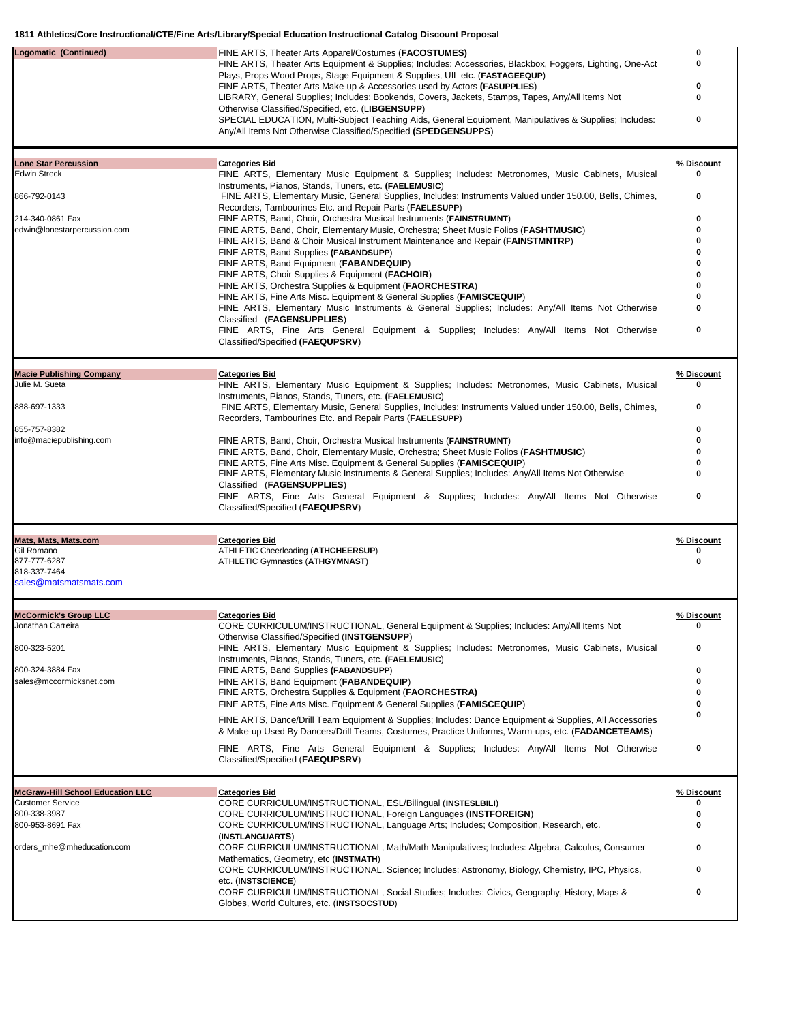| Logomatic (Continued)                    | FINE ARTS, Theater Arts Apparel/Costumes (FACOSTUMES)<br>FINE ARTS, Theater Arts Equipment & Supplies; Includes: Accessories, Blackbox, Foggers, Lighting, One-Act<br>Plays, Props Wood Props, Stage Equipment & Supplies, UIL etc. (FASTAGEEQUP) | 0<br>0     |
|------------------------------------------|---------------------------------------------------------------------------------------------------------------------------------------------------------------------------------------------------------------------------------------------------|------------|
|                                          | FINE ARTS, Theater Arts Make-up & Accessories used by Actors (FASUPPLIES)<br>LIBRARY, General Supplies; Includes: Bookends, Covers, Jackets, Stamps, Tapes, Any/All Items Not                                                                     | o<br>0     |
|                                          | Otherwise Classified/Specified, etc. (LIBGENSUPP)<br>SPECIAL EDUCATION, Multi-Subject Teaching Aids, General Equipment, Manipulatives & Supplies; Includes:<br>Any/All Items Not Otherwise Classified/Specified (SPEDGENSUPPS)                    | 0          |
| <b>Lone Star Percussion</b>              | <b>Categories Bid</b>                                                                                                                                                                                                                             | % Discount |
| <b>Edwin Streck</b>                      | FINE ARTS, Elementary Music Equipment & Supplies; Includes: Metronomes, Music Cabinets, Musical<br>Instruments, Pianos, Stands, Tuners, etc. (FAELEMUSIC)                                                                                         | 0          |
| 866-792-0143                             | FINE ARTS, Elementary Music, General Supplies, Includes: Instruments Valued under 150.00, Bells, Chimes,<br>Recorders, Tambourines Etc. and Repair Parts (FAELESUPP)                                                                              | 0          |
| 214-340-0861 Fax                         | FINE ARTS, Band, Choir, Orchestra Musical Instruments (FAINSTRUMNT)                                                                                                                                                                               | o<br>ŋ     |
| edwin@lonestarpercussion.com             | FINE ARTS, Band, Choir, Elementary Music, Orchestra; Sheet Music Folios (FASHTMUSIC)<br>FINE ARTS, Band & Choir Musical Instrument Maintenance and Repair (FAINSTMNTRP)                                                                           |            |
|                                          | FINE ARTS, Band Supplies (FABANDSUPP)<br>FINE ARTS, Band Equipment (FABANDEQUIP)                                                                                                                                                                  |            |
|                                          | FINE ARTS, Choir Supplies & Equipment (FACHOIR)                                                                                                                                                                                                   |            |
|                                          | FINE ARTS, Orchestra Supplies & Equipment (FAORCHESTRA)<br>FINE ARTS, Fine Arts Misc. Equipment & General Supplies (FAMISCEQUIP)                                                                                                                  |            |
|                                          | FINE ARTS, Elementary Music Instruments & General Supplies; Includes: Any/All Items Not Otherwise                                                                                                                                                 | ŋ          |
|                                          | Classified (FAGENSUPPLIES)<br>FINE ARTS, Fine Arts General Equipment & Supplies; Includes: Any/All Items Not Otherwise<br>Classified/Specified (FAEQUPSRV)                                                                                        | 0          |
| <b>Macie Publishing Company</b>          | <b>Categories Bid</b>                                                                                                                                                                                                                             | % Discount |
| Julie M. Sueta                           | FINE ARTS, Elementary Music Equipment & Supplies; Includes: Metronomes, Music Cabinets, Musical                                                                                                                                                   | 0          |
| 888-697-1333                             | Instruments, Pianos, Stands, Tuners, etc. (FAELEMUSIC)<br>FINE ARTS, Elementary Music, General Supplies, Includes: Instruments Valued under 150.00, Bells, Chimes,<br>Recorders, Tambourines Etc. and Repair Parts (FAELESUPP)                    | 0          |
| 855-757-8382<br>info@maciepublishing.com | FINE ARTS, Band, Choir, Orchestra Musical Instruments (FAINSTRUMNT)                                                                                                                                                                               | o          |
|                                          | FINE ARTS, Band, Choir, Elementary Music, Orchestra; Sheet Music Folios (FASHTMUSIC)                                                                                                                                                              |            |
|                                          | FINE ARTS, Fine Arts Misc. Equipment & General Supplies (FAMISCEQUIP)<br>FINE ARTS, Elementary Music Instruments & General Supplies; Includes: Any/All Items Not Otherwise                                                                        |            |
|                                          | Classified (FAGENSUPPLIES)<br>FINE ARTS, Fine Arts General Equipment & Supplies; Includes: Any/All Items Not Otherwise                                                                                                                            | 0          |
|                                          | Classified/Specified (FAEQUPSRV)                                                                                                                                                                                                                  |            |
| Mats, Mats, Mats.com                     | <b>Categories Bid</b>                                                                                                                                                                                                                             | % Discount |
| Gil Romano<br>877-777-6287               | ATHLETIC Cheerleading (ATHCHEERSUP)<br>ATHLETIC Gymnastics (ATHGYMNAST)                                                                                                                                                                           | o<br>0     |
| 818-337-7464<br>sales@matsmatsmats.com   |                                                                                                                                                                                                                                                   |            |
| <b>McCormick's Group LLC</b>             | <b>Categories Bid</b>                                                                                                                                                                                                                             | % Discount |
| Jonathan Carreira                        | CORE CURRICULUM/INSTRUCTIONAL, General Equipment & Supplies; Includes: Any/All Items Not<br>Otherwise Classified/Specified (INSTGENSUPP)                                                                                                          | 0          |
| 800-323-5201                             | FINE ARTS, Elementary Music Equipment & Supplies; Includes: Metronomes, Music Cabinets, Musical                                                                                                                                                   | 0          |
| 800-324-3884 Fax                         | Instruments, Pianos, Stands, Tuners, etc. (FAELEMUSIC)<br>FINE ARTS, Band Supplies (FABANDSUPP)                                                                                                                                                   | o          |
| sales@mccormicksnet.com                  | FINE ARTS, Band Equipment (FABANDEQUIP)<br>FINE ARTS, Orchestra Supplies & Equipment (FAORCHESTRA)                                                                                                                                                | n<br>o     |
|                                          | FINE ARTS, Fine Arts Misc. Equipment & General Supplies (FAMISCEQUIP)                                                                                                                                                                             |            |
|                                          | FINE ARTS, Dance/Drill Team Equipment & Supplies; Includes: Dance Equipment & Supplies, All Accessories<br>& Make-up Used By Dancers/Drill Teams, Costumes, Practice Uniforms, Warm-ups, etc. (FADANCETEAMS)                                      | ŋ          |
|                                          | FINE ARTS, Fine Arts General Equipment & Supplies; Includes: Any/All Items Not Otherwise<br>Classified/Specified (FAEQUPSRV)                                                                                                                      | $\pmb{0}$  |
| <b>McGraw-Hill School Education LLC</b>  | <b>Categories Bid</b>                                                                                                                                                                                                                             | % Discount |
| <b>Customer Service</b><br>800-338-3987  | CORE CURRICULUM/INSTRUCTIONAL, ESL/Bilingual (INSTESLBILI)<br>CORE CURRICULUM/INSTRUCTIONAL, Foreign Languages (INSTFOREIGN)                                                                                                                      | o          |
| 800-953-8691 Fax                         | CORE CURRICULUM/INSTRUCTIONAL, Language Arts; Includes; Composition, Research, etc.<br>(INSTLANGUARTS)                                                                                                                                            | o          |
| orders_mhe@mheducation.com               | CORE CURRICULUM/INSTRUCTIONAL, Math/Math Manipulatives; Includes: Algebra, Calculus, Consumer<br>Mathematics, Geometry, etc (INSTMATH)                                                                                                            | 0          |
|                                          | CORE CURRICULUM/INSTRUCTIONAL, Science; Includes: Astronomy, Biology, Chemistry, IPC, Physics,<br>etc. (INSTSCIENCE)                                                                                                                              | 0          |
|                                          | CORE CURRICULUM/INSTRUCTIONAL, Social Studies; Includes: Civics, Geography, History, Maps &<br>Globes, World Cultures, etc. (INSTSOCSTUD)                                                                                                         | 0          |
|                                          |                                                                                                                                                                                                                                                   |            |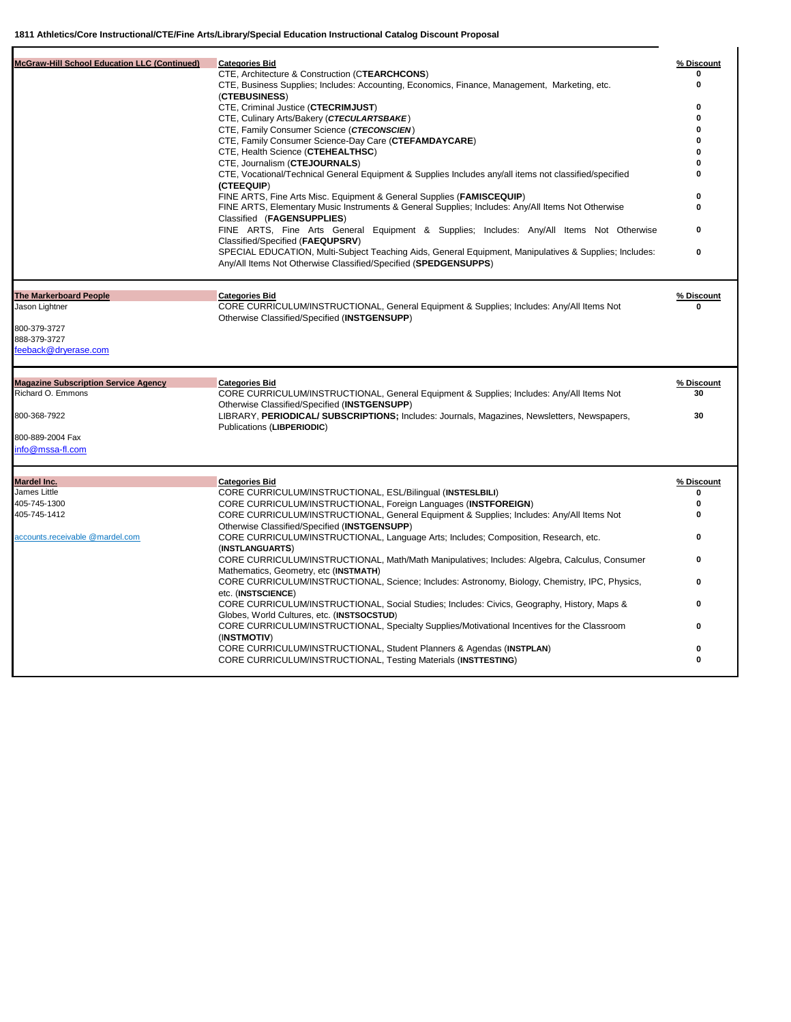| <b>McGraw-Hill School Education LLC (Continued)</b><br><b>Categories Bid</b><br>CTE, Architecture & Construction (CTEARCHCONS) |                                                                                                                                                                           | % Discount      |
|--------------------------------------------------------------------------------------------------------------------------------|---------------------------------------------------------------------------------------------------------------------------------------------------------------------------|-----------------|
|                                                                                                                                |                                                                                                                                                                           |                 |
| (CTEBUSINESS)                                                                                                                  | CTE, Business Supplies; Includes: Accounting, Economics, Finance, Management, Marketing, etc.                                                                             | 0               |
| CTE, Criminal Justice (CTECRIMJUST)                                                                                            |                                                                                                                                                                           | $\bf{0}$        |
| CTE, Culinary Arts/Bakery (CTECULARTSBAKE)                                                                                     |                                                                                                                                                                           | $\bf{0}$        |
| CTE, Family Consumer Science (CTECONSCIEN)                                                                                     |                                                                                                                                                                           | $\bf{0}$        |
|                                                                                                                                | CTE, Family Consumer Science-Day Care (CTEFAMDAYCARE)                                                                                                                     | $\Omega$        |
| CTE, Health Science (CTEHEALTHSC)                                                                                              |                                                                                                                                                                           | O               |
| CTE, Journalism (CTEJOURNALS)                                                                                                  |                                                                                                                                                                           |                 |
| (CTEEQUIP)                                                                                                                     | CTE, Vocational/Technical General Equipment & Supplies Includes any/all items not classified/specified                                                                    | $\bf{0}$        |
|                                                                                                                                | FINE ARTS, Fine Arts Misc. Equipment & General Supplies (FAMISCEQUIP)                                                                                                     | $\bf{0}$        |
| Classified (FAGENSUPPLIES)                                                                                                     | FINE ARTS, Elementary Music Instruments & General Supplies; Includes: Any/All Items Not Otherwise                                                                         | $\bf{0}$        |
| Classified/Specified (FAEQUPSRV)                                                                                               | FINE ARTS, Fine Arts General Equipment & Supplies; Includes: Any/All Items Not Otherwise                                                                                  | 0               |
|                                                                                                                                | SPECIAL EDUCATION, Multi-Subject Teaching Aids, General Equipment, Manipulatives & Supplies; Includes:<br>Any/All Items Not Otherwise Classified/Specified (SPEDGENSUPPS) | $\bf{0}$        |
| <b>The Markerboard People</b><br><b>Categories Bid</b>                                                                         |                                                                                                                                                                           | % Discount      |
| Jason Lightner<br>Otherwise Classified/Specified (INSTGENSUPP)                                                                 | CORE CURRICULUM/INSTRUCTIONAL, General Equipment & Supplies; Includes: Any/All Items Not                                                                                  | $\Omega$        |
| 800-379-3727                                                                                                                   |                                                                                                                                                                           |                 |
| 888-379-3727                                                                                                                   |                                                                                                                                                                           |                 |
| feeback@dryerase.com                                                                                                           |                                                                                                                                                                           |                 |
| <b>Magazine Subscription Service Agency</b><br><b>Categories Bid</b>                                                           |                                                                                                                                                                           | % Discount      |
|                                                                                                                                | CORE CURRICULUM/INSTRUCTIONAL, General Equipment & Supplies; Includes: Any/All Items Not                                                                                  |                 |
| Richard O. Emmons                                                                                                              |                                                                                                                                                                           | 30              |
| Otherwise Classified/Specified (INSTGENSUPP)                                                                                   |                                                                                                                                                                           |                 |
| 800-368-7922<br>Publications (LIBPERIODIC)                                                                                     | LIBRARY, PERIODICAL/ SUBSCRIPTIONS; Includes: Journals, Magazines, Newsletters, Newspapers,                                                                               | 30              |
| 800-889-2004 Fax                                                                                                               |                                                                                                                                                                           |                 |
| info@mssa-fl.com                                                                                                               |                                                                                                                                                                           |                 |
|                                                                                                                                |                                                                                                                                                                           |                 |
| Mardel Inc.<br><b>Categories Bid</b><br>James Little                                                                           |                                                                                                                                                                           | % Discount<br>0 |
| 405-745-1300                                                                                                                   | CORE CURRICULUM/INSTRUCTIONAL, ESL/Bilingual (INSTESLBILI)                                                                                                                | 0               |
| 405-745-1412                                                                                                                   | CORE CURRICULUM/INSTRUCTIONAL, Foreign Languages (INSTFOREIGN)<br>CORE CURRICULUM/INSTRUCTIONAL, General Equipment & Supplies; Includes: Any/All Items Not                | 0               |
| Otherwise Classified/Specified (INSTGENSUPP)<br>accounts.receivable @mardel.com                                                | CORE CURRICULUM/INSTRUCTIONAL, Language Arts; Includes; Composition, Research, etc.                                                                                       | 0               |
| (INSTLANGUARTS)                                                                                                                | CORE CURRICULUM/INSTRUCTIONAL, Math/Math Manipulatives; Includes: Algebra, Calculus, Consumer                                                                             | 0               |
| Mathematics, Geometry, etc (INSTMATH)                                                                                          | CORE CURRICULUM/INSTRUCTIONAL, Science; Includes: Astronomy, Biology, Chemistry, IPC, Physics,                                                                            | 0               |
| etc. (INSTSCIENCE)                                                                                                             | CORE CURRICULUM/INSTRUCTIONAL, Social Studies; Includes: Civics, Geography, History, Maps &                                                                               | 0               |
| Globes, World Cultures, etc. (INSTSOCSTUD)                                                                                     |                                                                                                                                                                           |                 |
| (INSTMOTIV)                                                                                                                    | CORE CURRICULUM/INSTRUCTIONAL, Specialty Supplies/Motivational Incentives for the Classroom<br>CORE CURRICULUM/INSTRUCTIONAL, Student Planners & Agendas (INSTPLAN)       | 0<br>$\bf{0}$   |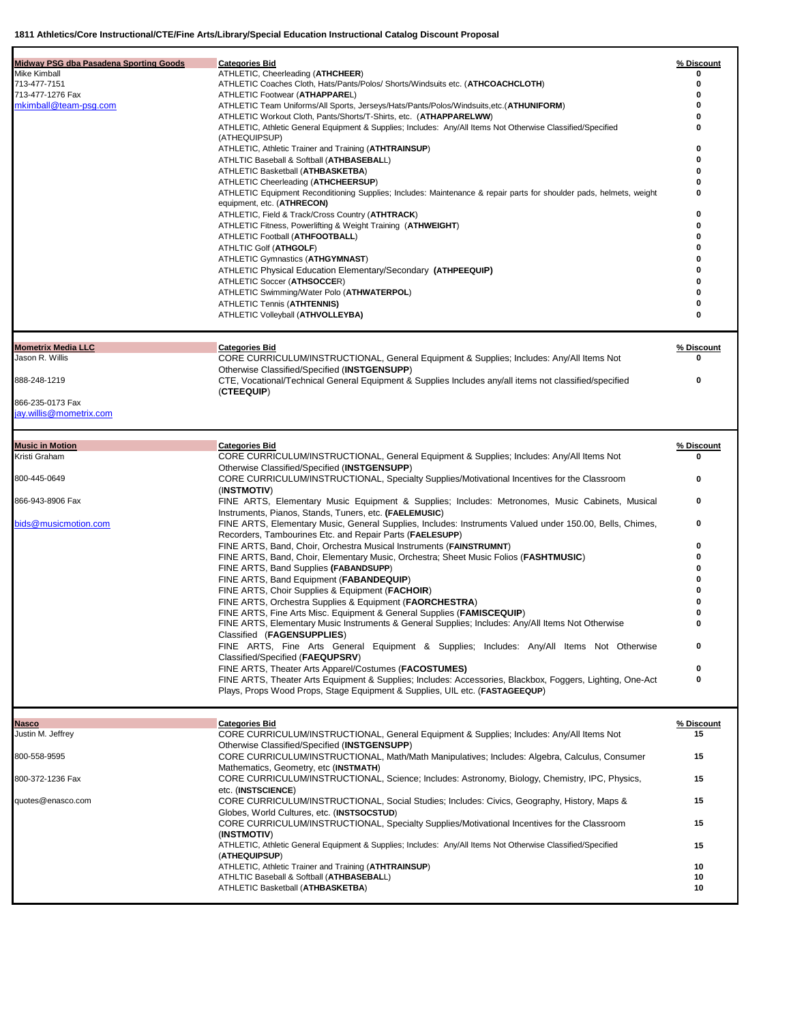| Midway PSG dba Pasadena Sporting Goods<br>Mike Kimball<br>713-477-7151<br>713-477-1276 Fax<br>mkimball@team-psg.com | <b>Categories Bid</b><br>ATHLETIC, Cheerleading (ATHCHEER)<br>ATHLETIC Coaches Cloth, Hats/Pants/Polos/ Shorts/Windsuits etc. (ATHCOACHCLOTH)<br>ATHLETIC Footwear (ATHAPPAREL)<br>ATHLETIC Team Uniforms/All Sports, Jerseys/Hats/Pants/Polos/Windsuits,etc.(ATHUNIFORM)<br>ATHLETIC Workout Cloth, Pants/Shorts/T-Shirts, etc. (ATHAPPARELWW)<br>ATHLETIC, Athletic General Equipment & Supplies; Includes: Any/All Items Not Otherwise Classified/Specified<br>(ATHEQUIPSUP)<br>ATHLETIC, Athletic Trainer and Training (ATHTRAINSUP)<br>ATHLTIC Baseball & Softball (ATHBASEBALL)<br>ATHLETIC Basketball (ATHBASKETBA)<br>ATHLETIC Cheerleading (ATHCHEERSUP)<br>ATHLETIC Equipment Reconditioning Supplies; Includes: Maintenance & repair parts for shoulder pads, helmets, weight<br>equipment, etc. (ATHRECON)<br>ATHLETIC, Field & Track/Cross Country (ATHTRACK)<br>ATHLETIC Fitness, Powerlifting & Weight Training (ATHWEIGHT)<br>ATHLETIC Football (ATHFOOTBALL)<br>ATHLTIC Golf (ATHGOLF)<br>ATHLETIC Gymnastics (ATHGYMNAST)<br>ATHLETIC Physical Education Elementary/Secondary (ATHPEEQUIP)<br>ATHLETIC Soccer (ATHSOCCER)<br>ATHLETIC Swimming/Water Polo (ATHWATERPOL)<br>ATHLETIC Tennis (ATHTENNIS)<br>ATHLETIC Volleyball (ATHVOLLEYBA) | % Discount<br>0<br>0<br>o<br>o<br>o<br>o<br>o<br>o<br>o<br>o<br>ŋ<br>o<br>o<br>ŋ<br>o<br>0<br>0 |
|---------------------------------------------------------------------------------------------------------------------|---------------------------------------------------------------------------------------------------------------------------------------------------------------------------------------------------------------------------------------------------------------------------------------------------------------------------------------------------------------------------------------------------------------------------------------------------------------------------------------------------------------------------------------------------------------------------------------------------------------------------------------------------------------------------------------------------------------------------------------------------------------------------------------------------------------------------------------------------------------------------------------------------------------------------------------------------------------------------------------------------------------------------------------------------------------------------------------------------------------------------------------------------------------------------------------------------------------------------------------------------------------|-------------------------------------------------------------------------------------------------|
| <b>Mometrix Media LLC</b><br>Jason R. Willis<br>888-248-1219<br>866-235-0173 Fax<br>jay.willis@mometrix.com         | <b>Categories Bid</b><br>CORE CURRICULUM/INSTRUCTIONAL, General Equipment & Supplies; Includes: Any/All Items Not<br>Otherwise Classified/Specified (INSTGENSUPP)<br>CTE, Vocational/Technical General Equipment & Supplies Includes any/all items not classified/specified<br>(CTEEQUIP)                                                                                                                                                                                                                                                                                                                                                                                                                                                                                                                                                                                                                                                                                                                                                                                                                                                                                                                                                                     | % Discount<br>Λ<br>0                                                                            |
|                                                                                                                     |                                                                                                                                                                                                                                                                                                                                                                                                                                                                                                                                                                                                                                                                                                                                                                                                                                                                                                                                                                                                                                                                                                                                                                                                                                                               |                                                                                                 |
| <b>Music in Motion</b><br>Kristi Graham                                                                             | <b>Categories Bid</b><br>CORE CURRICULUM/INSTRUCTIONAL, General Equipment & Supplies; Includes: Any/All Items Not                                                                                                                                                                                                                                                                                                                                                                                                                                                                                                                                                                                                                                                                                                                                                                                                                                                                                                                                                                                                                                                                                                                                             | % Discount<br>o                                                                                 |
|                                                                                                                     | Otherwise Classified/Specified (INSTGENSUPP)                                                                                                                                                                                                                                                                                                                                                                                                                                                                                                                                                                                                                                                                                                                                                                                                                                                                                                                                                                                                                                                                                                                                                                                                                  |                                                                                                 |
| 800-445-0649                                                                                                        | CORE CURRICULUM/INSTRUCTIONAL, Specialty Supplies/Motivational Incentives for the Classroom                                                                                                                                                                                                                                                                                                                                                                                                                                                                                                                                                                                                                                                                                                                                                                                                                                                                                                                                                                                                                                                                                                                                                                   | 0                                                                                               |
| 866-943-8906 Fax                                                                                                    | (INSTMOTIV)<br>FINE ARTS, Elementary Music Equipment & Supplies; Includes: Metronomes, Music Cabinets, Musical                                                                                                                                                                                                                                                                                                                                                                                                                                                                                                                                                                                                                                                                                                                                                                                                                                                                                                                                                                                                                                                                                                                                                | 0                                                                                               |
|                                                                                                                     | Instruments, Pianos, Stands, Tuners, etc. (FAELEMUSIC)                                                                                                                                                                                                                                                                                                                                                                                                                                                                                                                                                                                                                                                                                                                                                                                                                                                                                                                                                                                                                                                                                                                                                                                                        |                                                                                                 |
| bids@musicmotion.com                                                                                                | FINE ARTS, Elementary Music, General Supplies, Includes: Instruments Valued under 150.00, Bells, Chimes,<br>Recorders, Tambourines Etc. and Repair Parts (FAELESUPP)                                                                                                                                                                                                                                                                                                                                                                                                                                                                                                                                                                                                                                                                                                                                                                                                                                                                                                                                                                                                                                                                                          | 0                                                                                               |
|                                                                                                                     | FINE ARTS, Band, Choir, Orchestra Musical Instruments (FAINSTRUMNT)                                                                                                                                                                                                                                                                                                                                                                                                                                                                                                                                                                                                                                                                                                                                                                                                                                                                                                                                                                                                                                                                                                                                                                                           | 0                                                                                               |
|                                                                                                                     | FINE ARTS, Band, Choir, Elementary Music, Orchestra; Sheet Music Folios (FASHTMUSIC)                                                                                                                                                                                                                                                                                                                                                                                                                                                                                                                                                                                                                                                                                                                                                                                                                                                                                                                                                                                                                                                                                                                                                                          |                                                                                                 |
|                                                                                                                     | FINE ARTS, Band Supplies (FABANDSUPP)<br>FINE ARTS, Band Equipment (FABANDEQUIP)                                                                                                                                                                                                                                                                                                                                                                                                                                                                                                                                                                                                                                                                                                                                                                                                                                                                                                                                                                                                                                                                                                                                                                              |                                                                                                 |
|                                                                                                                     | FINE ARTS, Choir Supplies & Equipment (FACHOIR)                                                                                                                                                                                                                                                                                                                                                                                                                                                                                                                                                                                                                                                                                                                                                                                                                                                                                                                                                                                                                                                                                                                                                                                                               |                                                                                                 |
|                                                                                                                     | FINE ARTS, Orchestra Supplies & Equipment (FAORCHESTRA)                                                                                                                                                                                                                                                                                                                                                                                                                                                                                                                                                                                                                                                                                                                                                                                                                                                                                                                                                                                                                                                                                                                                                                                                       | 0                                                                                               |
|                                                                                                                     | FINE ARTS, Fine Arts Misc. Equipment & General Supplies (FAMISCEQUIP)<br>FINE ARTS, Elementary Music Instruments & General Supplies; Includes: Any/All Items Not Otherwise                                                                                                                                                                                                                                                                                                                                                                                                                                                                                                                                                                                                                                                                                                                                                                                                                                                                                                                                                                                                                                                                                    |                                                                                                 |
|                                                                                                                     | Classified (FAGENSUPPLIES)                                                                                                                                                                                                                                                                                                                                                                                                                                                                                                                                                                                                                                                                                                                                                                                                                                                                                                                                                                                                                                                                                                                                                                                                                                    |                                                                                                 |
|                                                                                                                     | FINE ARTS, Fine Arts General Equipment & Supplies; Includes: Any/All Items Not Otherwise<br>Classified/Specified (FAEQUPSRV)                                                                                                                                                                                                                                                                                                                                                                                                                                                                                                                                                                                                                                                                                                                                                                                                                                                                                                                                                                                                                                                                                                                                  | 0                                                                                               |
|                                                                                                                     | FINE ARTS, Theater Arts Apparel/Costumes (FACOSTUMES)<br>FINE ARTS, Theater Arts Equipment & Supplies; Includes: Accessories, Blackbox, Foggers, Lighting, One-Act<br>Plays, Props Wood Props, Stage Equipment & Supplies, UIL etc. (FASTAGEEQUP)                                                                                                                                                                                                                                                                                                                                                                                                                                                                                                                                                                                                                                                                                                                                                                                                                                                                                                                                                                                                             | 0<br>0                                                                                          |
|                                                                                                                     |                                                                                                                                                                                                                                                                                                                                                                                                                                                                                                                                                                                                                                                                                                                                                                                                                                                                                                                                                                                                                                                                                                                                                                                                                                                               |                                                                                                 |
| Nasco<br>Justin M. Jeffrey                                                                                          | <b>Categories Bid</b><br>CORE CURRICULUM/INSTRUCTIONAL, General Equipment & Supplies; Includes: Any/All Items Not                                                                                                                                                                                                                                                                                                                                                                                                                                                                                                                                                                                                                                                                                                                                                                                                                                                                                                                                                                                                                                                                                                                                             | % Discount<br>15                                                                                |
|                                                                                                                     | Otherwise Classified/Specified (INSTGENSUPP)                                                                                                                                                                                                                                                                                                                                                                                                                                                                                                                                                                                                                                                                                                                                                                                                                                                                                                                                                                                                                                                                                                                                                                                                                  |                                                                                                 |
| 800-558-9595                                                                                                        | CORE CURRICULUM/INSTRUCTIONAL, Math/Math Manipulatives; Includes: Algebra, Calculus, Consumer<br>Mathematics, Geometry, etc (INSTMATH)                                                                                                                                                                                                                                                                                                                                                                                                                                                                                                                                                                                                                                                                                                                                                                                                                                                                                                                                                                                                                                                                                                                        | 15                                                                                              |
| 800-372-1236 Fax                                                                                                    | CORE CURRICULUM/INSTRUCTIONAL, Science; Includes: Astronomy, Biology, Chemistry, IPC, Physics,<br>etc. (INSTSCIENCE)                                                                                                                                                                                                                                                                                                                                                                                                                                                                                                                                                                                                                                                                                                                                                                                                                                                                                                                                                                                                                                                                                                                                          | 15                                                                                              |
| quotes@enasco.com                                                                                                   | CORE CURRICULUM/INSTRUCTIONAL, Social Studies; Includes: Civics, Geography, History, Maps &<br>Globes, World Cultures, etc. (INSTSOCSTUD)                                                                                                                                                                                                                                                                                                                                                                                                                                                                                                                                                                                                                                                                                                                                                                                                                                                                                                                                                                                                                                                                                                                     | 15                                                                                              |
|                                                                                                                     | CORE CURRICULUM/INSTRUCTIONAL, Specialty Supplies/Motivational Incentives for the Classroom                                                                                                                                                                                                                                                                                                                                                                                                                                                                                                                                                                                                                                                                                                                                                                                                                                                                                                                                                                                                                                                                                                                                                                   | 15                                                                                              |
|                                                                                                                     | (INSTMOTIV)<br>ATHLETIC, Athletic General Equipment & Supplies; Includes: Any/All Items Not Otherwise Classified/Specified                                                                                                                                                                                                                                                                                                                                                                                                                                                                                                                                                                                                                                                                                                                                                                                                                                                                                                                                                                                                                                                                                                                                    | 15                                                                                              |
|                                                                                                                     | (ATHEQUIPSUP)<br>ATHLETIC, Athletic Trainer and Training (ATHTRAINSUP)                                                                                                                                                                                                                                                                                                                                                                                                                                                                                                                                                                                                                                                                                                                                                                                                                                                                                                                                                                                                                                                                                                                                                                                        | 10                                                                                              |
|                                                                                                                     | ATHLTIC Baseball & Softball (ATHBASEBALL)                                                                                                                                                                                                                                                                                                                                                                                                                                                                                                                                                                                                                                                                                                                                                                                                                                                                                                                                                                                                                                                                                                                                                                                                                     | 10                                                                                              |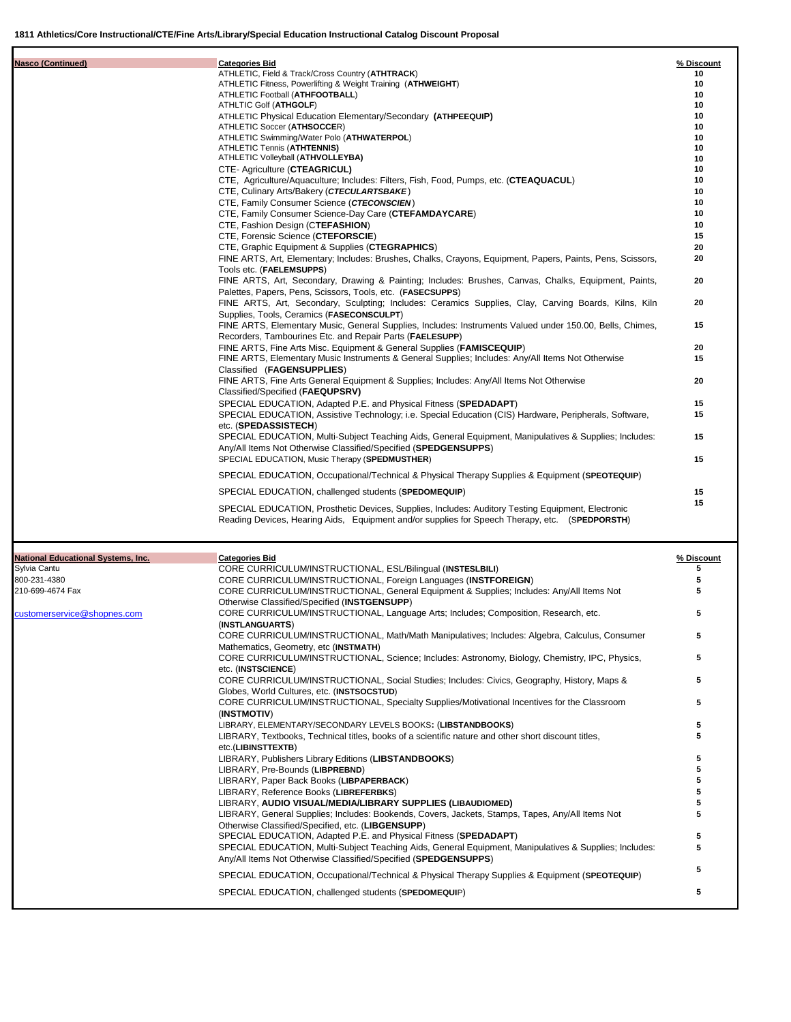(**INSTMOTIV**)

| <b>Nasco (Continued)</b>                  | <b>Categories Bid</b>                                                                                                                                                                               | % Discount |
|-------------------------------------------|-----------------------------------------------------------------------------------------------------------------------------------------------------------------------------------------------------|------------|
|                                           | ATHLETIC, Field & Track/Cross Country (ATHTRACK)                                                                                                                                                    | 10         |
|                                           | ATHLETIC Fitness, Powerlifting & Weight Training (ATHWEIGHT)                                                                                                                                        | 10         |
|                                           | ATHLETIC Football (ATHFOOTBALL)                                                                                                                                                                     | 10         |
|                                           | <b>ATHLTIC Golf (ATHGOLF)</b>                                                                                                                                                                       | 10         |
|                                           | ATHLETIC Physical Education Elementary/Secondary (ATHPEEQUIP)                                                                                                                                       | 10         |
|                                           | ATHLETIC Soccer (ATHSOCCER)                                                                                                                                                                         | 10         |
|                                           | ATHLETIC Swimming/Water Polo (ATHWATERPOL)                                                                                                                                                          | 10         |
|                                           | ATHLETIC Tennis (ATHTENNIS)                                                                                                                                                                         | 10         |
|                                           | ATHLETIC Volleyball (ATHVOLLEYBA)                                                                                                                                                                   | 10         |
|                                           | CTE- Agriculture (CTEAGRICUL)                                                                                                                                                                       | 10         |
|                                           | CTE, Agriculture/Aquaculture; Includes: Filters, Fish, Food, Pumps, etc. (CTEAQUACUL)                                                                                                               | 10         |
|                                           | CTE, Culinary Arts/Bakery (CTECULARTSBAKE)                                                                                                                                                          | 10         |
|                                           | CTE, Family Consumer Science (CTECONSCIEN)                                                                                                                                                          | 10         |
|                                           | CTE, Family Consumer Science-Day Care (CTEFAMDAYCARE)                                                                                                                                               | 10         |
|                                           | CTE, Fashion Design (CTEFASHION)                                                                                                                                                                    | 10         |
|                                           | CTE, Forensic Science (CTEFORSCIE)                                                                                                                                                                  | 15         |
|                                           | CTE, Graphic Equipment & Supplies (CTEGRAPHICS)                                                                                                                                                     | 20         |
|                                           | FINE ARTS, Art, Elementary; Includes: Brushes, Chalks, Crayons, Equipment, Papers, Paints, Pens, Scissors,                                                                                          | 20         |
|                                           | Tools etc. (FAELEMSUPPS)                                                                                                                                                                            |            |
|                                           | FINE ARTS, Art, Secondary, Drawing & Painting; Includes: Brushes, Canvas, Chalks, Equipment, Paints,<br>Palettes, Papers, Pens, Scissors, Tools, etc. (FASECSUPPS)                                  | 20         |
|                                           | FINE ARTS, Art, Secondary, Sculpting; Includes: Ceramics Supplies, Clay, Carving Boards, Kilns, Kiln<br>Supplies, Tools, Ceramics (FASECONSCULPT)                                                   | 20         |
|                                           | FINE ARTS, Elementary Music, General Supplies, Includes: Instruments Valued under 150.00, Bells, Chimes,                                                                                            | 15         |
|                                           | Recorders, Tambourines Etc. and Repair Parts (FAELESUPP)                                                                                                                                            | 20         |
|                                           | FINE ARTS, Fine Arts Misc. Equipment & General Supplies (FAMISCEQUIP)<br>FINE ARTS, Elementary Music Instruments & General Supplies; Includes: Any/All Items Not Otherwise                          | 15         |
|                                           | Classified (FAGENSUPPLIES)                                                                                                                                                                          |            |
|                                           | FINE ARTS, Fine Arts General Equipment & Supplies; Includes: Any/All Items Not Otherwise<br>Classified/Specified (FAEQUPSRV)                                                                        | 20         |
|                                           |                                                                                                                                                                                                     | 15         |
|                                           | SPECIAL EDUCATION, Adapted P.E. and Physical Fitness (SPEDADAPT)                                                                                                                                    |            |
|                                           | SPECIAL EDUCATION, Assistive Technology; i.e. Special Education (CIS) Hardware, Peripherals, Software,                                                                                              | 15         |
|                                           | etc. (SPEDASSISTECH)                                                                                                                                                                                |            |
|                                           | SPECIAL EDUCATION, Multi-Subject Teaching Aids, General Equipment, Manipulatives & Supplies; Includes:                                                                                              | 15         |
|                                           | Any/All Items Not Otherwise Classified/Specified (SPEDGENSUPPS)                                                                                                                                     |            |
|                                           | SPECIAL EDUCATION, Music Therapy (SPEDMUSTHER)                                                                                                                                                      | 15         |
|                                           | SPECIAL EDUCATION, Occupational/Technical & Physical Therapy Supplies & Equipment (SPEOTEQUIP)                                                                                                      |            |
|                                           | SPECIAL EDUCATION, challenged students (SPEDOMEQUIP)                                                                                                                                                | 15         |
|                                           | SPECIAL EDUCATION, Prosthetic Devices, Supplies, Includes: Auditory Testing Equipment, Electronic<br>Reading Devices, Hearing Aids, Equipment and/or supplies for Speech Therapy, etc. (SPEDPORSTH) | 15         |
| <b>National Educational Systems, Inc.</b> | <b>Categories Bid</b>                                                                                                                                                                               | % Discount |
| Sylvia Cantu                              | CORE CURRICULUM/INSTRUCTIONAL, ESL/Bilingual (INSTESLBILI)                                                                                                                                          | 5          |
| 800-231-4380                              | CORE CURRICULUM/INSTRUCTIONAL, Foreign Languages (INSTFOREIGN)                                                                                                                                      | 5          |
| 210-699-4674 Fax                          | CORE CURRICULUM/INSTRUCTIONAL, General Equipment & Supplies; Includes: Any/All Items Not                                                                                                            | 5          |
|                                           | Otherwise Classified/Specified (INSTGENSUPP)                                                                                                                                                        |            |
| customerservice@shopnes.com               | CORE CURRICULUM/INSTRUCTIONAL, Language Arts; Includes; Composition, Research, etc.                                                                                                                 | 5          |
|                                           | (INSTLANGUARTS)                                                                                                                                                                                     |            |
|                                           | CORE CURRICULUM/INSTRUCTIONAL, Math/Math Manipulatives; Includes: Algebra, Calculus, Consumer                                                                                                       | 5          |
|                                           | Mathematics, Geometry, etc (INSTMATH)                                                                                                                                                               |            |
|                                           | CORE CURRICULUM/INSTRUCTIONAL, Science; Includes: Astronomy, Biology, Chemistry, IPC, Physics,                                                                                                      | 5          |
|                                           | etc. (INSTSCIENCE)                                                                                                                                                                                  |            |
|                                           | CORE CURRICULUM/INSTRUCTIONAL, Social Studies; Includes: Civics, Geography, History, Maps &<br>Globes World Cultures etc. (INSTSOCSTUD)                                                             | 5          |

| ,,,,,,,,,,,,,,,                                                                                        |   |
|--------------------------------------------------------------------------------------------------------|---|
| LIBRARY, ELEMENTARY/SECONDARY LEVELS BOOKS: (LIBSTANDBOOKS)                                            |   |
| LIBRARY, Textbooks, Technical titles, books of a scientific nature and other short discount titles,    |   |
| etc.(LIBINSTTEXTB)                                                                                     |   |
| LIBRARY, Publishers Library Editions (LIBSTANDBOOKS)                                                   |   |
| LIBRARY, Pre-Bounds (LIBPREBND)                                                                        |   |
| LIBRARY, Paper Back Books (LIBPAPERBACK)                                                               |   |
| LIBRARY, Reference Books (LIBREFERBKS)                                                                 |   |
| LIBRARY, AUDIO VISUAL/MEDIA/LIBRARY SUPPLIES (LIBAUDIOMED)                                             |   |
| LIBRARY, General Supplies; Includes: Bookends, Covers, Jackets, Stamps, Tapes, Any/All Items Not       |   |
| Otherwise Classified/Specified. etc. (LIBGENSUPP)                                                      |   |
| SPECIAL EDUCATION, Adapted P.E. and Physical Fitness (SPEDADAPT)                                       | 5 |
| SPECIAL EDUCATION, Multi-Subject Teaching Aids, General Equipment, Manipulatives & Supplies; Includes: |   |
| Any/All Items Not Otherwise Classified/Specified (SPEDGENSUPPS)                                        |   |
| SPECIAL EDUCATION, Occupational/Technical & Physical Therapy Supplies & Equipment (SPEOTEQUIP)         | 5 |
|                                                                                                        |   |
| SPECIAL EDUCATION, challenged students (SPEDOMEQUIP)                                                   |   |
|                                                                                                        |   |

**5**

CORE CURRICULUM/INSTRUCTIONAL, Specialty Supplies/Motivational Incentives for the Classroom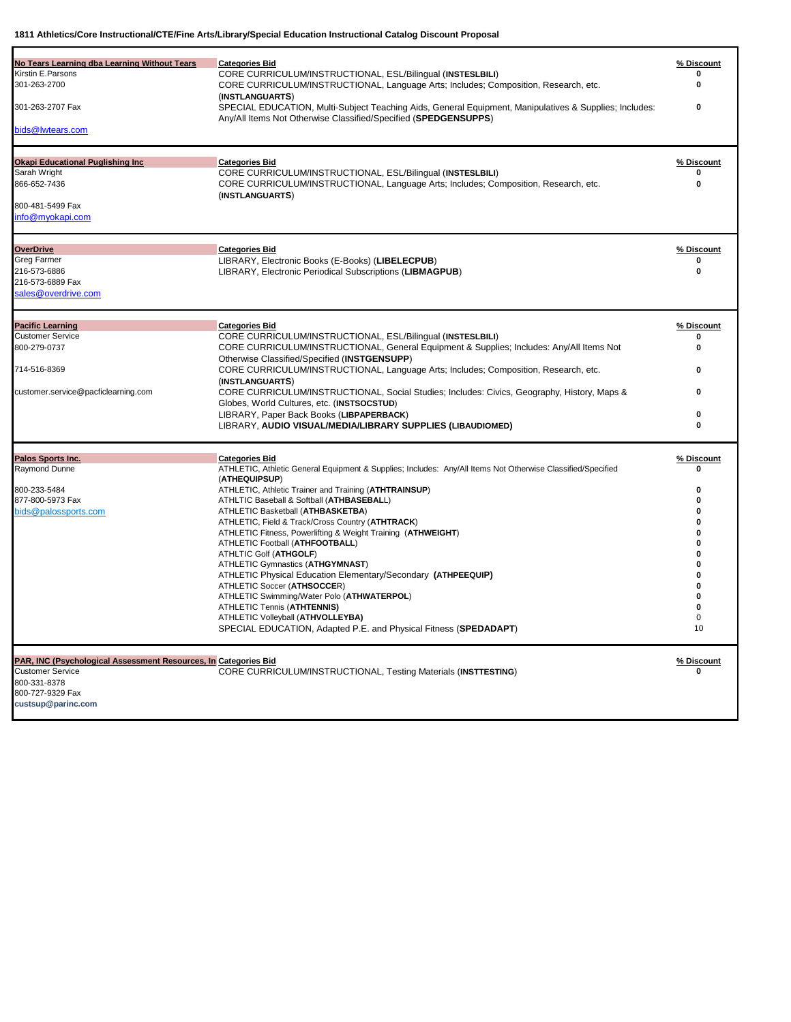| No Tears Learning dba Learning Without Tears                    | <b>Categories Bid</b>                                                                                       | % Discount |
|-----------------------------------------------------------------|-------------------------------------------------------------------------------------------------------------|------------|
| Kirstin E.Parsons                                               | CORE CURRICULUM/INSTRUCTIONAL, ESL/Bilingual (INSTESLBILI)                                                  |            |
| 301-263-2700                                                    | CORE CURRICULUM/INSTRUCTIONAL, Language Arts; Includes; Composition, Research, etc.                         | $\bf{0}$   |
|                                                                 | (INSTLANGUARTS)                                                                                             |            |
| 301-263-2707 Fax                                                | SPECIAL EDUCATION, Multi-Subject Teaching Aids, General Equipment, Manipulatives & Supplies; Includes:      | 0          |
|                                                                 | Any/All Items Not Otherwise Classified/Specified (SPEDGENSUPPS)                                             |            |
| bids@lwtears.com                                                |                                                                                                             |            |
|                                                                 |                                                                                                             |            |
| <b>Okapi Educational Puglishing Inc</b>                         | <b>Categories Bid</b>                                                                                       | % Discount |
| Sarah Wright                                                    | CORE CURRICULUM/INSTRUCTIONAL, ESL/Bilingual (INSTESLBILI)                                                  | $\Omega$   |
| 866-652-7436                                                    | CORE CURRICULUM/INSTRUCTIONAL, Language Arts; Includes; Composition, Research, etc.                         | 0          |
|                                                                 | (INSTLANGUARTS)                                                                                             |            |
| 800-481-5499 Fax                                                |                                                                                                             |            |
| info@myokapi.com                                                |                                                                                                             |            |
|                                                                 |                                                                                                             |            |
| <b>OverDrive</b>                                                | <b>Categories Bid</b>                                                                                       | % Discount |
| Greg Farmer                                                     | LIBRARY, Electronic Books (E-Books) (LIBELECPUB)                                                            | 0          |
| 216-573-6886                                                    | LIBRARY, Electronic Periodical Subscriptions (LIBMAGPUB)                                                    | 0          |
| 216-573-6889 Fax                                                |                                                                                                             |            |
| sales@overdrive.com                                             |                                                                                                             |            |
|                                                                 |                                                                                                             |            |
|                                                                 |                                                                                                             |            |
| <b>Pacific Learning</b>                                         | <b>Categories Bid</b>                                                                                       | % Discount |
| <b>Customer Service</b>                                         | CORE CURRICULUM/INSTRUCTIONAL, ESL/Bilingual (INSTESLBILI)                                                  | n          |
| 800-279-0737                                                    | CORE CURRICULUM/INSTRUCTIONAL, General Equipment & Supplies; Includes: Any/All Items Not                    | $\bf{0}$   |
|                                                                 | Otherwise Classified/Specified (INSTGENSUPP)                                                                |            |
| 714-516-8369                                                    | CORE CURRICULUM/INSTRUCTIONAL, Language Arts; Includes; Composition, Research, etc.                         | 0          |
|                                                                 | (INSTLANGUARTS)                                                                                             |            |
| customer.service@pacficlearning.com                             | CORE CURRICULUM/INSTRUCTIONAL, Social Studies; Includes: Civics, Geography, History, Maps &                 | 0          |
|                                                                 | Globes, World Cultures, etc. (INSTSOCSTUD)                                                                  |            |
|                                                                 | LIBRARY, Paper Back Books (LIBPAPERBACK)                                                                    | 0          |
|                                                                 | LIBRARY, AUDIO VISUAL/MEDIA/LIBRARY SUPPLIES (LIBAUDIOMED)                                                  | $\bf{0}$   |
|                                                                 |                                                                                                             |            |
| Palos Sports Inc.                                               | <b>Categories Bid</b>                                                                                       | % Discount |
| Raymond Dunne                                                   | ATHLETIC, Athletic General Equipment & Supplies; Includes: Any/All Items Not Otherwise Classified/Specified | 0          |
|                                                                 | (ATHEQUIPSUP)                                                                                               |            |
| 800-233-5484                                                    | ATHLETIC, Athletic Trainer and Training (ATHTRAINSUP)                                                       | 0          |
| 877-800-5973 Fax                                                | ATHLTIC Baseball & Softball (ATHBASEBALL)                                                                   | $\Omega$   |
| bids@palossports.com                                            | ATHLETIC Basketball (ATHBASKETBA)                                                                           | 0          |
|                                                                 | ATHLETIC, Field & Track/Cross Country (ATHTRACK)                                                            | 0          |
|                                                                 | ATHLETIC Fitness, Powerlifting & Weight Training (ATHWEIGHT)                                                | 0          |
|                                                                 | ATHLETIC Football (ATHFOOTBALL)                                                                             | 0          |
|                                                                 | ATHLTIC Golf (ATHGOLF)                                                                                      | 0          |
|                                                                 | ATHLETIC Gymnastics (ATHGYMNAST)                                                                            | $\bf{0}$   |
|                                                                 | ATHLETIC Physical Education Elementary/Secondary (ATHPEEQUIP)                                               | 0          |
|                                                                 | ATHLETIC Soccer (ATHSOCCER)                                                                                 | $\bf{0}$   |
|                                                                 | ATHLETIC Swimming/Water Polo (ATHWATERPOL)                                                                  | 0          |
|                                                                 | ATHLETIC Tennis (ATHTENNIS)                                                                                 | 0          |
|                                                                 | ATHLETIC Volleyball (ATHVOLLEYBA)                                                                           | 0          |
|                                                                 | SPECIAL EDUCATION, Adapted P.E. and Physical Fitness (SPEDADAPT)                                            | 10         |
|                                                                 |                                                                                                             |            |
| PAR, INC (Psychological Assessment Resources, In Categories Bid |                                                                                                             | % Discount |
| <b>Customer Service</b>                                         | <b>CORE CURRICULUM/INSTRUCTIONAL, Testing Materials (INSTTESTING)</b>                                       | 0          |
| 800-331-8378                                                    |                                                                                                             |            |
| 800-727-9329 Fax                                                |                                                                                                             |            |
| custsup@parinc.com                                              |                                                                                                             |            |
|                                                                 |                                                                                                             |            |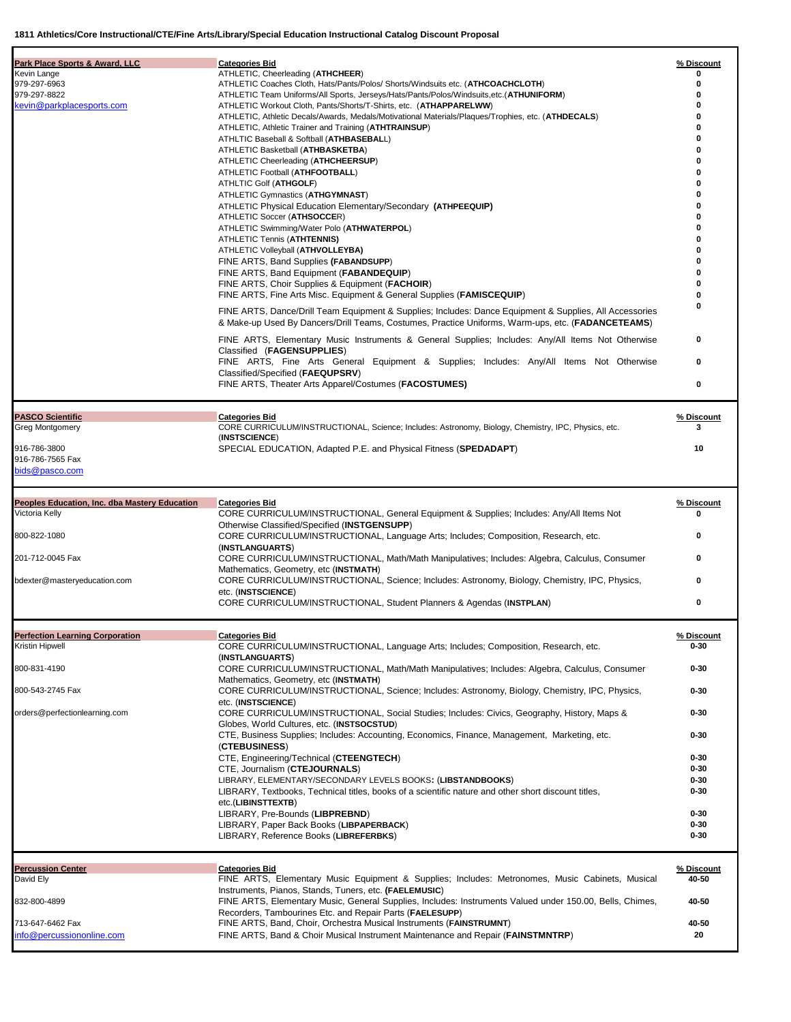| Park Place Sports & Award, LLC                       | <b>Categories Bid</b>                                                                                                                                                                                        | % Discount           |
|------------------------------------------------------|--------------------------------------------------------------------------------------------------------------------------------------------------------------------------------------------------------------|----------------------|
| Kevin Lange                                          | ATHLETIC, Cheerleading (ATHCHEER)                                                                                                                                                                            | o                    |
| 979-297-6963                                         | ATHLETIC Coaches Cloth, Hats/Pants/Polos/ Shorts/Windsuits etc. (ATHCOACHCLOTH)                                                                                                                              | 0                    |
| 979-297-8822                                         | ATHLETIC Team Uniforms/All Sports, Jerseys/Hats/Pants/Polos/Windsuits,etc.(ATHUNIFORM)                                                                                                                       |                      |
| kevin@parkplacesports.com                            | ATHLETIC Workout Cloth, Pants/Shorts/T-Shirts, etc. (ATHAPPARELWW)                                                                                                                                           |                      |
|                                                      | ATHLETIC, Athletic Decals/Awards, Medals/Motivational Materials/Plaques/Trophies, etc. (ATHDECALS)                                                                                                           |                      |
|                                                      | ATHLETIC, Athletic Trainer and Training (ATHTRAINSUP)<br>ATHLTIC Baseball & Softball (ATHBASEBALL)                                                                                                           |                      |
|                                                      | ATHLETIC Basketball (ATHBASKETBA)                                                                                                                                                                            |                      |
|                                                      | ATHLETIC Cheerleading (ATHCHEERSUP)                                                                                                                                                                          |                      |
|                                                      | ATHLETIC Football (ATHFOOTBALL)                                                                                                                                                                              |                      |
|                                                      | ATHLTIC Golf (ATHGOLF)                                                                                                                                                                                       |                      |
|                                                      | ATHLETIC Gymnastics (ATHGYMNAST)                                                                                                                                                                             |                      |
|                                                      | ATHLETIC Physical Education Elementary/Secondary (ATHPEEQUIP)                                                                                                                                                |                      |
|                                                      | ATHLETIC Soccer (ATHSOCCER)                                                                                                                                                                                  |                      |
|                                                      | ATHLETIC Swimming/Water Polo (ATHWATERPOL)                                                                                                                                                                   |                      |
|                                                      | <b>ATHLETIC Tennis (ATHTENNIS)</b>                                                                                                                                                                           |                      |
|                                                      | ATHLETIC Volleyball (ATHVOLLEYBA)                                                                                                                                                                            |                      |
|                                                      | FINE ARTS, Band Supplies (FABANDSUPP)                                                                                                                                                                        |                      |
|                                                      | FINE ARTS, Band Equipment (FABANDEQUIP)                                                                                                                                                                      |                      |
|                                                      | FINE ARTS, Choir Supplies & Equipment (FACHOIR)<br>FINE ARTS, Fine Arts Misc. Equipment & General Supplies (FAMISCEQUIP)                                                                                     |                      |
|                                                      |                                                                                                                                                                                                              |                      |
|                                                      | FINE ARTS, Dance/Drill Team Equipment & Supplies; Includes: Dance Equipment & Supplies, All Accessories<br>& Make-up Used By Dancers/Drill Teams, Costumes, Practice Uniforms, Warm-ups, etc. (FADANCETEAMS) |                      |
|                                                      | FINE ARTS, Elementary Music Instruments & General Supplies; Includes: Any/All Items Not Otherwise<br>Classified (FAGENSUPPLIES)                                                                              | 0                    |
|                                                      | FINE ARTS, Fine Arts General Equipment & Supplies; Includes: Any/All Items Not Otherwise<br>Classified/Specified (FAEQUPSRV)                                                                                 | 0                    |
|                                                      | FINE ARTS, Theater Arts Apparel/Costumes (FACOSTUMES)                                                                                                                                                        | 0                    |
| <b>PASCO Scientific</b>                              | <b>Categories Bid</b>                                                                                                                                                                                        | % Discount           |
| Greg Montgomery                                      | CORE CURRICULUM/INSTRUCTIONAL, Science; Includes: Astronomy, Biology, Chemistry, IPC, Physics, etc.                                                                                                          | 3                    |
|                                                      | (INSTSCIENCE)                                                                                                                                                                                                |                      |
| 916-786-3800                                         | SPECIAL EDUCATION, Adapted P.E. and Physical Fitness (SPEDADAPT)                                                                                                                                             | 10                   |
| 916-786-7565 Fax                                     |                                                                                                                                                                                                              |                      |
| bids@pasco.com                                       |                                                                                                                                                                                                              |                      |
|                                                      |                                                                                                                                                                                                              |                      |
| <b>Peoples Education, Inc. dba Mastery Education</b> | <b>Categories Bid</b>                                                                                                                                                                                        | % Discount           |
| Victoria Kelly                                       | CORE CURRICULUM/INSTRUCTIONAL, General Equipment & Supplies; Includes: Any/All Items Not                                                                                                                     | o                    |
|                                                      | Otherwise Classified/Specified (INSTGENSUPP)                                                                                                                                                                 |                      |
| 800-822-1080                                         | CORE CURRICULUM/INSTRUCTIONAL, Language Arts; Includes; Composition, Research, etc.                                                                                                                          | 0                    |
|                                                      | (INSTLANGUARTS)                                                                                                                                                                                              |                      |
| 201-712-0045 Fax                                     | CORE CURRICULUM/INSTRUCTIONAL, Math/Math Manipulatives; Includes: Algebra, Calculus, Consumer                                                                                                                | 0                    |
|                                                      | Mathematics, Geometry, etc (INSTMATH)                                                                                                                                                                        |                      |
| bdexter@masteryeducation.com                         | CORE CURRICULUM/INSTRUCTIONAL, Science; Includes: Astronomy, Biology, Chemistry, IPC, Physics,                                                                                                               | 0                    |
|                                                      | etc. (INSTSCIENCE)                                                                                                                                                                                           |                      |
|                                                      | CORE CURRICULUM/INSTRUCTIONAL, Student Planners & Agendas (INSTPLAN)                                                                                                                                         | 0                    |
| <b>Perfection Learning Corporation</b>               | <b>Categories Bid</b>                                                                                                                                                                                        | % Discount           |
| Kristin Hipwell                                      | CORE CURRICULUM/INSTRUCTIONAL, Language Arts; Includes; Composition, Research, etc.                                                                                                                          | 0-30                 |
|                                                      | (INSTLANGUARTS)                                                                                                                                                                                              |                      |
| 800-831-4190                                         | CORE CURRICULUM/INSTRUCTIONAL, Math/Math Manipulatives; Includes: Algebra, Calculus, Consumer                                                                                                                | $0 - 30$             |
|                                                      | Mathematics, Geometry, etc (INSTMATH)                                                                                                                                                                        |                      |
| 800-543-2745 Fax                                     | CORE CURRICULUM/INSTRUCTIONAL, Science; Includes: Astronomy, Biology, Chemistry, IPC, Physics,                                                                                                               | $0 - 30$             |
|                                                      | etc. (INSTSCIENCE)                                                                                                                                                                                           |                      |
| orders@perfectionlearning.com                        | CORE CURRICULUM/INSTRUCTIONAL, Social Studies; Includes: Civics, Geography, History, Maps &                                                                                                                  | $0 - 30$             |
|                                                      | Globes, World Cultures, etc. (INSTSOCSTUD)<br>CTE, Business Supplies; Includes: Accounting, Economics, Finance, Management, Marketing, etc.                                                                  | $0 - 30$             |
|                                                      | (CTEBUSINESS)                                                                                                                                                                                                |                      |
|                                                      | CTE, Engineering/Technical (CTEENGTECH)                                                                                                                                                                      | $0 - 30$             |
|                                                      | CTE, Journalism (CTEJOURNALS)                                                                                                                                                                                | $0 - 30$             |
|                                                      | LIBRARY, ELEMENTARY/SECONDARY LEVELS BOOKS: (LIBSTANDBOOKS)                                                                                                                                                  | $0 - 30$             |
|                                                      | LIBRARY, Textbooks, Technical titles, books of a scientific nature and other short discount titles,                                                                                                          | $0 - 30$             |
|                                                      | etc.(LIBINSTTEXTB)                                                                                                                                                                                           |                      |
|                                                      | LIBRARY, Pre-Bounds (LIBPREBND)                                                                                                                                                                              | $0 - 30$             |
|                                                      | LIBRARY, Paper Back Books (LIBPAPERBACK)                                                                                                                                                                     | $0 - 30$<br>$0 - 30$ |
|                                                      | LIBRARY, Reference Books (LIBREFERBKS)                                                                                                                                                                       |                      |
| <b>Percussion Center</b>                             | <b>Categories Bid</b>                                                                                                                                                                                        | % Discount           |
| David Ely                                            | FINE ARTS, Elementary Music Equipment & Supplies; Includes: Metronomes, Music Cabinets, Musical                                                                                                              | 40-50                |
|                                                      | Instruments, Pianos, Stands, Tuners, etc. (FAELEMUSIC)                                                                                                                                                       |                      |
| 832-800-4899                                         | FINE ARTS, Elementary Music, General Supplies, Includes: Instruments Valued under 150.00, Bells, Chimes,                                                                                                     | 40-50                |
|                                                      | Recorders, Tambourines Etc. and Repair Parts (FAELESUPP)                                                                                                                                                     |                      |
| 713-647-6462 Fax                                     | FINE ARTS, Band, Choir, Orchestra Musical Instruments (FAINSTRUMNT)                                                                                                                                          | 40-50                |
| info@percussiononline.com                            | FINE ARTS, Band & Choir Musical Instrument Maintenance and Repair (FAINSTMNTRP)                                                                                                                              | 20                   |
|                                                      |                                                                                                                                                                                                              |                      |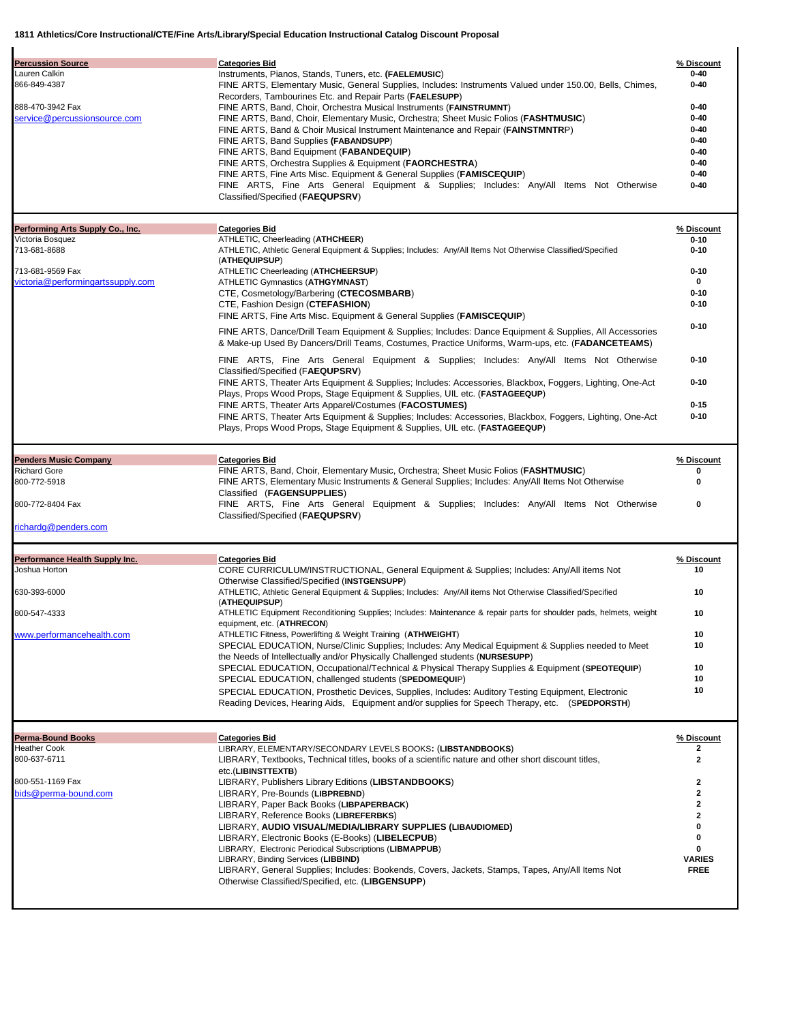| <b>Categories Bid</b><br>Instruments, Pianos, Stands, Tuners, etc. (FAELEMUSIC)<br>FINE ARTS, Elementary Music, General Supplies, Includes: Instruments Valued under 150.00, Bells, Chimes,<br>Recorders, Tambourines Etc. and Repair Parts (FAELESUPP)<br>FINE ARTS, Band, Choir, Orchestra Musical Instruments (FAINSTRUMNT)<br>FINE ARTS, Band, Choir, Elementary Music, Orchestra; Sheet Music Folios (FASHTMUSIC)<br>FINE ARTS, Band & Choir Musical Instrument Maintenance and Repair (FAINSTMNTRP)<br>FINE ARTS, Band Supplies (FABANDSUPP)<br>FINE ARTS, Band Equipment (FABANDEQUIP)<br>FINE ARTS, Orchestra Supplies & Equipment (FAORCHESTRA)<br>FINE ARTS, Fine Arts Misc. Equipment & General Supplies (FAMISCEQUIP)<br>FINE ARTS, Fine Arts General Equipment & Supplies; Includes: Any/All Items Not Otherwise<br>Classified/Specified (FAEQUPSRV) | % Discount<br>0-40<br>$0 - 40$<br>$0 - 40$<br>$0 - 40$<br>0-40<br>0-40<br>$0 - 40$<br>$0 - 40$<br>$0 - 40$<br>$0 - 40$                                                                                                                                                                                                                                                                                                                                                                                                                                                                                                                                           |
|-------------------------------------------------------------------------------------------------------------------------------------------------------------------------------------------------------------------------------------------------------------------------------------------------------------------------------------------------------------------------------------------------------------------------------------------------------------------------------------------------------------------------------------------------------------------------------------------------------------------------------------------------------------------------------------------------------------------------------------------------------------------------------------------------------------------------------------------------------------------|------------------------------------------------------------------------------------------------------------------------------------------------------------------------------------------------------------------------------------------------------------------------------------------------------------------------------------------------------------------------------------------------------------------------------------------------------------------------------------------------------------------------------------------------------------------------------------------------------------------------------------------------------------------|
|                                                                                                                                                                                                                                                                                                                                                                                                                                                                                                                                                                                                                                                                                                                                                                                                                                                                   |                                                                                                                                                                                                                                                                                                                                                                                                                                                                                                                                                                                                                                                                  |
| <b>Categories Bid</b><br>ATHLETIC, Cheerleading (ATHCHEER)<br>ATHLETIC, Athletic General Equipment & Supplies; Includes: Any/All Items Not Otherwise Classified/Specified<br>(ATHEQUIPSUP)                                                                                                                                                                                                                                                                                                                                                                                                                                                                                                                                                                                                                                                                        | % Discount<br>$0 - 10$<br>$0 - 10$                                                                                                                                                                                                                                                                                                                                                                                                                                                                                                                                                                                                                               |
| ATHLETIC Cheerleading (ATHCHEERSUP)<br><b>ATHLETIC Gymnastics (ATHGYMNAST)</b><br>CTE, Cosmetology/Barbering (CTECOSMBARB)                                                                                                                                                                                                                                                                                                                                                                                                                                                                                                                                                                                                                                                                                                                                        | $0 - 10$<br>0<br>$0 - 10$<br>$0 - 10$                                                                                                                                                                                                                                                                                                                                                                                                                                                                                                                                                                                                                            |
| FINE ARTS, Fine Arts Misc. Equipment & General Supplies ( <b>FAMISCEQUIP</b> )<br>FINE ARTS, Dance/Drill Team Equipment & Supplies; Includes: Dance Equipment & Supplies, All Accessories                                                                                                                                                                                                                                                                                                                                                                                                                                                                                                                                                                                                                                                                         | $0 - 10$                                                                                                                                                                                                                                                                                                                                                                                                                                                                                                                                                                                                                                                         |
| & Make-up Used By Dancers/Drill Teams, Costumes, Practice Uniforms, Warm-ups, etc. (FADANCETEAMS)                                                                                                                                                                                                                                                                                                                                                                                                                                                                                                                                                                                                                                                                                                                                                                 |                                                                                                                                                                                                                                                                                                                                                                                                                                                                                                                                                                                                                                                                  |
| Classified/Specified (FAEQUPSRV)<br>FINE ARTS, Theater Arts Equipment & Supplies; Includes: Accessories, Blackbox, Foggers, Lighting, One-Act                                                                                                                                                                                                                                                                                                                                                                                                                                                                                                                                                                                                                                                                                                                     | $0 - 10$<br>$0 - 10$                                                                                                                                                                                                                                                                                                                                                                                                                                                                                                                                                                                                                                             |
| FINE ARTS, Theater Arts Apparel/Costumes (FACOSTUMES)                                                                                                                                                                                                                                                                                                                                                                                                                                                                                                                                                                                                                                                                                                                                                                                                             | $0 - 15$                                                                                                                                                                                                                                                                                                                                                                                                                                                                                                                                                                                                                                                         |
| FINE ARTS, Theater Arts Equipment & Supplies; Includes: Accessories, Blackbox, Foggers, Lighting, One-Act<br>Plays, Props Wood Props, Stage Equipment & Supplies, UIL etc. (FASTAGEEQUP)                                                                                                                                                                                                                                                                                                                                                                                                                                                                                                                                                                                                                                                                          | $0 - 10$                                                                                                                                                                                                                                                                                                                                                                                                                                                                                                                                                                                                                                                         |
|                                                                                                                                                                                                                                                                                                                                                                                                                                                                                                                                                                                                                                                                                                                                                                                                                                                                   | % Discount                                                                                                                                                                                                                                                                                                                                                                                                                                                                                                                                                                                                                                                       |
| FINE ARTS, Band, Choir, Elementary Music, Orchestra; Sheet Music Folios (FASHTMUSIC)<br>FINE ARTS, Elementary Music Instruments & General Supplies; Includes: Any/All Items Not Otherwise                                                                                                                                                                                                                                                                                                                                                                                                                                                                                                                                                                                                                                                                         | 0<br>0                                                                                                                                                                                                                                                                                                                                                                                                                                                                                                                                                                                                                                                           |
| FINE ARTS, Fine Arts General Equipment & Supplies; Includes: Any/All Items Not Otherwise                                                                                                                                                                                                                                                                                                                                                                                                                                                                                                                                                                                                                                                                                                                                                                          | 0                                                                                                                                                                                                                                                                                                                                                                                                                                                                                                                                                                                                                                                                |
|                                                                                                                                                                                                                                                                                                                                                                                                                                                                                                                                                                                                                                                                                                                                                                                                                                                                   |                                                                                                                                                                                                                                                                                                                                                                                                                                                                                                                                                                                                                                                                  |
|                                                                                                                                                                                                                                                                                                                                                                                                                                                                                                                                                                                                                                                                                                                                                                                                                                                                   | % Discount                                                                                                                                                                                                                                                                                                                                                                                                                                                                                                                                                                                                                                                       |
| CORE CURRICULUM/INSTRUCTIONAL, General Equipment & Supplies; Includes: Any/All items Not                                                                                                                                                                                                                                                                                                                                                                                                                                                                                                                                                                                                                                                                                                                                                                          | 10                                                                                                                                                                                                                                                                                                                                                                                                                                                                                                                                                                                                                                                               |
| ATHLETIC, Athletic General Equipment & Supplies; Includes: Any/All items Not Otherwise Classified/Specified                                                                                                                                                                                                                                                                                                                                                                                                                                                                                                                                                                                                                                                                                                                                                       | 10                                                                                                                                                                                                                                                                                                                                                                                                                                                                                                                                                                                                                                                               |
| ATHLETIC Equipment Reconditioning Supplies; Includes: Maintenance & repair parts for shoulder pads, helmets, weight                                                                                                                                                                                                                                                                                                                                                                                                                                                                                                                                                                                                                                                                                                                                               | 10                                                                                                                                                                                                                                                                                                                                                                                                                                                                                                                                                                                                                                                               |
| ATHLETIC Fitness, Powerlifting & Weight Training (ATHWEIGHT)                                                                                                                                                                                                                                                                                                                                                                                                                                                                                                                                                                                                                                                                                                                                                                                                      | 10<br>10                                                                                                                                                                                                                                                                                                                                                                                                                                                                                                                                                                                                                                                         |
| the Needs of Intellectually and/or Physically Challenged students (NURSESUPP)                                                                                                                                                                                                                                                                                                                                                                                                                                                                                                                                                                                                                                                                                                                                                                                     |                                                                                                                                                                                                                                                                                                                                                                                                                                                                                                                                                                                                                                                                  |
| SPECIAL EDUCATION, challenged students (SPEDOMEQUIP)                                                                                                                                                                                                                                                                                                                                                                                                                                                                                                                                                                                                                                                                                                                                                                                                              | 10<br>10                                                                                                                                                                                                                                                                                                                                                                                                                                                                                                                                                                                                                                                         |
| SPECIAL EDUCATION, Prosthetic Devices, Supplies, Includes: Auditory Testing Equipment, Electronic<br>Reading Devices, Hearing Aids, Equipment and/or supplies for Speech Therapy, etc. (SPEDPORSTH)                                                                                                                                                                                                                                                                                                                                                                                                                                                                                                                                                                                                                                                               | 10                                                                                                                                                                                                                                                                                                                                                                                                                                                                                                                                                                                                                                                               |
|                                                                                                                                                                                                                                                                                                                                                                                                                                                                                                                                                                                                                                                                                                                                                                                                                                                                   | % Discount                                                                                                                                                                                                                                                                                                                                                                                                                                                                                                                                                                                                                                                       |
| LIBRARY, ELEMENTARY/SECONDARY LEVELS BOOKS: (LIBSTANDBOOKS)                                                                                                                                                                                                                                                                                                                                                                                                                                                                                                                                                                                                                                                                                                                                                                                                       | 2                                                                                                                                                                                                                                                                                                                                                                                                                                                                                                                                                                                                                                                                |
|                                                                                                                                                                                                                                                                                                                                                                                                                                                                                                                                                                                                                                                                                                                                                                                                                                                                   |                                                                                                                                                                                                                                                                                                                                                                                                                                                                                                                                                                                                                                                                  |
| LIBRARY, Textbooks, Technical titles, books of a scientific nature and other short discount titles,<br>etc.(LIBINSTTEXTB)                                                                                                                                                                                                                                                                                                                                                                                                                                                                                                                                                                                                                                                                                                                                         | 2                                                                                                                                                                                                                                                                                                                                                                                                                                                                                                                                                                                                                                                                |
| LIBRARY, Publishers Library Editions (LIBSTANDBOOKS)                                                                                                                                                                                                                                                                                                                                                                                                                                                                                                                                                                                                                                                                                                                                                                                                              | $\mathbf{2}$<br>$\mathbf{2}$                                                                                                                                                                                                                                                                                                                                                                                                                                                                                                                                                                                                                                     |
| LIBRARY, Pre-Bounds (LIBPREBND)<br>LIBRARY, Paper Back Books (LIBPAPERBACK)                                                                                                                                                                                                                                                                                                                                                                                                                                                                                                                                                                                                                                                                                                                                                                                       | 2                                                                                                                                                                                                                                                                                                                                                                                                                                                                                                                                                                                                                                                                |
| LIBRARY, Reference Books (LIBREFERBKS)<br>LIBRARY, AUDIO VISUAL/MEDIA/LIBRARY SUPPLIES (LIBAUDIOMED)                                                                                                                                                                                                                                                                                                                                                                                                                                                                                                                                                                                                                                                                                                                                                              | $\mathbf{2}$<br>0                                                                                                                                                                                                                                                                                                                                                                                                                                                                                                                                                                                                                                                |
| LIBRARY, Electronic Books (E-Books) (LIBELECPUB)<br>LIBRARY, Electronic Periodical Subscriptions (LIBMAPPUB)                                                                                                                                                                                                                                                                                                                                                                                                                                                                                                                                                                                                                                                                                                                                                      | 0<br>0                                                                                                                                                                                                                                                                                                                                                                                                                                                                                                                                                                                                                                                           |
|                                                                                                                                                                                                                                                                                                                                                                                                                                                                                                                                                                                                                                                                                                                                                                                                                                                                   | CTE, Fashion Design (CTEFASHION)<br>FINE ARTS, Fine Arts General Equipment & Supplies; Includes: Any/All Items Not Otherwise<br>Plays, Props Wood Props, Stage Equipment & Supplies, UIL etc. (FASTAGEEQUP)<br><b>Categories Bid</b><br>Classified (FAGENSUPPLIES)<br>Classified/Specified (FAEQUPSRV)<br><b>Categories Bid</b><br>Otherwise Classified/Specified (INSTGENSUPP)<br>(ATHEQUIPSUP)<br>equipment, etc. (ATHRECON)<br>SPECIAL EDUCATION, Nurse/Clinic Supplies; Includes: Any Medical Equipment & Supplies needed to Meet<br>SPECIAL EDUCATION, Occupational/Technical & Physical Therapy Supplies & Equipment (SPEOTEQUIP)<br><b>Categories Bid</b> |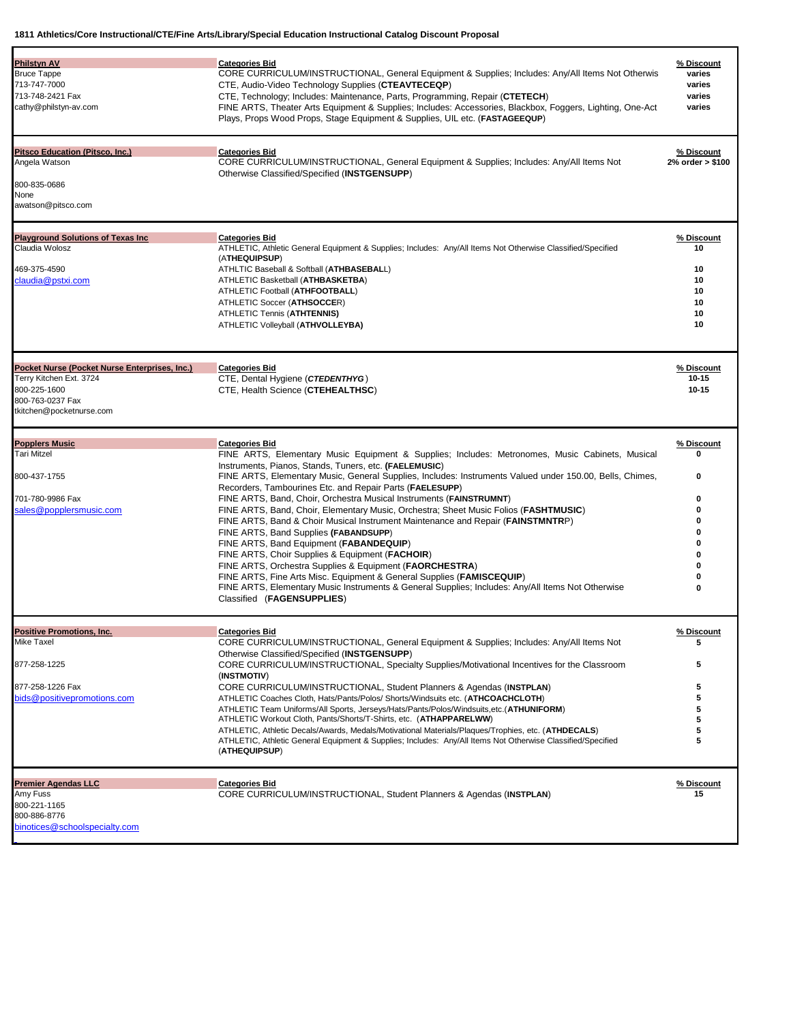| <b>Philstyn AV</b><br><b>Bruce Tappe</b>                  | <b>Categories Bid</b><br>CORE CURRICULUM/INSTRUCTIONAL, General Equipment & Supplies; Includes: Any/All Items Not Otherwis<br>CTE, Audio-Video Technology Supplies (CTEAVTECEQP) | % Discount<br>varies |
|-----------------------------------------------------------|----------------------------------------------------------------------------------------------------------------------------------------------------------------------------------|----------------------|
| 713-747-7000<br>713-748-2421 Fax<br>cathy@philstyn-av.com |                                                                                                                                                                                  |                      |
|                                                           |                                                                                                                                                                                  | varies               |
|                                                           | CTE, Technology; Includes: Maintenance, Parts, Programming, Repair (CTETECH)                                                                                                     | varies               |
|                                                           | FINE ARTS, Theater Arts Equipment & Supplies; Includes: Accessories, Blackbox, Foggers, Lighting, One-Act                                                                        | varies               |
|                                                           | Plays, Props Wood Props, Stage Equipment & Supplies, UIL etc. (FASTAGEEQUP)                                                                                                      |                      |
| <b>Pitsco Education (Pitsco, Inc.)</b>                    | <b>Categories Bid</b>                                                                                                                                                            | % Discount           |
| Angela Watson                                             | CORE CURRICULUM/INSTRUCTIONAL, General Equipment & Supplies; Includes: Any/All Items Not                                                                                         | 2% order > \$100     |
|                                                           | Otherwise Classified/Specified (INSTGENSUPP)                                                                                                                                     |                      |
| 800-835-0686                                              |                                                                                                                                                                                  |                      |
| None                                                      |                                                                                                                                                                                  |                      |
| awatson@pitsco.com                                        |                                                                                                                                                                                  |                      |
| <b>Playground Solutions of Texas Inc.</b>                 | <b>Categories Bid</b>                                                                                                                                                            | % Discount           |
| Claudia Wolosz                                            | ATHLETIC, Athletic General Equipment & Supplies; Includes: Any/All Items Not Otherwise Classified/Specified                                                                      | 10                   |
|                                                           | (ATHEQUIPSUP)                                                                                                                                                                    |                      |
| 469-375-4590                                              | ATHLTIC Baseball & Softball (ATHBASEBALL)                                                                                                                                        | 10                   |
| claudia@pstxi.com                                         | ATHLETIC Basketball (ATHBASKETBA)                                                                                                                                                | 10                   |
|                                                           | ATHLETIC Football (ATHFOOTBALL)                                                                                                                                                  | 10                   |
|                                                           | ATHLETIC Soccer (ATHSOCCER)                                                                                                                                                      | 10                   |
|                                                           | <b>ATHLETIC Tennis (ATHTENNIS)</b>                                                                                                                                               | 10                   |
|                                                           | ATHLETIC Volleyball (ATHVOLLEYBA)                                                                                                                                                | 10                   |
|                                                           |                                                                                                                                                                                  |                      |
| Pocket Nurse (Pocket Nurse Enterprises, Inc.)             | <b>Categories Bid</b>                                                                                                                                                            | % Discount           |
| Terry Kitchen Ext. 3724                                   | CTE, Dental Hygiene (CTEDENTHYG)                                                                                                                                                 | $10 - 15$            |
| 800-225-1600                                              | CTE, Health Science (CTEHEALTHSC)                                                                                                                                                | $10 - 15$            |
| 800-763-0237 Fax                                          |                                                                                                                                                                                  |                      |
| tkitchen@pocketnurse.com                                  |                                                                                                                                                                                  |                      |
| <b>Popplers Music</b>                                     | <b>Categories Bid</b>                                                                                                                                                            | % Discount           |
| <b>Tari Mitzel</b>                                        | FINE ARTS, Elementary Music Equipment & Supplies; Includes: Metronomes, Music Cabinets, Musical                                                                                  | o                    |
|                                                           | Instruments, Pianos, Stands, Tuners, etc. (FAELEMUSIC)                                                                                                                           |                      |
| 800-437-1755                                              | FINE ARTS, Elementary Music, General Supplies, Includes: Instruments Valued under 150.00, Bells, Chimes,                                                                         | 0                    |
|                                                           | Recorders, Tambourines Etc. and Repair Parts (FAELESUPP)                                                                                                                         |                      |
| 701-780-9986 Fax                                          | FINE ARTS, Band, Choir, Orchestra Musical Instruments (FAINSTRUMNT)                                                                                                              | 0                    |
| sales@popplersmusic.com                                   | FINE ARTS, Band, Choir, Elementary Music, Orchestra; Sheet Music Folios (FASHTMUSIC)                                                                                             | 0                    |
|                                                           | FINE ARTS, Band & Choir Musical Instrument Maintenance and Repair (FAINSTMNTRP)                                                                                                  | 0                    |
|                                                           | FINE ARTS, Band Supplies (FABANDSUPP)                                                                                                                                            | 0                    |
|                                                           |                                                                                                                                                                                  | 0                    |
|                                                           | FINE ARTS, Band Equipment (FABANDEQUIP)                                                                                                                                          | 0                    |
|                                                           | FINE ARTS, Choir Supplies & Equipment (FACHOIR)                                                                                                                                  | 0                    |
|                                                           | FINE ARTS, Orchestra Supplies & Equipment (FAORCHESTRA)                                                                                                                          |                      |
|                                                           | FINE ARTS, Fine Arts Misc. Equipment & General Supplies (FAMISCEQUIP)<br>FINE ARTS, Elementary Music Instruments & General Supplies; Includes: Any/All Items Not Otherwise       | 0                    |
|                                                           | Classified (FAGENSUPPLIES)                                                                                                                                                       | 0                    |
| <b>Positive Promotions, Inc.</b>                          | <b>Categories Bid</b>                                                                                                                                                            | % Discount           |
| Mike Taxel                                                | CORE CURRICULUM/INSTRUCTIONAL, General Equipment & Supplies; Includes: Any/All Items Not                                                                                         | 5                    |
|                                                           | Otherwise Classified/Specified (INSTGENSUPP)                                                                                                                                     |                      |
| 877-258-1225                                              |                                                                                                                                                                                  | 5                    |
|                                                           | CORE CURRICULUM/INSTRUCTIONAL, Specialty Supplies/Motivational Incentives for the Classroom                                                                                      |                      |
|                                                           | (INSTMOTIV)                                                                                                                                                                      |                      |
| 877-258-1226 Fax                                          | CORE CURRICULUM/INSTRUCTIONAL, Student Planners & Agendas (INSTPLAN)                                                                                                             | 5                    |
| bids@positivepromotions.com                               | ATHLETIC Coaches Cloth, Hats/Pants/Polos/ Shorts/Windsuits etc. (ATHCOACHCLOTH)                                                                                                  | 5                    |
|                                                           | ATHLETIC Team Uniforms/All Sports, Jerseys/Hats/Pants/Polos/Windsuits, etc. (ATHUNIFORM)                                                                                         | 5                    |
|                                                           | ATHLETIC Workout Cloth, Pants/Shorts/T-Shirts, etc. (ATHAPPARELWW)                                                                                                               | 5                    |
|                                                           | ATHLETIC, Athletic Decals/Awards, Medals/Motivational Materials/Plaques/Trophies, etc. (ATHDECALS)                                                                               | 5                    |
|                                                           | ATHLETIC, Athletic General Equipment & Supplies; Includes: Any/All Items Not Otherwise Classified/Specified<br>(ATHEQUIPSUP)                                                     | 5                    |
|                                                           |                                                                                                                                                                                  |                      |
|                                                           |                                                                                                                                                                                  |                      |
| <b>Premier Agendas LLC</b>                                | <b>Categories Bid</b>                                                                                                                                                            | % Discount           |
| Amy Fuss                                                  | CORE CURRICULUM/INSTRUCTIONAL, Student Planners & Agendas (INSTPLAN)                                                                                                             | 15                   |
| 800-221-1165                                              |                                                                                                                                                                                  |                      |
| 800-886-8776<br>binotices@schoolspecialty.com             |                                                                                                                                                                                  |                      |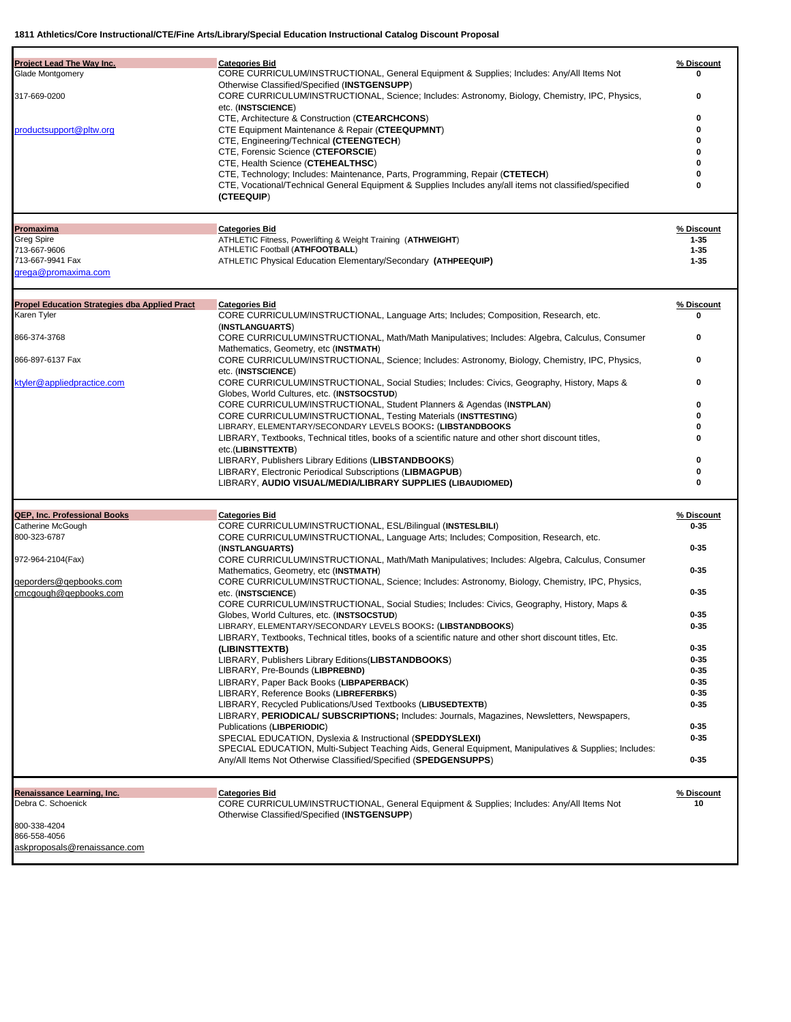| Glade Montgomery<br>CORE CURRICULUM/INSTRUCTIONAL, General Equipment & Supplies; Includes: Any/All Items Not<br>0<br>Otherwise Classified/Specified (INSTGENSUPP)<br>317-669-0200<br>CORE CURRICULUM/INSTRUCTIONAL, Science; Includes: Astronomy, Biology, Chemistry, IPC, Physics,<br>0<br>etc. (INSTSCIENCE)<br>CTE, Architecture & Construction (CTEARCHCONS)<br>0<br>productsupport@pltw.org<br>CTE Equipment Maintenance & Repair (CTEEQUPMNT)<br>0<br>CTE, Engineering/Technical (CTEENGTECH)<br>ŋ<br>CTE, Forensic Science (CTEFORSCIE)<br>CTE, Health Science (CTEHEALTHSC)<br>CTE, Technology; Includes: Maintenance, Parts, Programming, Repair (CTETECH)<br>CTE, Vocational/Technical General Equipment & Supplies Includes any/all items not classified/specified<br>0<br>(CTEEQUIP)<br><b>Categories Bid</b><br>% Discount<br>Promaxima<br>ATHLETIC Fitness, Powerlifting & Weight Training (ATHWEIGHT)<br><b>Greg Spire</b><br>$1 - 35$<br>ATHLETIC Football (ATHFOOTBALL)<br>713-667-9606<br>$1 - 35$<br>713-667-9941 Fax<br>ATHLETIC Physical Education Elementary/Secondary (ATHPEEQUIP)<br>$1 - 35$<br>grega@promaxima.com<br><b>Propel Education Strategies dba Applied Pract</b><br><b>Categories Bid</b><br>% Discount<br>Karen Tyler<br>CORE CURRICULUM/INSTRUCTIONAL, Language Arts; Includes; Composition, Research, etc.<br>O<br>(INSTLANGUARTS)<br>866-374-3768<br>CORE CURRICULUM/INSTRUCTIONAL, Math/Math Manipulatives; Includes: Algebra, Calculus, Consumer<br>0<br>Mathematics, Geometry, etc (INSTMATH)<br>866-897-6137 Fax<br>CORE CURRICULUM/INSTRUCTIONAL, Science; Includes: Astronomy, Biology, Chemistry, IPC, Physics,<br>0<br>etc. (INSTSCIENCE)<br>ktyler@appliedpractice.com<br>CORE CURRICULUM/INSTRUCTIONAL, Social Studies; Includes: Civics, Geography, History, Maps &<br>0<br>Globes, World Cultures, etc. (INSTSOCSTUD)<br>CORE CURRICULUM/INSTRUCTIONAL, Student Planners & Agendas (INSTPLAN)<br>0<br><b>CORE CURRICULUM/INSTRUCTIONAL, Testing Materials (INSTTESTING)</b><br>U<br>LIBRARY, ELEMENTARY/SECONDARY LEVELS BOOKS: (LIBSTANDBOOKS<br>ŋ<br>LIBRARY, Textbooks, Technical titles, books of a scientific nature and other short discount titles,<br>ŋ<br>etc.(LIBINSTTEXTB)<br>0<br>LIBRARY, Publishers Library Editions (LIBSTANDBOOKS)<br>0<br>LIBRARY, Electronic Periodical Subscriptions (LIBMAGPUB)<br>0<br>LIBRARY, AUDIO VISUAL/MEDIA/LIBRARY SUPPLIES (LIBAUDIOMED)<br><b>QEP, Inc. Professional Books</b><br><b>Categories Bid</b><br>% Discount<br>Catherine McGough<br>CORE CURRICULUM/INSTRUCTIONAL, ESL/Bilingual (INSTESLBILI)<br>$0 - 35$<br>800-323-6787<br>CORE CURRICULUM/INSTRUCTIONAL, Language Arts; Includes; Composition, Research, etc.<br>$0 - 35$<br>(INSTLANGUARTS)<br>CORE CURRICULUM/INSTRUCTIONAL, Math/Math Manipulatives; Includes: Algebra, Calculus, Consumer<br>972-964-2104(Fax)<br>$0 - 35$<br>Mathematics, Geometry, etc (INSTMATH)<br>qeporders@qepbooks.com<br>CORE CURRICULUM/INSTRUCTIONAL, Science; Includes: Astronomy, Biology, Chemistry, IPC, Physics,<br>$0 - 35$<br>cmcgough@qepbooks.com<br>etc. (INSTSCIENCE)<br>CORE CURRICULUM/INSTRUCTIONAL, Social Studies; Includes: Civics, Geography, History, Maps &<br>$0 - 35$<br>Globes, World Cultures, etc. (INSTSOCSTUD)<br>LIBRARY, ELEMENTARY/SECONDARY LEVELS BOOKS: (LIBSTANDBOOKS)<br>0-35<br>LIBRARY, Textbooks, Technical titles, books of a scientific nature and other short discount titles, Etc.<br>$0 - 35$<br>(LIBINSTTEXTB)<br>$0 - 35$<br>LIBRARY, Publishers Library Editions (LIBSTANDBOOKS)<br>LIBRARY, Pre-Bounds (LIBPREBND)<br>$0 - 35$<br>LIBRARY, Paper Back Books (LIBPAPERBACK)<br>$0 - 35$<br>LIBRARY, Reference Books (LIBREFERBKS)<br>$0 - 35$<br>$0 - 35$<br>LIBRARY, Recycled Publications/Used Textbooks (LIBUSEDTEXTB)<br>LIBRARY, PERIODICAL/ SUBSCRIPTIONS; Includes: Journals, Magazines, Newsletters, Newspapers,<br>$0 - 35$<br>Publications (LIBPERIODIC)<br>SPECIAL EDUCATION, Dyslexia & Instructional (SPEDDYSLEXI)<br>$0 - 35$<br>SPECIAL EDUCATION, Multi-Subject Teaching Aids, General Equipment, Manipulatives & Supplies; Includes:<br>$0 - 35$<br>Any/All Items Not Otherwise Classified/Specified (SPEDGENSUPPS)<br><b>Categories Bid</b><br>% Discount<br>Renaissance Learning, Inc.<br>Debra C. Schoenick<br>CORE CURRICULUM/INSTRUCTIONAL, General Equipment & Supplies; Includes: Any/All Items Not<br>10<br>Otherwise Classified/Specified (INSTGENSUPP)<br>800-338-4204<br>866-558-4056<br>askproposals@renaissance.com |                           |                       |            |
|------------------------------------------------------------------------------------------------------------------------------------------------------------------------------------------------------------------------------------------------------------------------------------------------------------------------------------------------------------------------------------------------------------------------------------------------------------------------------------------------------------------------------------------------------------------------------------------------------------------------------------------------------------------------------------------------------------------------------------------------------------------------------------------------------------------------------------------------------------------------------------------------------------------------------------------------------------------------------------------------------------------------------------------------------------------------------------------------------------------------------------------------------------------------------------------------------------------------------------------------------------------------------------------------------------------------------------------------------------------------------------------------------------------------------------------------------------------------------------------------------------------------------------------------------------------------------------------------------------------------------------------------------------------------------------------------------------------------------------------------------------------------------------------------------------------------------------------------------------------------------------------------------------------------------------------------------------------------------------------------------------------------------------------------------------------------------------------------------------------------------------------------------------------------------------------------------------------------------------------------------------------------------------------------------------------------------------------------------------------------------------------------------------------------------------------------------------------------------------------------------------------------------------------------------------------------------------------------------------------------------------------------------------------------------------------------------------------------------------------------------------------------------------------------------------------------------------------------------------------------------------------------------------------------------------------------------------------------------------------------------------------------------------------------------------------------------------------------------------------------------------------------------------------------------------------------------------------------------------------------------------------------------------------------------------------------------------------------------------------------------------------------------------------------------------------------------------------------------------------------------------------------------------------------------------------------------------------------------------------------------------------------------------------------------------------------------------------------------------------------------------------------------------------------------------------------------------------------------------------------------------------------------------------------------------------------------------------------------------------------------------------------------------------------------------------------------------------------------------------------------------------------------------------------------------------------------------------------------------------------------------------------------------------------------------------------------------------------------------------------------------------------------------------------------------------------------------------------------------------------------------------------------------------------|---------------------------|-----------------------|------------|
|                                                                                                                                                                                                                                                                                                                                                                                                                                                                                                                                                                                                                                                                                                                                                                                                                                                                                                                                                                                                                                                                                                                                                                                                                                                                                                                                                                                                                                                                                                                                                                                                                                                                                                                                                                                                                                                                                                                                                                                                                                                                                                                                                                                                                                                                                                                                                                                                                                                                                                                                                                                                                                                                                                                                                                                                                                                                                                                                                                                                                                                                                                                                                                                                                                                                                                                                                                                                                                                                                                                                                                                                                                                                                                                                                                                                                                                                                                                                                                                                                                                                                                                                                                                                                                                                                                                                                                                                                                                                                                                                                | Project Lead The Way Inc. | <b>Categories Bid</b> | % Discount |
|                                                                                                                                                                                                                                                                                                                                                                                                                                                                                                                                                                                                                                                                                                                                                                                                                                                                                                                                                                                                                                                                                                                                                                                                                                                                                                                                                                                                                                                                                                                                                                                                                                                                                                                                                                                                                                                                                                                                                                                                                                                                                                                                                                                                                                                                                                                                                                                                                                                                                                                                                                                                                                                                                                                                                                                                                                                                                                                                                                                                                                                                                                                                                                                                                                                                                                                                                                                                                                                                                                                                                                                                                                                                                                                                                                                                                                                                                                                                                                                                                                                                                                                                                                                                                                                                                                                                                                                                                                                                                                                                                |                           |                       |            |
|                                                                                                                                                                                                                                                                                                                                                                                                                                                                                                                                                                                                                                                                                                                                                                                                                                                                                                                                                                                                                                                                                                                                                                                                                                                                                                                                                                                                                                                                                                                                                                                                                                                                                                                                                                                                                                                                                                                                                                                                                                                                                                                                                                                                                                                                                                                                                                                                                                                                                                                                                                                                                                                                                                                                                                                                                                                                                                                                                                                                                                                                                                                                                                                                                                                                                                                                                                                                                                                                                                                                                                                                                                                                                                                                                                                                                                                                                                                                                                                                                                                                                                                                                                                                                                                                                                                                                                                                                                                                                                                                                |                           |                       |            |
|                                                                                                                                                                                                                                                                                                                                                                                                                                                                                                                                                                                                                                                                                                                                                                                                                                                                                                                                                                                                                                                                                                                                                                                                                                                                                                                                                                                                                                                                                                                                                                                                                                                                                                                                                                                                                                                                                                                                                                                                                                                                                                                                                                                                                                                                                                                                                                                                                                                                                                                                                                                                                                                                                                                                                                                                                                                                                                                                                                                                                                                                                                                                                                                                                                                                                                                                                                                                                                                                                                                                                                                                                                                                                                                                                                                                                                                                                                                                                                                                                                                                                                                                                                                                                                                                                                                                                                                                                                                                                                                                                |                           |                       |            |
|                                                                                                                                                                                                                                                                                                                                                                                                                                                                                                                                                                                                                                                                                                                                                                                                                                                                                                                                                                                                                                                                                                                                                                                                                                                                                                                                                                                                                                                                                                                                                                                                                                                                                                                                                                                                                                                                                                                                                                                                                                                                                                                                                                                                                                                                                                                                                                                                                                                                                                                                                                                                                                                                                                                                                                                                                                                                                                                                                                                                                                                                                                                                                                                                                                                                                                                                                                                                                                                                                                                                                                                                                                                                                                                                                                                                                                                                                                                                                                                                                                                                                                                                                                                                                                                                                                                                                                                                                                                                                                                                                |                           |                       |            |
|                                                                                                                                                                                                                                                                                                                                                                                                                                                                                                                                                                                                                                                                                                                                                                                                                                                                                                                                                                                                                                                                                                                                                                                                                                                                                                                                                                                                                                                                                                                                                                                                                                                                                                                                                                                                                                                                                                                                                                                                                                                                                                                                                                                                                                                                                                                                                                                                                                                                                                                                                                                                                                                                                                                                                                                                                                                                                                                                                                                                                                                                                                                                                                                                                                                                                                                                                                                                                                                                                                                                                                                                                                                                                                                                                                                                                                                                                                                                                                                                                                                                                                                                                                                                                                                                                                                                                                                                                                                                                                                                                |                           |                       |            |
|                                                                                                                                                                                                                                                                                                                                                                                                                                                                                                                                                                                                                                                                                                                                                                                                                                                                                                                                                                                                                                                                                                                                                                                                                                                                                                                                                                                                                                                                                                                                                                                                                                                                                                                                                                                                                                                                                                                                                                                                                                                                                                                                                                                                                                                                                                                                                                                                                                                                                                                                                                                                                                                                                                                                                                                                                                                                                                                                                                                                                                                                                                                                                                                                                                                                                                                                                                                                                                                                                                                                                                                                                                                                                                                                                                                                                                                                                                                                                                                                                                                                                                                                                                                                                                                                                                                                                                                                                                                                                                                                                |                           |                       |            |
|                                                                                                                                                                                                                                                                                                                                                                                                                                                                                                                                                                                                                                                                                                                                                                                                                                                                                                                                                                                                                                                                                                                                                                                                                                                                                                                                                                                                                                                                                                                                                                                                                                                                                                                                                                                                                                                                                                                                                                                                                                                                                                                                                                                                                                                                                                                                                                                                                                                                                                                                                                                                                                                                                                                                                                                                                                                                                                                                                                                                                                                                                                                                                                                                                                                                                                                                                                                                                                                                                                                                                                                                                                                                                                                                                                                                                                                                                                                                                                                                                                                                                                                                                                                                                                                                                                                                                                                                                                                                                                                                                |                           |                       |            |
|                                                                                                                                                                                                                                                                                                                                                                                                                                                                                                                                                                                                                                                                                                                                                                                                                                                                                                                                                                                                                                                                                                                                                                                                                                                                                                                                                                                                                                                                                                                                                                                                                                                                                                                                                                                                                                                                                                                                                                                                                                                                                                                                                                                                                                                                                                                                                                                                                                                                                                                                                                                                                                                                                                                                                                                                                                                                                                                                                                                                                                                                                                                                                                                                                                                                                                                                                                                                                                                                                                                                                                                                                                                                                                                                                                                                                                                                                                                                                                                                                                                                                                                                                                                                                                                                                                                                                                                                                                                                                                                                                |                           |                       |            |
|                                                                                                                                                                                                                                                                                                                                                                                                                                                                                                                                                                                                                                                                                                                                                                                                                                                                                                                                                                                                                                                                                                                                                                                                                                                                                                                                                                                                                                                                                                                                                                                                                                                                                                                                                                                                                                                                                                                                                                                                                                                                                                                                                                                                                                                                                                                                                                                                                                                                                                                                                                                                                                                                                                                                                                                                                                                                                                                                                                                                                                                                                                                                                                                                                                                                                                                                                                                                                                                                                                                                                                                                                                                                                                                                                                                                                                                                                                                                                                                                                                                                                                                                                                                                                                                                                                                                                                                                                                                                                                                                                |                           |                       |            |
|                                                                                                                                                                                                                                                                                                                                                                                                                                                                                                                                                                                                                                                                                                                                                                                                                                                                                                                                                                                                                                                                                                                                                                                                                                                                                                                                                                                                                                                                                                                                                                                                                                                                                                                                                                                                                                                                                                                                                                                                                                                                                                                                                                                                                                                                                                                                                                                                                                                                                                                                                                                                                                                                                                                                                                                                                                                                                                                                                                                                                                                                                                                                                                                                                                                                                                                                                                                                                                                                                                                                                                                                                                                                                                                                                                                                                                                                                                                                                                                                                                                                                                                                                                                                                                                                                                                                                                                                                                                                                                                                                |                           |                       |            |
|                                                                                                                                                                                                                                                                                                                                                                                                                                                                                                                                                                                                                                                                                                                                                                                                                                                                                                                                                                                                                                                                                                                                                                                                                                                                                                                                                                                                                                                                                                                                                                                                                                                                                                                                                                                                                                                                                                                                                                                                                                                                                                                                                                                                                                                                                                                                                                                                                                                                                                                                                                                                                                                                                                                                                                                                                                                                                                                                                                                                                                                                                                                                                                                                                                                                                                                                                                                                                                                                                                                                                                                                                                                                                                                                                                                                                                                                                                                                                                                                                                                                                                                                                                                                                                                                                                                                                                                                                                                                                                                                                |                           |                       |            |
|                                                                                                                                                                                                                                                                                                                                                                                                                                                                                                                                                                                                                                                                                                                                                                                                                                                                                                                                                                                                                                                                                                                                                                                                                                                                                                                                                                                                                                                                                                                                                                                                                                                                                                                                                                                                                                                                                                                                                                                                                                                                                                                                                                                                                                                                                                                                                                                                                                                                                                                                                                                                                                                                                                                                                                                                                                                                                                                                                                                                                                                                                                                                                                                                                                                                                                                                                                                                                                                                                                                                                                                                                                                                                                                                                                                                                                                                                                                                                                                                                                                                                                                                                                                                                                                                                                                                                                                                                                                                                                                                                |                           |                       |            |
|                                                                                                                                                                                                                                                                                                                                                                                                                                                                                                                                                                                                                                                                                                                                                                                                                                                                                                                                                                                                                                                                                                                                                                                                                                                                                                                                                                                                                                                                                                                                                                                                                                                                                                                                                                                                                                                                                                                                                                                                                                                                                                                                                                                                                                                                                                                                                                                                                                                                                                                                                                                                                                                                                                                                                                                                                                                                                                                                                                                                                                                                                                                                                                                                                                                                                                                                                                                                                                                                                                                                                                                                                                                                                                                                                                                                                                                                                                                                                                                                                                                                                                                                                                                                                                                                                                                                                                                                                                                                                                                                                |                           |                       |            |
|                                                                                                                                                                                                                                                                                                                                                                                                                                                                                                                                                                                                                                                                                                                                                                                                                                                                                                                                                                                                                                                                                                                                                                                                                                                                                                                                                                                                                                                                                                                                                                                                                                                                                                                                                                                                                                                                                                                                                                                                                                                                                                                                                                                                                                                                                                                                                                                                                                                                                                                                                                                                                                                                                                                                                                                                                                                                                                                                                                                                                                                                                                                                                                                                                                                                                                                                                                                                                                                                                                                                                                                                                                                                                                                                                                                                                                                                                                                                                                                                                                                                                                                                                                                                                                                                                                                                                                                                                                                                                                                                                |                           |                       |            |
|                                                                                                                                                                                                                                                                                                                                                                                                                                                                                                                                                                                                                                                                                                                                                                                                                                                                                                                                                                                                                                                                                                                                                                                                                                                                                                                                                                                                                                                                                                                                                                                                                                                                                                                                                                                                                                                                                                                                                                                                                                                                                                                                                                                                                                                                                                                                                                                                                                                                                                                                                                                                                                                                                                                                                                                                                                                                                                                                                                                                                                                                                                                                                                                                                                                                                                                                                                                                                                                                                                                                                                                                                                                                                                                                                                                                                                                                                                                                                                                                                                                                                                                                                                                                                                                                                                                                                                                                                                                                                                                                                |                           |                       |            |
|                                                                                                                                                                                                                                                                                                                                                                                                                                                                                                                                                                                                                                                                                                                                                                                                                                                                                                                                                                                                                                                                                                                                                                                                                                                                                                                                                                                                                                                                                                                                                                                                                                                                                                                                                                                                                                                                                                                                                                                                                                                                                                                                                                                                                                                                                                                                                                                                                                                                                                                                                                                                                                                                                                                                                                                                                                                                                                                                                                                                                                                                                                                                                                                                                                                                                                                                                                                                                                                                                                                                                                                                                                                                                                                                                                                                                                                                                                                                                                                                                                                                                                                                                                                                                                                                                                                                                                                                                                                                                                                                                |                           |                       |            |
|                                                                                                                                                                                                                                                                                                                                                                                                                                                                                                                                                                                                                                                                                                                                                                                                                                                                                                                                                                                                                                                                                                                                                                                                                                                                                                                                                                                                                                                                                                                                                                                                                                                                                                                                                                                                                                                                                                                                                                                                                                                                                                                                                                                                                                                                                                                                                                                                                                                                                                                                                                                                                                                                                                                                                                                                                                                                                                                                                                                                                                                                                                                                                                                                                                                                                                                                                                                                                                                                                                                                                                                                                                                                                                                                                                                                                                                                                                                                                                                                                                                                                                                                                                                                                                                                                                                                                                                                                                                                                                                                                |                           |                       |            |
|                                                                                                                                                                                                                                                                                                                                                                                                                                                                                                                                                                                                                                                                                                                                                                                                                                                                                                                                                                                                                                                                                                                                                                                                                                                                                                                                                                                                                                                                                                                                                                                                                                                                                                                                                                                                                                                                                                                                                                                                                                                                                                                                                                                                                                                                                                                                                                                                                                                                                                                                                                                                                                                                                                                                                                                                                                                                                                                                                                                                                                                                                                                                                                                                                                                                                                                                                                                                                                                                                                                                                                                                                                                                                                                                                                                                                                                                                                                                                                                                                                                                                                                                                                                                                                                                                                                                                                                                                                                                                                                                                |                           |                       |            |
|                                                                                                                                                                                                                                                                                                                                                                                                                                                                                                                                                                                                                                                                                                                                                                                                                                                                                                                                                                                                                                                                                                                                                                                                                                                                                                                                                                                                                                                                                                                                                                                                                                                                                                                                                                                                                                                                                                                                                                                                                                                                                                                                                                                                                                                                                                                                                                                                                                                                                                                                                                                                                                                                                                                                                                                                                                                                                                                                                                                                                                                                                                                                                                                                                                                                                                                                                                                                                                                                                                                                                                                                                                                                                                                                                                                                                                                                                                                                                                                                                                                                                                                                                                                                                                                                                                                                                                                                                                                                                                                                                |                           |                       |            |
|                                                                                                                                                                                                                                                                                                                                                                                                                                                                                                                                                                                                                                                                                                                                                                                                                                                                                                                                                                                                                                                                                                                                                                                                                                                                                                                                                                                                                                                                                                                                                                                                                                                                                                                                                                                                                                                                                                                                                                                                                                                                                                                                                                                                                                                                                                                                                                                                                                                                                                                                                                                                                                                                                                                                                                                                                                                                                                                                                                                                                                                                                                                                                                                                                                                                                                                                                                                                                                                                                                                                                                                                                                                                                                                                                                                                                                                                                                                                                                                                                                                                                                                                                                                                                                                                                                                                                                                                                                                                                                                                                |                           |                       |            |
|                                                                                                                                                                                                                                                                                                                                                                                                                                                                                                                                                                                                                                                                                                                                                                                                                                                                                                                                                                                                                                                                                                                                                                                                                                                                                                                                                                                                                                                                                                                                                                                                                                                                                                                                                                                                                                                                                                                                                                                                                                                                                                                                                                                                                                                                                                                                                                                                                                                                                                                                                                                                                                                                                                                                                                                                                                                                                                                                                                                                                                                                                                                                                                                                                                                                                                                                                                                                                                                                                                                                                                                                                                                                                                                                                                                                                                                                                                                                                                                                                                                                                                                                                                                                                                                                                                                                                                                                                                                                                                                                                |                           |                       |            |
|                                                                                                                                                                                                                                                                                                                                                                                                                                                                                                                                                                                                                                                                                                                                                                                                                                                                                                                                                                                                                                                                                                                                                                                                                                                                                                                                                                                                                                                                                                                                                                                                                                                                                                                                                                                                                                                                                                                                                                                                                                                                                                                                                                                                                                                                                                                                                                                                                                                                                                                                                                                                                                                                                                                                                                                                                                                                                                                                                                                                                                                                                                                                                                                                                                                                                                                                                                                                                                                                                                                                                                                                                                                                                                                                                                                                                                                                                                                                                                                                                                                                                                                                                                                                                                                                                                                                                                                                                                                                                                                                                |                           |                       |            |
|                                                                                                                                                                                                                                                                                                                                                                                                                                                                                                                                                                                                                                                                                                                                                                                                                                                                                                                                                                                                                                                                                                                                                                                                                                                                                                                                                                                                                                                                                                                                                                                                                                                                                                                                                                                                                                                                                                                                                                                                                                                                                                                                                                                                                                                                                                                                                                                                                                                                                                                                                                                                                                                                                                                                                                                                                                                                                                                                                                                                                                                                                                                                                                                                                                                                                                                                                                                                                                                                                                                                                                                                                                                                                                                                                                                                                                                                                                                                                                                                                                                                                                                                                                                                                                                                                                                                                                                                                                                                                                                                                |                           |                       |            |
|                                                                                                                                                                                                                                                                                                                                                                                                                                                                                                                                                                                                                                                                                                                                                                                                                                                                                                                                                                                                                                                                                                                                                                                                                                                                                                                                                                                                                                                                                                                                                                                                                                                                                                                                                                                                                                                                                                                                                                                                                                                                                                                                                                                                                                                                                                                                                                                                                                                                                                                                                                                                                                                                                                                                                                                                                                                                                                                                                                                                                                                                                                                                                                                                                                                                                                                                                                                                                                                                                                                                                                                                                                                                                                                                                                                                                                                                                                                                                                                                                                                                                                                                                                                                                                                                                                                                                                                                                                                                                                                                                |                           |                       |            |
|                                                                                                                                                                                                                                                                                                                                                                                                                                                                                                                                                                                                                                                                                                                                                                                                                                                                                                                                                                                                                                                                                                                                                                                                                                                                                                                                                                                                                                                                                                                                                                                                                                                                                                                                                                                                                                                                                                                                                                                                                                                                                                                                                                                                                                                                                                                                                                                                                                                                                                                                                                                                                                                                                                                                                                                                                                                                                                                                                                                                                                                                                                                                                                                                                                                                                                                                                                                                                                                                                                                                                                                                                                                                                                                                                                                                                                                                                                                                                                                                                                                                                                                                                                                                                                                                                                                                                                                                                                                                                                                                                |                           |                       |            |
|                                                                                                                                                                                                                                                                                                                                                                                                                                                                                                                                                                                                                                                                                                                                                                                                                                                                                                                                                                                                                                                                                                                                                                                                                                                                                                                                                                                                                                                                                                                                                                                                                                                                                                                                                                                                                                                                                                                                                                                                                                                                                                                                                                                                                                                                                                                                                                                                                                                                                                                                                                                                                                                                                                                                                                                                                                                                                                                                                                                                                                                                                                                                                                                                                                                                                                                                                                                                                                                                                                                                                                                                                                                                                                                                                                                                                                                                                                                                                                                                                                                                                                                                                                                                                                                                                                                                                                                                                                                                                                                                                |                           |                       |            |
|                                                                                                                                                                                                                                                                                                                                                                                                                                                                                                                                                                                                                                                                                                                                                                                                                                                                                                                                                                                                                                                                                                                                                                                                                                                                                                                                                                                                                                                                                                                                                                                                                                                                                                                                                                                                                                                                                                                                                                                                                                                                                                                                                                                                                                                                                                                                                                                                                                                                                                                                                                                                                                                                                                                                                                                                                                                                                                                                                                                                                                                                                                                                                                                                                                                                                                                                                                                                                                                                                                                                                                                                                                                                                                                                                                                                                                                                                                                                                                                                                                                                                                                                                                                                                                                                                                                                                                                                                                                                                                                                                |                           |                       |            |
|                                                                                                                                                                                                                                                                                                                                                                                                                                                                                                                                                                                                                                                                                                                                                                                                                                                                                                                                                                                                                                                                                                                                                                                                                                                                                                                                                                                                                                                                                                                                                                                                                                                                                                                                                                                                                                                                                                                                                                                                                                                                                                                                                                                                                                                                                                                                                                                                                                                                                                                                                                                                                                                                                                                                                                                                                                                                                                                                                                                                                                                                                                                                                                                                                                                                                                                                                                                                                                                                                                                                                                                                                                                                                                                                                                                                                                                                                                                                                                                                                                                                                                                                                                                                                                                                                                                                                                                                                                                                                                                                                |                           |                       |            |
|                                                                                                                                                                                                                                                                                                                                                                                                                                                                                                                                                                                                                                                                                                                                                                                                                                                                                                                                                                                                                                                                                                                                                                                                                                                                                                                                                                                                                                                                                                                                                                                                                                                                                                                                                                                                                                                                                                                                                                                                                                                                                                                                                                                                                                                                                                                                                                                                                                                                                                                                                                                                                                                                                                                                                                                                                                                                                                                                                                                                                                                                                                                                                                                                                                                                                                                                                                                                                                                                                                                                                                                                                                                                                                                                                                                                                                                                                                                                                                                                                                                                                                                                                                                                                                                                                                                                                                                                                                                                                                                                                |                           |                       |            |
|                                                                                                                                                                                                                                                                                                                                                                                                                                                                                                                                                                                                                                                                                                                                                                                                                                                                                                                                                                                                                                                                                                                                                                                                                                                                                                                                                                                                                                                                                                                                                                                                                                                                                                                                                                                                                                                                                                                                                                                                                                                                                                                                                                                                                                                                                                                                                                                                                                                                                                                                                                                                                                                                                                                                                                                                                                                                                                                                                                                                                                                                                                                                                                                                                                                                                                                                                                                                                                                                                                                                                                                                                                                                                                                                                                                                                                                                                                                                                                                                                                                                                                                                                                                                                                                                                                                                                                                                                                                                                                                                                |                           |                       |            |
|                                                                                                                                                                                                                                                                                                                                                                                                                                                                                                                                                                                                                                                                                                                                                                                                                                                                                                                                                                                                                                                                                                                                                                                                                                                                                                                                                                                                                                                                                                                                                                                                                                                                                                                                                                                                                                                                                                                                                                                                                                                                                                                                                                                                                                                                                                                                                                                                                                                                                                                                                                                                                                                                                                                                                                                                                                                                                                                                                                                                                                                                                                                                                                                                                                                                                                                                                                                                                                                                                                                                                                                                                                                                                                                                                                                                                                                                                                                                                                                                                                                                                                                                                                                                                                                                                                                                                                                                                                                                                                                                                |                           |                       |            |
|                                                                                                                                                                                                                                                                                                                                                                                                                                                                                                                                                                                                                                                                                                                                                                                                                                                                                                                                                                                                                                                                                                                                                                                                                                                                                                                                                                                                                                                                                                                                                                                                                                                                                                                                                                                                                                                                                                                                                                                                                                                                                                                                                                                                                                                                                                                                                                                                                                                                                                                                                                                                                                                                                                                                                                                                                                                                                                                                                                                                                                                                                                                                                                                                                                                                                                                                                                                                                                                                                                                                                                                                                                                                                                                                                                                                                                                                                                                                                                                                                                                                                                                                                                                                                                                                                                                                                                                                                                                                                                                                                |                           |                       |            |
|                                                                                                                                                                                                                                                                                                                                                                                                                                                                                                                                                                                                                                                                                                                                                                                                                                                                                                                                                                                                                                                                                                                                                                                                                                                                                                                                                                                                                                                                                                                                                                                                                                                                                                                                                                                                                                                                                                                                                                                                                                                                                                                                                                                                                                                                                                                                                                                                                                                                                                                                                                                                                                                                                                                                                                                                                                                                                                                                                                                                                                                                                                                                                                                                                                                                                                                                                                                                                                                                                                                                                                                                                                                                                                                                                                                                                                                                                                                                                                                                                                                                                                                                                                                                                                                                                                                                                                                                                                                                                                                                                |                           |                       |            |
|                                                                                                                                                                                                                                                                                                                                                                                                                                                                                                                                                                                                                                                                                                                                                                                                                                                                                                                                                                                                                                                                                                                                                                                                                                                                                                                                                                                                                                                                                                                                                                                                                                                                                                                                                                                                                                                                                                                                                                                                                                                                                                                                                                                                                                                                                                                                                                                                                                                                                                                                                                                                                                                                                                                                                                                                                                                                                                                                                                                                                                                                                                                                                                                                                                                                                                                                                                                                                                                                                                                                                                                                                                                                                                                                                                                                                                                                                                                                                                                                                                                                                                                                                                                                                                                                                                                                                                                                                                                                                                                                                |                           |                       |            |
|                                                                                                                                                                                                                                                                                                                                                                                                                                                                                                                                                                                                                                                                                                                                                                                                                                                                                                                                                                                                                                                                                                                                                                                                                                                                                                                                                                                                                                                                                                                                                                                                                                                                                                                                                                                                                                                                                                                                                                                                                                                                                                                                                                                                                                                                                                                                                                                                                                                                                                                                                                                                                                                                                                                                                                                                                                                                                                                                                                                                                                                                                                                                                                                                                                                                                                                                                                                                                                                                                                                                                                                                                                                                                                                                                                                                                                                                                                                                                                                                                                                                                                                                                                                                                                                                                                                                                                                                                                                                                                                                                |                           |                       |            |
|                                                                                                                                                                                                                                                                                                                                                                                                                                                                                                                                                                                                                                                                                                                                                                                                                                                                                                                                                                                                                                                                                                                                                                                                                                                                                                                                                                                                                                                                                                                                                                                                                                                                                                                                                                                                                                                                                                                                                                                                                                                                                                                                                                                                                                                                                                                                                                                                                                                                                                                                                                                                                                                                                                                                                                                                                                                                                                                                                                                                                                                                                                                                                                                                                                                                                                                                                                                                                                                                                                                                                                                                                                                                                                                                                                                                                                                                                                                                                                                                                                                                                                                                                                                                                                                                                                                                                                                                                                                                                                                                                |                           |                       |            |
|                                                                                                                                                                                                                                                                                                                                                                                                                                                                                                                                                                                                                                                                                                                                                                                                                                                                                                                                                                                                                                                                                                                                                                                                                                                                                                                                                                                                                                                                                                                                                                                                                                                                                                                                                                                                                                                                                                                                                                                                                                                                                                                                                                                                                                                                                                                                                                                                                                                                                                                                                                                                                                                                                                                                                                                                                                                                                                                                                                                                                                                                                                                                                                                                                                                                                                                                                                                                                                                                                                                                                                                                                                                                                                                                                                                                                                                                                                                                                                                                                                                                                                                                                                                                                                                                                                                                                                                                                                                                                                                                                |                           |                       |            |
|                                                                                                                                                                                                                                                                                                                                                                                                                                                                                                                                                                                                                                                                                                                                                                                                                                                                                                                                                                                                                                                                                                                                                                                                                                                                                                                                                                                                                                                                                                                                                                                                                                                                                                                                                                                                                                                                                                                                                                                                                                                                                                                                                                                                                                                                                                                                                                                                                                                                                                                                                                                                                                                                                                                                                                                                                                                                                                                                                                                                                                                                                                                                                                                                                                                                                                                                                                                                                                                                                                                                                                                                                                                                                                                                                                                                                                                                                                                                                                                                                                                                                                                                                                                                                                                                                                                                                                                                                                                                                                                                                |                           |                       |            |
|                                                                                                                                                                                                                                                                                                                                                                                                                                                                                                                                                                                                                                                                                                                                                                                                                                                                                                                                                                                                                                                                                                                                                                                                                                                                                                                                                                                                                                                                                                                                                                                                                                                                                                                                                                                                                                                                                                                                                                                                                                                                                                                                                                                                                                                                                                                                                                                                                                                                                                                                                                                                                                                                                                                                                                                                                                                                                                                                                                                                                                                                                                                                                                                                                                                                                                                                                                                                                                                                                                                                                                                                                                                                                                                                                                                                                                                                                                                                                                                                                                                                                                                                                                                                                                                                                                                                                                                                                                                                                                                                                |                           |                       |            |
|                                                                                                                                                                                                                                                                                                                                                                                                                                                                                                                                                                                                                                                                                                                                                                                                                                                                                                                                                                                                                                                                                                                                                                                                                                                                                                                                                                                                                                                                                                                                                                                                                                                                                                                                                                                                                                                                                                                                                                                                                                                                                                                                                                                                                                                                                                                                                                                                                                                                                                                                                                                                                                                                                                                                                                                                                                                                                                                                                                                                                                                                                                                                                                                                                                                                                                                                                                                                                                                                                                                                                                                                                                                                                                                                                                                                                                                                                                                                                                                                                                                                                                                                                                                                                                                                                                                                                                                                                                                                                                                                                |                           |                       |            |
|                                                                                                                                                                                                                                                                                                                                                                                                                                                                                                                                                                                                                                                                                                                                                                                                                                                                                                                                                                                                                                                                                                                                                                                                                                                                                                                                                                                                                                                                                                                                                                                                                                                                                                                                                                                                                                                                                                                                                                                                                                                                                                                                                                                                                                                                                                                                                                                                                                                                                                                                                                                                                                                                                                                                                                                                                                                                                                                                                                                                                                                                                                                                                                                                                                                                                                                                                                                                                                                                                                                                                                                                                                                                                                                                                                                                                                                                                                                                                                                                                                                                                                                                                                                                                                                                                                                                                                                                                                                                                                                                                |                           |                       |            |
|                                                                                                                                                                                                                                                                                                                                                                                                                                                                                                                                                                                                                                                                                                                                                                                                                                                                                                                                                                                                                                                                                                                                                                                                                                                                                                                                                                                                                                                                                                                                                                                                                                                                                                                                                                                                                                                                                                                                                                                                                                                                                                                                                                                                                                                                                                                                                                                                                                                                                                                                                                                                                                                                                                                                                                                                                                                                                                                                                                                                                                                                                                                                                                                                                                                                                                                                                                                                                                                                                                                                                                                                                                                                                                                                                                                                                                                                                                                                                                                                                                                                                                                                                                                                                                                                                                                                                                                                                                                                                                                                                |                           |                       |            |
|                                                                                                                                                                                                                                                                                                                                                                                                                                                                                                                                                                                                                                                                                                                                                                                                                                                                                                                                                                                                                                                                                                                                                                                                                                                                                                                                                                                                                                                                                                                                                                                                                                                                                                                                                                                                                                                                                                                                                                                                                                                                                                                                                                                                                                                                                                                                                                                                                                                                                                                                                                                                                                                                                                                                                                                                                                                                                                                                                                                                                                                                                                                                                                                                                                                                                                                                                                                                                                                                                                                                                                                                                                                                                                                                                                                                                                                                                                                                                                                                                                                                                                                                                                                                                                                                                                                                                                                                                                                                                                                                                |                           |                       |            |
|                                                                                                                                                                                                                                                                                                                                                                                                                                                                                                                                                                                                                                                                                                                                                                                                                                                                                                                                                                                                                                                                                                                                                                                                                                                                                                                                                                                                                                                                                                                                                                                                                                                                                                                                                                                                                                                                                                                                                                                                                                                                                                                                                                                                                                                                                                                                                                                                                                                                                                                                                                                                                                                                                                                                                                                                                                                                                                                                                                                                                                                                                                                                                                                                                                                                                                                                                                                                                                                                                                                                                                                                                                                                                                                                                                                                                                                                                                                                                                                                                                                                                                                                                                                                                                                                                                                                                                                                                                                                                                                                                |                           |                       |            |
|                                                                                                                                                                                                                                                                                                                                                                                                                                                                                                                                                                                                                                                                                                                                                                                                                                                                                                                                                                                                                                                                                                                                                                                                                                                                                                                                                                                                                                                                                                                                                                                                                                                                                                                                                                                                                                                                                                                                                                                                                                                                                                                                                                                                                                                                                                                                                                                                                                                                                                                                                                                                                                                                                                                                                                                                                                                                                                                                                                                                                                                                                                                                                                                                                                                                                                                                                                                                                                                                                                                                                                                                                                                                                                                                                                                                                                                                                                                                                                                                                                                                                                                                                                                                                                                                                                                                                                                                                                                                                                                                                |                           |                       |            |
|                                                                                                                                                                                                                                                                                                                                                                                                                                                                                                                                                                                                                                                                                                                                                                                                                                                                                                                                                                                                                                                                                                                                                                                                                                                                                                                                                                                                                                                                                                                                                                                                                                                                                                                                                                                                                                                                                                                                                                                                                                                                                                                                                                                                                                                                                                                                                                                                                                                                                                                                                                                                                                                                                                                                                                                                                                                                                                                                                                                                                                                                                                                                                                                                                                                                                                                                                                                                                                                                                                                                                                                                                                                                                                                                                                                                                                                                                                                                                                                                                                                                                                                                                                                                                                                                                                                                                                                                                                                                                                                                                |                           |                       |            |
|                                                                                                                                                                                                                                                                                                                                                                                                                                                                                                                                                                                                                                                                                                                                                                                                                                                                                                                                                                                                                                                                                                                                                                                                                                                                                                                                                                                                                                                                                                                                                                                                                                                                                                                                                                                                                                                                                                                                                                                                                                                                                                                                                                                                                                                                                                                                                                                                                                                                                                                                                                                                                                                                                                                                                                                                                                                                                                                                                                                                                                                                                                                                                                                                                                                                                                                                                                                                                                                                                                                                                                                                                                                                                                                                                                                                                                                                                                                                                                                                                                                                                                                                                                                                                                                                                                                                                                                                                                                                                                                                                |                           |                       |            |
|                                                                                                                                                                                                                                                                                                                                                                                                                                                                                                                                                                                                                                                                                                                                                                                                                                                                                                                                                                                                                                                                                                                                                                                                                                                                                                                                                                                                                                                                                                                                                                                                                                                                                                                                                                                                                                                                                                                                                                                                                                                                                                                                                                                                                                                                                                                                                                                                                                                                                                                                                                                                                                                                                                                                                                                                                                                                                                                                                                                                                                                                                                                                                                                                                                                                                                                                                                                                                                                                                                                                                                                                                                                                                                                                                                                                                                                                                                                                                                                                                                                                                                                                                                                                                                                                                                                                                                                                                                                                                                                                                |                           |                       |            |
|                                                                                                                                                                                                                                                                                                                                                                                                                                                                                                                                                                                                                                                                                                                                                                                                                                                                                                                                                                                                                                                                                                                                                                                                                                                                                                                                                                                                                                                                                                                                                                                                                                                                                                                                                                                                                                                                                                                                                                                                                                                                                                                                                                                                                                                                                                                                                                                                                                                                                                                                                                                                                                                                                                                                                                                                                                                                                                                                                                                                                                                                                                                                                                                                                                                                                                                                                                                                                                                                                                                                                                                                                                                                                                                                                                                                                                                                                                                                                                                                                                                                                                                                                                                                                                                                                                                                                                                                                                                                                                                                                |                           |                       |            |
|                                                                                                                                                                                                                                                                                                                                                                                                                                                                                                                                                                                                                                                                                                                                                                                                                                                                                                                                                                                                                                                                                                                                                                                                                                                                                                                                                                                                                                                                                                                                                                                                                                                                                                                                                                                                                                                                                                                                                                                                                                                                                                                                                                                                                                                                                                                                                                                                                                                                                                                                                                                                                                                                                                                                                                                                                                                                                                                                                                                                                                                                                                                                                                                                                                                                                                                                                                                                                                                                                                                                                                                                                                                                                                                                                                                                                                                                                                                                                                                                                                                                                                                                                                                                                                                                                                                                                                                                                                                                                                                                                |                           |                       |            |
|                                                                                                                                                                                                                                                                                                                                                                                                                                                                                                                                                                                                                                                                                                                                                                                                                                                                                                                                                                                                                                                                                                                                                                                                                                                                                                                                                                                                                                                                                                                                                                                                                                                                                                                                                                                                                                                                                                                                                                                                                                                                                                                                                                                                                                                                                                                                                                                                                                                                                                                                                                                                                                                                                                                                                                                                                                                                                                                                                                                                                                                                                                                                                                                                                                                                                                                                                                                                                                                                                                                                                                                                                                                                                                                                                                                                                                                                                                                                                                                                                                                                                                                                                                                                                                                                                                                                                                                                                                                                                                                                                |                           |                       |            |
|                                                                                                                                                                                                                                                                                                                                                                                                                                                                                                                                                                                                                                                                                                                                                                                                                                                                                                                                                                                                                                                                                                                                                                                                                                                                                                                                                                                                                                                                                                                                                                                                                                                                                                                                                                                                                                                                                                                                                                                                                                                                                                                                                                                                                                                                                                                                                                                                                                                                                                                                                                                                                                                                                                                                                                                                                                                                                                                                                                                                                                                                                                                                                                                                                                                                                                                                                                                                                                                                                                                                                                                                                                                                                                                                                                                                                                                                                                                                                                                                                                                                                                                                                                                                                                                                                                                                                                                                                                                                                                                                                |                           |                       |            |
|                                                                                                                                                                                                                                                                                                                                                                                                                                                                                                                                                                                                                                                                                                                                                                                                                                                                                                                                                                                                                                                                                                                                                                                                                                                                                                                                                                                                                                                                                                                                                                                                                                                                                                                                                                                                                                                                                                                                                                                                                                                                                                                                                                                                                                                                                                                                                                                                                                                                                                                                                                                                                                                                                                                                                                                                                                                                                                                                                                                                                                                                                                                                                                                                                                                                                                                                                                                                                                                                                                                                                                                                                                                                                                                                                                                                                                                                                                                                                                                                                                                                                                                                                                                                                                                                                                                                                                                                                                                                                                                                                |                           |                       |            |
|                                                                                                                                                                                                                                                                                                                                                                                                                                                                                                                                                                                                                                                                                                                                                                                                                                                                                                                                                                                                                                                                                                                                                                                                                                                                                                                                                                                                                                                                                                                                                                                                                                                                                                                                                                                                                                                                                                                                                                                                                                                                                                                                                                                                                                                                                                                                                                                                                                                                                                                                                                                                                                                                                                                                                                                                                                                                                                                                                                                                                                                                                                                                                                                                                                                                                                                                                                                                                                                                                                                                                                                                                                                                                                                                                                                                                                                                                                                                                                                                                                                                                                                                                                                                                                                                                                                                                                                                                                                                                                                                                |                           |                       |            |
|                                                                                                                                                                                                                                                                                                                                                                                                                                                                                                                                                                                                                                                                                                                                                                                                                                                                                                                                                                                                                                                                                                                                                                                                                                                                                                                                                                                                                                                                                                                                                                                                                                                                                                                                                                                                                                                                                                                                                                                                                                                                                                                                                                                                                                                                                                                                                                                                                                                                                                                                                                                                                                                                                                                                                                                                                                                                                                                                                                                                                                                                                                                                                                                                                                                                                                                                                                                                                                                                                                                                                                                                                                                                                                                                                                                                                                                                                                                                                                                                                                                                                                                                                                                                                                                                                                                                                                                                                                                                                                                                                |                           |                       |            |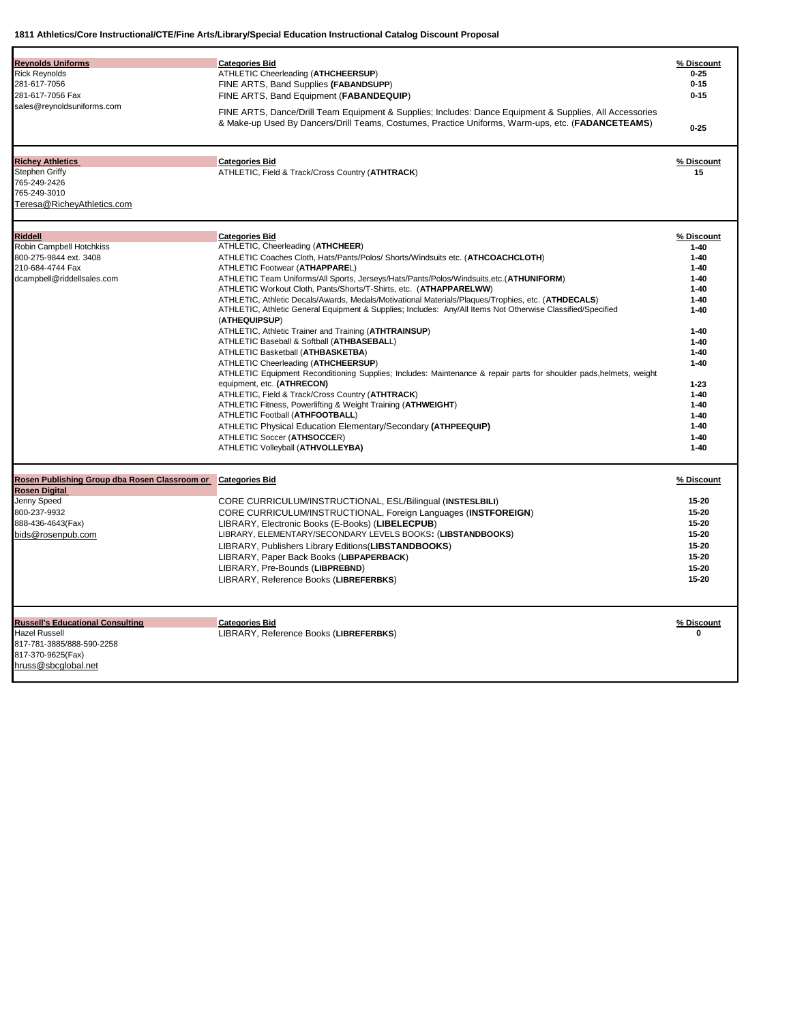| <b>Reynolds Uniforms</b><br><b>Rick Reynolds</b><br>281-617-7056                                        | <b>Categories Bid</b><br>ATHLETIC Cheerleading (ATHCHEERSUP)<br>FINE ARTS, Band Supplies (FABANDSUPP)                                                                                                        | % Discount<br>$0 - 25$<br>$0 - 15$ |
|---------------------------------------------------------------------------------------------------------|--------------------------------------------------------------------------------------------------------------------------------------------------------------------------------------------------------------|------------------------------------|
| 281-617-7056 Fax                                                                                        | FINE ARTS, Band Equipment (FABANDEQUIP)                                                                                                                                                                      | $0 - 15$                           |
| sales@reynoldsuniforms.com                                                                              | FINE ARTS, Dance/Drill Team Equipment & Supplies; Includes: Dance Equipment & Supplies, All Accessories<br>& Make-up Used By Dancers/Drill Teams, Costumes, Practice Uniforms, Warm-ups, etc. (FADANCETEAMS) | $0 - 25$                           |
|                                                                                                         |                                                                                                                                                                                                              |                                    |
| <b>Richey Athletics</b><br>Stephen Griffy<br>765-249-2426<br>765-249-3010<br>Teresa@RicheyAthletics.com | <b>Categories Bid</b><br>ATHLETIC, Field & Track/Cross Country (ATHTRACK)                                                                                                                                    | % Discount<br>15                   |
| Riddell                                                                                                 | <b>Categories Bid</b>                                                                                                                                                                                        | % Discount                         |
| Robin Campbell Hotchkiss                                                                                | ATHLETIC, Cheerleading (ATHCHEER)                                                                                                                                                                            | $1 - 40$                           |
| 800-275-9844 ext. 3408                                                                                  | ATHLETIC Coaches Cloth, Hats/Pants/Polos/ Shorts/Windsuits etc. (ATHCOACHCLOTH)                                                                                                                              | $1 - 40$                           |
| 210-684-4744 Fax                                                                                        | ATHLETIC Footwear (ATHAPPAREL)                                                                                                                                                                               | $1 - 40$                           |
| dcampbell@riddellsales.com                                                                              | ATHLETIC Team Uniforms/All Sports, Jerseys/Hats/Pants/Polos/Windsuits,etc.(ATHUNIFORM)                                                                                                                       | $1 - 40$                           |
|                                                                                                         | ATHLETIC Workout Cloth, Pants/Shorts/T-Shirts, etc. (ATHAPPARELWW)                                                                                                                                           | $1 - 40$                           |
|                                                                                                         | ATHLETIC, Athletic Decals/Awards, Medals/Motivational Materials/Plaques/Trophies, etc. (ATHDECALS)                                                                                                           | $1 - 40$                           |
|                                                                                                         | ATHLETIC, Athletic General Equipment & Supplies; Includes: Any/All Items Not Otherwise Classified/Specified<br>(ATHEQUIPSUP)                                                                                 | $1 - 40$                           |
|                                                                                                         | ATHLETIC, Athletic Trainer and Training (ATHTRAINSUP)                                                                                                                                                        | $1 - 40$                           |
|                                                                                                         | ATHLETIC Baseball & Softball (ATHBASEBALL)                                                                                                                                                                   | $1 - 40$                           |
|                                                                                                         | ATHLETIC Basketball (ATHBASKETBA)                                                                                                                                                                            | $1 - 40$                           |
|                                                                                                         | ATHLETIC Cheerleading (ATHCHEERSUP)                                                                                                                                                                          | $1 - 40$                           |
|                                                                                                         | ATHLETIC Equipment Reconditioning Supplies; Includes: Maintenance & repair parts for shoulder pads, helmets, weight                                                                                          |                                    |
|                                                                                                         | equipment, etc. (ATHRECON)                                                                                                                                                                                   | $1 - 23$                           |
|                                                                                                         | ATHLETIC, Field & Track/Cross Country (ATHTRACK)                                                                                                                                                             | $1 - 40$                           |
|                                                                                                         | ATHLETIC Fitness, Powerlifting & Weight Training (ATHWEIGHT)                                                                                                                                                 | $1 - 40$                           |
|                                                                                                         | ATHLETIC Football (ATHFOOTBALL)                                                                                                                                                                              | $1 - 40$                           |
|                                                                                                         | ATHLETIC Physical Education Elementary/Secondary (ATHPEEQUIP)                                                                                                                                                | $1 - 40$                           |
|                                                                                                         | ATHLETIC Soccer (ATHSOCCER)                                                                                                                                                                                  | $1 - 40$                           |
|                                                                                                         | ATHLETIC Volleyball (ATHVOLLEYBA)                                                                                                                                                                            | $1 - 40$                           |
| Rosen Publishing Group dba Rosen Classroom or                                                           | <b>Categories Bid</b>                                                                                                                                                                                        | % Discount                         |
| <b>Rosen Digital</b>                                                                                    |                                                                                                                                                                                                              | $15 - 20$                          |
| Jenny Speed                                                                                             | CORE CURRICULUM/INSTRUCTIONAL, ESL/Bilingual (INSTESLBILI)                                                                                                                                                   |                                    |
| 800-237-9932                                                                                            | CORE CURRICULUM/INSTRUCTIONAL, Foreign Languages (INSTFOREIGN)                                                                                                                                               | 15-20                              |
| 888-436-4643(Fax)                                                                                       | LIBRARY, Electronic Books (E-Books) (LIBELECPUB)                                                                                                                                                             | 15-20                              |
| bids@rosenpub.com                                                                                       | LIBRARY, ELEMENTARY/SECONDARY LEVELS BOOKS: (LIBSTANDBOOKS)                                                                                                                                                  | 15-20                              |
|                                                                                                         | LIBRARY, Publishers Library Editions (LIBSTANDBOOKS)                                                                                                                                                         | 15-20                              |
|                                                                                                         | LIBRARY, Paper Back Books (LIBPAPERBACK)                                                                                                                                                                     | 15-20                              |
|                                                                                                         | LIBRARY, Pre-Bounds (LIBPREBND)                                                                                                                                                                              | 15-20                              |
|                                                                                                         | LIBRARY, Reference Books (LIBREFERBKS)                                                                                                                                                                       | 15-20                              |
| <b>Russell's Educational Consulting</b>                                                                 | <b>Categories Bid</b>                                                                                                                                                                                        | % Discount                         |
| Hazel Russell                                                                                           | LIBRARY, Reference Books (LIBREFERBKS)                                                                                                                                                                       | 0                                  |
| 817-781-3885/888-590-2258                                                                               |                                                                                                                                                                                                              |                                    |
| 817-370-9625(Fax)                                                                                       |                                                                                                                                                                                                              |                                    |
| hruss@sbcglobal.net                                                                                     |                                                                                                                                                                                                              |                                    |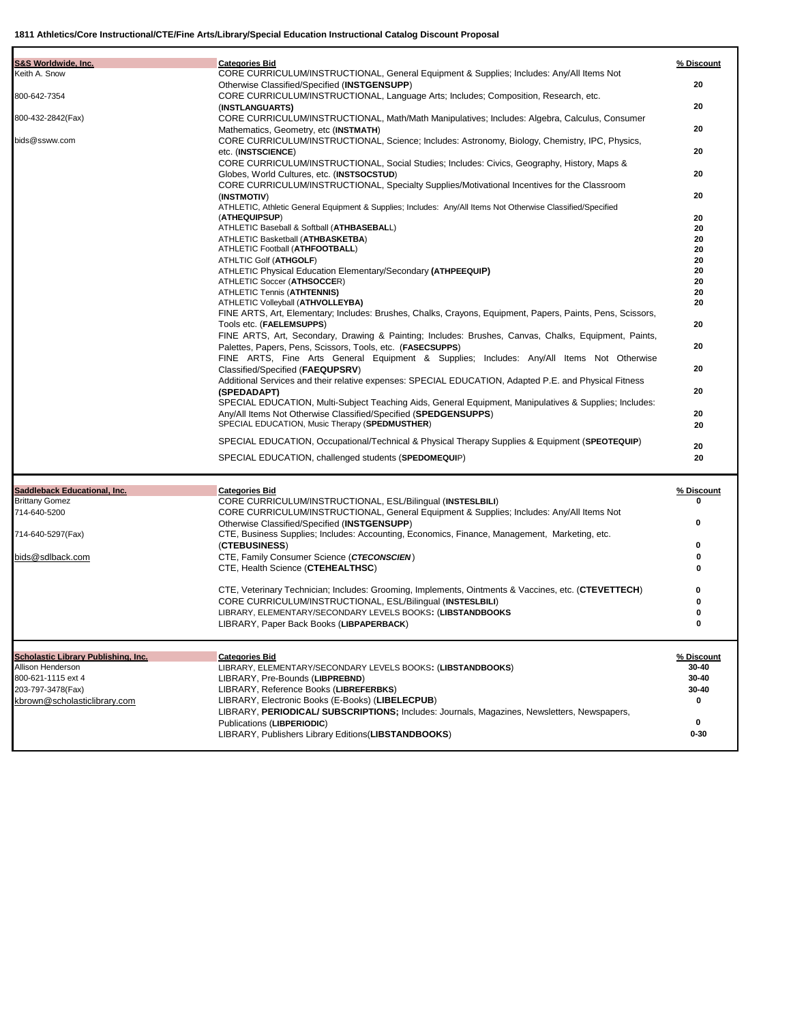| S&S Worldwide, Inc.                 | <b>Categories Bid</b>                                                                                                                                             | % Discount |
|-------------------------------------|-------------------------------------------------------------------------------------------------------------------------------------------------------------------|------------|
| Keith A. Snow                       | CORE CURRICULUM/INSTRUCTIONAL, General Equipment & Supplies; Includes: Any/All Items Not                                                                          |            |
|                                     | Otherwise Classified/Specified (INSTGENSUPP)                                                                                                                      | 20         |
| 800-642-7354                        | CORE CURRICULUM/INSTRUCTIONAL, Language Arts; Includes; Composition, Research, etc.                                                                               |            |
|                                     | (INSTLANGUARTS)                                                                                                                                                   | 20         |
| 800-432-2842(Fax)                   | CORE CURRICULUM/INSTRUCTIONAL, Math/Math Manipulatives; Includes: Algebra, Calculus, Consumer                                                                     |            |
| bids@ssww.com                       | Mathematics, Geometry, etc (INSTMATH)                                                                                                                             | 20         |
|                                     | CORE CURRICULUM/INSTRUCTIONAL, Science; Includes: Astronomy, Biology, Chemistry, IPC, Physics,                                                                    | 20         |
|                                     | etc. (INSTSCIENCE)<br>CORE CURRICULUM/INSTRUCTIONAL, Social Studies; Includes: Civics, Geography, History, Maps &                                                 |            |
|                                     | Globes, World Cultures, etc. (INSTSOCSTUD)                                                                                                                        | 20         |
|                                     | CORE CURRICULUM/INSTRUCTIONAL, Specialty Supplies/Motivational Incentives for the Classroom                                                                       |            |
|                                     | (INSTMOTIV)                                                                                                                                                       | 20         |
|                                     | ATHLETIC, Athletic General Equipment & Supplies; Includes: Any/All Items Not Otherwise Classified/Specified                                                       |            |
|                                     | (ATHEQUIPSUP)                                                                                                                                                     | 20         |
|                                     | ATHLETIC Baseball & Softball (ATHBASEBALL)                                                                                                                        | 20         |
|                                     | ATHLETIC Basketball (ATHBASKETBA)                                                                                                                                 | 20         |
|                                     | ATHLETIC Football (ATHFOOTBALL)                                                                                                                                   | 20         |
|                                     | ATHLTIC Golf (ATHGOLF)                                                                                                                                            | 20<br>20   |
|                                     | ATHLETIC Physical Education Elementary/Secondary (ATHPEEQUIP)<br>ATHLETIC Soccer (ATHSOCCER)                                                                      | 20         |
|                                     | ATHLETIC Tennis (ATHTENNIS)                                                                                                                                       | 20         |
|                                     | ATHLETIC Volleyball (ATHVOLLEYBA)                                                                                                                                 | 20         |
|                                     | FINE ARTS, Art, Elementary; Includes: Brushes, Chalks, Crayons, Equipment, Papers, Paints, Pens, Scissors,                                                        |            |
|                                     | Tools etc. (FAELEMSUPPS)                                                                                                                                          | 20         |
|                                     | FINE ARTS, Art, Secondary, Drawing & Painting; Includes: Brushes, Canvas, Chalks, Equipment, Paints,                                                              |            |
|                                     | Palettes, Papers, Pens, Scissors, Tools, etc. (FASECSUPPS)                                                                                                        | 20         |
|                                     | FINE ARTS, Fine Arts General Equipment & Supplies; Includes: Any/All Items Not Otherwise                                                                          |            |
|                                     | Classified/Specified (FAEQUPSRV)                                                                                                                                  | 20         |
|                                     | Additional Services and their relative expenses: SPECIAL EDUCATION, Adapted P.E. and Physical Fitness                                                             |            |
|                                     | (SPEDADAPT)                                                                                                                                                       | 20         |
|                                     | SPECIAL EDUCATION, Multi-Subject Teaching Aids, General Equipment, Manipulatives & Supplies; Includes:                                                            |            |
|                                     | Any/All Items Not Otherwise Classified/Specified (SPEDGENSUPPS)<br>SPECIAL EDUCATION, Music Therapy (SPEDMUSTHER)                                                 | 20<br>20   |
|                                     |                                                                                                                                                                   |            |
|                                     | SPECIAL EDUCATION, Occupational/Technical & Physical Therapy Supplies & Equipment (SPEOTEQUIP)                                                                    | 20         |
|                                     | SPECIAL EDUCATION, challenged students (SPEDOMEQUIP)                                                                                                              | 20         |
|                                     |                                                                                                                                                                   |            |
| Saddleback Educational, Inc.        | <b>Categories Bid</b>                                                                                                                                             | % Discount |
| <b>Brittany Gomez</b>               | CORE CURRICULUM/INSTRUCTIONAL, ESL/Bilingual (INSTESLBILI)                                                                                                        | 0          |
| 714-640-5200                        | CORE CURRICULUM/INSTRUCTIONAL, General Equipment & Supplies; Includes: Any/All Items Not                                                                          |            |
|                                     | Otherwise Classified/Specified (INSTGENSUPP)                                                                                                                      | 0          |
| 714-640-5297(Fax)                   | CTE, Business Supplies; Includes: Accounting, Economics, Finance, Management, Marketing, etc.                                                                     |            |
|                                     | (CTEBUSINESS)                                                                                                                                                     | 0          |
| bids@sdlback.com                    | CTE, Family Consumer Science (CTECONSCIEN)                                                                                                                        | 0          |
|                                     | CTE, Health Science (CTEHEALTHSC)                                                                                                                                 | 0          |
|                                     |                                                                                                                                                                   | 0          |
|                                     | CTE, Veterinary Technician; Includes: Grooming, Implements, Ointments & Vaccines, etc. (CTEVETTECH)<br>CORE CURRICULUM/INSTRUCTIONAL, ESL/Bilingual (INSTESLBILI) | 0          |
|                                     | LIBRARY, ELEMENTARY/SECONDARY LEVELS BOOKS: (LIBSTANDBOOKS                                                                                                        | 0          |
|                                     | LIBRARY, Paper Back Books (LIBPAPERBACK)                                                                                                                          |            |
|                                     |                                                                                                                                                                   |            |
|                                     |                                                                                                                                                                   |            |
| Scholastic Library Publishing, Inc. | <b>Categories Bid</b>                                                                                                                                             | % Discount |
| Allison Henderson                   | LIBRARY, ELEMENTARY/SECONDARY LEVELS BOOKS: (LIBSTANDBOOKS)                                                                                                       | 30-40      |
| 800-621-1115 ext 4                  | LIBRARY, Pre-Bounds (LIBPREBND)                                                                                                                                   | 30-40      |
| 203-797-3478(Fax)                   | LIBRARY, Reference Books (LIBREFERBKS)                                                                                                                            | 30-40      |
| kbrown@scholasticlibrary.com        | LIBRARY, Electronic Books (E-Books) (LIBELECPUB)                                                                                                                  | 0          |
|                                     | LIBRARY, PERIODICAL/ SUBSCRIPTIONS; Includes: Journals, Magazines, Newsletters, Newspapers,<br>Publications (LIBPERIODIC)                                         | 0          |
|                                     | LIBRARY, Publishers Library Editions (LIBSTANDBOOKS)                                                                                                              | $0 - 30$   |
|                                     |                                                                                                                                                                   |            |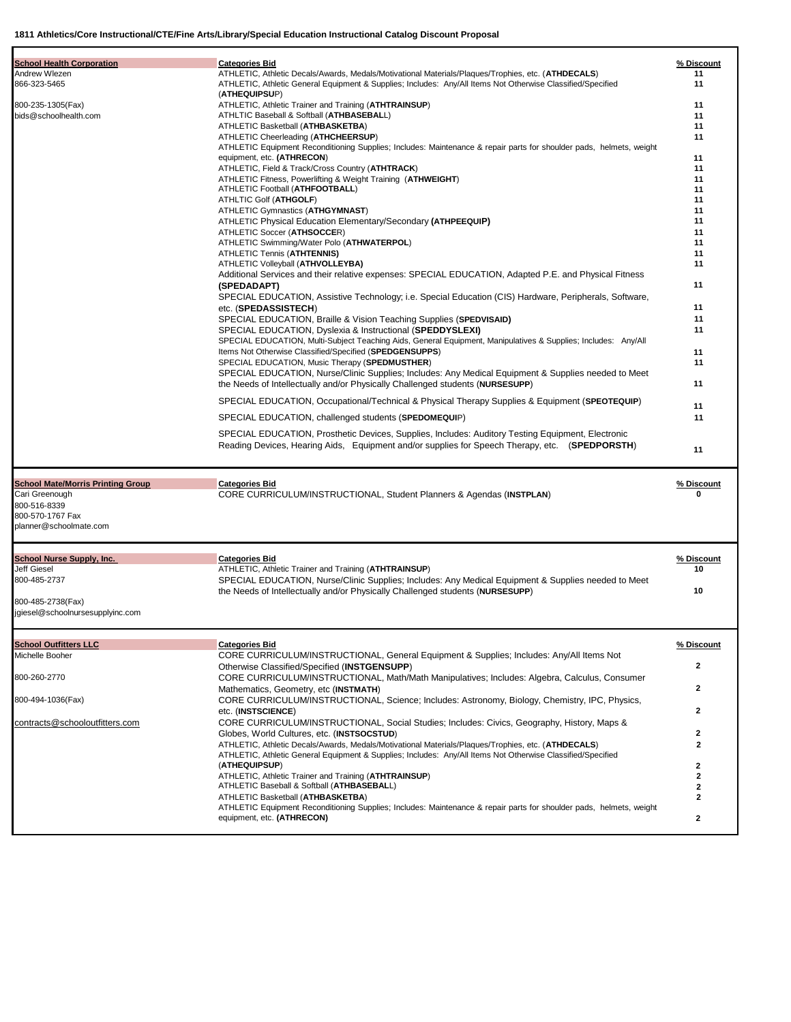| <b>School Health Corporation</b>                | <b>Categories Bid</b>                                                                                                                                                                               | % Discount     |
|-------------------------------------------------|-----------------------------------------------------------------------------------------------------------------------------------------------------------------------------------------------------|----------------|
| Andrew Wlezen                                   | ATHLETIC, Athletic Decals/Awards, Medals/Motivational Materials/Plaques/Trophies, etc. (ATHDECALS)                                                                                                  | 11             |
| 866-323-5465                                    | ATHLETIC, Athletic General Equipment & Supplies; Includes: Any/All Items Not Otherwise Classified/Specified<br>(ATHEQUIPSUP)                                                                        | 11             |
| 800-235-1305(Fax)                               | ATHLETIC, Athletic Trainer and Training (ATHTRAINSUP)                                                                                                                                               | 11             |
| bids@schoolhealth.com                           | ATHLTIC Baseball & Softball (ATHBASEBALL)                                                                                                                                                           | 11             |
|                                                 | ATHLETIC Basketball (ATHBASKETBA)                                                                                                                                                                   | 11             |
|                                                 | ATHLETIC Cheerleading (ATHCHEERSUP)                                                                                                                                                                 | 11             |
|                                                 | ATHLETIC Equipment Reconditioning Supplies; Includes: Maintenance & repair parts for shoulder pads, helmets, weight                                                                                 |                |
|                                                 | equipment, etc. (ATHRECON)                                                                                                                                                                          | 11             |
|                                                 | ATHLETIC, Field & Track/Cross Country (ATHTRACK)<br>ATHLETIC Fitness, Powerlifting & Weight Training (ATHWEIGHT)                                                                                    | 11<br>11       |
|                                                 | ATHLETIC Football (ATHFOOTBALL)                                                                                                                                                                     | 11             |
|                                                 | ATHLTIC Golf (ATHGOLF)                                                                                                                                                                              | 11             |
|                                                 | ATHLETIC Gymnastics (ATHGYMNAST)                                                                                                                                                                    | 11             |
|                                                 | ATHLETIC Physical Education Elementary/Secondary (ATHPEEQUIP)                                                                                                                                       | 11             |
|                                                 | ATHLETIC Soccer (ATHSOCCER)                                                                                                                                                                         | 11             |
|                                                 | ATHLETIC Swimming/Water Polo (ATHWATERPOL)                                                                                                                                                          | 11             |
|                                                 | <b>ATHLETIC Tennis (ATHTENNIS)</b>                                                                                                                                                                  | 11             |
|                                                 | ATHLETIC Volleyball (ATHVOLLEYBA)                                                                                                                                                                   | 11             |
|                                                 | Additional Services and their relative expenses: SPECIAL EDUCATION, Adapted P.E. and Physical Fitness                                                                                               |                |
|                                                 | (SPEDADAPT)                                                                                                                                                                                         | 11             |
|                                                 | SPECIAL EDUCATION, Assistive Technology; i.e. Special Education (CIS) Hardware, Peripherals, Software,                                                                                              |                |
|                                                 | etc. (SPEDASSISTECH)                                                                                                                                                                                | 11             |
|                                                 | SPECIAL EDUCATION, Braille & Vision Teaching Supplies (SPEDVISAID)                                                                                                                                  | 11             |
|                                                 | SPECIAL EDUCATION, Dyslexia & Instructional (SPEDDYSLEXI)                                                                                                                                           | 11             |
|                                                 | SPECIAL EDUCATION, Multi-Subject Teaching Aids, General Equipment, Manipulatives & Supplies; Includes: Any/All                                                                                      |                |
|                                                 | Items Not Otherwise Classified/Specified (SPEDGENSUPPS)                                                                                                                                             | 11             |
|                                                 | SPECIAL EDUCATION, Music Therapy (SPEDMUSTHER)                                                                                                                                                      | 11             |
|                                                 | SPECIAL EDUCATION, Nurse/Clinic Supplies; Includes: Any Medical Equipment & Supplies needed to Meet<br>the Needs of Intellectually and/or Physically Challenged students (NURSESUPP)                | 11             |
|                                                 | SPECIAL EDUCATION, Occupational/Technical & Physical Therapy Supplies & Equipment (SPEOTEQUIP)                                                                                                      | 11             |
|                                                 | SPECIAL EDUCATION, challenged students (SPEDOMEQUIP)                                                                                                                                                | 11             |
|                                                 | SPECIAL EDUCATION, Prosthetic Devices, Supplies, Includes: Auditory Testing Equipment, Electronic<br>Reading Devices, Hearing Aids, Equipment and/or supplies for Speech Therapy, etc. (SPEDPORSTH) | 11             |
| <b>School Mate/Morris Printing Group</b>        | <b>Categories Bid</b>                                                                                                                                                                               | % Discount     |
| Cari Greenough                                  | CORE CURRICULUM/INSTRUCTIONAL, Student Planners & Agendas (INSTPLAN)                                                                                                                                | 0              |
| 800-516-8339                                    |                                                                                                                                                                                                     |                |
| 800-570-1767 Fax                                |                                                                                                                                                                                                     |                |
| planner@schoolmate.com                          |                                                                                                                                                                                                     |                |
| School Nurse Supply, Inc.                       | <b>Categories Bid</b>                                                                                                                                                                               | % Discount     |
| <b>Jeff Giesel</b>                              | ATHLETIC, Athletic Trainer and Training (ATHTRAINSUP)                                                                                                                                               | 10             |
| 800-485-2737                                    | SPECIAL EDUCATION, Nurse/Clinic Supplies; Includes: Any Medical Equipment & Supplies needed to Meet                                                                                                 |                |
|                                                 | the Needs of Intellectually and/or Physically Challenged students (NURSESUPP)                                                                                                                       | 10             |
| 800-485-2738(Fax)                               |                                                                                                                                                                                                     |                |
| jgiesel@schoolnursesupplyinc.com                |                                                                                                                                                                                                     |                |
|                                                 |                                                                                                                                                                                                     |                |
| <b>School Outfitters LLC</b><br>Michelle Booher | <b>Categories Bid</b><br>CORE CURRICULUM/INSTRUCTIONAL, General Equipment & Supplies; Includes: Any/All Items Not                                                                                   | % Discount     |
|                                                 | Otherwise Classified/Specified (INSTGENSUPP)                                                                                                                                                        | 2              |
| 800-260-2770                                    |                                                                                                                                                                                                     |                |
|                                                 | CORE CURRICULUM/INSTRUCTIONAL, Math/Math Manipulatives; Includes: Algebra, Calculus, Consumer                                                                                                       | 2              |
| 800-494-1036(Fax)                               | Mathematics, Geometry, etc (INSTMATH)                                                                                                                                                               |                |
|                                                 | CORE CURRICULUM/INSTRUCTIONAL, Science; Includes: Astronomy, Biology, Chemistry, IPC, Physics,                                                                                                      | 2              |
| contracts@schooloutfitters.com                  | etc. (INSTSCIENCE)<br>CORE CURRICULUM/INSTRUCTIONAL, Social Studies; Includes: Civics, Geography, History, Maps &                                                                                   |                |
|                                                 | Globes, World Cultures, etc. (INSTSOCSTUD)                                                                                                                                                          | $\overline{2}$ |
|                                                 | ATHLETIC, Athletic Decals/Awards, Medals/Motivational Materials/Plaques/Trophies, etc. (ATHDECALS)                                                                                                  | $\mathbf{2}$   |
|                                                 | ATHLETIC, Athletic General Equipment & Supplies; Includes: Any/All Items Not Otherwise Classified/Specified                                                                                         |                |
|                                                 | (ATHEQUIPSUP)                                                                                                                                                                                       | $\overline{2}$ |
|                                                 | ATHLETIC, Athletic Trainer and Training (ATHTRAINSUP)                                                                                                                                               | $\mathbf{2}$   |
|                                                 | ATHLETIC Baseball & Softball (ATHBASEBALL)                                                                                                                                                          | 2              |
|                                                 | ATHLETIC Basketball (ATHBASKETBA)                                                                                                                                                                   | $\mathbf{2}$   |
|                                                 | ATHLETIC Equipment Reconditioning Supplies; Includes: Maintenance & repair parts for shoulder pads, helmets, weight                                                                                 |                |
|                                                 | equipment, etc. (ATHRECON)                                                                                                                                                                          | $\mathbf{2}$   |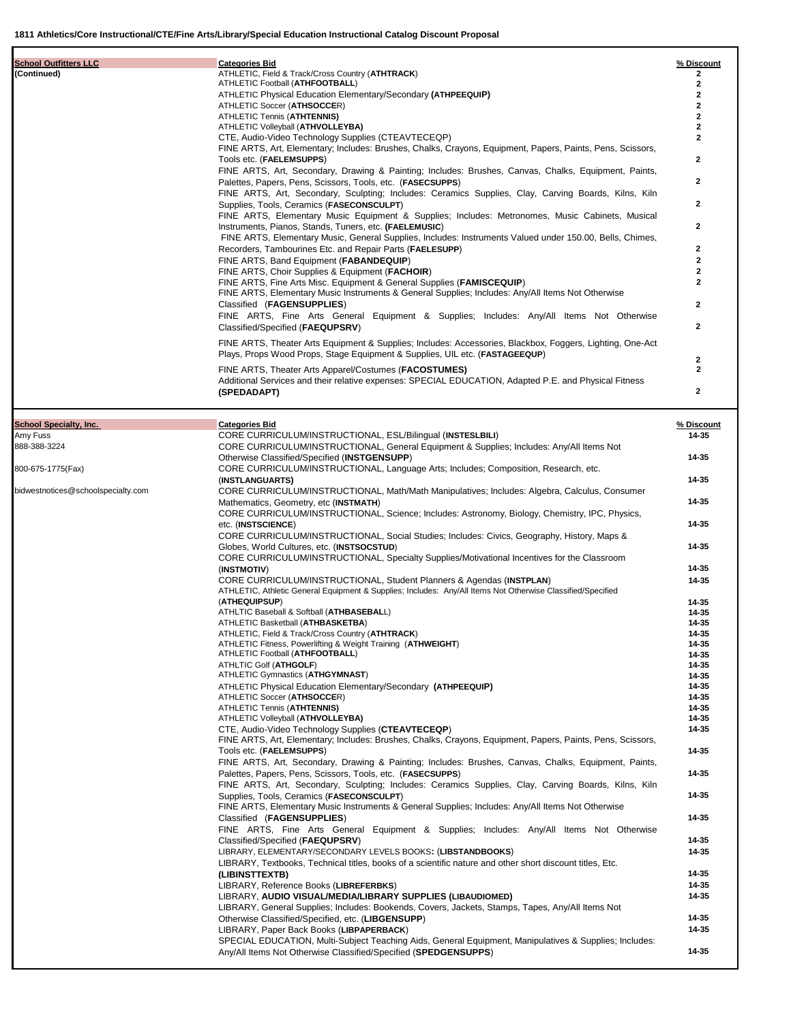| <b>School Outfitters LLC</b> | <b>Categories Bid</b>                                                                                      | % Discount              |
|------------------------------|------------------------------------------------------------------------------------------------------------|-------------------------|
| (Continued)                  | ATHLETIC, Field & Track/Cross Country (ATHTRACK)                                                           |                         |
|                              | ATHLETIC Football (ATHFOOTBALL)                                                                            | 2                       |
|                              | ATHLETIC Physical Education Elementary/Secondary (ATHPEEQUIP)                                              |                         |
|                              | ATHLETIC Soccer (ATHSOCCER)                                                                                |                         |
|                              | ATHLETIC Tennis (ATHTENNIS)                                                                                |                         |
|                              | ATHLETIC Volleyball (ATHVOLLEYBA)                                                                          |                         |
|                              | CTE, Audio-Video Technology Supplies (CTEAVTECEQP)                                                         |                         |
|                              | FINE ARTS, Art, Elementary; Includes: Brushes, Chalks, Crayons, Equipment, Papers, Paints, Pens, Scissors, |                         |
|                              | Tools etc. (FAELEMSUPPS)                                                                                   | $\overline{ }$          |
|                              | FINE ARTS, Art, Secondary, Drawing & Painting; Includes: Brushes, Canvas, Chalks, Equipment, Paints,       |                         |
|                              | Palettes, Papers, Pens, Scissors, Tools, etc. (FASECSUPPS)                                                 | 2                       |
|                              | FINE ARTS, Art, Secondary, Sculpting; Includes: Ceramics Supplies, Clay, Carving Boards, Kilns, Kiln       |                         |
|                              | Supplies, Tools, Ceramics (FASECONSCULPT)                                                                  | $\overline{2}$          |
|                              | FINE ARTS, Elementary Music Equipment & Supplies; Includes: Metronomes, Music Cabinets, Musical            |                         |
|                              | Instruments, Pianos, Stands, Tuners, etc. (FAELEMUSIC)                                                     | $\overline{2}$          |
|                              | FINE ARTS, Elementary Music, General Supplies, Includes: Instruments Valued under 150.00, Bells, Chimes,   |                         |
|                              | Recorders, Tambourines Etc. and Repair Parts (FAELESUPP)                                                   | $\overline{\mathbf{c}}$ |
|                              | FINE ARTS, Band Equipment (FABANDEQUIP)                                                                    | 2                       |
|                              | FINE ARTS, Choir Supplies & Equipment (FACHOIR)                                                            |                         |
|                              | FINE ARTS, Fine Arts Misc. Equipment & General Supplies (FAMISCEQUIP)                                      |                         |
|                              | FINE ARTS, Elementary Music Instruments & General Supplies; Includes: Any/All Items Not Otherwise          |                         |
|                              | Classified (FAGENSUPPLIES)                                                                                 | $\overline{ }$          |
|                              | FINE ARTS, Fine Arts General Equipment & Supplies; Includes: Any/All Items Not Otherwise                   |                         |
|                              | Classified/Specified (FAEQUPSRV)                                                                           | $\mathbf{2}$            |
|                              | FINE ARTS, Theater Arts Equipment & Supplies; Includes: Accessories, Blackbox, Foggers, Lighting, One-Act  |                         |
|                              | Plays, Props Wood Props, Stage Equipment & Supplies, UIL etc. (FASTAGEEQUP)                                |                         |
|                              |                                                                                                            | 2                       |
|                              | FINE ARTS, Theater Arts Apparel/Costumes (FACOSTUMES)                                                      |                         |
|                              | Additional Services and their relative expenses: SPECIAL EDUCATION, Adapted P.E. and Physical Fitness      |                         |
|                              | (SPEDADAPT)                                                                                                | $\overline{ }$          |
|                              |                                                                                                            |                         |

| <b>School Specialty, Inc.</b>      | <b>Categories Bid</b>                                                                                       | % Discount |
|------------------------------------|-------------------------------------------------------------------------------------------------------------|------------|
| Amy Fuss                           | CORE CURRICULUM/INSTRUCTIONAL, ESL/Bilingual (INSTESLBILI)                                                  | 14-35      |
| 888-388-3224                       | CORE CURRICULUM/INSTRUCTIONAL, General Equipment & Supplies; Includes: Any/All Items Not                    |            |
|                                    | Otherwise Classified/Specified (INSTGENSUPP)                                                                | 14-35      |
| 800-675-1775(Fax)                  | CORE CURRICULUM/INSTRUCTIONAL, Language Arts; Includes; Composition, Research, etc.                         |            |
|                                    | (INSTLANGUARTS)                                                                                             | 14-35      |
| bidwestnotices@schoolspecialty.com | CORE CURRICULUM/INSTRUCTIONAL, Math/Math Manipulatives; Includes: Algebra, Calculus, Consumer               |            |
|                                    | Mathematics, Geometry, etc (INSTMATH)                                                                       | 14-35      |
|                                    | CORE CURRICULUM/INSTRUCTIONAL, Science; Includes: Astronomy, Biology, Chemistry, IPC, Physics,              |            |
|                                    | etc. (INSTSCIENCE)                                                                                          | 14-35      |
|                                    | CORE CURRICULUM/INSTRUCTIONAL, Social Studies; Includes: Civics, Geography, History, Maps &                 |            |
|                                    | Globes, World Cultures, etc. (INSTSOCSTUD)                                                                  | 14-35      |
|                                    | CORE CURRICULUM/INSTRUCTIONAL, Specialty Supplies/Motivational Incentives for the Classroom                 |            |
|                                    | (INSTMOTIV)                                                                                                 | 14-35      |
|                                    | CORE CURRICULUM/INSTRUCTIONAL, Student Planners & Agendas (INSTPLAN)                                        | 14-35      |
|                                    | ATHLETIC, Athletic General Equipment & Supplies; Includes: Any/All Items Not Otherwise Classified/Specified |            |
|                                    | (ATHEQUIPSUP)                                                                                               | 14-35      |
|                                    | ATHLTIC Baseball & Softball (ATHBASEBALL)                                                                   | 14-35      |
|                                    | ATHLETIC Basketball (ATHBASKETBA)                                                                           | 14-35      |
|                                    | ATHLETIC, Field & Track/Cross Country (ATHTRACK)                                                            | 14-35      |
|                                    | ATHLETIC Fitness, Powerlifting & Weight Training (ATHWEIGHT)                                                | 14-35      |
|                                    | ATHLETIC Football (ATHFOOTBALL)                                                                             | 14-35      |
|                                    | ATHLTIC Golf (ATHGOLF)                                                                                      | 14-35      |
|                                    | ATHLETIC Gymnastics (ATHGYMNAST)                                                                            | 14-35      |
|                                    | ATHLETIC Physical Education Elementary/Secondary (ATHPEEQUIP)                                               | 14-35      |
|                                    | ATHLETIC Soccer (ATHSOCCER)                                                                                 | 14-35      |
|                                    | <b>ATHLETIC Tennis (ATHTENNIS)</b>                                                                          | 14-35      |
|                                    | ATHLETIC Volleyball (ATHVOLLEYBA)                                                                           | 14-35      |
|                                    | CTE, Audio-Video Technology Supplies (CTEAVTECEQP)                                                          | 14-35      |
|                                    | FINE ARTS, Art, Elementary; Includes: Brushes, Chalks, Crayons, Equipment, Papers, Paints, Pens, Scissors,  |            |
|                                    | Tools etc. (FAELEMSUPPS)                                                                                    | 14-35      |
|                                    | FINE ARTS, Art, Secondary, Drawing & Painting; Includes: Brushes, Canvas, Chalks, Equipment, Paints,        |            |
|                                    | Palettes, Papers, Pens, Scissors, Tools, etc. (FASECSUPPS)                                                  | 14-35      |
|                                    | FINE ARTS, Art, Secondary, Sculpting; Includes: Ceramics Supplies, Clay, Carving Boards, Kilns, Kiln        |            |
|                                    | Supplies, Tools, Ceramics (FASECONSCULPT)                                                                   | 14-35      |
|                                    | FINE ARTS, Elementary Music Instruments & General Supplies; Includes: Any/All Items Not Otherwise           |            |
|                                    | Classified (FAGENSUPPLIES)                                                                                  | 14-35      |
|                                    | FINE ARTS, Fine Arts General Equipment & Supplies; Includes: Any/All Items Not Otherwise                    |            |
|                                    | Classified/Specified (FAEQUPSRV)                                                                            | 14-35      |
|                                    | LIBRARY, ELEMENTARY/SECONDARY LEVELS BOOKS: (LIBSTANDBOOKS)                                                 | 14-35      |
|                                    | LIBRARY, Textbooks, Technical titles, books of a scientific nature and other short discount titles, Etc.    |            |
|                                    | (LIBINSTTEXTB)                                                                                              | 14-35      |
|                                    | LIBRARY, Reference Books (LIBREFERBKS)                                                                      | 14-35      |
|                                    | LIBRARY, AUDIO VISUAL/MEDIA/LIBRARY SUPPLIES (LIBAUDIOMED)                                                  | 14-35      |
|                                    | LIBRARY, General Supplies; Includes: Bookends, Covers, Jackets, Stamps, Tapes, Any/All Items Not            |            |
|                                    | Otherwise Classified/Specified, etc. (LIBGENSUPP)                                                           | 14-35      |
|                                    | LIBRARY, Paper Back Books (LIBPAPERBACK)                                                                    | 14-35      |
|                                    | SPECIAL EDUCATION, Multi-Subject Teaching Aids, General Equipment, Manipulatives & Supplies; Includes:      |            |
|                                    | Any/All Items Not Otherwise Classified/Specified (SPEDGENSUPPS)                                             | 14-35      |
|                                    |                                                                                                             |            |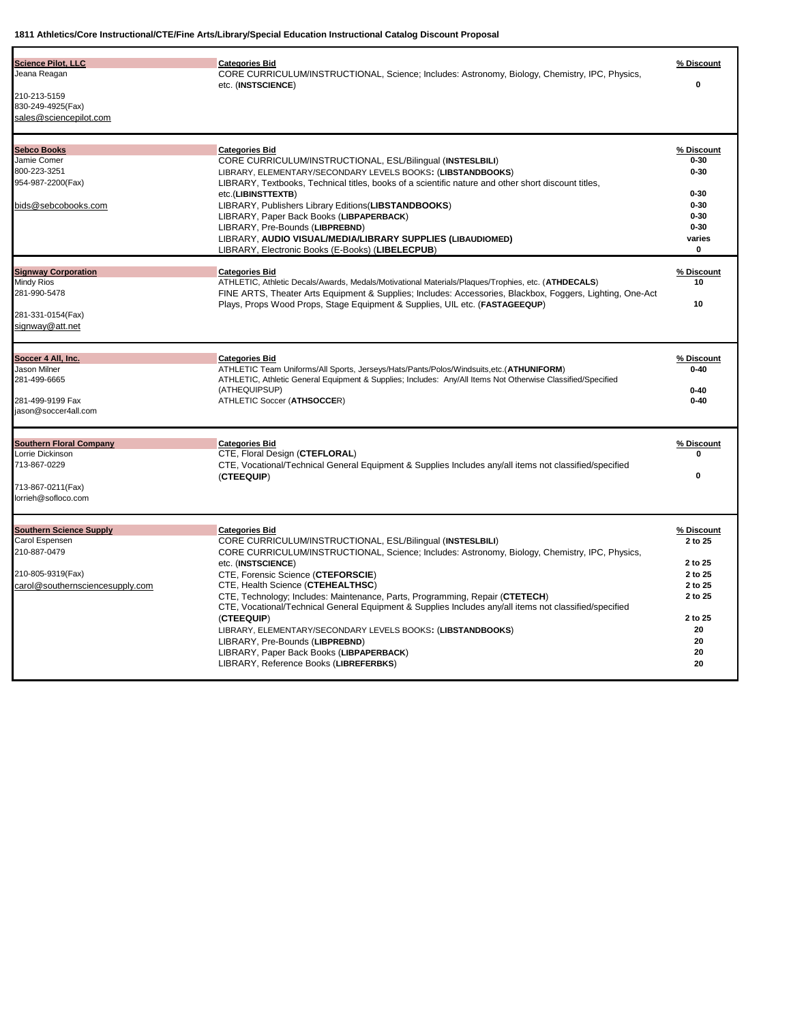| <b>Science Pilot, LLC</b><br>Jeana Reagan<br>210-213-5159<br>830-249-4925(Fax)<br>sales@sciencepilot.com                 | <b>Categories Bid</b><br>CORE CURRICULUM/INSTRUCTIONAL, Science; Includes: Astronomy, Biology, Chemistry, IPC, Physics,<br>etc. (INSTSCIENCE)                                                                                                                                                                                                                                                                                                                                                                                                                                                                                                                                          | % Discount<br>$\mathbf{0}$                                                                           |
|--------------------------------------------------------------------------------------------------------------------------|----------------------------------------------------------------------------------------------------------------------------------------------------------------------------------------------------------------------------------------------------------------------------------------------------------------------------------------------------------------------------------------------------------------------------------------------------------------------------------------------------------------------------------------------------------------------------------------------------------------------------------------------------------------------------------------|------------------------------------------------------------------------------------------------------|
| <b>Sebco Books</b><br>Jamie Comer<br>800-223-3251<br>954-987-2200(Fax)<br>bids@sebcobooks.com                            | <b>Categories Bid</b><br>CORE CURRICULUM/INSTRUCTIONAL, ESL/Bilingual (INSTESLBILI)<br>LIBRARY, ELEMENTARY/SECONDARY LEVELS BOOKS: (LIBSTANDBOOKS)<br>LIBRARY, Textbooks, Technical titles, books of a scientific nature and other short discount titles,<br>etc.(LIBINSTTEXTB)<br>LIBRARY, Publishers Library Editions(LIBSTANDBOOKS)<br>LIBRARY, Paper Back Books (LIBPAPERBACK)<br>LIBRARY, Pre-Bounds (LIBPREBND)<br>LIBRARY, AUDIO VISUAL/MEDIA/LIBRARY SUPPLIES (LIBAUDIOMED)<br>LIBRARY, Electronic Books (E-Books) (LIBELECPUB)                                                                                                                                                | % Discount<br>$0 - 30$<br>$0 - 30$<br>$0 - 30$<br>$0 - 30$<br>$0 - 30$<br>$0 - 30$<br>varies<br>0    |
| <b>Signway Corporation</b><br><b>Mindy Rios</b><br>281-990-5478<br>281-331-0154(Fax)<br>signway@att.net                  | <b>Categories Bid</b><br>ATHLETIC, Athletic Decals/Awards, Medals/Motivational Materials/Plaques/Trophies, etc. (ATHDECALS)<br>FINE ARTS, Theater Arts Equipment & Supplies; Includes: Accessories, Blackbox, Foggers, Lighting, One-Act<br>Plays, Props Wood Props, Stage Equipment & Supplies, UIL etc. (FASTAGEEQUP)                                                                                                                                                                                                                                                                                                                                                                | % Discount<br>10<br>10                                                                               |
| Soccer 4 All, Inc.<br>Jason Milner<br>281-499-6665<br>281-499-9199 Fax<br>jason@soccer4all.com                           | <b>Categories Bid</b><br>ATHLETIC Team Uniforms/All Sports, Jerseys/Hats/Pants/Polos/Windsuits.etc.(ATHUNIFORM)<br>ATHLETIC, Athletic General Equipment & Supplies; Includes: Any/All Items Not Otherwise Classified/Specified<br>(ATHEQUIPSUP)<br>ATHLETIC Soccer (ATHSOCCER)                                                                                                                                                                                                                                                                                                                                                                                                         | % Discount<br>$0 - 40$<br>$0 - 40$<br>$0 - 40$                                                       |
| <b>Southern Floral Company</b><br>Lorrie Dickinson<br>713-867-0229<br>713-867-0211(Fax)<br>lorrieh@sofloco.com           | <b>Categories Bid</b><br>CTE, Floral Design (CTEFLORAL)<br>CTE, Vocational/Technical General Equipment & Supplies Includes any/all items not classified/specified<br>(CTEEQUIP)                                                                                                                                                                                                                                                                                                                                                                                                                                                                                                        | % Discount<br>0<br>$\Omega$                                                                          |
| <b>Southern Science Supply</b><br>Carol Espensen<br>210-887-0479<br>210-805-9319(Fax)<br>carol@southernsciencesupply.com | <b>Categories Bid</b><br>CORE CURRICULUM/INSTRUCTIONAL, ESL/Bilingual (INSTESLBILI)<br>CORE CURRICULUM/INSTRUCTIONAL, Science; Includes: Astronomy, Biology, Chemistry, IPC, Physics,<br>etc. (INSTSCIENCE)<br>CTE, Forensic Science (CTEFORSCIE)<br>CTE, Health Science (CTEHEALTHSC)<br>CTE, Technology; Includes: Maintenance, Parts, Programming, Repair (CTETECH)<br>CTE, Vocational/Technical General Equipment & Supplies Includes any/all items not classified/specified<br>(CTEEQUIP)<br>LIBRARY, ELEMENTARY/SECONDARY LEVELS BOOKS: (LIBSTANDBOOKS)<br>LIBRARY, Pre-Bounds (LIBPREBND)<br>LIBRARY, Paper Back Books (LIBPAPERBACK)<br>LIBRARY, Reference Books (LIBREFERBKS) | % Discount<br>2 to 25<br>2 to 25<br>2 to 25<br>2 to 25<br>2 to 25<br>2 to 25<br>20<br>20<br>20<br>20 |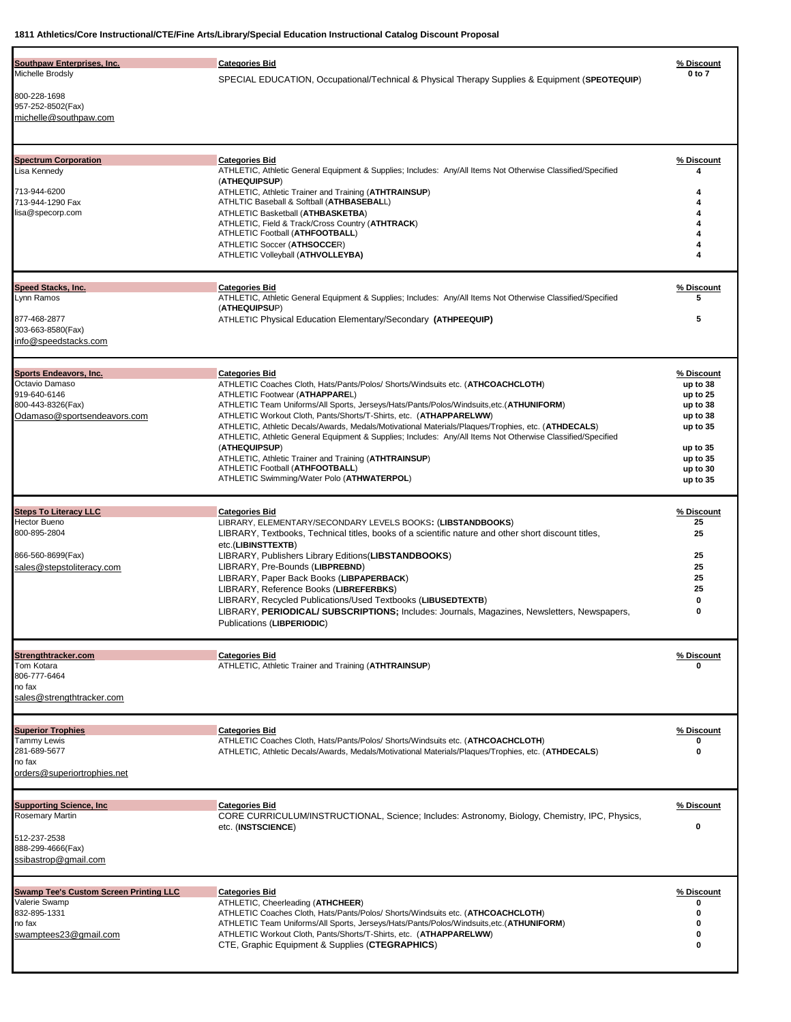| Southpaw Enterprises, Inc.<br>Michelle Brodsly                                                                         | <b>Categories Bid</b>                                                                                                                                                                                                                                                                                                                                                                                                                                                                                                                                                                                                                                                                        | % Discount<br>0 to 7                                                                                                   |
|------------------------------------------------------------------------------------------------------------------------|----------------------------------------------------------------------------------------------------------------------------------------------------------------------------------------------------------------------------------------------------------------------------------------------------------------------------------------------------------------------------------------------------------------------------------------------------------------------------------------------------------------------------------------------------------------------------------------------------------------------------------------------------------------------------------------------|------------------------------------------------------------------------------------------------------------------------|
| 800-228-1698<br>957-252-8502(Fax)<br>michelle@southpaw.com                                                             | SPECIAL EDUCATION, Occupational/Technical & Physical Therapy Supplies & Equipment (SPEOTEQUIP)                                                                                                                                                                                                                                                                                                                                                                                                                                                                                                                                                                                               |                                                                                                                        |
| <b>Spectrum Corporation</b><br>Lisa Kennedy<br>713-944-6200<br>713-944-1290 Fax<br>lisa@specorp.com                    | <b>Categories Bid</b><br>ATHLETIC, Athletic General Equipment & Supplies; Includes: Any/All Items Not Otherwise Classified/Specified<br>(ATHEQUIPSUP)<br>ATHLETIC, Athletic Trainer and Training (ATHTRAINSUP)<br>ATHLTIC Baseball & Softball (ATHBASEBALL)<br>ATHLETIC Basketball (ATHBASKETBA)<br>ATHLETIC, Field & Track/Cross Country (ATHTRACK)<br>ATHLETIC Football (ATHFOOTBALL)<br>ATHLETIC Soccer (ATHSOCCER)<br>ATHLETIC Volleyball (ATHVOLLEYBA)                                                                                                                                                                                                                                  | % Discount                                                                                                             |
| Speed Stacks, Inc.<br>Lynn Ramos<br>877-468-2877<br>303-663-8580(Fax)<br>info@speedstacks.com                          | <b>Categories Bid</b><br>ATHLETIC, Athletic General Equipment & Supplies; Includes: Any/All Items Not Otherwise Classified/Specified<br>(ATHEQUIPSUP)<br>ATHLETIC Physical Education Elementary/Secondary (ATHPEEQUIP)                                                                                                                                                                                                                                                                                                                                                                                                                                                                       | % Discount<br>5<br>5                                                                                                   |
| Sports Endeavors, Inc.<br>Octavio Damaso<br>919-640-6146<br>800-443-8326(Fax)<br>Odamaso@sportsendeavors.com           | <b>Categories Bid</b><br>ATHLETIC Coaches Cloth, Hats/Pants/Polos/ Shorts/Windsuits etc. (ATHCOACHCLOTH)<br>ATHLETIC Footwear (ATHAPPAREL)<br>ATHLETIC Team Uniforms/All Sports, Jerseys/Hats/Pants/Polos/Windsuits, etc. (ATHUNIFORM)<br>ATHLETIC Workout Cloth, Pants/Shorts/T-Shirts, etc. (ATHAPPARELWW)<br>ATHLETIC, Athletic Decals/Awards, Medals/Motivational Materials/Plaques/Trophies, etc. (ATHDECALS)<br>ATHLETIC, Athletic General Equipment & Supplies; Includes: Any/All Items Not Otherwise Classified/Specified<br>(ATHEQUIPSUP)<br>ATHLETIC, Athletic Trainer and Training (ATHTRAINSUP)<br>ATHLETIC Football (ATHFOOTBALL)<br>ATHLETIC Swimming/Water Polo (ATHWATERPOL) | % Discount<br>up to 38<br>up to 25<br>up to 38<br>up to 38<br>up to 35<br>up to 35<br>up to 35<br>up to 30<br>up to 35 |
| <b>Steps To Literacy LLC</b><br>Hector Bueno<br>800-895-2804<br>866-560-8699(Fax)<br>sales@stepstoliteracy.com         | <b>Categories Bid</b><br>LIBRARY, ELEMENTARY/SECONDARY LEVELS BOOKS: (LIBSTANDBOOKS)<br>LIBRARY, Textbooks, Technical titles, books of a scientific nature and other short discount titles,<br>etc.(LIBINSTTEXTB)<br>LIBRARY, Publishers Library Editions (LIBSTANDBOOKS)<br>LIBRARY, Pre-Bounds (LIBPREBND)<br>LIBRARY, Paper Back Books (LIBPAPERBACK)<br>LIBRARY. Reference Books (LIBREFERBKS)<br>LIBRARY, Recycled Publications/Used Textbooks (LIBUSEDTEXTB)<br>LIBRARY, PERIODICAL/ SUBSCRIPTIONS; Includes: Journals, Magazines, Newsletters, Newspapers,<br>Publications (LIBPERIODIC)                                                                                              | % Discount<br>25<br>25<br>25<br>25<br>25<br>25<br>0<br>0                                                               |
| Strengthtracker.com<br>Tom Kotara<br>806-777-6464<br>no fax<br>sales@strengthtracker.com                               | <b>Categories Bid</b><br>ATHLETIC, Athletic Trainer and Training (ATHTRAINSUP)                                                                                                                                                                                                                                                                                                                                                                                                                                                                                                                                                                                                               | % Discount                                                                                                             |
| <b>Superior Trophies</b><br><b>Tammy Lewis</b><br>281-689-5677<br>no fax<br>orders@superiortrophies.net                | <b>Categories Bid</b><br>ATHLETIC Coaches Cloth, Hats/Pants/Polos/ Shorts/Windsuits etc. (ATHCOACHCLOTH)<br>ATHLETIC, Athletic Decals/Awards, Medals/Motivational Materials/Plaques/Trophies, etc. (ATHDECALS)                                                                                                                                                                                                                                                                                                                                                                                                                                                                               | % Discount<br>0                                                                                                        |
| <b>Supporting Science, Inc.</b><br><b>Rosemary Martin</b><br>512-237-2538<br>888-299-4666(Fax)<br>ssibastrop@gmail.com | <b>Categories Bid</b><br>CORE CURRICULUM/INSTRUCTIONAL, Science; Includes: Astronomy, Biology, Chemistry, IPC, Physics,<br>etc. (INSTSCIENCE)                                                                                                                                                                                                                                                                                                                                                                                                                                                                                                                                                | % Discount<br>0                                                                                                        |
| <b>Swamp Tee's Custom Screen Printing LLC</b><br>Valerie Swamp<br>832-895-1331<br>no fax<br>swamptees23@gmail.com      | <b>Categories Bid</b><br>ATHLETIC, Cheerleading (ATHCHEER)<br>ATHLETIC Coaches Cloth, Hats/Pants/Polos/ Shorts/Windsuits etc. (ATHCOACHCLOTH)<br>ATHLETIC Team Uniforms/All Sports, Jerseys/Hats/Pants/Polos/Windsuits,etc.(ATHUNIFORM)<br>ATHLETIC Workout Cloth, Pants/Shorts/T-Shirts, etc. (ATHAPPARELWW)<br>CTE, Graphic Equipment & Supplies (CTEGRAPHICS)                                                                                                                                                                                                                                                                                                                             | % Discount<br>0<br>0<br>0                                                                                              |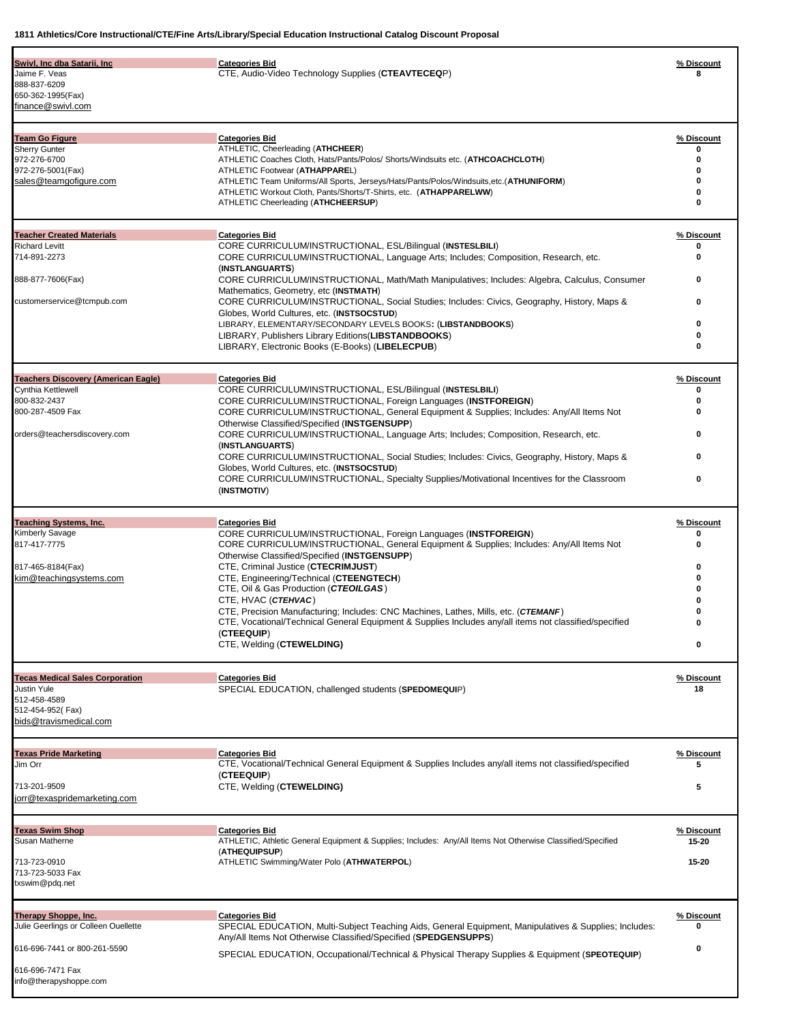| Swivl, Inc dba Satarii, Inc<br>Jaime F. Veas<br>888-837-6209<br>650-362-1995(Fax)<br>finance@swivl.com                                     | <b>Categories Bid</b><br>CTE, Audio-Video Technology Supplies (CTEAVTECEQP)                                                                                                                                                                                                                                                                                                                                                                                                                                                                                                                                                                                                   | % Discount                                                       |
|--------------------------------------------------------------------------------------------------------------------------------------------|-------------------------------------------------------------------------------------------------------------------------------------------------------------------------------------------------------------------------------------------------------------------------------------------------------------------------------------------------------------------------------------------------------------------------------------------------------------------------------------------------------------------------------------------------------------------------------------------------------------------------------------------------------------------------------|------------------------------------------------------------------|
| <b>Team Go Figure</b><br><b>Sherry Gunter</b><br>972-276-6700<br>972-276-5001(Fax)<br>sales@teamgofigure.com                               | <b>Categories Bid</b><br>ATHLETIC, Cheerleading (ATHCHEER)<br>ATHLETIC Coaches Cloth, Hats/Pants/Polos/ Shorts/Windsuits etc. (ATHCOACHCLOTH)<br>ATHLETIC Footwear (ATHAPPAREL)<br>ATHLETIC Team Uniforms/All Sports, Jerseys/Hats/Pants/Polos/Windsuits.etc.(ATHUNIFORM)<br>ATHLETIC Workout Cloth, Pants/Shorts/T-Shirts, etc. (ATHAPPARELWW)<br>ATHLETIC Cheerleading (ATHCHEERSUP)                                                                                                                                                                                                                                                                                        | % Discount<br>0<br>0<br>$\bf{0}$<br>0<br>0                       |
| <b>Teacher Created Materials</b><br><b>Richard Levitt</b><br>714-891-2273<br>888-877-7606(Fax)<br>customerservice@tcmpub.com               | <b>Categories Bid</b><br>CORE CURRICULUM/INSTRUCTIONAL, ESL/Bilingual (INSTESLBILI)<br>CORE CURRICULUM/INSTRUCTIONAL, Language Arts; Includes; Composition, Research, etc.<br>(INSTLANGUARTS)<br>CORE CURRICULUM/INSTRUCTIONAL, Math/Math Manipulatives; Includes: Algebra, Calculus, Consumer<br>Mathematics, Geometry, etc (INSTMATH)<br>CORE CURRICULUM/INSTRUCTIONAL, Social Studies; Includes: Civics, Geography, History, Maps &<br>Globes, World Cultures, etc. (INSTSOCSTUD)<br>LIBRARY, ELEMENTARY/SECONDARY LEVELS BOOKS: (LIBSTANDBOOKS)<br>LIBRARY, Publishers Library Editions (LIBSTANDBOOKS)<br>LIBRARY, Electronic Books (E-Books) (LIBELECPUB)               | % Discount<br>0<br>0<br>0<br>0<br>0<br>0<br>0                    |
| <b>Teachers Discovery (American Eagle)</b><br>Cynthia Kettlewell<br>800-832-2437<br>800-287-4509 Fax<br>orders@teachersdiscovery.com       | <b>Categories Bid</b><br>CORE CURRICULUM/INSTRUCTIONAL, ESL/Bilingual (INSTESLBILI)<br><b>CORE CURRICULUM/INSTRUCTIONAL, Foreign Languages (INSTFOREIGN)</b><br>CORE CURRICULUM/INSTRUCTIONAL, General Equipment & Supplies; Includes: Any/All Items Not<br>Otherwise Classified/Specified (INSTGENSUPP)<br>CORE CURRICULUM/INSTRUCTIONAL, Language Arts; Includes; Composition, Research, etc.<br>(INSTLANGUARTS)<br>CORE CURRICULUM/INSTRUCTIONAL, Social Studies; Includes: Civics, Geography, History, Maps &<br>Globes, World Cultures, etc. (INSTSOCSTUD)<br>CORE CURRICULUM/INSTRUCTIONAL, Specialty Supplies/Motivational Incentives for the Classroom<br>(INSTMOTIV) | % Discount<br>0<br>0<br>0<br>0<br>0<br>0                         |
| <b>Teaching Systems, Inc.</b><br><b>Kimberly Savage</b><br>817-417-7775<br>817-465-8184(Fax)<br>kim@teachingsystems.com                    | <b>Categories Bid</b><br>CORE CURRICULUM/INSTRUCTIONAL, Foreign Languages (INSTFOREIGN)<br>CORE CURRICULUM/INSTRUCTIONAL, General Equipment & Supplies; Includes: Any/All Items Not<br>Otherwise Classified/Specified (INSTGENSUPP)<br>CTE, Criminal Justice (CTECRIMJUST)<br>CTE, Engineering/Technical (CTEENGTECH)<br>CTE, Oil & Gas Production (CTEOILGAS)<br>CTE, HVAC (CTEHVAC)<br>CTE, Precision Manufacturing; Includes: CNC Machines, Lathes, Mills, etc. (CTEMANF)<br>CTE, Vocational/Technical General Equipment & Supplies Includes any/all items not classified/specified<br>(CTEEQUIP)<br>CTE, Welding (CTEWELDING)                                             | % Discount<br>0<br>$\bf{0}$<br>0<br>0<br>o<br>0<br>$\Omega$<br>0 |
| <b>Tecas Medical Sales Corporation</b><br><b>Justin Yule</b><br>512-458-4589<br>512-454-952(Fax)<br>bids@travismedical.com                 | <b>Categories Bid</b><br>SPECIAL EDUCATION, challenged students (SPEDOMEQUIP)                                                                                                                                                                                                                                                                                                                                                                                                                                                                                                                                                                                                 | % Discount<br>18                                                 |
| <b>Texas Pride Marketing</b><br>Jim Orr<br>713-201-9509<br>jorr@texaspridemarketing.com                                                    | <b>Categories Bid</b><br>CTE, Vocational/Technical General Equipment & Supplies Includes any/all items not classified/specified<br>(CTEEQUIP)<br>CTE, Welding (CTEWELDING)                                                                                                                                                                                                                                                                                                                                                                                                                                                                                                    | % Discount<br>5<br>5                                             |
| <b>Texas Swim Shop</b><br>Susan Matherne<br>713-723-0910<br>713-723-5033 Fax<br>txswim@pdq.net                                             | <b>Categories Bid</b><br>ATHLETIC, Athletic General Equipment & Supplies; Includes: Any/All Items Not Otherwise Classified/Specified<br>(ATHEQUIPSUP)<br>ATHLETIC Swimming/Water Polo (ATHWATERPOL)                                                                                                                                                                                                                                                                                                                                                                                                                                                                           | % Discount<br>15-20<br>15-20                                     |
| Therapy Shoppe, Inc.<br>Julie Geerlings or Colleen Ouellette<br>616-696-7441 or 800-261-5590<br>616-696-7471 Fax<br>info@therapyshoppe.com | <b>Categories Bid</b><br>SPECIAL EDUCATION, Multi-Subject Teaching Aids, General Equipment, Manipulatives & Supplies; Includes:<br>Any/All Items Not Otherwise Classified/Specified (SPEDGENSUPPS)<br>SPECIAL EDUCATION, Occupational/Technical & Physical Therapy Supplies & Equipment (SPEOTEQUIP)                                                                                                                                                                                                                                                                                                                                                                          | % Discount<br>0                                                  |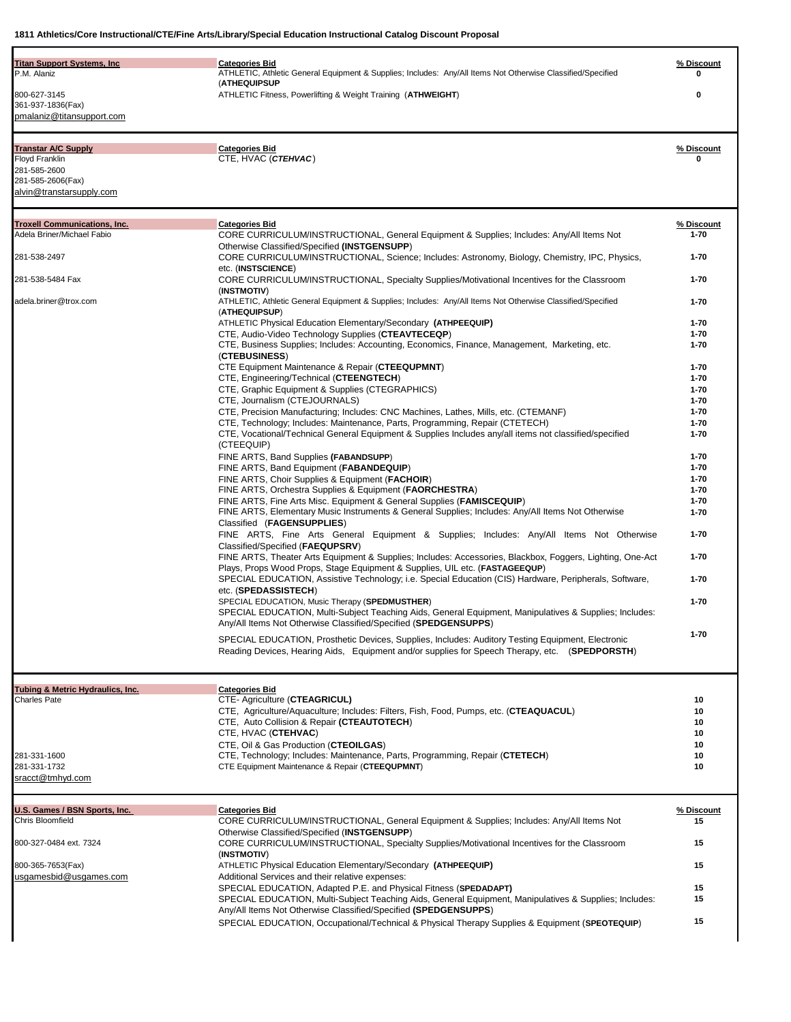| <b>Titan Support Systems, Inc</b><br>P.M. Alaniz                                                              | <b>Categories Bid</b><br>ATHLETIC, Athletic General Equipment & Supplies; Includes: Any/All Items Not Otherwise Classified/Specified<br>(ATHEQUIPSUP                                                                                                                                               | % Discount             |
|---------------------------------------------------------------------------------------------------------------|----------------------------------------------------------------------------------------------------------------------------------------------------------------------------------------------------------------------------------------------------------------------------------------------------|------------------------|
| 800-627-3145<br>361-937-1836(Fax)<br>pmalaniz@titansupport.com                                                | ATHLETIC Fitness, Powerlifting & Weight Training (ATHWEIGHT)                                                                                                                                                                                                                                       | 0                      |
| <b>Transtar A/C Supply</b><br>Floyd Franklin<br>281-585-2600<br>281-585-2606(Fax)<br>alvin@transtarsupply.com | <b>Categories Bid</b><br>CTE, HVAC (CTEHVAC)                                                                                                                                                                                                                                                       | % Discount<br>0        |
| <b>Troxell Communications, Inc.</b><br>Adela Briner/Michael Fabio                                             | <b>Categories Bid</b><br>CORE CURRICULUM/INSTRUCTIONAL, General Equipment & Supplies; Includes: Any/All Items Not                                                                                                                                                                                  | % Discount<br>$1 - 70$ |
| 281-538-2497                                                                                                  | Otherwise Classified/Specified (INSTGENSUPP)<br>CORE CURRICULUM/INSTRUCTIONAL, Science; Includes: Astronomy, Biology, Chemistry, IPC, Physics,<br>etc. (INSTSCIENCE)                                                                                                                               | $1 - 70$               |
| 281-538-5484 Fax                                                                                              | CORE CURRICULUM/INSTRUCTIONAL, Specialty Supplies/Motivational Incentives for the Classroom<br>(INSTMOTIV)                                                                                                                                                                                         | $1 - 70$               |
| adela.briner@trox.com                                                                                         | ATHLETIC, Athletic General Equipment & Supplies; Includes: Any/All Items Not Otherwise Classified/Specified<br>(ATHEQUIPSUP)                                                                                                                                                                       | $1 - 70$               |
|                                                                                                               | ATHLETIC Physical Education Elementary/Secondary (ATHPEEQUIP)                                                                                                                                                                                                                                      | $1 - 70$               |
|                                                                                                               | CTE, Audio-Video Technology Supplies (CTEAVTECEQP)                                                                                                                                                                                                                                                 | $1 - 70$               |
|                                                                                                               | CTE, Business Supplies; Includes: Accounting, Economics, Finance, Management, Marketing, etc.<br>(CTEBUSINESS)                                                                                                                                                                                     | $1 - 70$               |
|                                                                                                               | CTE Equipment Maintenance & Repair (CTEEQUPMNT)                                                                                                                                                                                                                                                    | $1 - 70$               |
|                                                                                                               | CTE, Engineering/Technical (CTEENGTECH)                                                                                                                                                                                                                                                            | $1 - 70$               |
|                                                                                                               | CTE, Graphic Equipment & Supplies (CTEGRAPHICS)                                                                                                                                                                                                                                                    | $1 - 70$               |
|                                                                                                               | CTE, Journalism (CTEJOURNALS)<br>CTE, Precision Manufacturing; Includes: CNC Machines, Lathes, Mills, etc. (CTEMANF)                                                                                                                                                                               | $1 - 70$<br>$1 - 70$   |
|                                                                                                               | CTE, Technology; Includes: Maintenance, Parts, Programming, Repair (CTETECH)                                                                                                                                                                                                                       | $1 - 70$               |
|                                                                                                               | CTE, Vocational/Technical General Equipment & Supplies Includes any/all items not classified/specified<br>(CTEEQUIP)                                                                                                                                                                               | $1 - 70$               |
|                                                                                                               | FINE ARTS, Band Supplies (FABANDSUPP)                                                                                                                                                                                                                                                              | $1 - 70$               |
|                                                                                                               | FINE ARTS, Band Equipment (FABANDEQUIP)                                                                                                                                                                                                                                                            | $1 - 70$<br>$1 - 70$   |
|                                                                                                               | FINE ARTS, Choir Supplies & Equipment (FACHOIR)<br>FINE ARTS, Orchestra Supplies & Equipment (FAORCHESTRA)                                                                                                                                                                                         | $1 - 70$               |
|                                                                                                               | FINE ARTS, Fine Arts Misc. Equipment & General Supplies (FAMISCEQUIP)<br>FINE ARTS, Elementary Music Instruments & General Supplies; Includes: Any/All Items Not Otherwise<br>Classified (FAGENSUPPLIES)                                                                                           | $1 - 70$<br>$1 - 70$   |
|                                                                                                               | FINE ARTS, Fine Arts General Equipment & Supplies; Includes: Any/All Items Not Otherwise<br>Classified/Specified (FAEQUPSRV)                                                                                                                                                                       | 1-70                   |
|                                                                                                               | FINE ARTS, Theater Arts Equipment & Supplies; Includes: Accessories, Blackbox, Foggers, Lighting, One-Act<br>Plays, Props Wood Props, Stage Equipment & Supplies, UIL etc. (FASTAGEEQUP)<br>SPECIAL EDUCATION, Assistive Technology; i.e. Special Education (CIS) Hardware, Peripherals, Software, | $1 - 70$<br>$1 - 70$   |
|                                                                                                               | etc. (SPEDASSISTECH)<br>SPECIAL EDUCATION, Music Therapy (SPEDMUSTHER)                                                                                                                                                                                                                             | $1 - 70$               |
|                                                                                                               | SPECIAL EDUCATION, Multi-Subject Teaching Aids, General Equipment, Manipulatives & Supplies; Includes:<br>Any/All Items Not Otherwise Classified/Specified (SPEDGENSUPPS)                                                                                                                          |                        |
|                                                                                                               | SPECIAL EDUCATION, Prosthetic Devices, Supplies, Includes: Auditory Testing Equipment, Electronic<br>Reading Devices, Hearing Aids, Equipment and/or supplies for Speech Therapy, etc. (SPEDPORSTH)                                                                                                | $1 - 70$               |
| Tubing & Metric Hydraulics, Inc.                                                                              | <b>Categories Bid</b>                                                                                                                                                                                                                                                                              |                        |
| Charles Pate                                                                                                  | CTE- Agriculture (CTEAGRICUL)                                                                                                                                                                                                                                                                      | 10                     |
|                                                                                                               | CTE, Agriculture/Aquaculture; Includes: Filters, Fish, Food, Pumps, etc. (CTEAQUACUL)<br>CTE, Auto Collision & Repair (CTEAUTOTECH)                                                                                                                                                                | 10<br>10               |
|                                                                                                               | CTE, HVAC (CTEHVAC)                                                                                                                                                                                                                                                                                | 10                     |
|                                                                                                               | CTE, Oil & Gas Production (CTEOILGAS)                                                                                                                                                                                                                                                              | 10                     |
| 281-331-1600<br>281-331-1732                                                                                  | CTE, Technology; Includes: Maintenance, Parts, Programming, Repair (CTETECH)<br>CTE Equipment Maintenance & Repair (CTEEQUPMNT)                                                                                                                                                                    | 10<br>10               |
| sracct@tmhyd.com                                                                                              |                                                                                                                                                                                                                                                                                                    |                        |
| U.S. Games / BSN Sports, Inc.                                                                                 | <b>Categories Bid</b>                                                                                                                                                                                                                                                                              | % Discount             |
| Chris Bloomfield                                                                                              | CORE CURRICULUM/INSTRUCTIONAL, General Equipment & Supplies; Includes: Any/All Items Not<br>Otherwise Classified/Specified (INSTGENSUPP)                                                                                                                                                           | 15                     |
| 800-327-0484 ext. 7324<br>800-365-7653(Fax)                                                                   | CORE CURRICULUM/INSTRUCTIONAL, Specialty Supplies/Motivational Incentives for the Classroom<br>(INSTMOTIV)                                                                                                                                                                                         | 15                     |
| usgamesbid@usgames.com                                                                                        | ATHLETIC Physical Education Elementary/Secondary (ATHPEEQUIP)<br>Additional Services and their relative expenses:                                                                                                                                                                                  | 15                     |
|                                                                                                               | SPECIAL EDUCATION, Adapted P.E. and Physical Fitness (SPEDADAPT)                                                                                                                                                                                                                                   | 15                     |
|                                                                                                               | SPECIAL EDUCATION, Multi-Subject Teaching Aids, General Equipment, Manipulatives & Supplies; Includes:<br>Any/All Items Not Otherwise Classified/Specified (SPEDGENSUPPS)                                                                                                                          | 15                     |
|                                                                                                               | SPECIAL EDUCATION, Occupational/Technical & Physical Therapy Supplies & Equipment (SPEOTEQUIP)                                                                                                                                                                                                     | 15                     |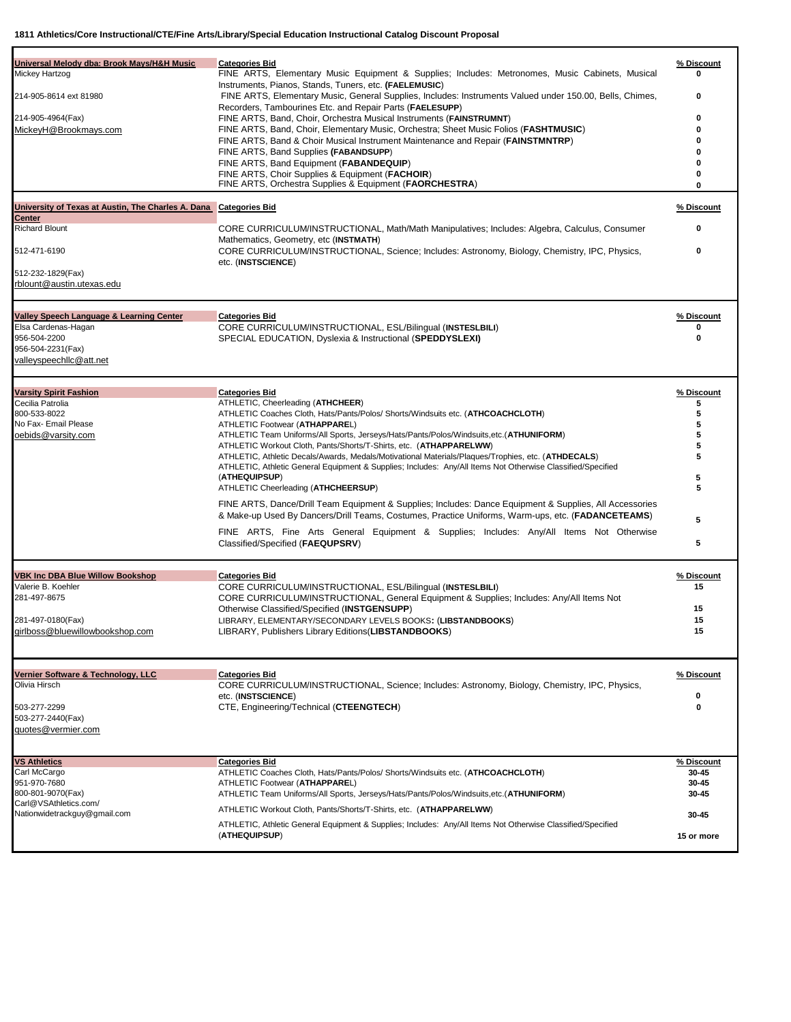| Universal Melody dba: Brook Mays/H&H Music<br>Mickey Hartzog<br>214-905-8614 ext 81980<br>214-905-4964(Fax)<br>MickeyH@Brookmays.com<br>University of Texas at Austin, The Charles A. Dana Categories Bid<br>Center<br><b>Richard Blount</b><br>512-471-6190<br>512-232-1829(Fax)<br>rblount@austin.utexas.edu | <b>Categories Bid</b><br>FINE ARTS, Elementary Music Equipment & Supplies; Includes: Metronomes, Music Cabinets, Musical<br>Instruments, Pianos, Stands, Tuners, etc. (FAELEMUSIC)<br>FINE ARTS, Elementary Music, General Supplies, Includes: Instruments Valued under 150.00, Bells, Chimes,<br>Recorders, Tambourines Etc. and Repair Parts (FAELESUPP)<br>FINE ARTS, Band, Choir, Orchestra Musical Instruments (FAINSTRUMNT)<br>FINE ARTS, Band, Choir, Elementary Music, Orchestra; Sheet Music Folios (FASHTMUSIC)<br>FINE ARTS, Band & Choir Musical Instrument Maintenance and Repair (FAINSTMNTRP)<br>FINE ARTS, Band Supplies (FABANDSUPP)<br>FINE ARTS, Band Equipment (FABANDEQUIP)<br>FINE ARTS, Choir Supplies & Equipment (FACHOIR)<br>FINE ARTS, Orchestra Supplies & Equipment (FAORCHESTRA)<br>CORE CURRICULUM/INSTRUCTIONAL, Math/Math Manipulatives; Includes: Algebra, Calculus, Consumer<br>Mathematics, Geometry, etc (INSTMATH)<br>CORE CURRICULUM/INSTRUCTIONAL, Science; Includes: Astronomy, Biology, Chemistry, IPC, Physics,<br>etc. (INSTSCIENCE) | % Discount<br>0<br>0<br>0<br>O<br>O<br>$\mathbf{0}$<br>0<br>$\mathbf{0}$<br>% Discount<br>0<br>0 |
|----------------------------------------------------------------------------------------------------------------------------------------------------------------------------------------------------------------------------------------------------------------------------------------------------------------|----------------------------------------------------------------------------------------------------------------------------------------------------------------------------------------------------------------------------------------------------------------------------------------------------------------------------------------------------------------------------------------------------------------------------------------------------------------------------------------------------------------------------------------------------------------------------------------------------------------------------------------------------------------------------------------------------------------------------------------------------------------------------------------------------------------------------------------------------------------------------------------------------------------------------------------------------------------------------------------------------------------------------------------------------------------------------------|--------------------------------------------------------------------------------------------------|
| Valley Speech Language & Learning Center<br>Elsa Cardenas-Hagan<br>956-504-2200<br>956-504-2231(Fax)<br>valleyspeechllc@att.net                                                                                                                                                                                | <b>Categories Bid</b><br>CORE CURRICULUM/INSTRUCTIONAL, ESL/Bilingual (INSTESLBILI)<br>SPECIAL EDUCATION, Dyslexia & Instructional (SPEDDYSLEXI)                                                                                                                                                                                                                                                                                                                                                                                                                                                                                                                                                                                                                                                                                                                                                                                                                                                                                                                                 | % Discount<br>0<br>O                                                                             |
| <b>Varsity Spirit Fashion</b><br>Cecilia Patrolia<br>800-533-8022<br>No Fax- Email Please<br>oebids@varsity.com                                                                                                                                                                                                | <b>Categories Bid</b><br>ATHLETIC, Cheerleading (ATHCHEER)<br>ATHLETIC Coaches Cloth, Hats/Pants/Polos/ Shorts/Windsuits etc. (ATHCOACHCLOTH)<br>ATHLETIC Footwear (ATHAPPAREL)<br>ATHLETIC Team Uniforms/All Sports, Jerseys/Hats/Pants/Polos/Windsuits, etc. (ATHUNIFORM)<br>ATHLETIC Workout Cloth, Pants/Shorts/T-Shirts, etc. (ATHAPPARELWW)<br>ATHLETIC, Athletic Decals/Awards, Medals/Motivational Materials/Plaques/Trophies, etc. (ATHDECALS)<br>ATHLETIC, Athletic General Equipment & Supplies; Includes: Any/All Items Not Otherwise Classified/Specified<br>(ATHEQUIPSUP)<br>ATHLETIC Cheerleading (ATHCHEERSUP)<br>FINE ARTS, Dance/Drill Team Equipment & Supplies; Includes: Dance Equipment & Supplies, All Accessories<br>& Make-up Used By Dancers/Drill Teams, Costumes, Practice Uniforms, Warm-ups, etc. (FADANCETEAMS)<br>FINE ARTS, Fine Arts General Equipment & Supplies; Includes: Any/All Items Not Otherwise<br>Classified/Specified (FAEQUPSRV)                                                                                                   | % Discount<br>5<br>5<br>5<br>5<br>5<br>5<br>5<br>5<br>5<br>5                                     |
| <b>VBK Inc DBA Blue Willow Bookshop</b><br>Valerie B. Koehler<br>281-497-8675<br>281-497-0180(Fax)<br>girlboss@bluewillowbookshop.com                                                                                                                                                                          | <b>Categories Bid</b><br>CORE CURRICULUM/INSTRUCTIONAL, ESL/Bilingual (INSTESLBILI)<br>CORE CURRICULUM/INSTRUCTIONAL, General Equipment & Supplies; Includes: Any/All Items Not<br>Otherwise Classified/Specified (INSTGENSUPP)<br>LIBRARY, ELEMENTARY/SECONDARY LEVELS BOOKS: (LIBSTANDBOOKS)<br>LIBRARY, Publishers Library Editions (LIBSTANDBOOKS)                                                                                                                                                                                                                                                                                                                                                                                                                                                                                                                                                                                                                                                                                                                           | % Discount<br>15<br>15<br>15<br>15                                                               |
| Vernier Software & Technology, LLC<br>Olivia Hirsch<br>503-277-2299<br>503-277-2440(Fax)<br>quotes@vermier.com                                                                                                                                                                                                 | <b>Categories Bid</b><br>CORE CURRICULUM/INSTRUCTIONAL, Science; Includes: Astronomy, Biology, Chemistry, IPC, Physics,<br>etc. (INSTSCIENCE)<br>CTE, Engineering/Technical (CTEENGTECH)                                                                                                                                                                                                                                                                                                                                                                                                                                                                                                                                                                                                                                                                                                                                                                                                                                                                                         | % Discount<br>0<br>0                                                                             |
| <b>VS Athletics</b><br>Carl McCargo<br>951-970-7680<br>800-801-9070(Fax)<br>Carl@VSAthletics.com/<br>Nationwidetrackguy@gmail.com                                                                                                                                                                              | <b>Categories Bid</b><br>ATHLETIC Coaches Cloth, Hats/Pants/Polos/ Shorts/Windsuits etc. (ATHCOACHCLOTH)<br>ATHLETIC Footwear (ATHAPPAREL)<br>ATHLETIC Team Uniforms/All Sports, Jerseys/Hats/Pants/Polos/Windsuits,etc.(ATHUNIFORM)<br>ATHLETIC Workout Cloth, Pants/Shorts/T-Shirts, etc. (ATHAPPARELWW)<br>ATHLETIC, Athletic General Equipment & Supplies; Includes: Any/All Items Not Otherwise Classified/Specified<br>(ATHEQUIPSUP)                                                                                                                                                                                                                                                                                                                                                                                                                                                                                                                                                                                                                                       | % Discount<br>30-45<br>30-45<br>30-45<br>30-45<br>15 or more                                     |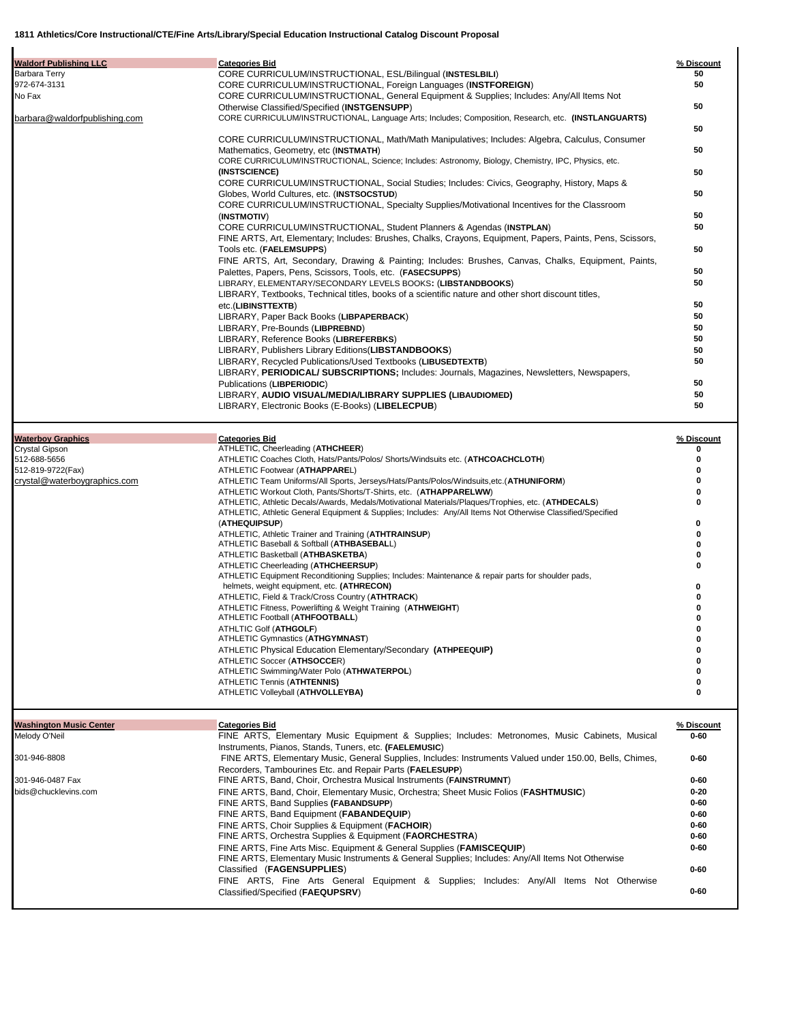| <b>Waldorf Publishing LLC</b>                   | <b>Categories Bid</b>                                                                                                                                        | % Discount           |
|-------------------------------------------------|--------------------------------------------------------------------------------------------------------------------------------------------------------------|----------------------|
| Barbara Terry                                   | CORE CURRICULUM/INSTRUCTIONAL, ESL/Bilingual (INSTESLBILI)                                                                                                   | 50                   |
| 972-674-3131                                    | CORE CURRICULUM/INSTRUCTIONAL, Foreign Languages (INSTFOREIGN)                                                                                               | 50                   |
| No Fax                                          | CORE CURRICULUM/INSTRUCTIONAL, General Equipment & Supplies; Includes: Any/All Items Not                                                                     | 50                   |
| barbara@waldorfpublishing.com                   | Otherwise Classified/Specified (INSTGENSUPP)<br>CORE CURRICULUM/INSTRUCTIONAL, Language Arts; Includes; Composition, Research, etc. (INSTLANGUARTS)          |                      |
|                                                 |                                                                                                                                                              | 50                   |
|                                                 | CORE CURRICULUM/INSTRUCTIONAL, Math/Math Manipulatives; Includes: Algebra, Calculus, Consumer                                                                |                      |
|                                                 | Mathematics, Geometry, etc (INSTMATH)                                                                                                                        | 50                   |
|                                                 | CORE CURRICULUM/INSTRUCTIONAL, Science; Includes: Astronomy, Biology, Chemistry, IPC, Physics, etc.<br>(INSTSCIENCE)                                         |                      |
|                                                 | CORE CURRICULUM/INSTRUCTIONAL, Social Studies; Includes: Civics, Geography, History, Maps &                                                                  | 50                   |
|                                                 | Globes, World Cultures, etc. (INSTSOCSTUD)                                                                                                                   | 50                   |
|                                                 | CORE CURRICULUM/INSTRUCTIONAL, Specialty Supplies/Motivational Incentives for the Classroom                                                                  |                      |
|                                                 | (INSTMOTIV)                                                                                                                                                  | 50                   |
|                                                 | CORE CURRICULUM/INSTRUCTIONAL, Student Planners & Agendas (INSTPLAN)                                                                                         | 50                   |
|                                                 | FINE ARTS, Art, Elementary; Includes: Brushes, Chalks, Crayons, Equipment, Papers, Paints, Pens, Scissors,<br>Tools etc. (FAELEMSUPPS)                       | 50                   |
|                                                 | FINE ARTS, Art, Secondary, Drawing & Painting; Includes: Brushes, Canvas, Chalks, Equipment, Paints,                                                         |                      |
|                                                 | Palettes, Papers, Pens, Scissors, Tools, etc. (FASECSUPPS)                                                                                                   | 50                   |
|                                                 | LIBRARY, ELEMENTARY/SECONDARY LEVELS BOOKS: (LIBSTANDBOOKS)                                                                                                  | 50                   |
|                                                 | LIBRARY, Textbooks, Technical titles, books of a scientific nature and other short discount titles,                                                          |                      |
|                                                 | etc.(LIBINSTTEXTB)<br>LIBRARY, Paper Back Books (LIBPAPERBACK)                                                                                               | 50<br>50             |
|                                                 | LIBRARY, Pre-Bounds (LIBPREBND)                                                                                                                              | 50                   |
|                                                 | LIBRARY, Reference Books (LIBREFERBKS)                                                                                                                       | 50                   |
|                                                 | LIBRARY, Publishers Library Editions (LIBSTANDBOOKS)                                                                                                         | 50                   |
|                                                 | LIBRARY, Recycled Publications/Used Textbooks (LIBUSEDTEXTB)                                                                                                 | 50                   |
|                                                 | LIBRARY, PERIODICAL/ SUBSCRIPTIONS; Includes: Journals, Magazines, Newsletters, Newspapers,                                                                  |                      |
|                                                 | Publications (LIBPERIODIC)<br>LIBRARY, AUDIO VISUAL/MEDIA/LIBRARY SUPPLIES (LIBAUDIOMED)                                                                     | 50<br>50             |
|                                                 | LIBRARY, Electronic Books (E-Books) (LIBELECPUB)                                                                                                             | 50                   |
|                                                 |                                                                                                                                                              |                      |
| <b>Waterboy Graphics</b>                        | <b>Categories Bid</b>                                                                                                                                        | % Discount           |
| <b>Crystal Gipson</b>                           | ATHLETIC, Cheerleading (ATHCHEER)                                                                                                                            | o                    |
| 512-688-5656                                    | ATHLETIC Coaches Cloth, Hats/Pants/Polos/ Shorts/Windsuits etc. (ATHCOACHCLOTH)                                                                              | 0                    |
| 512-819-9722(Fax)                               | ATHLETIC Footwear (ATHAPPAREL)                                                                                                                               | 0                    |
| crystal@waterboygraphics.com                    | ATHLETIC Team Uniforms/All Sports, Jerseys/Hats/Pants/Polos/Windsuits,etc.(ATHUNIFORM)<br>ATHLETIC Workout Cloth, Pants/Shorts/T-Shirts, etc. (ATHAPPARELWW) | 0<br>0               |
|                                                 | ATHLETIC, Athletic Decals/Awards, Medals/Motivational Materials/Plaques/Trophies, etc. (ATHDECALS)                                                           | 0                    |
|                                                 | ATHLETIC, Athletic General Equipment & Supplies; Includes: Any/All Items Not Otherwise Classified/Specified                                                  |                      |
|                                                 | (ATHEQUIPSUP)                                                                                                                                                | 0                    |
|                                                 | ATHLETIC, Athletic Trainer and Training (ATHTRAINSUP)<br>ATHLETIC Baseball & Softball (ATHBASEBALL)                                                          | 0<br>0               |
|                                                 | ATHLETIC Basketball (ATHBASKETBA)                                                                                                                            | 0                    |
|                                                 | ATHLETIC Cheerleading (ATHCHEERSUP)                                                                                                                          | 0                    |
|                                                 | ATHLETIC Equipment Reconditioning Supplies; Includes: Maintenance & repair parts for shoulder pads,                                                          |                      |
|                                                 | helmets, weight equipment, etc. (ATHRECON)<br>ATHLETIC, Field & Track/Cross Country (ATHTRACK)                                                               | 0                    |
|                                                 | ATHLETIC Fitness, Powerlifting & Weight Training (ATHWEIGHT)                                                                                                 | 0                    |
|                                                 | ATHLETIC Football (ATHFOOTBALL)                                                                                                                              | o                    |
|                                                 | <b>ATHLTIC Golf (ATHGOLF)</b>                                                                                                                                | 0                    |
|                                                 | ATHLETIC Gymnastics (ATHGYMNAST)<br>ATHLETIC Physical Education Elementary/Secondary (ATHPEEQUIP)                                                            | 0<br>0               |
|                                                 | ATHLETIC Soccer (ATHSOCCER)                                                                                                                                  | 0                    |
|                                                 | ATHLETIC Swimming/Water Polo (ATHWATERPOL)                                                                                                                   | 0                    |
|                                                 | ATHLETIC Tennis (ATHTENNIS)                                                                                                                                  | 0                    |
|                                                 | ATHLETIC Volleyball (ATHVOLLEYBA)                                                                                                                            | 0                    |
|                                                 |                                                                                                                                                              |                      |
| <b>Washington Music Center</b><br>Melody O'Neil | <b>Categories Bid</b><br>FINE ARTS, Elementary Music Equipment & Supplies; Includes: Metronomes, Music Cabinets, Musical                                     | % Discount<br>0-60   |
|                                                 | Instruments, Pianos, Stands, Tuners, etc. (FAELEMUSIC)                                                                                                       |                      |
| 301-946-8808                                    | FINE ARTS, Elementary Music, General Supplies, Includes: Instruments Valued under 150.00, Bells, Chimes,                                                     | $0 - 60$             |
|                                                 | Recorders, Tambourines Etc. and Repair Parts (FAELESUPP)                                                                                                     |                      |
| 301-946-0487 Fax                                | FINE ARTS, Band, Choir, Orchestra Musical Instruments (FAINSTRUMNT)                                                                                          | $0 - 60$             |
| bids@chucklevins.com                            | FINE ARTS, Band, Choir, Elementary Music, Orchestra; Sheet Music Folios (FASHTMUSIC)                                                                         | $0 - 20$             |
|                                                 | FINE ARTS, Band Supplies (FABANDSUPP)                                                                                                                        | $0 - 60$             |
|                                                 | FINE ARTS, Band Equipment (FABANDEQUIP)<br>FINE ARTS, Choir Supplies & Equipment (FACHOIR)                                                                   | $0 - 60$<br>$0 - 60$ |
|                                                 | FINE ARTS, Orchestra Supplies & Equipment ( <b>FAORCHESTRA</b> )                                                                                             | $0 - 60$             |
|                                                 | FINE ARTS, Fine Arts Misc. Equipment & General Supplies ( <b>FAMISCEQUIP</b> )                                                                               | $0 - 60$             |
|                                                 | FINE ARTS, Elementary Music Instruments & General Supplies; Includes: Any/All Items Not Otherwise                                                            |                      |
|                                                 | Classified (FAGENSUPPLIES)                                                                                                                                   | $0 - 60$             |
|                                                 | FINE ARTS, Fine Arts General Equipment & Supplies; Includes: Any/All Items Not Otherwise                                                                     |                      |

Classified/Specified (**FAEQUPSRV**) **0-60**